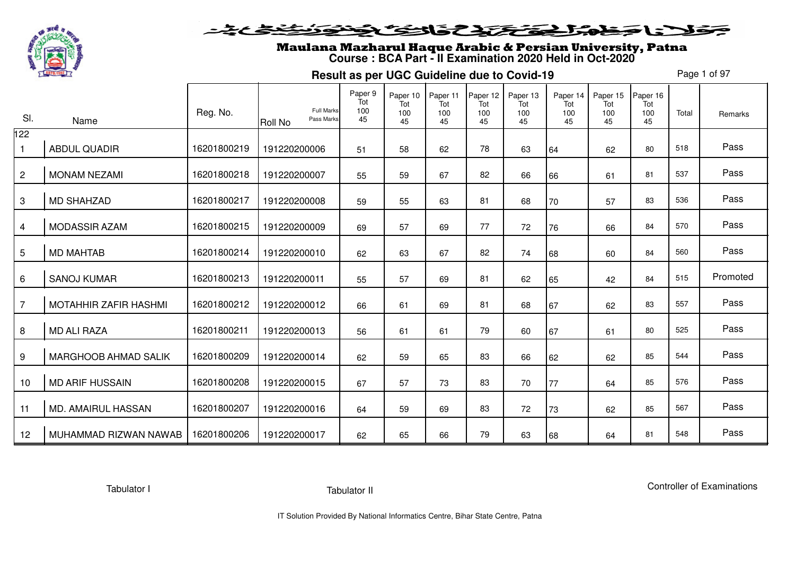

#### at this production and the control of

# Maulana Mazharul Haque Arabic & Persian University, Patna **Course : BCA Part - II Examination 2020 Held in Oct-2020**

**Result as per UGC Guideline due to Covid-19**

Page 1 of 97

| SI.              | Name                         | Reg. No.    | Full Marks<br>Pass Marks<br><b>Roll No</b> | Paper 9<br>Tot<br>100<br>45 | Paper 10<br>Tot<br>100<br>45 | Paper 11<br>Tot<br>100<br>45 | Paper 12<br>Tot<br>100<br>45 | Paper 13<br>Tot<br>100<br>45 | Paper 14<br>Tot<br>100<br>45 | Paper 15<br>Tot<br>100<br>45 | Paper 16<br>Tot<br>100<br>45 | Total | Remarks  |
|------------------|------------------------------|-------------|--------------------------------------------|-----------------------------|------------------------------|------------------------------|------------------------------|------------------------------|------------------------------|------------------------------|------------------------------|-------|----------|
| $\overline{122}$ |                              |             |                                            |                             |                              |                              |                              |                              |                              |                              |                              |       |          |
| $\mathbf{1}$     | <b>ABDUL QUADIR</b>          | 16201800219 | 191220200006                               | 51                          | 58                           | 62                           | 78                           | 63                           | 64                           | 62                           | 80                           | 518   | Pass     |
| $\overline{2}$   | <b>MONAM NEZAMI</b>          | 16201800218 | 191220200007                               | 55                          | 59                           | 67                           | 82                           | 66                           | 66                           | 61                           | 81                           | 537   | Pass     |
| 3                | <b>MD SHAHZAD</b>            | 16201800217 | 191220200008                               | 59                          | 55                           | 63                           | 81                           | 68                           | 70                           | 57                           | 83                           | 536   | Pass     |
| 4                | <b>MODASSIR AZAM</b>         | 16201800215 | 191220200009                               | 69                          | 57                           | 69                           | 77                           | 72                           | 76                           | 66                           | 84                           | 570   | Pass     |
| 5                | <b>MD MAHTAB</b>             | 16201800214 | 191220200010                               | 62                          | 63                           | 67                           | 82                           | 74                           | 68                           | 60                           | 84                           | 560   | Pass     |
| 6                | <b>SANOJ KUMAR</b>           | 16201800213 | 191220200011                               | 55                          | 57                           | 69                           | 81                           | 62                           | 65                           | 42                           | 84                           | 515   | Promoted |
| $\overline{7}$   | <b>MOTAHHIR ZAFIR HASHMI</b> | 16201800212 | 191220200012                               | 66                          | 61                           | 69                           | 81                           | 68                           | 67                           | 62                           | 83                           | 557   | Pass     |
| 8                | <b>MD ALI RAZA</b>           | 16201800211 | 191220200013                               | 56                          | 61                           | 61                           | 79                           | 60                           | 67                           | 61                           | 80                           | 525   | Pass     |
| 9                | MARGHOOB AHMAD SALIK         | 16201800209 | 191220200014                               | 62                          | 59                           | 65                           | 83                           | 66                           | 62                           | 62                           | 85                           | 544   | Pass     |
| 10               | <b>MD ARIF HUSSAIN</b>       | 16201800208 | 191220200015                               | 67                          | 57                           | 73                           | 83                           | 70                           | 77                           | 64                           | 85                           | 576   | Pass     |
| 11               | <b>MD. AMAIRUL HASSAN</b>    | 16201800207 | 191220200016                               | 64                          | 59                           | 69                           | 83                           | 72                           | 73                           | 62                           | 85                           | 567   | Pass     |
| 12               | MUHAMMAD RIZWAN NAWAB        | 16201800206 | 191220200017                               | 62                          | 65                           | 66                           | 79                           | 63                           | 68                           | 64                           | 81                           | 548   | Pass     |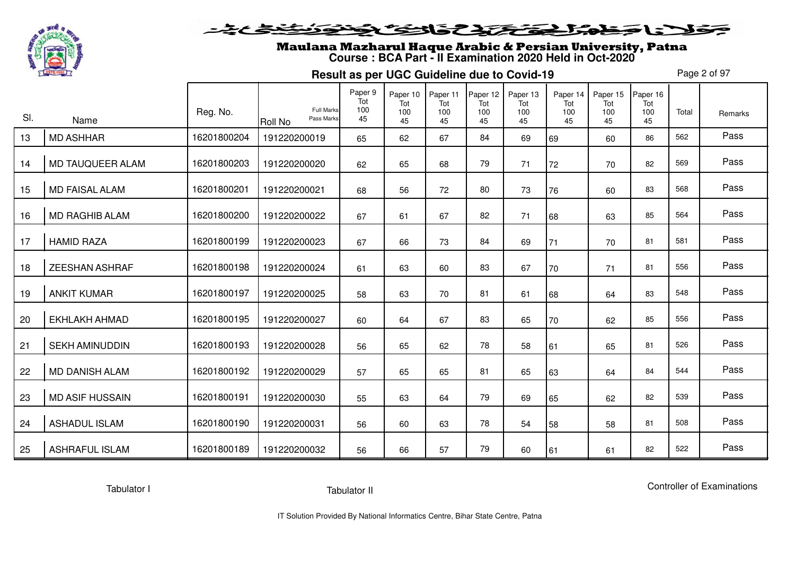

# Maulana Mazharul Haque Arabic & Persian University, Patna **Course : BCA Part - II Examination 2020 Held in Oct-2020**

**Result as per UGC Guideline due to Covid-19**

Page 2 of 97

| SI. |                         | Reg. No.    | <b>Full Marks</b><br>Pass Marks | Paper 9<br>Tot<br>100<br>45 | Paper 10<br>Tot<br>100 | Paper 11<br>Tot<br>100 | Paper 12<br>Tot<br>100 | Paper 13<br>Tot<br>100 | Paper 14<br>Tot<br>100 | Paper 15<br>Tot<br>100 | Paper 16<br>Tot<br>100 | Total | Remarks |
|-----|-------------------------|-------------|---------------------------------|-----------------------------|------------------------|------------------------|------------------------|------------------------|------------------------|------------------------|------------------------|-------|---------|
|     | Name                    |             | <b>Roll No</b>                  |                             | 45                     | 45                     | 45                     | 45                     | 45                     | 45                     | 45                     |       | Pass    |
| 13  | <b>MD ASHHAR</b>        | 16201800204 | 191220200019                    | 65                          | 62                     | 67                     | 84                     | 69                     | 69                     | 60                     | 86                     | 562   |         |
| 14  | <b>MD TAUQUEER ALAM</b> | 16201800203 | 191220200020                    | 62                          | 65                     | 68                     | 79                     | 71                     | 72                     | 70                     | 82                     | 569   | Pass    |
| 15  | <b>MD FAISAL ALAM</b>   | 16201800201 | 191220200021                    | 68                          | 56                     | 72                     | 80                     | 73                     | 76                     | 60                     | 83                     | 568   | Pass    |
| 16  | <b>MD RAGHIB ALAM</b>   | 16201800200 | 191220200022                    | 67                          | 61                     | 67                     | 82                     | 71                     | 68                     | 63                     | 85                     | 564   | Pass    |
| 17  | <b>HAMID RAZA</b>       | 16201800199 | 191220200023                    | 67                          | 66                     | 73                     | 84                     | 69                     | 71                     | 70                     | 81                     | 581   | Pass    |
| 18  | <b>ZEESHAN ASHRAF</b>   | 16201800198 | 191220200024                    | 61                          | 63                     | 60                     | 83                     | 67                     | 70                     | 71                     | 81                     | 556   | Pass    |
| 19  | <b>ANKIT KUMAR</b>      | 16201800197 | 191220200025                    | 58                          | 63                     | 70                     | 81                     | 61                     | 68                     | 64                     | 83                     | 548   | Pass    |
| 20  | <b>EKHLAKH AHMAD</b>    | 16201800195 | 191220200027                    | 60                          | 64                     | 67                     | 83                     | 65                     | 70                     | 62                     | 85                     | 556   | Pass    |
| 21  | <b>SEKH AMINUDDIN</b>   | 16201800193 | 191220200028                    | 56                          | 65                     | 62                     | 78                     | 58                     | 61                     | 65                     | 81                     | 526   | Pass    |
| 22  | <b>MD DANISH ALAM</b>   | 16201800192 | 191220200029                    | 57                          | 65                     | 65                     | 81                     | 65                     | 63                     | 64                     | 84                     | 544   | Pass    |
| 23  | <b>MD ASIF HUSSAIN</b>  | 16201800191 | 191220200030                    | 55                          | 63                     | 64                     | 79                     | 69                     | 65                     | 62                     | 82                     | 539   | Pass    |
| 24  | <b>ASHADUL ISLAM</b>    | 16201800190 | 191220200031                    | 56                          | 60                     | 63                     | 78                     | 54                     | 58                     | 58                     | 81                     | 508   | Pass    |
| 25  | <b>ASHRAFUL ISLAM</b>   | 16201800189 | 191220200032                    | 56                          | 66                     | 57                     | 79                     | 60                     | 61                     | 61                     | 82                     | 522   | Pass    |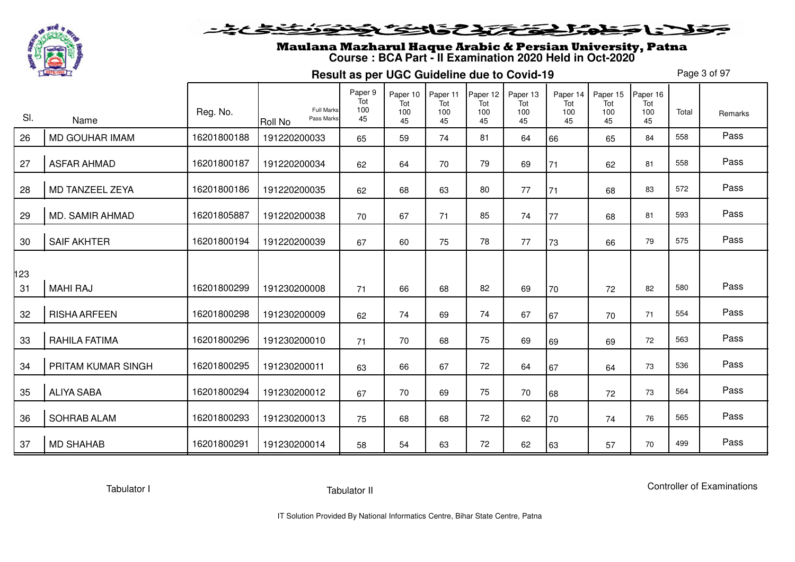

#### فلانا وطوالحقة كتحكون فينونون فنخدم

# Maulana Mazharul Haque Arabic & Persian University, Patna **Course : BCA Part - II Examination 2020 Held in Oct-2020**

**Result as per UGC Guideline due to Covid-19**

Page 3 of 97

| SI.       | Name                | Reg. No.    | Full Marks<br>Pass Marks<br><b>Roll No</b> | Paper 9<br>Tot<br>100<br>45 | Paper 10<br>Tot<br>100<br>45 | Paper 11<br>Tot<br>100<br>45 | Paper 12<br>Tot<br>100<br>45 | Paper 13<br>Tot<br>100<br>45 | Paper 14<br>Tot<br>100<br>45 | Paper 15<br>Tot<br>100<br>45 | Paper 16<br>Tot<br>100<br>45 | Total | Remarks |
|-----------|---------------------|-------------|--------------------------------------------|-----------------------------|------------------------------|------------------------------|------------------------------|------------------------------|------------------------------|------------------------------|------------------------------|-------|---------|
| 26        | MD GOUHAR IMAM      | 16201800188 | 191220200033                               | 65                          | 59                           | 74                           | 81                           | 64                           | 66                           | 65                           | 84                           | 558   | Pass    |
| 27        | <b>ASFAR AHMAD</b>  | 16201800187 | 191220200034                               | 62                          | 64                           | 70                           | 79                           | 69                           | 71                           | 62                           | 81                           | 558   | Pass    |
| 28        | MD TANZEEL ZEYA     | 16201800186 | 191220200035                               | 62                          | 68                           | 63                           | 80                           | 77                           | 71                           | 68                           | 83                           | 572   | Pass    |
| 29        | MD. SAMIR AHMAD     | 16201805887 | 191220200038                               | 70                          | 67                           | 71                           | 85                           | 74                           | 77                           | 68                           | 81                           | 593   | Pass    |
| 30        | <b>SAIF AKHTER</b>  | 16201800194 | 191220200039                               | 67                          | 60                           | 75                           | 78                           | 77                           | 73                           | 66                           | 79                           | 575   | Pass    |
| 123<br>31 | <b>MAHI RAJ</b>     | 16201800299 | 191230200008                               | 71                          | 66                           | 68                           | 82                           | 69                           | 70                           | 72                           | 82                           | 580   | Pass    |
| 32        | <b>RISHA ARFEEN</b> | 16201800298 | 191230200009                               | 62                          | 74                           | 69                           | 74                           | 67                           | 67                           | 70                           | 71                           | 554   | Pass    |
| 33        | RAHILA FATIMA       | 16201800296 | 191230200010                               | 71                          | 70                           | 68                           | 75                           | 69                           | 69                           | 69                           | 72                           | 563   | Pass    |
| 34        | PRITAM KUMAR SINGH  | 16201800295 | 191230200011                               | 63                          | 66                           | 67                           | 72                           | 64                           | 67                           | 64                           | 73                           | 536   | Pass    |
| 35        | <b>ALIYA SABA</b>   | 16201800294 | 191230200012                               | 67                          | 70                           | 69                           | 75                           | 70                           | 68                           | 72                           | 73                           | 564   | Pass    |
| 36        | <b>SOHRAB ALAM</b>  | 16201800293 | 191230200013                               | 75                          | 68                           | 68                           | 72                           | 62                           | 70                           | 74                           | 76                           | 565   | Pass    |
| 37        | <b>MD SHAHAB</b>    | 16201800291 | 191230200014                               | 58                          | 54                           | 63                           | 72                           | 62                           | 63                           | 57                           | 70                           | 499   | Pass    |

Tabulator I

Tabulator II

Controller of Examinations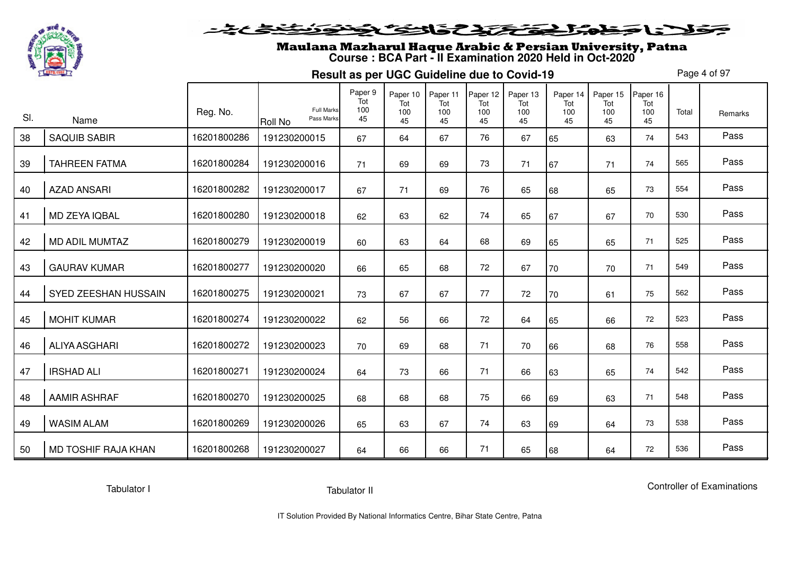

# Maulana Mazharul Haque Arabic & Persian University, Patna **Course : BCA Part - II Examination 2020 Held in Oct-2020**

**Result as per UGC Guideline due to Covid-19**

Page 4 of 97

|     |                       | Reg. No.    | <b>Full Marks</b>            | Paper 9<br>Tot<br>100 | Paper 10<br>Tot<br>100 | Paper 11<br>Tot<br>100 | Paper 12<br>Tot<br>100 | Paper 13<br>Tot<br>100 | Paper 14<br>Tot<br>100 | Paper 15<br>Tot<br>100 | Paper 16<br>Tot<br>100 | Total | Remarks |
|-----|-----------------------|-------------|------------------------------|-----------------------|------------------------|------------------------|------------------------|------------------------|------------------------|------------------------|------------------------|-------|---------|
| SI. | Name                  |             | Pass Marks<br><b>Roll No</b> | 45                    | 45                     | 45                     | 45                     | 45                     | 45                     | 45                     | 45                     |       |         |
| 38  | <b>SAQUIB SABIR</b>   | 16201800286 | 191230200015                 | 67                    | 64                     | 67                     | 76                     | 67                     | 65                     | 63                     | 74                     | 543   | Pass    |
| 39  | <b>TAHREEN FATMA</b>  | 16201800284 | 191230200016                 | 71                    | 69                     | 69                     | 73                     | 71                     | 67                     | 71                     | 74                     | 565   | Pass    |
| 40  | <b>AZAD ANSARI</b>    | 16201800282 | 191230200017                 | 67                    | 71                     | 69                     | 76                     | 65                     | 68                     | 65                     | 73                     | 554   | Pass    |
| 41  | MD ZEYA IQBAL         | 16201800280 | 191230200018                 | 62                    | 63                     | 62                     | 74                     | 65                     | 67                     | 67                     | 70                     | 530   | Pass    |
| 42  | <b>MD ADIL MUMTAZ</b> | 16201800279 | 191230200019                 | 60                    | 63                     | 64                     | 68                     | 69                     | 65                     | 65                     | 71                     | 525   | Pass    |
| 43  | <b>GAURAV KUMAR</b>   | 16201800277 | 191230200020                 | 66                    | 65                     | 68                     | 72                     | 67                     | 70                     | 70                     | 71                     | 549   | Pass    |
| 44  | SYED ZEESHAN HUSSAIN  | 16201800275 | 191230200021                 | 73                    | 67                     | 67                     | 77                     | 72                     | 70                     | 61                     | 75                     | 562   | Pass    |
| 45  | <b>MOHIT KUMAR</b>    | 16201800274 | 191230200022                 | 62                    | 56                     | 66                     | 72                     | 64                     | 65                     | 66                     | 72                     | 523   | Pass    |
| 46  | <b>ALIYA ASGHARI</b>  | 16201800272 | 191230200023                 | 70                    | 69                     | 68                     | 71                     | 70                     | 66                     | 68                     | 76                     | 558   | Pass    |
| 47  | <b>IRSHAD ALI</b>     | 16201800271 | 191230200024                 | 64                    | 73                     | 66                     | 71                     | 66                     | 63                     | 65                     | 74                     | 542   | Pass    |
| 48  | <b>AAMIR ASHRAF</b>   | 16201800270 | 191230200025                 | 68                    | 68                     | 68                     | 75                     | 66                     | 69                     | 63                     | 71                     | 548   | Pass    |
| 49  | <b>WASIM ALAM</b>     | 16201800269 | 191230200026                 | 65                    | 63                     | 67                     | 74                     | 63                     | 69                     | 64                     | 73                     | 538   | Pass    |
| 50  | MD TOSHIF RAJA KHAN   | 16201800268 | 191230200027                 | 64                    | 66                     | 66                     | 71                     | 65                     | 68                     | 64                     | 72                     | 536   | Pass    |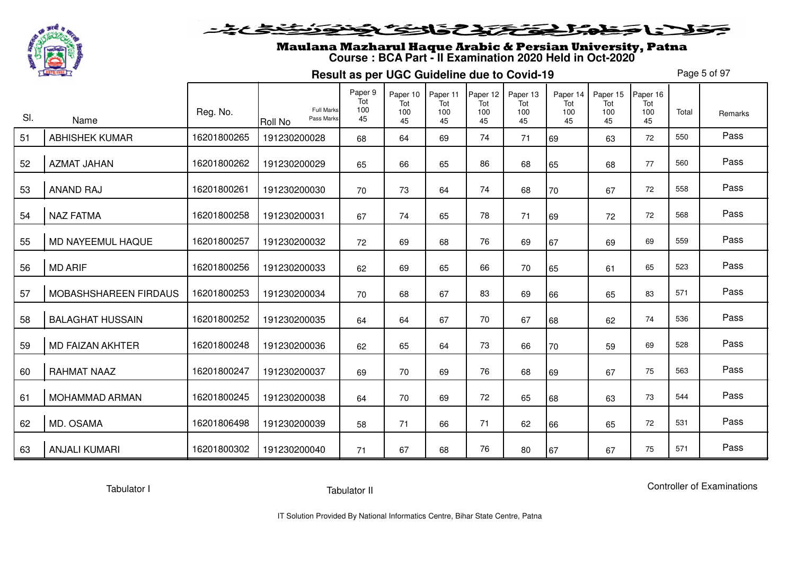

# Maulana Mazharul Haque Arabic & Persian University, Patna **Course : BCA Part - II Examination 2020 Held in Oct-2020**

**Result as per UGC Guideline due to Covid-19**

Page 5 of 97

|     |                              | Reg. No.    | <b>Full Marks</b>            | Paper 9<br>Tot<br>100 | Paper 10<br>Tot<br>100 | Paper 11<br>Tot<br>100 | Paper 12<br>Tot<br>100 | Paper 13<br>Tot<br>100 | Paper 14<br>Tot<br>100 | Paper 15<br>Tot<br>100 | Paper 16<br>Tot<br>100 | Total | Remarks |
|-----|------------------------------|-------------|------------------------------|-----------------------|------------------------|------------------------|------------------------|------------------------|------------------------|------------------------|------------------------|-------|---------|
| SI. | Name                         |             | Pass Marks<br><b>Roll No</b> | 45                    | 45                     | 45                     | 45                     | 45                     | 45                     | 45                     | 45                     |       |         |
| 51  | <b>ABHISHEK KUMAR</b>        | 16201800265 | 191230200028                 | 68                    | 64                     | 69                     | 74                     | 71                     | 69                     | 63                     | 72                     | 550   | Pass    |
| 52  | AZMAT JAHAN                  | 16201800262 | 191230200029                 | 65                    | 66                     | 65                     | 86                     | 68                     | 65                     | 68                     | 77                     | 560   | Pass    |
| 53  | <b>ANAND RAJ</b>             | 16201800261 | 191230200030                 | 70                    | 73                     | 64                     | 74                     | 68                     | 70                     | 67                     | 72                     | 558   | Pass    |
| 54  | <b>NAZ FATMA</b>             | 16201800258 | 191230200031                 | 67                    | 74                     | 65                     | 78                     | 71                     | 69                     | 72                     | 72                     | 568   | Pass    |
| 55  | MD NAYEEMUL HAQUE            | 16201800257 | 191230200032                 | 72                    | 69                     | 68                     | 76                     | 69                     | 67                     | 69                     | 69                     | 559   | Pass    |
| 56  | <b>MD ARIF</b>               | 16201800256 | 191230200033                 | 62                    | 69                     | 65                     | 66                     | 70                     | 65                     | 61                     | 65                     | 523   | Pass    |
| 57  | <b>MOBASHSHAREEN FIRDAUS</b> | 16201800253 | 191230200034                 | 70                    | 68                     | 67                     | 83                     | 69                     | 66                     | 65                     | 83                     | 571   | Pass    |
| 58  | <b>BALAGHAT HUSSAIN</b>      | 16201800252 | 191230200035                 | 64                    | 64                     | 67                     | 70                     | 67                     | 68                     | 62                     | 74                     | 536   | Pass    |
| 59  | <b>MD FAIZAN AKHTER</b>      | 16201800248 | 191230200036                 | 62                    | 65                     | 64                     | 73                     | 66                     | 70                     | 59                     | 69                     | 528   | Pass    |
| 60  | <b>RAHMAT NAAZ</b>           | 16201800247 | 191230200037                 | 69                    | 70                     | 69                     | 76                     | 68                     | 69                     | 67                     | 75                     | 563   | Pass    |
| 61  | MOHAMMAD ARMAN               | 16201800245 | 191230200038                 | 64                    | 70                     | 69                     | 72                     | 65                     | 68                     | 63                     | 73                     | 544   | Pass    |
| 62  | MD. OSAMA                    | 16201806498 | 191230200039                 | 58                    | 71                     | 66                     | 71                     | 62                     | 66                     | 65                     | 72                     | 531   | Pass    |
| 63  | <b>ANJALI KUMARI</b>         | 16201800302 | 191230200040                 | 71                    | 67                     | 68                     | 76                     | 80                     | 67                     | 67                     | 75                     | 571   | Pass    |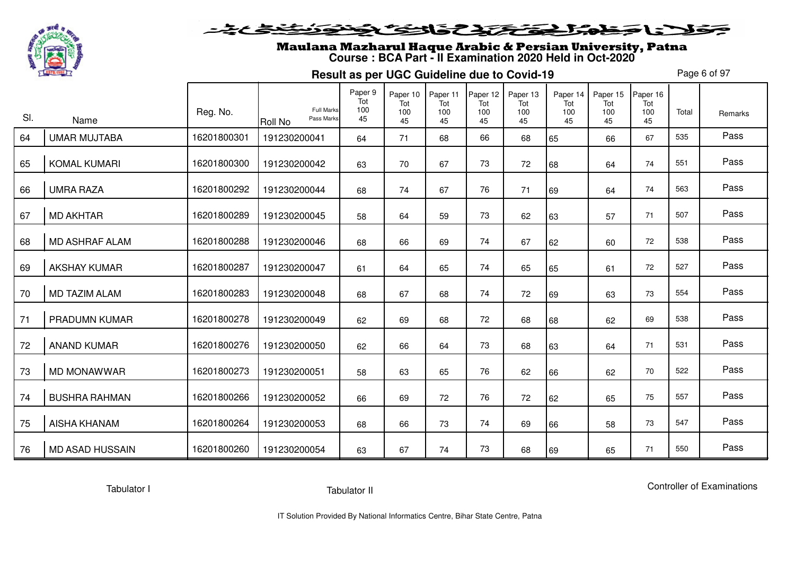

# Maulana Mazharul Haque Arabic & Persian University, Patna **Course : BCA Part - II Examination 2020 Held in Oct-2020**

**Result as per UGC Guideline due to Covid-19**

Page 6 of 97

|     |                        |             |                                            | Paper 9<br>Tot | Paper 10<br>Tot | Paper 11<br>Tot | Paper 12<br>Tot | Paper 13<br>Tot | Paper 14<br>Tot | Paper 15<br>Tot | Paper 16<br>Tot |       |         |
|-----|------------------------|-------------|--------------------------------------------|----------------|-----------------|-----------------|-----------------|-----------------|-----------------|-----------------|-----------------|-------|---------|
| SI. | Name                   | Reg. No.    | Full Marks<br>Pass Marks<br><b>Roll No</b> | 100<br>45      | 100<br>45       | 100<br>45       | 100<br>45       | 100<br>45       | 100<br>45       | 100<br>45       | 100<br>45       | Total | Remarks |
| 64  | <b>UMAR MUJTABA</b>    | 16201800301 | 191230200041                               | 64             | 71              | 68              | 66              | 68              | 65              | 66              | 67              | 535   | Pass    |
| 65  | <b>KOMAL KUMARI</b>    | 16201800300 | 191230200042                               | 63             | 70              | 67              | 73              | 72              | 68              | 64              | 74              | 551   | Pass    |
| 66  | <b>UMRA RAZA</b>       | 16201800292 | 191230200044                               | 68             | 74              | 67              | 76              | 71              | 69              | 64              | 74              | 563   | Pass    |
| 67  | <b>MD AKHTAR</b>       | 16201800289 | 191230200045                               | 58             | 64              | 59              | 73              | 62              | 63              | 57              | 71              | 507   | Pass    |
| 68  | <b>MD ASHRAF ALAM</b>  | 16201800288 | 191230200046                               | 68             | 66              | 69              | 74              | 67              | 62              | 60              | 72              | 538   | Pass    |
| 69  | <b>AKSHAY KUMAR</b>    | 16201800287 | 191230200047                               | 61             | 64              | 65              | 74              | 65              | 65              | 61              | 72              | 527   | Pass    |
| 70  | <b>MD TAZIM ALAM</b>   | 16201800283 | 191230200048                               | 68             | 67              | 68              | 74              | 72              | 69              | 63              | 73              | 554   | Pass    |
| 71  | <b>PRADUMN KUMAR</b>   | 16201800278 | 191230200049                               | 62             | 69              | 68              | 72              | 68              | 68              | 62              | 69              | 538   | Pass    |
| 72  | <b>ANAND KUMAR</b>     | 16201800276 | 191230200050                               | 62             | 66              | 64              | 73              | 68              | 63              | 64              | 71              | 531   | Pass    |
| 73  | <b>MD MONAWWAR</b>     | 16201800273 | 191230200051                               | 58             | 63              | 65              | 76              | 62              | 66              | 62              | 70              | 522   | Pass    |
| 74  | <b>BUSHRA RAHMAN</b>   | 16201800266 | 191230200052                               | 66             | 69              | 72              | 76              | 72              | 62              | 65              | 75              | 557   | Pass    |
| 75  | AISHA KHANAM           | 16201800264 | 191230200053                               | 68             | 66              | 73              | 74              | 69              | 66              | 58              | 73              | 547   | Pass    |
| 76  | <b>MD ASAD HUSSAIN</b> | 16201800260 | 191230200054                               | 63             | 67              | 74              | 73              | 68              | 69              | 65              | 71              | 550   | Pass    |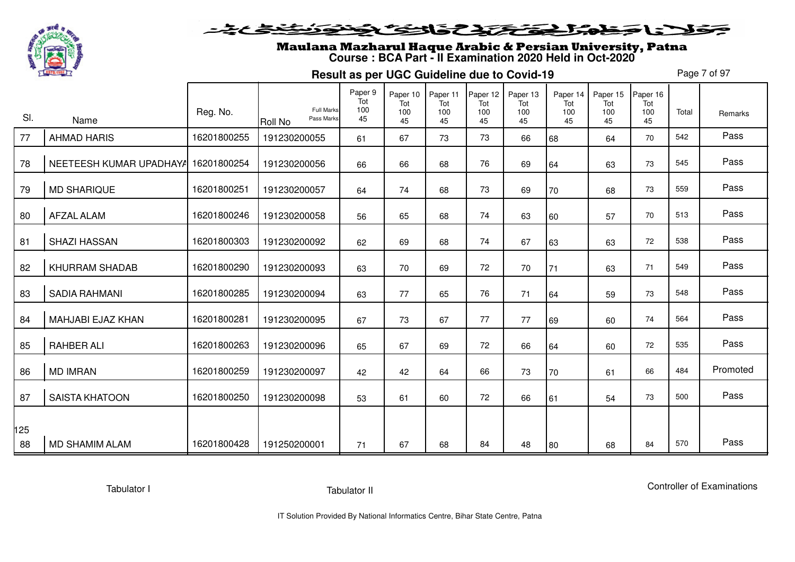

#### فلانا حفاشكتكك فانخلخ <u>موزينندي عيد</u>

# Maulana Mazharul Haque Arabic & Persian University, Patna **Course : BCA Part - II Examination 2020 Held in Oct-2020**

**Result as per UGC Guideline due to Covid-19**

Page 7 of 97

| SI. | Name                    | Reg. No.    | <b>Full Marks</b><br>Pass Marks<br>Roll No | Paper 9<br>Tot<br>100<br>45 | Paper 10<br>Tot<br>100<br>45 | Paper 11<br>Tot<br>100<br>45 | Paper 12<br>Tot<br>100<br>45 | Paper 13<br>Tot<br>100<br>45 | Paper 14<br>Tot<br>100<br>45 | Paper 15<br>Tot<br>100<br>45 | Paper 16<br>Tot<br>100<br>45 | Total | Remarks  |
|-----|-------------------------|-------------|--------------------------------------------|-----------------------------|------------------------------|------------------------------|------------------------------|------------------------------|------------------------------|------------------------------|------------------------------|-------|----------|
| 77  | <b>AHMAD HARIS</b>      | 16201800255 | 191230200055                               | 61                          | 67                           | 73                           | 73                           | 66                           | 68                           | 64                           | 70                           | 542   | Pass     |
| 78  | NEETEESH KUMAR UPADHAYA | 16201800254 | 191230200056                               | 66                          | 66                           | 68                           | 76                           | 69                           | 64                           | 63                           | 73                           | 545   | Pass     |
| 79  | <b>MD SHARIQUE</b>      | 16201800251 | 191230200057                               | 64                          | 74                           | 68                           | 73                           | 69                           | 70                           | 68                           | 73                           | 559   | Pass     |
| 80  | <b>AFZAL ALAM</b>       | 16201800246 | 191230200058                               | 56                          | 65                           | 68                           | 74                           | 63                           | 60                           | 57                           | 70                           | 513   | Pass     |
| 81  | <b>SHAZI HASSAN</b>     | 16201800303 | 191230200092                               | 62                          | 69                           | 68                           | 74                           | 67                           | 63                           | 63                           | 72                           | 538   | Pass     |
| 82  | <b>KHURRAM SHADAB</b>   | 16201800290 | 191230200093                               | 63                          | 70                           | 69                           | 72                           | 70                           | 71                           | 63                           | 71                           | 549   | Pass     |
| 83  | <b>SADIA RAHMANI</b>    | 16201800285 | 191230200094                               | 63                          | 77                           | 65                           | 76                           | 71                           | 64                           | 59                           | 73                           | 548   | Pass     |
| 84  | MAHJABI EJAZ KHAN       | 16201800281 | 191230200095                               | 67                          | 73                           | 67                           | 77                           | 77                           | 69                           | 60                           | 74                           | 564   | Pass     |
| 85  | <b>RAHBER ALI</b>       | 16201800263 | 191230200096                               | 65                          | 67                           | 69                           | 72                           | 66                           | 64                           | 60                           | 72                           | 535   | Pass     |
| 86  | <b>MD IMRAN</b>         | 16201800259 | 191230200097                               | 42                          | 42                           | 64                           | 66                           | 73                           | 70                           | 61                           | 66                           | 484   | Promoted |
| 87  | <b>SAISTA KHATOON</b>   | 16201800250 | 191230200098                               | 53                          | 61                           | 60                           | 72                           | 66                           | 61                           | 54                           | 73                           | 500   | Pass     |
| 125 |                         |             |                                            |                             |                              |                              |                              |                              |                              |                              |                              |       |          |
| 88  | <b>MD SHAMIM ALAM</b>   | 16201800428 | 191250200001                               | 71                          | 67                           | 68                           | 84                           | 48                           | 80                           | 68                           | 84                           | 570   | Pass     |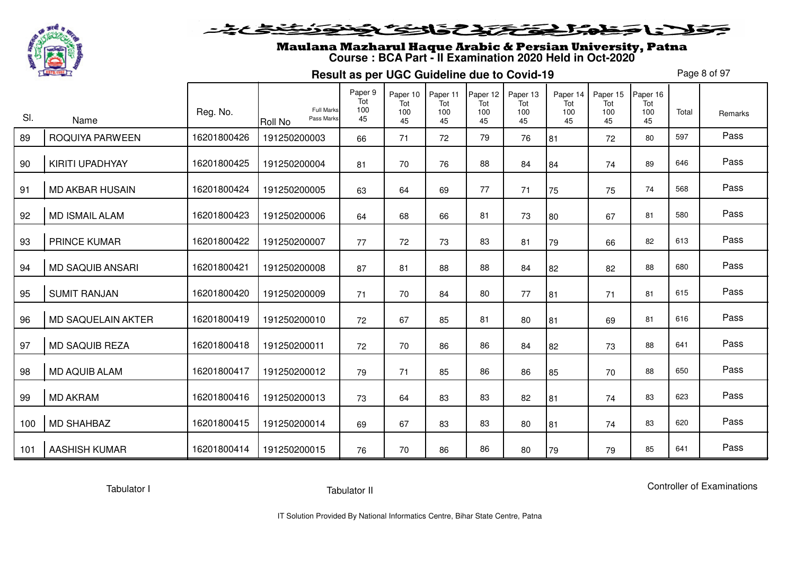

# Maulana Mazharul Haque Arabic & Persian University, Patna **Course : BCA Part - II Examination 2020 Held in Oct-2020**

**Result as per UGC Guideline due to Covid-19**

Page 8 of 97

|     |                         |             |                                                   | Paper 9<br>Tot | Paper 10<br>Tot | Paper 11<br>Tot | Paper 12<br>Tot | Paper 13<br>Tot | Paper 14<br>Tot | Paper 15<br>Tot | Paper 16<br>Tot |       |         |
|-----|-------------------------|-------------|---------------------------------------------------|----------------|-----------------|-----------------|-----------------|-----------------|-----------------|-----------------|-----------------|-------|---------|
| SI. | Name                    | Reg. No.    | <b>Full Marks</b><br>Pass Marks<br><b>Roll No</b> | 100<br>45      | 100<br>45       | 100<br>45       | 100<br>45       | 100<br>45       | 100<br>45       | 100<br>45       | 100<br>45       | Total | Remarks |
| 89  | ROQUIYA PARWEEN         | 16201800426 | 191250200003                                      | 66             | 71              | 72              | 79              | 76              | 81              | 72              | 80              | 597   | Pass    |
| 90  | KIRITI UPADHYAY         | 16201800425 | 191250200004                                      | 81             | 70              | 76              | 88              | 84              | 84              | 74              | 89              | 646   | Pass    |
| 91  | <b>MD AKBAR HUSAIN</b>  | 16201800424 | 191250200005                                      | 63             | 64              | 69              | 77              | 71              | 75              | 75              | 74              | 568   | Pass    |
| 92  | <b>MD ISMAIL ALAM</b>   | 16201800423 | 191250200006                                      | 64             | 68              | 66              | 81              | 73              | 80              | 67              | 81              | 580   | Pass    |
| 93  | <b>PRINCE KUMAR</b>     | 16201800422 | 191250200007                                      | 77             | 72              | 73              | 83              | 81              | 79              | 66              | 82              | 613   | Pass    |
| 94  | <b>MD SAQUIB ANSARI</b> | 16201800421 | 191250200008                                      | 87             | 81              | 88              | 88              | 84              | 82              | 82              | 88              | 680   | Pass    |
| 95  | <b>SUMIT RANJAN</b>     | 16201800420 | 191250200009                                      | 71             | 70              | 84              | 80              | 77              | 81              | 71              | 81              | 615   | Pass    |
| 96  | MD SAQUELAIN AKTER      | 16201800419 | 191250200010                                      | 72             | 67              | 85              | 81              | 80              | 81              | 69              | 81              | 616   | Pass    |
| 97  | <b>MD SAQUIB REZA</b>   | 16201800418 | 191250200011                                      | 72             | 70              | 86              | 86              | 84              | 82              | 73              | 88              | 641   | Pass    |
| 98  | <b>MD AQUIB ALAM</b>    | 16201800417 | 191250200012                                      | 79             | 71              | 85              | 86              | 86              | 85              | 70              | 88              | 650   | Pass    |
| 99  | <b>MD AKRAM</b>         | 16201800416 | 191250200013                                      | 73             | 64              | 83              | 83              | 82              | 81              | 74              | 83              | 623   | Pass    |
| 100 | <b>MD SHAHBAZ</b>       | 16201800415 | 191250200014                                      | 69             | 67              | 83              | 83              | 80              | 81              | 74              | 83              | 620   | Pass    |
| 101 | <b>AASHISH KUMAR</b>    | 16201800414 | 191250200015                                      | 76             | 70              | 86              | 86              | 80              | 79              | 79              | 85              | 641   | Pass    |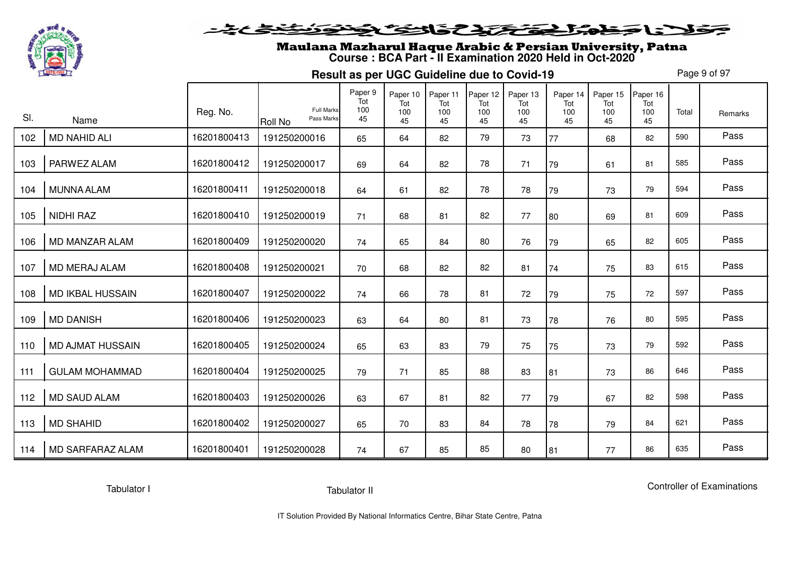

# Maulana Mazharul Haque Arabic & Persian University, Patna **Course : BCA Part - II Examination 2020 Held in Oct-2020**

**Result as per UGC Guideline due to Covid-19**

Page 9 of 97

|     |                         |             |                                            | Paper 9<br>Tot | Paper 10<br>Tot | Paper 11<br>Tot | Paper 12<br>Tot | Paper 13<br>Tot | Paper 14<br>Tot | Paper 15<br>Tot | Paper 16<br>Tot |       |         |
|-----|-------------------------|-------------|--------------------------------------------|----------------|-----------------|-----------------|-----------------|-----------------|-----------------|-----------------|-----------------|-------|---------|
| SI. | Name                    | Reg. No.    | <b>Full Marks</b><br>Pass Marks<br>Roll No | 100<br>45      | 100<br>45       | 100<br>45       | 100<br>45       | 100<br>45       | 100<br>45       | 100<br>45       | 100<br>45       | Total | Remarks |
| 102 | <b>MD NAHID ALI</b>     | 16201800413 | 191250200016                               | 65             | 64              | 82              | 79              | 73              | 77              | 68              | 82              | 590   | Pass    |
| 103 | PARWEZ ALAM             | 16201800412 | 191250200017                               | 69             | 64              | 82              | 78              | 71              | 79              | 61              | 81              | 585   | Pass    |
| 104 | <b>MUNNA ALAM</b>       | 16201800411 | 191250200018                               | 64             | 61              | 82              | 78              | 78              | 79              | 73              | 79              | 594   | Pass    |
| 105 | NIDHI RAZ               | 16201800410 | 191250200019                               | 71             | 68              | 81              | 82              | 77              | 80              | 69              | 81              | 609   | Pass    |
| 106 | MD MANZAR ALAM          | 16201800409 | 191250200020                               | 74             | 65              | 84              | 80              | 76              | 79              | 65              | 82              | 605   | Pass    |
| 107 | <b>MD MERAJ ALAM</b>    | 16201800408 | 191250200021                               | 70             | 68              | 82              | 82              | 81              | 74              | 75              | 83              | 615   | Pass    |
| 108 | MD IKBAL HUSSAIN        | 16201800407 | 191250200022                               | 74             | 66              | 78              | 81              | 72              | 79              | 75              | 72              | 597   | Pass    |
| 109 | <b>MD DANISH</b>        | 16201800406 | 191250200023                               | 63             | 64              | 80              | 81              | 73              | 78              | 76              | 80              | 595   | Pass    |
| 110 | <b>MD AJMAT HUSSAIN</b> | 16201800405 | 191250200024                               | 65             | 63              | 83              | 79              | 75              | 75              | 73              | 79              | 592   | Pass    |
| 111 | <b>GULAM MOHAMMAD</b>   | 16201800404 | 191250200025                               | 79             | 71              | 85              | 88              | 83              | 81              | 73              | 86              | 646   | Pass    |
| 112 | <b>MD SAUD ALAM</b>     | 16201800403 | 191250200026                               | 63             | 67              | 81              | 82              | 77              | 79              | 67              | 82              | 598   | Pass    |
| 113 | <b>MD SHAHID</b>        | 16201800402 | 191250200027                               | 65             | 70              | 83              | 84              | 78              | 78              | 79              | 84              | 621   | Pass    |
| 114 | MD SARFARAZ ALAM        | 16201800401 | 191250200028                               | 74             | 67              | 85              | 85              | 80              | 81              | 77              | 86              | 635   | Pass    |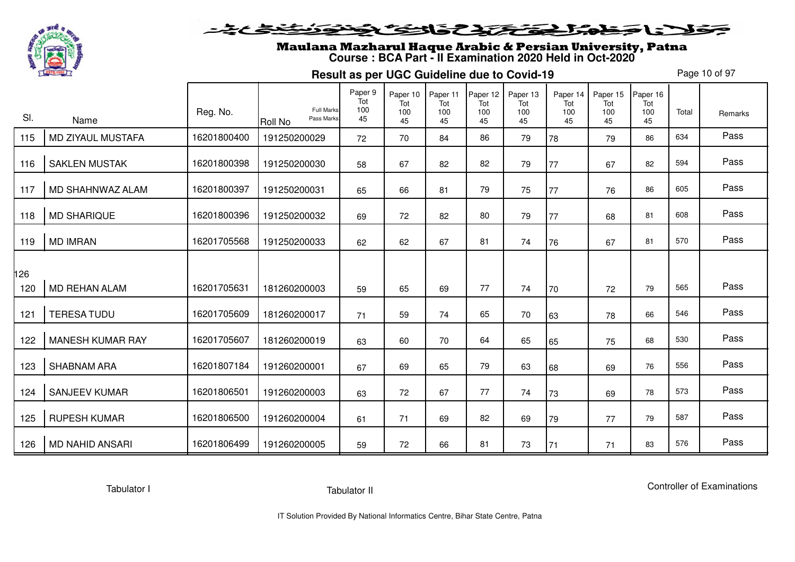

#### فلانا وطوالحقة كتحكون فينونون فنخدم

# Maulana Mazharul Haque Arabic & Persian University, Patna **Course : BCA Part - II Examination 2020 Held in Oct-2020**

**Result as per UGC Guideline due to Covid-19**

Page 10 of 97

| SI. | Name                    | Reg. No.    | <b>Full Marks</b><br>Pass Marks<br><b>Roll No</b> | Paper 9<br>Tot<br>100<br>45 | Paper 10<br>Tot<br>100<br>45 | Paper 11<br>Tot<br>100<br>45 | Paper 12<br>Tot<br>100<br>45 | Paper 13<br>Tot<br>100<br>45 | Paper 14<br>Tot<br>100<br>45 | Paper 15<br>Tot<br>100<br>45 | Paper 16<br>Tot<br>100<br>45 | Total | Remarks |
|-----|-------------------------|-------------|---------------------------------------------------|-----------------------------|------------------------------|------------------------------|------------------------------|------------------------------|------------------------------|------------------------------|------------------------------|-------|---------|
| 115 | MD ZIYAUL MUSTAFA       | 16201800400 | 191250200029                                      | 72                          | 70                           | 84                           | 86                           | 79                           | 78                           | 79                           | 86                           | 634   | Pass    |
| 116 | <b>SAKLEN MUSTAK</b>    | 16201800398 | 191250200030                                      | 58                          | 67                           | 82                           | 82                           | 79                           | 77                           | 67                           | 82                           | 594   | Pass    |
| 117 | MD SHAHNWAZ ALAM        | 16201800397 | 191250200031                                      | 65                          | 66                           | 81                           | 79                           | 75                           | 77                           | 76                           | 86                           | 605   | Pass    |
| 118 | <b>MD SHARIQUE</b>      | 16201800396 | 191250200032                                      | 69                          | 72                           | 82                           | 80                           | 79                           | 77                           | 68                           | 81                           | 608   | Pass    |
| 119 | <b>MD IMRAN</b>         | 16201705568 | 191250200033                                      | 62                          | 62                           | 67                           | 81                           | 74                           | 76                           | 67                           | 81                           | 570   | Pass    |
| 126 |                         |             |                                                   |                             |                              |                              |                              |                              |                              |                              |                              |       |         |
| 120 | <b>MD REHAN ALAM</b>    | 16201705631 | 181260200003                                      | 59                          | 65                           | 69                           | 77                           | 74                           | 70                           | 72                           | 79                           | 565   | Pass    |
| 121 | <b>TERESA TUDU</b>      | 16201705609 | 181260200017                                      | 71                          | 59                           | 74                           | 65                           | 70                           | 63                           | 78                           | 66                           | 546   | Pass    |
| 122 | <b>MANESH KUMAR RAY</b> | 16201705607 | 181260200019                                      | 63                          | 60                           | 70                           | 64                           | 65                           | 65                           | 75                           | 68                           | 530   | Pass    |
| 123 | <b>SHABNAM ARA</b>      | 16201807184 | 191260200001                                      | 67                          | 69                           | 65                           | 79                           | 63                           | 68                           | 69                           | 76                           | 556   | Pass    |
| 124 | <b>SANJEEV KUMAR</b>    | 16201806501 | 191260200003                                      | 63                          | 72                           | 67                           | 77                           | 74                           | 73                           | 69                           | 78                           | 573   | Pass    |
| 125 | <b>RUPESH KUMAR</b>     | 16201806500 | 191260200004                                      | 61                          | 71                           | 69                           | 82                           | 69                           | 79                           | 77                           | 79                           | 587   | Pass    |
| 126 | <b>MD NAHID ANSARI</b>  | 16201806499 | 191260200005                                      | 59                          | 72                           | 66                           | 81                           | 73                           | 71                           | 71                           | 83                           | 576   | Pass    |

Tabulator I

Tabulator II

Controller of Examinations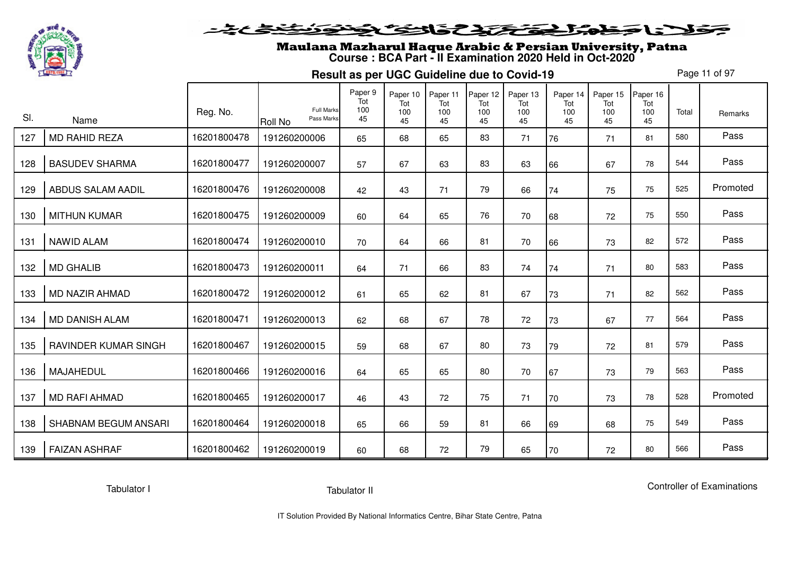

# Maulana Mazharul Haque Arabic & Persian University, Patna **Course : BCA Part - II Examination 2020 Held in Oct-2020**

**Result as per UGC Guideline due to Covid-19**

Page 11 of 97

|     |                             |             |                                                   | Paper 9<br>Tot | Paper 10<br>Tot | Paper 11<br>Tot | Paper 12<br>Tot | Paper 13<br>Tot | Paper 14<br>Tot | Paper 15<br>Tot | Paper 16<br>Tot |       |          |
|-----|-----------------------------|-------------|---------------------------------------------------|----------------|-----------------|-----------------|-----------------|-----------------|-----------------|-----------------|-----------------|-------|----------|
| SI. | Name                        | Reg. No.    | <b>Full Marks</b><br>Pass Marks<br><b>Roll No</b> | 100<br>45      | 100<br>45       | 100<br>45       | 100<br>45       | 100<br>45       | 100<br>45       | 100<br>45       | 100<br>45       | Total | Remarks  |
| 127 | <b>MD RAHID REZA</b>        | 16201800478 | 191260200006                                      | 65             | 68              | 65              | 83              | 71              | 76              | 71              | 81              | 580   | Pass     |
| 128 | <b>BASUDEV SHARMA</b>       | 16201800477 | 191260200007                                      | 57             | 67              | 63              | 83              | 63              | 66              | 67              | 78              | 544   | Pass     |
| 129 | ABDUS SALAM AADIL           | 16201800476 | 191260200008                                      | 42             | 43              | 71              | 79              | 66              | 74              | 75              | 75              | 525   | Promoted |
| 130 | <b>MITHUN KUMAR</b>         | 16201800475 | 191260200009                                      | 60             | 64              | 65              | 76              | 70              | 68              | 72              | 75              | 550   | Pass     |
| 131 | <b>NAWID ALAM</b>           | 16201800474 | 191260200010                                      | 70             | 64              | 66              | 81              | 70              | 66              | 73              | 82              | 572   | Pass     |
| 132 | <b>MD GHALIB</b>            | 16201800473 | 191260200011                                      | 64             | 71              | 66              | 83              | 74              | 74              | 71              | 80              | 583   | Pass     |
| 133 | <b>MD NAZIR AHMAD</b>       | 16201800472 | 191260200012                                      | 61             | 65              | 62              | 81              | 67              | 73              | 71              | 82              | 562   | Pass     |
| 134 | <b>MD DANISH ALAM</b>       | 16201800471 | 191260200013                                      | 62             | 68              | 67              | 78              | 72              | 73              | 67              | 77              | 564   | Pass     |
| 135 | <b>RAVINDER KUMAR SINGH</b> | 16201800467 | 191260200015                                      | 59             | 68              | 67              | 80              | 73              | 79              | 72              | 81              | 579   | Pass     |
| 136 | <b>MAJAHEDUL</b>            | 16201800466 | 191260200016                                      | 64             | 65              | 65              | 80              | 70              | 67              | 73              | 79              | 563   | Pass     |
| 137 | MD RAFI AHMAD               | 16201800465 | 191260200017                                      | 46             | 43              | 72              | 75              | 71              | 70              | 73              | 78              | 528   | Promoted |
| 138 | SHABNAM BEGUM ANSARI        | 16201800464 | 191260200018                                      | 65             | 66              | 59              | 81              | 66              | 69              | 68              | 75              | 549   | Pass     |
| 139 | <b>FAIZAN ASHRAF</b>        | 16201800462 | 191260200019                                      | 60             | 68              | 72              | 79              | 65              | 70              | 72              | 80              | 566   | Pass     |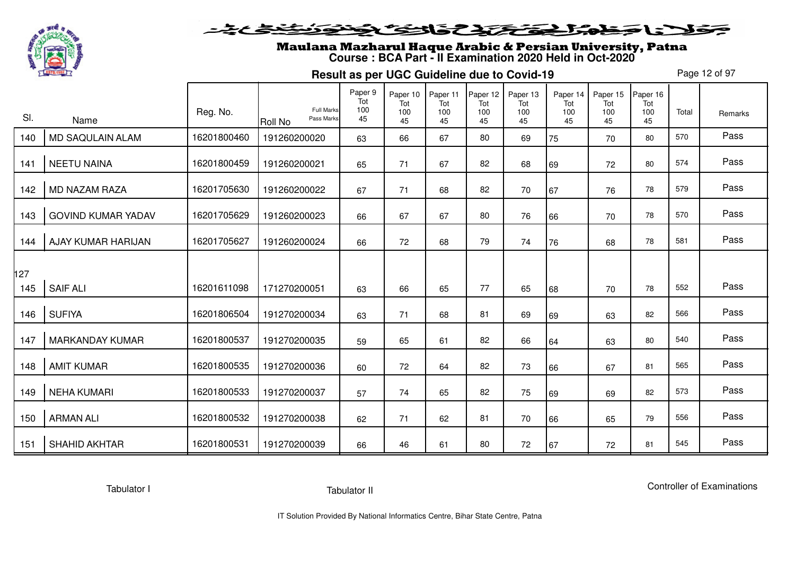

#### فلانا وطوالحقة كتحكون فينونون فنخدم

# Maulana Mazharul Haque Arabic & Persian University, Patna **Course : BCA Part - II Examination 2020 Held in Oct-2020**

**Result as per UGC Guideline due to Covid-19**

Page 12 of 97

| SI. | Name                      | Reg. No.    | <b>Full Marks</b><br>Pass Marks<br>Roll No | Paper 9<br>Tot<br>100<br>45 | Paper 10<br>Tot<br>100<br>45 | Paper 11<br>Tot<br>100<br>45 | Paper 12<br>Tot<br>100<br>45 | Paper 13<br>Tot<br>100<br>45 | Paper 14<br>Tot<br>100<br>45 | Paper 15<br>Tot<br>100<br>45 | Paper 16<br>Tot<br>100<br>45 | Total | Remarks |
|-----|---------------------------|-------------|--------------------------------------------|-----------------------------|------------------------------|------------------------------|------------------------------|------------------------------|------------------------------|------------------------------|------------------------------|-------|---------|
| 140 | <b>MD SAQULAIN ALAM</b>   | 16201800460 | 191260200020                               | 63                          | 66                           | 67                           | 80                           | 69                           | 75                           | 70                           | 80                           | 570   | Pass    |
| 141 | <b>NEETU NAINA</b>        | 16201800459 | 191260200021                               | 65                          | 71                           | 67                           | 82                           | 68                           | 69                           | 72                           | 80                           | 574   | Pass    |
| 142 | <b>MD NAZAM RAZA</b>      | 16201705630 | 191260200022                               | 67                          | 71                           | 68                           | 82                           | 70                           | 67                           | 76                           | 78                           | 579   | Pass    |
| 143 | <b>GOVIND KUMAR YADAV</b> | 16201705629 | 191260200023                               | 66                          | 67                           | 67                           | 80                           | 76                           | 66                           | 70                           | 78                           | 570   | Pass    |
| 144 | AJAY KUMAR HARIJAN        | 16201705627 | 191260200024                               | 66                          | 72                           | 68                           | 79                           | 74                           | 76                           | 68                           | 78                           | 581   | Pass    |
| 127 |                           |             |                                            |                             |                              |                              |                              |                              |                              |                              |                              |       |         |
| 145 | <b>SAIF ALI</b>           | 16201611098 | 171270200051                               | 63                          | 66                           | 65                           | 77                           | 65                           | 68                           | 70                           | 78                           | 552   | Pass    |
| 146 | <b>SUFIYA</b>             | 16201806504 | 191270200034                               | 63                          | 71                           | 68                           | 81                           | 69                           | 69                           | 63                           | 82                           | 566   | Pass    |
| 147 | <b>MARKANDAY KUMAR</b>    | 16201800537 | 191270200035                               | 59                          | 65                           | 61                           | 82                           | 66                           | 64                           | 63                           | 80                           | 540   | Pass    |
| 148 | <b>AMIT KUMAR</b>         | 16201800535 | 191270200036                               | 60                          | 72                           | 64                           | 82                           | 73                           | 66                           | 67                           | 81                           | 565   | Pass    |
| 149 | <b>NEHA KUMARI</b>        | 16201800533 | 191270200037                               | 57                          | 74                           | 65                           | 82                           | 75                           | 69                           | 69                           | 82                           | 573   | Pass    |
| 150 | <b>ARMAN ALI</b>          | 16201800532 | 191270200038                               | 62                          | 71                           | 62                           | 81                           | 70                           | 66                           | 65                           | 79                           | 556   | Pass    |
| 151 | <b>SHAHID AKHTAR</b>      | 16201800531 | 191270200039                               | 66                          | 46                           | 61                           | 80                           | 72                           | 67                           | 72                           | 81                           | 545   | Pass    |

Tabulator I

Tabulator II

Controller of Examinations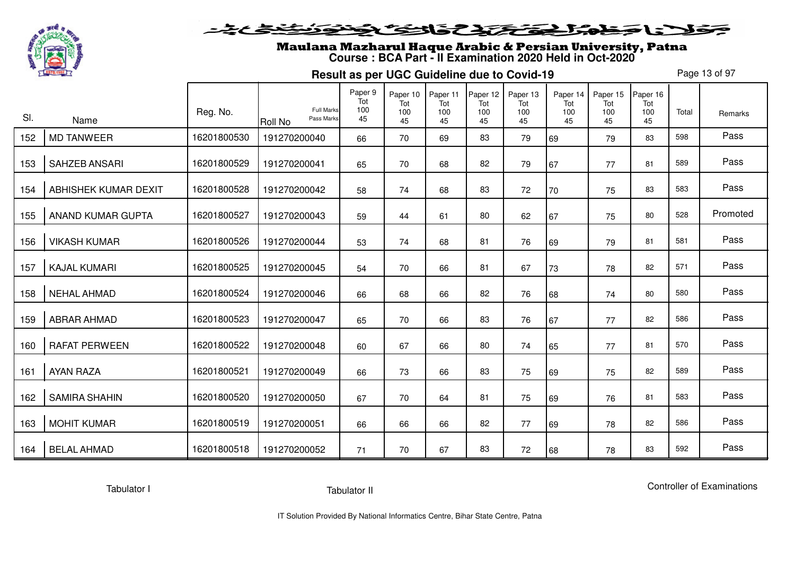

# Maulana Mazharul Haque Arabic & Persian University, Patna **Course : BCA Part - II Examination 2020 Held in Oct-2020**

**Result as per UGC Guideline due to Covid-19**

Page 13 of 97

|     |                      | Reg. No.    | <b>Full Marks</b>            | Paper 9<br>Tot<br>100 | Paper 10<br>Tot<br>100 | Paper 11<br>Tot<br>100 | Paper 12<br>Tot<br>100 | Paper 13<br>Tot<br>100 | Paper 14<br>Tot<br>100 | Paper 15<br>Tot<br>100 | Paper 16<br>Tot<br>100 | Total | Remarks  |
|-----|----------------------|-------------|------------------------------|-----------------------|------------------------|------------------------|------------------------|------------------------|------------------------|------------------------|------------------------|-------|----------|
| SI. | Name                 |             | Pass Marks<br><b>Roll No</b> | 45                    | 45                     | 45                     | 45                     | 45                     | 45                     | 45                     | 45                     |       |          |
| 152 | <b>MD TANWEER</b>    | 16201800530 | 191270200040                 | 66                    | 70                     | 69                     | 83                     | 79                     | 69                     | 79                     | 83                     | 598   | Pass     |
| 153 | <b>SAHZEB ANSARI</b> | 16201800529 | 191270200041                 | 65                    | 70                     | 68                     | 82                     | 79                     | 67                     | 77                     | 81                     | 589   | Pass     |
| 154 | ABHISHEK KUMAR DEXIT | 16201800528 | 191270200042                 | 58                    | 74                     | 68                     | 83                     | 72                     | 70                     | 75                     | 83                     | 583   | Pass     |
| 155 | ANAND KUMAR GUPTA    | 16201800527 | 191270200043                 | 59                    | 44                     | 61                     | 80                     | 62                     | 67                     | 75                     | 80                     | 528   | Promoted |
| 156 | <b>VIKASH KUMAR</b>  | 16201800526 | 191270200044                 | 53                    | 74                     | 68                     | 81                     | 76                     | 69                     | 79                     | 81                     | 581   | Pass     |
| 157 | <b>KAJAL KUMARI</b>  | 16201800525 | 191270200045                 | 54                    | 70                     | 66                     | 81                     | 67                     | 73                     | 78                     | 82                     | 571   | Pass     |
| 158 | <b>NEHAL AHMAD</b>   | 16201800524 | 191270200046                 | 66                    | 68                     | 66                     | 82                     | 76                     | 68                     | 74                     | 80                     | 580   | Pass     |
| 159 | <b>ABRAR AHMAD</b>   | 16201800523 | 191270200047                 | 65                    | 70                     | 66                     | 83                     | 76                     | 67                     | 77                     | 82                     | 586   | Pass     |
| 160 | <b>RAFAT PERWEEN</b> | 16201800522 | 191270200048                 | 60                    | 67                     | 66                     | 80                     | 74                     | 65                     | 77                     | 81                     | 570   | Pass     |
| 161 | <b>AYAN RAZA</b>     | 16201800521 | 191270200049                 | 66                    | 73                     | 66                     | 83                     | 75                     | 69                     | 75                     | 82                     | 589   | Pass     |
| 162 | <b>SAMIRA SHAHIN</b> | 16201800520 | 191270200050                 | 67                    | 70                     | 64                     | 81                     | 75                     | 69                     | 76                     | 81                     | 583   | Pass     |
| 163 | <b>MOHIT KUMAR</b>   | 16201800519 | 191270200051                 | 66                    | 66                     | 66                     | 82                     | 77                     | 69                     | 78                     | 82                     | 586   | Pass     |
| 164 | <b>BELAL AHMAD</b>   | 16201800518 | 191270200052                 | 71                    | 70                     | 67                     | 83                     | 72                     | 68                     | 78                     | 83                     | 592   | Pass     |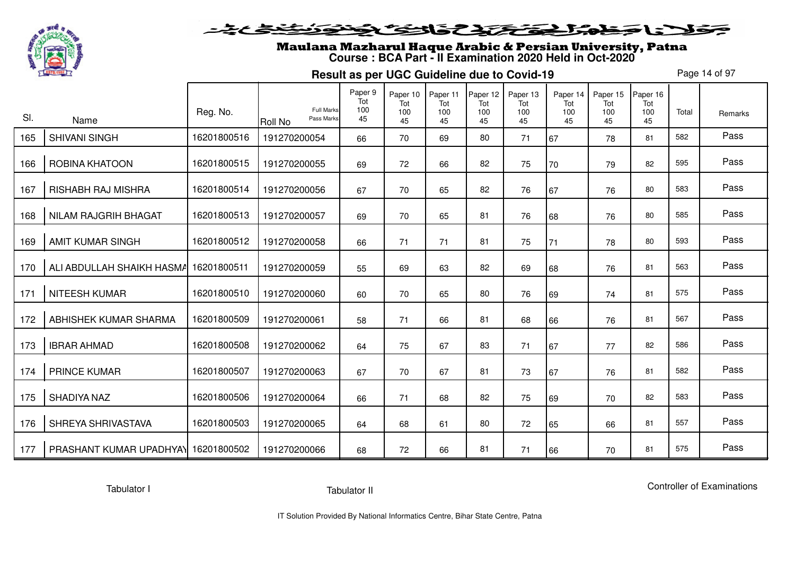

# Maulana Mazharul Haque Arabic & Persian University, Patna **Course : BCA Part - II Examination 2020 Held in Oct-2020**

**Result as per UGC Guideline due to Covid-19**

Page 14 of 97

| SI. |                                       | Reg. No.    | <b>Full Marks</b>            | Paper 9<br>Tot<br>100 | Paper 10<br>Tot<br>100 | Paper 11<br>Tot<br>100 | Paper 12<br>Tot<br>100 | Paper 13<br>Tot<br>100 | Paper 14<br>Tot<br>100 | Paper 15<br>Tot<br>100 | Paper 16<br>Tot<br>100 | Total | Remarks |
|-----|---------------------------------------|-------------|------------------------------|-----------------------|------------------------|------------------------|------------------------|------------------------|------------------------|------------------------|------------------------|-------|---------|
|     | Name                                  |             | Pass Marks<br><b>Roll No</b> | 45                    | 45                     | 45                     | 45                     | 45                     | 45                     | 45                     | 45                     |       |         |
| 165 | <b>SHIVANI SINGH</b>                  | 16201800516 | 191270200054                 | 66                    | 70                     | 69                     | 80                     | 71                     | 67                     | 78                     | 81                     | 582   | Pass    |
| 166 | ROBINA KHATOON                        | 16201800515 | 191270200055                 | 69                    | 72                     | 66                     | 82                     | 75                     | 70                     | 79                     | 82                     | 595   | Pass    |
| 167 | RISHABH RAJ MISHRA                    | 16201800514 | 191270200056                 | 67                    | 70                     | 65                     | 82                     | 76                     | 67                     | 76                     | 80                     | 583   | Pass    |
| 168 | NILAM RAJGRIH BHAGAT                  | 16201800513 | 191270200057                 | 69                    | 70                     | 65                     | 81                     | 76                     | 68                     | 76                     | 80                     | 585   | Pass    |
| 169 | <b>AMIT KUMAR SINGH</b>               | 16201800512 | 191270200058                 | 66                    | 71                     | 71                     | 81                     | 75                     | 71                     | 78                     | 80                     | 593   | Pass    |
| 170 | ALI ABDULLAH SHAIKH HASMA 16201800511 |             | 191270200059                 | 55                    | 69                     | 63                     | 82                     | 69                     | 68                     | 76                     | 81                     | 563   | Pass    |
| 171 | <b>NITEESH KUMAR</b>                  | 16201800510 | 191270200060                 | 60                    | 70                     | 65                     | 80                     | 76                     | 69                     | 74                     | 81                     | 575   | Pass    |
| 172 | ABHISHEK KUMAR SHARMA                 | 16201800509 | 191270200061                 | 58                    | 71                     | 66                     | 81                     | 68                     | 66                     | 76                     | 81                     | 567   | Pass    |
| 173 | <b>IBRAR AHMAD</b>                    | 16201800508 | 191270200062                 | 64                    | 75                     | 67                     | 83                     | 71                     | 67                     | 77                     | 82                     | 586   | Pass    |
| 174 | <b>PRINCE KUMAR</b>                   | 16201800507 | 191270200063                 | 67                    | 70                     | 67                     | 81                     | 73                     | 67                     | 76                     | 81                     | 582   | Pass    |
| 175 | SHADIYA NAZ                           | 16201800506 | 191270200064                 | 66                    | 71                     | 68                     | 82                     | 75                     | 69                     | 70                     | 82                     | 583   | Pass    |
| 176 | SHREYA SHRIVASTAVA                    | 16201800503 | 191270200065                 | 64                    | 68                     | 61                     | 80                     | 72                     | 65                     | 66                     | 81                     | 557   | Pass    |
| 177 | PRASHANT KUMAR UPADHYAY 16201800502   |             | 191270200066                 | 68                    | 72                     | 66                     | 81                     | 71                     | 66                     | 70                     | 81                     | 575   | Pass    |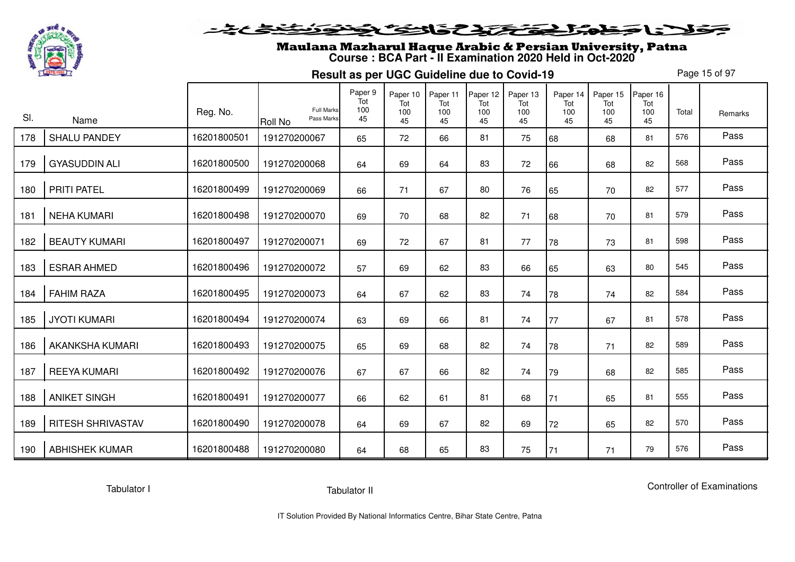

# Maulana Mazharul Haque Arabic & Persian University, Patna **Course : BCA Part - II Examination 2020 Held in Oct-2020**

**Result as per UGC Guideline due to Covid-19**

Page 15 of 97

|     |                          |             |                                            | Paper 9<br>Tot | Paper 10<br>Tot | Paper 11<br>Tot | Paper 12<br>Tot | Paper 13<br>Tot | Paper 14<br>Tot | Paper 15<br>Tot | Paper 16<br>Tot |       |         |
|-----|--------------------------|-------------|--------------------------------------------|----------------|-----------------|-----------------|-----------------|-----------------|-----------------|-----------------|-----------------|-------|---------|
| SI. | Name                     | Reg. No.    | Full Marks<br>Pass Marks<br><b>Roll No</b> | 100<br>45      | 100<br>45       | 100<br>45       | 100<br>45       | 100<br>45       | 100<br>45       | 100<br>45       | 100<br>45       | Total | Remarks |
| 178 | <b>SHALU PANDEY</b>      | 16201800501 | 191270200067                               | 65             | 72              | 66              | 81              | 75              | 68              | 68              | 81              | 576   | Pass    |
| 179 | <b>GYASUDDIN ALI</b>     | 16201800500 | 191270200068                               | 64             | 69              | 64              | 83              | 72              | 66              | 68              | 82              | 568   | Pass    |
| 180 | PRITI PATEL              | 16201800499 | 191270200069                               | 66             | 71              | 67              | 80              | 76              | 65              | 70              | 82              | 577   | Pass    |
| 181 | <b>NEHA KUMARI</b>       | 16201800498 | 191270200070                               | 69             | 70              | 68              | 82              | 71              | 68              | 70              | 81              | 579   | Pass    |
| 182 | <b>BEAUTY KUMARI</b>     | 16201800497 | 191270200071                               | 69             | 72              | 67              | 81              | 77              | 78              | 73              | 81              | 598   | Pass    |
| 183 | <b>ESRAR AHMED</b>       | 16201800496 | 191270200072                               | 57             | 69              | 62              | 83              | 66              | 65              | 63              | 80              | 545   | Pass    |
| 184 | <b>FAHIM RAZA</b>        | 16201800495 | 191270200073                               | 64             | 67              | 62              | 83              | 74              | 78              | 74              | 82              | 584   | Pass    |
| 185 | <b>JYOTI KUMARI</b>      | 16201800494 | 191270200074                               | 63             | 69              | 66              | 81              | 74              | 77              | 67              | 81              | 578   | Pass    |
| 186 | <b>AKANKSHA KUMARI</b>   | 16201800493 | 191270200075                               | 65             | 69              | 68              | 82              | 74              | 78              | 71              | 82              | 589   | Pass    |
| 187 | <b>REEYA KUMARI</b>      | 16201800492 | 191270200076                               | 67             | 67              | 66              | 82              | 74              | 79              | 68              | 82              | 585   | Pass    |
| 188 | <b>ANIKET SINGH</b>      | 16201800491 | 191270200077                               | 66             | 62              | 61              | 81              | 68              | 71              | 65              | 81              | 555   | Pass    |
| 189 | <b>RITESH SHRIVASTAV</b> | 16201800490 | 191270200078                               | 64             | 69              | 67              | 82              | 69              | 72              | 65              | 82              | 570   | Pass    |
| 190 | <b>ABHISHEK KUMAR</b>    | 16201800488 | 191270200080                               | 64             | 68              | 65              | 83              | 75              | 71              | 71              | 79              | 576   | Pass    |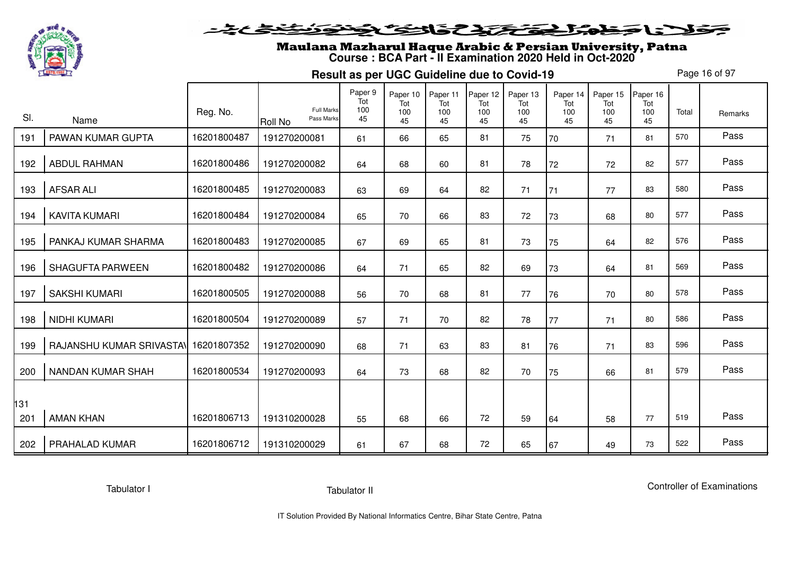

#### فلانا حفاشكنكنك فالتكنيك فتونفتك ومناف

# Maulana Mazharul Haque Arabic & Persian University, Patna **Course : BCA Part - II Examination 2020 Held in Oct-2020**

**Result as per UGC Guideline due to Covid-19**

Page 16 of 97

| SI. | Name                     | Reg. No.    | Full Marks<br>Pass Marks       | Paper 9<br>Tot<br>100<br>45 | Paper 10<br>Tot<br>100<br>45 | Paper 11<br>Tot<br>100<br>45 | Paper 12<br>Tot<br>100 | Paper 13<br>Tot<br>100<br>45 | Paper 14<br>Tot<br>100<br>45 | Paper 15<br>Tot<br>100<br>45 | Paper 16<br>Tot<br>100<br>45 | Total | Remarks |
|-----|--------------------------|-------------|--------------------------------|-----------------------------|------------------------------|------------------------------|------------------------|------------------------------|------------------------------|------------------------------|------------------------------|-------|---------|
| 191 | PAWAN KUMAR GUPTA        | 16201800487 | <b>Roll No</b><br>191270200081 |                             |                              |                              | 45<br>81               | 75                           |                              |                              | 81                           | 570   | Pass    |
|     |                          |             |                                | 61                          | 66                           | 65                           |                        |                              | 70                           | 71                           |                              |       |         |
| 192 | <b>ABDUL RAHMAN</b>      | 16201800486 | 191270200082                   | 64                          | 68                           | 60                           | 81                     | 78                           | 72                           | 72                           | 82                           | 577   | Pass    |
| 193 | <b>AFSAR ALI</b>         | 16201800485 | 191270200083                   | 63                          | 69                           | 64                           | 82                     | 71                           | 71                           | 77                           | 83                           | 580   | Pass    |
| 194 | <b>KAVITA KUMARI</b>     | 16201800484 | 191270200084                   | 65                          | 70                           | 66                           | 83                     | 72                           | 73                           | 68                           | 80                           | 577   | Pass    |
| 195 | PANKAJ KUMAR SHARMA      | 16201800483 | 191270200085                   | 67                          | 69                           | 65                           | 81                     | 73                           | 75                           | 64                           | 82                           | 576   | Pass    |
| 196 | <b>SHAGUFTA PARWEEN</b>  | 16201800482 | 191270200086                   | 64                          | 71                           | 65                           | 82                     | 69                           | 73                           | 64                           | 81                           | 569   | Pass    |
| 197 | <b>SAKSHI KUMARI</b>     | 16201800505 | 191270200088                   | 56                          | 70                           | 68                           | 81                     | 77                           | 76                           | 70                           | 80                           | 578   | Pass    |
| 198 | NIDHI KUMARI             | 16201800504 | 191270200089                   | 57                          | 71                           | 70                           | 82                     | 78                           | 77                           | 71                           | 80                           | 586   | Pass    |
| 199 | RAJANSHU KUMAR SRIVASTAV | 16201807352 | 191270200090                   | 68                          | 71                           | 63                           | 83                     | 81                           | 76                           | 71                           | 83                           | 596   | Pass    |
| 200 | <b>NANDAN KUMAR SHAH</b> | 16201800534 | 191270200093                   | 64                          | 73                           | 68                           | 82                     | 70                           | 75                           | 66                           | 81                           | 579   | Pass    |
|     |                          |             |                                |                             |                              |                              |                        |                              |                              |                              |                              |       |         |
| 131 |                          |             |                                |                             |                              |                              |                        |                              |                              |                              |                              |       |         |
| 201 | <b>AMAN KHAN</b>         | 16201806713 | 191310200028                   | 55                          | 68                           | 66                           | 72                     | 59                           | 64                           | 58                           | 77                           | 519   | Pass    |
| 202 | PRAHALAD KUMAR           | 16201806712 | 191310200029                   | 61                          | 67                           | 68                           | 72                     | 65                           | 67                           | 49                           | 73                           | 522   | Pass    |

Tabulator I

Tabulator II

Controller of Examinations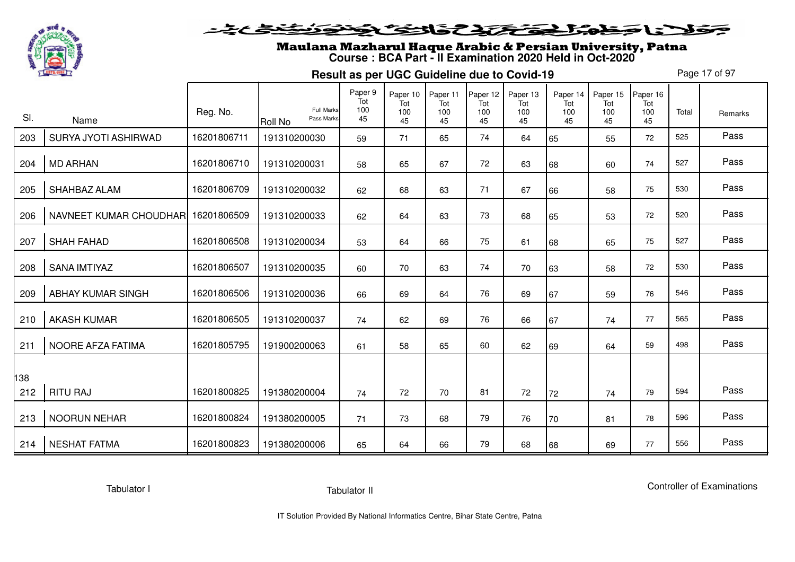

#### فلانا وطولخ تكتلا كفائك كضوئ فنفض

# Maulana Mazharul Haque Arabic & Persian University, Patna **Course : BCA Part - II Examination 2020 Held in Oct-2020**

**Result as per UGC Guideline due to Covid-19**

Page 17 of 97

|     |                        |             |                                                   | Paper 9<br>Tot | Paper 10<br>Tot | Paper 11<br>Tot | Paper 12<br>Tot | Paper 13<br>Tot | Paper 14<br>Tot | Paper 15<br>Tot | Paper 16<br>Tot |       |         |
|-----|------------------------|-------------|---------------------------------------------------|----------------|-----------------|-----------------|-----------------|-----------------|-----------------|-----------------|-----------------|-------|---------|
| SI. | Name                   | Reg. No.    | <b>Full Marks</b><br>Pass Marks<br><b>Roll No</b> | 100<br>45      | 100<br>45       | 100<br>45       | 100<br>45       | 100<br>45       | 100<br>45       | 100<br>45       | 100<br>45       | Total | Remarks |
| 203 | SURYA JYOTI ASHIRWAD   | 16201806711 | 191310200030                                      | 59             | 71              | 65              | 74              | 64              | 65              | 55              | 72              | 525   | Pass    |
| 204 | <b>MD ARHAN</b>        | 16201806710 | 191310200031                                      | 58             | 65              | 67              | 72              | 63              | 68              | 60              | 74              | 527   | Pass    |
| 205 | SHAHBAZ ALAM           | 16201806709 | 191310200032                                      | 62             | 68              | 63              | 71              | 67              | 66              | 58              | 75              | 530   | Pass    |
| 206 | NAVNEET KUMAR CHOUDHAR | 16201806509 | 191310200033                                      | 62             | 64              | 63              | 73              | 68              | 65              | 53              | 72              | 520   | Pass    |
| 207 | <b>SHAH FAHAD</b>      | 16201806508 | 191310200034                                      | 53             | 64              | 66              | 75              | 61              | 68              | 65              | 75              | 527   | Pass    |
| 208 | <b>SANA IMTIYAZ</b>    | 16201806507 | 191310200035                                      | 60             | 70              | 63              | 74              | 70              | 63              | 58              | 72              | 530   | Pass    |
| 209 | ABHAY KUMAR SINGH      | 16201806506 | 191310200036                                      | 66             | 69              | 64              | 76              | 69              | 67              | 59              | 76              | 546   | Pass    |
| 210 | <b>AKASH KUMAR</b>     | 16201806505 | 191310200037                                      | 74             | 62              | 69              | 76              | 66              | 67              | 74              | 77              | 565   | Pass    |
| 211 | NOORE AFZA FATIMA      | 16201805795 | 191900200063                                      | 61             | 58              | 65              | 60              | 62              | 69              | 64              | 59              | 498   | Pass    |
| 138 |                        |             |                                                   |                |                 |                 |                 |                 |                 |                 |                 |       |         |
| 212 | <b>RITU RAJ</b>        | 16201800825 | 191380200004                                      | 74             | 72              | 70              | 81              | 72              | 72              | 74              | 79              | 594   | Pass    |
| 213 | <b>NOORUN NEHAR</b>    | 16201800824 | 191380200005                                      | 71             | 73              | 68              | 79              | 76              | 70              | 81              | 78              | 596   | Pass    |
| 214 | <b>NESHAT FATMA</b>    | 16201800823 | 191380200006                                      | 65             | 64              | 66              | 79              | 68              | 68              | 69              | 77              | 556   | Pass    |

Tabulator I

Tabulator II

Controller of Examinations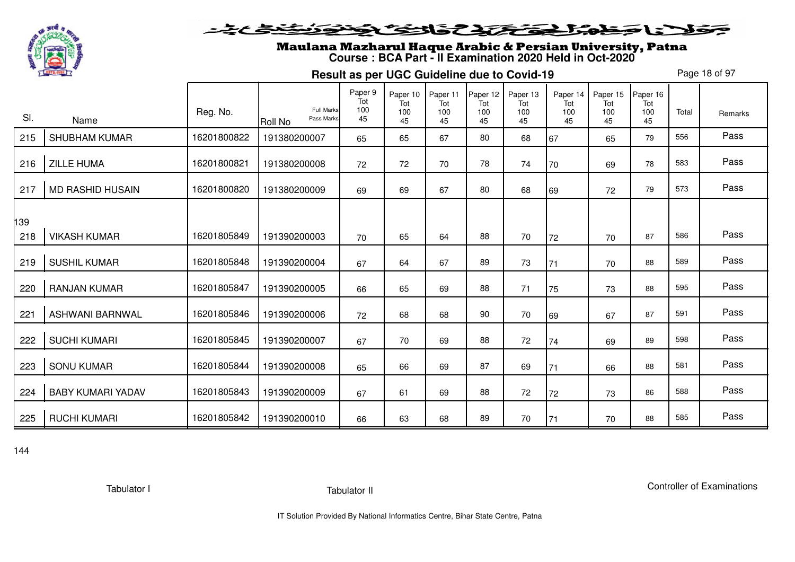

#### خلايا وخلوا فيقتض والتوع وتنون فنغلى

# Maulana Mazharul Haque Arabic & Persian University, Patna **Course : BCA Part - II Examination 2020 Held in Oct-2020**

**Result as per UGC Guideline due to Covid-19**

Page 18 of 97

| SI.        | Name                     | Reg. No.    | <b>Full Marks</b><br>Pass Marks<br><b>Roll No</b> | Paper 9<br>Tot<br>100<br>45 | Paper 10<br>Tot<br>100<br>45 | Paper 11<br>Tot<br>100<br>45 | Paper 12<br>Tot<br>100<br>45 | Paper 13<br>Tot<br>100<br>45 | Paper 14<br>Tot<br>100<br>45 | Paper 15<br>Tot<br>100<br>45 | Paper 16<br>Tot<br>100<br>45 | Total | Remarks |
|------------|--------------------------|-------------|---------------------------------------------------|-----------------------------|------------------------------|------------------------------|------------------------------|------------------------------|------------------------------|------------------------------|------------------------------|-------|---------|
| 215        | <b>SHUBHAM KUMAR</b>     | 16201800822 | 191380200007                                      | 65                          | 65                           | 67                           | 80                           | 68                           | 67                           | 65                           | 79                           | 556   | Pass    |
| 216        | ZILLE HUMA               | 16201800821 | 191380200008                                      | 72                          | 72                           | 70                           | 78                           | 74                           | 70                           | 69                           | 78                           | 583   | Pass    |
| 217        | <b>MD RASHID HUSAIN</b>  | 16201800820 | 191380200009                                      | 69                          | 69                           | 67                           | 80                           | 68                           | 69                           | 72                           | 79                           | 573   | Pass    |
|            |                          |             |                                                   |                             |                              |                              |                              |                              |                              |                              |                              |       |         |
| 139<br>218 | <b>VIKASH KUMAR</b>      | 16201805849 | 191390200003                                      | 70                          | 65                           | 64                           | 88                           | 70                           | 72                           | 70                           | 87                           | 586   | Pass    |
| 219        | <b>SUSHIL KUMAR</b>      | 16201805848 | 191390200004                                      | 67                          | 64                           | 67                           | 89                           | 73                           | 71                           | 70                           | 88                           | 589   | Pass    |
| 220        | <b>RANJAN KUMAR</b>      | 16201805847 | 191390200005                                      | 66                          | 65                           | 69                           | 88                           | 71                           | 75                           | 73                           | 88                           | 595   | Pass    |
| 221        | ASHWANI BARNWAL          | 16201805846 | 191390200006                                      | 72                          | 68                           | 68                           | 90                           | 70                           | 69                           | 67                           | 87                           | 591   | Pass    |
| 222        | <b>SUCHI KUMARI</b>      | 16201805845 | 191390200007                                      | 67                          | 70                           | 69                           | 88                           | 72                           | 74                           | 69                           | 89                           | 598   | Pass    |
| 223        | <b>SONU KUMAR</b>        | 16201805844 | 191390200008                                      | 65                          | 66                           | 69                           | 87                           | 69                           | 71                           | 66                           | 88                           | 581   | Pass    |
| 224        | <b>BABY KUMARI YADAV</b> | 16201805843 | 191390200009                                      | 67                          | 61                           | 69                           | 88                           | 72                           | 72                           | 73                           | 86                           | 588   | Pass    |
| 225        | <b>RUCHI KUMARI</b>      | 16201805842 | 191390200010                                      | 66                          | 63                           | 68                           | 89                           | 70                           | 71                           | 70                           | 88                           | 585   | Pass    |

144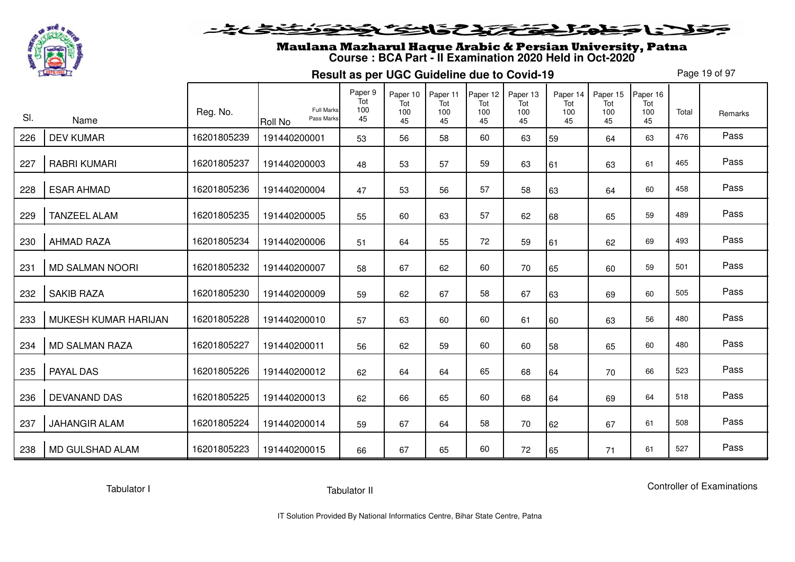

# Maulana Mazharul Haque Arabic & Persian University, Patna **Course : BCA Part - II Examination 2020 Held in Oct-2020**

**Result as per UGC Guideline due to Covid-19**

Page 19 of 97

| SI. | Name                   | Reg. No.    | <b>Full Marks</b><br>Pass Marks<br><b>Roll No</b> | Paper 9<br>Tot<br>100<br>45 | Paper 10<br>Tot<br>100<br>45 | Paper 11<br>Tot<br>100<br>45 | Paper 12<br>Tot<br>100<br>45 | Paper 13<br>Tot<br>100<br>45 | Paper 14<br>Tot<br>100<br>45 | Paper 15<br>Tot<br>100<br>45 | Paper 16<br>Tot<br>100<br>45 | Total | Remarks |
|-----|------------------------|-------------|---------------------------------------------------|-----------------------------|------------------------------|------------------------------|------------------------------|------------------------------|------------------------------|------------------------------|------------------------------|-------|---------|
| 226 | <b>DEV KUMAR</b>       | 16201805239 | 191440200001                                      | 53                          | 56                           | 58                           | 60                           | 63                           | 59                           | 64                           | 63                           | 476   | Pass    |
| 227 | <b>RABRI KUMARI</b>    | 16201805237 | 191440200003                                      | 48                          | 53                           | 57                           | 59                           | 63                           | 61                           | 63                           | 61                           | 465   | Pass    |
| 228 | <b>ESAR AHMAD</b>      | 16201805236 | 191440200004                                      | 47                          | 53                           | 56                           | 57                           | 58                           | 63                           | 64                           | 60                           | 458   | Pass    |
| 229 | <b>TANZEEL ALAM</b>    | 16201805235 | 191440200005                                      | 55                          | 60                           | 63                           | 57                           | 62                           | 68                           | 65                           | 59                           | 489   | Pass    |
| 230 | <b>AHMAD RAZA</b>      | 16201805234 | 191440200006                                      | 51                          | 64                           | 55                           | 72                           | 59                           | 61                           | 62                           | 69                           | 493   | Pass    |
| 231 | <b>MD SALMAN NOORI</b> | 16201805232 | 191440200007                                      | 58                          | 67                           | 62                           | 60                           | 70                           | 65                           | 60                           | 59                           | 501   | Pass    |
| 232 | <b>SAKIB RAZA</b>      | 16201805230 | 191440200009                                      | 59                          | 62                           | 67                           | 58                           | 67                           | 63                           | 69                           | 60                           | 505   | Pass    |
| 233 | MUKESH KUMAR HARIJAN   | 16201805228 | 191440200010                                      | 57                          | 63                           | 60                           | 60                           | 61                           | 60                           | 63                           | 56                           | 480   | Pass    |
| 234 | <b>MD SALMAN RAZA</b>  | 16201805227 | 191440200011                                      | 56                          | 62                           | 59                           | 60                           | 60                           | 58                           | 65                           | 60                           | 480   | Pass    |
| 235 | PAYAL DAS              | 16201805226 | 191440200012                                      | 62                          | 64                           | 64                           | 65                           | 68                           | 64                           | 70                           | 66                           | 523   | Pass    |
| 236 | <b>DEVANAND DAS</b>    | 16201805225 | 191440200013                                      | 62                          | 66                           | 65                           | 60                           | 68                           | 64                           | 69                           | 64                           | 518   | Pass    |
| 237 | <b>JAHANGIR ALAM</b>   | 16201805224 | 191440200014                                      | 59                          | 67                           | 64                           | 58                           | 70                           | 62                           | 67                           | 61                           | 508   | Pass    |
| 238 | MD GULSHAD ALAM        | 16201805223 | 191440200015                                      | 66                          | 67                           | 65                           | 60                           | 72                           | 65                           | 71                           | 61                           | 527   | Pass    |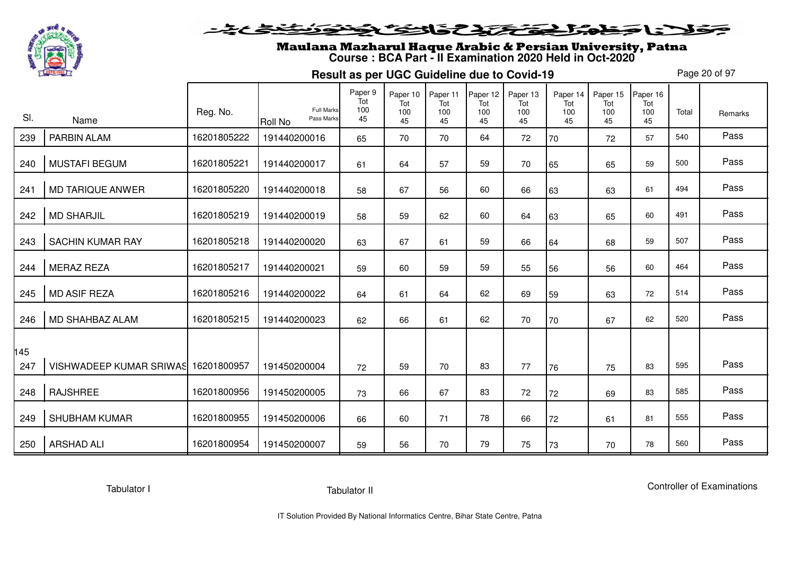

#### فلانا وطوالحقة كتحكون فينونون فنخدم

# Maulana Mazharul Haque Arabic & Persian University, Patna **Course : BCA Part - II Examination 2020 Held in Oct-2020**

**Result as per UGC Guideline due to Covid-19**

Page 20 of 97

| SI. |                                | Reg. No.    | <b>Full Marks</b><br>Pass Marks | Paper 9<br>Tot<br>100 | Paper 10<br>Tot<br>100 | Paper 11<br>Tot<br>100 | Paper 12<br>Tot<br>100 | Paper 13<br>Tot<br>100 | Paper 14<br>Tot<br>100 | Paper 15<br>Tot<br>100 | Paper 16<br>Tot<br>100 | Total | Remarks |
|-----|--------------------------------|-------------|---------------------------------|-----------------------|------------------------|------------------------|------------------------|------------------------|------------------------|------------------------|------------------------|-------|---------|
|     | Name                           |             | <b>Roll No</b>                  | 45                    | 45                     | 45                     | 45                     | 45                     | 45                     | 45                     | 45                     |       |         |
| 239 | PARBIN ALAM                    | 16201805222 | 191440200016                    | 65                    | 70                     | 70                     | 64                     | 72                     | 70                     | 72                     | 57                     | 540   | Pass    |
| 240 | <b>MUSTAFI BEGUM</b>           | 16201805221 | 191440200017                    | 61                    | 64                     | 57                     | 59                     | 70                     | 65                     | 65                     | 59                     | 500   | Pass    |
| 241 | <b>MD TARIQUE ANWER</b>        | 16201805220 | 191440200018                    | 58                    | 67                     | 56                     | 60                     | 66                     | 63                     | 63                     | 61                     | 494   | Pass    |
| 242 | <b>MD SHARJIL</b>              | 16201805219 | 191440200019                    | 58                    | 59                     | 62                     | 60                     | 64                     | 63                     | 65                     | 60                     | 491   | Pass    |
| 243 | <b>SACHIN KUMAR RAY</b>        | 16201805218 | 191440200020                    | 63                    | 67                     | 61                     | 59                     | 66                     | 64                     | 68                     | 59                     | 507   | Pass    |
| 244 | <b>MERAZ REZA</b>              | 16201805217 | 191440200021                    | 59                    | 60                     | 59                     | 59                     | 55                     | 56                     | 56                     | 60                     | 464   | Pass    |
| 245 | <b>MD ASIF REZA</b>            | 16201805216 | 191440200022                    | 64                    | 61                     | 64                     | 62                     | 69                     | 59                     | 63                     | 72                     | 514   | Pass    |
| 246 | MD SHAHBAZ ALAM                | 16201805215 | 191440200023                    | 62                    | 66                     | 61                     | 62                     | 70                     | 70                     | 67                     | 62                     | 520   | Pass    |
| 145 |                                |             |                                 |                       |                        |                        |                        |                        |                        |                        |                        |       | Pass    |
| 247 | <b>VISHWADEEP KUMAR SRIWAS</b> | 16201800957 | 191450200004                    | 72                    | 59                     | 70                     | 83                     | 77                     | 76                     | 75                     | 83                     | 595   |         |
| 248 | <b>RAJSHREE</b>                | 16201800956 | 191450200005                    | 73                    | 66                     | 67                     | 83                     | 72                     | 72                     | 69                     | 83                     | 585   | Pass    |
| 249 | <b>SHUBHAM KUMAR</b>           | 16201800955 | 191450200006                    | 66                    | 60                     | 71                     | 78                     | 66                     | 72                     | 61                     | 81                     | 555   | Pass    |
| 250 | <b>ARSHAD ALI</b>              | 16201800954 | 191450200007                    | 59                    | 56                     | 70                     | 79                     | 75                     | 73                     | 70                     | 78                     | 560   | Pass    |

Tabulator I

Tabulator II

Controller of Examinations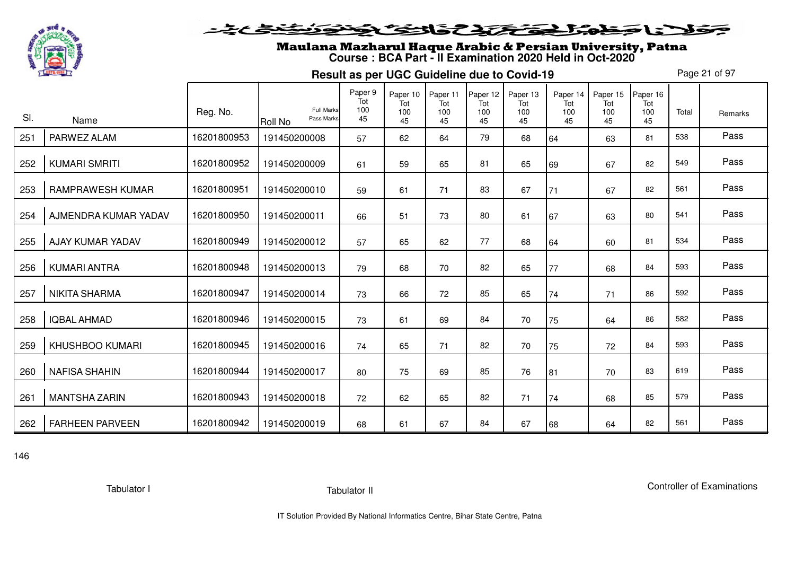

# Maulana Mazharul Haque Arabic & Persian University, Patna **Course : BCA Part - II Examination 2020 Held in Oct-2020**

**Result as per UGC Guideline due to Covid-19**

Page 21 of 97

| SI. | Name                   | Reg. No.    | <b>Full Marks</b><br>Pass Marks<br><b>Roll No</b> | Paper 9<br>Tot<br>100<br>45 | Paper 10<br>Tot<br>100<br>45 | Paper 11<br>Tot<br>100<br>45 | Paper 12<br>Tot<br>100<br>45 | Paper 13<br>Tot<br>100<br>45 | Paper 14<br>Tot<br>100<br>45 | Paper 15<br>Tot<br>100<br>45 | Paper 16<br>Tot<br>100<br>45 | Total | Remarks |
|-----|------------------------|-------------|---------------------------------------------------|-----------------------------|------------------------------|------------------------------|------------------------------|------------------------------|------------------------------|------------------------------|------------------------------|-------|---------|
| 251 | PARWEZ ALAM            | 16201800953 | 191450200008                                      | 57                          | 62                           | 64                           | 79                           | 68                           | 64                           | 63                           | 81                           | 538   | Pass    |
| 252 | <b>KUMARI SMRITI</b>   | 16201800952 | 191450200009                                      | 61                          | 59                           | 65                           | 81                           | 65                           | 69                           | 67                           | 82                           | 549   | Pass    |
| 253 | RAMPRAWESH KUMAR       | 16201800951 | 191450200010                                      | 59                          | 61                           | 71                           | 83                           | 67                           | 71                           | 67                           | 82                           | 561   | Pass    |
| 254 | AJMENDRA KUMAR YADAV   | 16201800950 | 191450200011                                      | 66                          | 51                           | 73                           | 80                           | 61                           | 67                           | 63                           | 80                           | 541   | Pass    |
| 255 | AJAY KUMAR YADAV       | 16201800949 | 191450200012                                      | 57                          | 65                           | 62                           | 77                           | 68                           | 64                           | 60                           | 81                           | 534   | Pass    |
| 256 | <b>KUMARI ANTRA</b>    | 16201800948 | 191450200013                                      | 79                          | 68                           | 70                           | 82                           | 65                           | 77                           | 68                           | 84                           | 593   | Pass    |
| 257 | <b>NIKITA SHARMA</b>   | 16201800947 | 191450200014                                      | 73                          | 66                           | 72                           | 85                           | 65                           | 74                           | 71                           | 86                           | 592   | Pass    |
| 258 | <b>IQBAL AHMAD</b>     | 16201800946 | 191450200015                                      | 73                          | 61                           | 69                           | 84                           | 70                           | 75                           | 64                           | 86                           | 582   | Pass    |
| 259 | <b>KHUSHBOO KUMARI</b> | 16201800945 | 191450200016                                      | 74                          | 65                           | 71                           | 82                           | 70                           | 75                           | 72                           | 84                           | 593   | Pass    |
| 260 | <b>NAFISA SHAHIN</b>   | 16201800944 | 191450200017                                      | 80                          | 75                           | 69                           | 85                           | 76                           | 81                           | 70                           | 83                           | 619   | Pass    |
| 261 | <b>MANTSHA ZARIN</b>   | 16201800943 | 191450200018                                      | 72                          | 62                           | 65                           | 82                           | 71                           | 74                           | 68                           | 85                           | 579   | Pass    |
| 262 | <b>FARHEEN PARVEEN</b> | 16201800942 | 191450200019                                      | 68                          | 61                           | 67                           | 84                           | 67                           | 68                           | 64                           | 82                           | 561   | Pass    |

146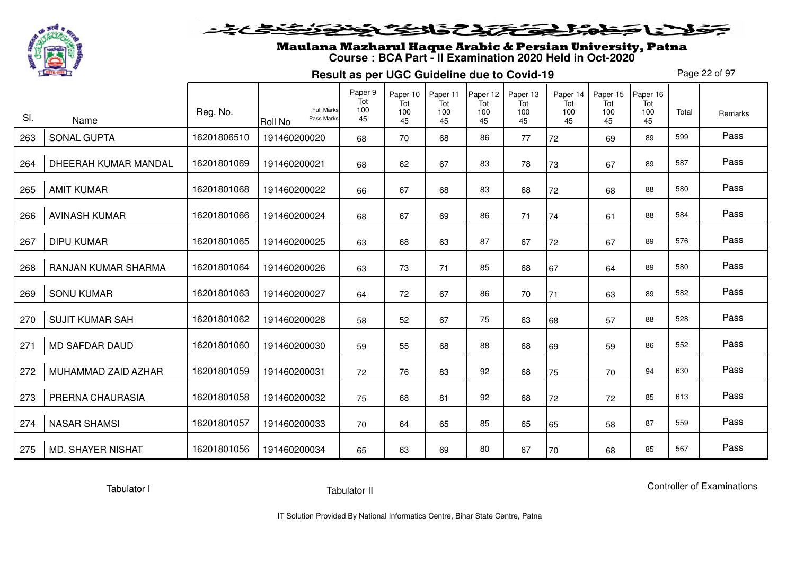

# Maulana Mazharul Haque Arabic & Persian University, Patna **Course : BCA Part - II Examination 2020 Held in Oct-2020**

**Result as per UGC Guideline due to Covid-19**

Page 22 of 97

|     |                        |             | <b>Full Marks</b>            | Paper 9<br>Tot<br>100 | Paper 10<br>Tot | Paper 11<br>Tot | Paper 12<br>Tot | Paper 13<br>Tot | Paper 14<br>Tot | Paper 15<br>Tot | Paper 16<br>Tot |       |         |
|-----|------------------------|-------------|------------------------------|-----------------------|-----------------|-----------------|-----------------|-----------------|-----------------|-----------------|-----------------|-------|---------|
| SI. | Name                   | Reg. No.    | Pass Marks<br><b>Roll No</b> | 45                    | 100<br>45       | 100<br>45       | 100<br>45       | 100<br>45       | 100<br>45       | 100<br>45       | 100<br>45       | Total | Remarks |
| 263 | <b>SONAL GUPTA</b>     | 16201806510 | 191460200020                 | 68                    | 70              | 68              | 86              | 77              | 72              | 69              | 89              | 599   | Pass    |
| 264 | DHEERAH KUMAR MANDAL   | 16201801069 | 191460200021                 | 68                    | 62              | 67              | 83              | 78              | 73              | 67              | 89              | 587   | Pass    |
| 265 | <b>AMIT KUMAR</b>      | 16201801068 | 191460200022                 | 66                    | 67              | 68              | 83              | 68              | 72              | 68              | 88              | 580   | Pass    |
| 266 | <b>AVINASH KUMAR</b>   | 16201801066 | 191460200024                 | 68                    | 67              | 69              | 86              | 71              | 74              | 61              | 88              | 584   | Pass    |
| 267 | <b>DIPU KUMAR</b>      | 16201801065 | 191460200025                 | 63                    | 68              | 63              | 87              | 67              | 72              | 67              | 89              | 576   | Pass    |
| 268 | RANJAN KUMAR SHARMA    | 16201801064 | 191460200026                 | 63                    | 73              | 71              | 85              | 68              | 67              | 64              | 89              | 580   | Pass    |
| 269 | <b>SONU KUMAR</b>      | 16201801063 | 191460200027                 | 64                    | 72              | 67              | 86              | 70              | 71              | 63              | 89              | 582   | Pass    |
| 270 | <b>SUJIT KUMAR SAH</b> | 16201801062 | 191460200028                 | 58                    | 52              | 67              | 75              | 63              | 68              | 57              | 88              | 528   | Pass    |
| 271 | <b>MD SAFDAR DAUD</b>  | 16201801060 | 191460200030                 | 59                    | 55              | 68              | 88              | 68              | 69              | 59              | 86              | 552   | Pass    |
| 272 | MUHAMMAD ZAID AZHAR    | 16201801059 | 191460200031                 | 72                    | 76              | 83              | 92              | 68              | 75              | 70              | 94              | 630   | Pass    |
| 273 | PRERNA CHAURASIA       | 16201801058 | 191460200032                 | 75                    | 68              | 81              | 92              | 68              | 72              | 72              | 85              | 613   | Pass    |
| 274 | <b>NASAR SHAMSI</b>    | 16201801057 | 191460200033                 | 70                    | 64              | 65              | 85              | 65              | 65              | 58              | 87              | 559   | Pass    |
| 275 | MD. SHAYER NISHAT      | 16201801056 | 191460200034                 | 65                    | 63              | 69              | 80              | 67              | 70              | 68              | 85              | 567   | Pass    |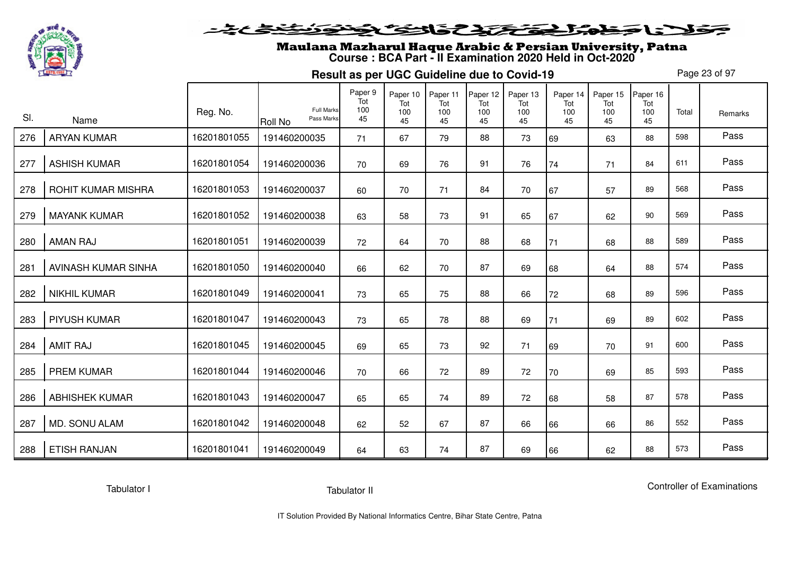

# Maulana Mazharul Haque Arabic & Persian University, Patna **Course : BCA Part - II Examination 2020 Held in Oct-2020**

**Result as per UGC Guideline due to Covid-19**

Page 23 of 97

|     |                       | Reg. No.    | <b>Full Marks</b>            | Paper 9<br>Tot<br>100 | Paper 10<br>Tot<br>100 | Paper 11<br>Tot<br>100 | Paper 12<br>Tot<br>100 | Paper 13<br>Tot<br>100 | Paper 14<br>Tot<br>100 | Paper 15<br>Tot<br>100 | Paper 16<br>Tot<br>100 | Total | Remarks |
|-----|-----------------------|-------------|------------------------------|-----------------------|------------------------|------------------------|------------------------|------------------------|------------------------|------------------------|------------------------|-------|---------|
| SI. | Name                  |             | Pass Marks<br><b>Roll No</b> | 45                    | 45                     | 45                     | 45                     | 45                     | 45                     | 45                     | 45                     |       |         |
| 276 | <b>ARYAN KUMAR</b>    | 16201801055 | 191460200035                 | 71                    | 67                     | 79                     | 88                     | 73                     | 69                     | 63                     | 88                     | 598   | Pass    |
| 277 | <b>ASHISH KUMAR</b>   | 16201801054 | 191460200036                 | 70                    | 69                     | 76                     | 91                     | 76                     | 74                     | 71                     | 84                     | 611   | Pass    |
| 278 | ROHIT KUMAR MISHRA    | 16201801053 | 191460200037                 | 60                    | 70                     | 71                     | 84                     | 70                     | 67                     | 57                     | 89                     | 568   | Pass    |
| 279 | <b>MAYANK KUMAR</b>   | 16201801052 | 191460200038                 | 63                    | 58                     | 73                     | 91                     | 65                     | 67                     | 62                     | 90                     | 569   | Pass    |
| 280 | <b>AMAN RAJ</b>       | 16201801051 | 191460200039                 | 72                    | 64                     | 70                     | 88                     | 68                     | 71                     | 68                     | 88                     | 589   | Pass    |
| 281 | AVINASH KUMAR SINHA   | 16201801050 | 191460200040                 | 66                    | 62                     | 70                     | 87                     | 69                     | 68                     | 64                     | 88                     | 574   | Pass    |
| 282 | <b>NIKHIL KUMAR</b>   | 16201801049 | 191460200041                 | 73                    | 65                     | 75                     | 88                     | 66                     | 72                     | 68                     | 89                     | 596   | Pass    |
| 283 | <b>PIYUSH KUMAR</b>   | 16201801047 | 191460200043                 | 73                    | 65                     | 78                     | 88                     | 69                     | 71                     | 69                     | 89                     | 602   | Pass    |
| 284 | <b>AMIT RAJ</b>       | 16201801045 | 191460200045                 | 69                    | 65                     | 73                     | 92                     | 71                     | 69                     | 70                     | 91                     | 600   | Pass    |
| 285 | <b>PREM KUMAR</b>     | 16201801044 | 191460200046                 | 70                    | 66                     | 72                     | 89                     | 72                     | 70                     | 69                     | 85                     | 593   | Pass    |
| 286 | <b>ABHISHEK KUMAR</b> | 16201801043 | 191460200047                 | 65                    | 65                     | 74                     | 89                     | 72                     | 68                     | 58                     | 87                     | 578   | Pass    |
| 287 | MD. SONU ALAM         | 16201801042 | 191460200048                 | 62                    | 52                     | 67                     | 87                     | 66                     | 66                     | 66                     | 86                     | 552   | Pass    |
| 288 | <b>ETISH RANJAN</b>   | 16201801041 | 191460200049                 | 64                    | 63                     | 74                     | 87                     | 69                     | 66                     | 62                     | 88                     | 573   | Pass    |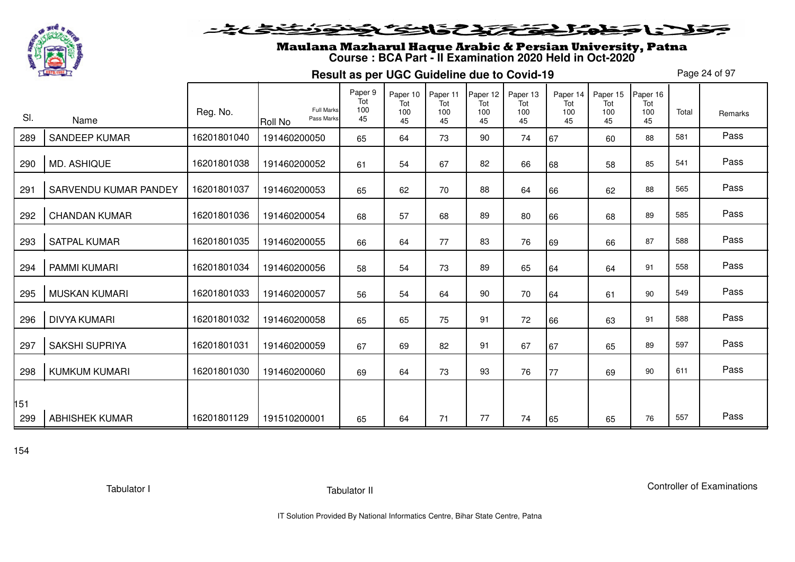

#### خلايا حفاهك فتختص والحف وتوضي

# Maulana Mazharul Haque Arabic & Persian University, Patna **Course : BCA Part - II Examination 2020 Held in Oct-2020**

**Result as per UGC Guideline due to Covid-19**

Page 24 of 97

| SI. | Name                  | Reg. No.    | <b>Full Marks</b><br>Pass Marks<br><b>Roll No</b> | Paper 9<br>Tot<br>100<br>45 | Paper 10<br>Tot<br>100<br>45 | Paper 11<br>Tot<br>100<br>45 | Paper 12<br>Tot<br>100<br>45 | Paper 13<br>Tot<br>100<br>45 | Paper 14<br>Tot<br>100<br>45 | Paper 15<br>Tot<br>100<br>45 | Paper 16<br>Tot<br>100<br>45 | Total | Remarks |
|-----|-----------------------|-------------|---------------------------------------------------|-----------------------------|------------------------------|------------------------------|------------------------------|------------------------------|------------------------------|------------------------------|------------------------------|-------|---------|
| 289 | SANDEEP KUMAR         | 16201801040 | 191460200050                                      | 65                          | 64                           | 73                           | 90                           | 74                           | 67                           | 60                           | 88                           | 581   | Pass    |
| 290 | MD. ASHIQUE           | 16201801038 | 191460200052                                      | 61                          | 54                           | 67                           | 82                           | 66                           | 68                           | 58                           | 85                           | 541   | Pass    |
| 291 | SARVENDU KUMAR PANDEY | 16201801037 | 191460200053                                      | 65                          | 62                           | 70                           | 88                           | 64                           | 66                           | 62                           | 88                           | 565   | Pass    |
| 292 | <b>CHANDAN KUMAR</b>  | 16201801036 | 191460200054                                      | 68                          | 57                           | 68                           | 89                           | 80                           | 66                           | 68                           | 89                           | 585   | Pass    |
| 293 | <b>SATPAL KUMAR</b>   | 16201801035 | 191460200055                                      | 66                          | 64                           | 77                           | 83                           | 76                           | 69                           | 66                           | 87                           | 588   | Pass    |
| 294 | <b>PAMMI KUMARI</b>   | 16201801034 | 191460200056                                      | 58                          | 54                           | 73                           | 89                           | 65                           | 64                           | 64                           | 91                           | 558   | Pass    |
| 295 | <b>MUSKAN KUMARI</b>  | 16201801033 | 191460200057                                      | 56                          | 54                           | 64                           | 90                           | 70                           | 64                           | 61                           | 90                           | 549   | Pass    |
| 296 | <b>DIVYA KUMARI</b>   | 16201801032 | 191460200058                                      | 65                          | 65                           | 75                           | 91                           | 72                           | 66                           | 63                           | 91                           | 588   | Pass    |
| 297 | <b>SAKSHI SUPRIYA</b> | 16201801031 | 191460200059                                      | 67                          | 69                           | 82                           | 91                           | 67                           | 67                           | 65                           | 89                           | 597   | Pass    |
| 298 | <b>KUMKUM KUMARI</b>  | 16201801030 | 191460200060                                      | 69                          | 64                           | 73                           | 93                           | 76                           | 77                           | 69                           | 90                           | 611   | Pass    |
| 151 |                       |             |                                                   |                             |                              |                              |                              |                              |                              |                              |                              |       |         |
| 299 | <b>ABHISHEK KUMAR</b> | 16201801129 | 191510200001                                      | 65                          | 64                           | 71                           | 77                           | 74                           | 65                           | 65                           | 76                           | 557   | Pass    |

154

Tabulator I

Controller of Examinations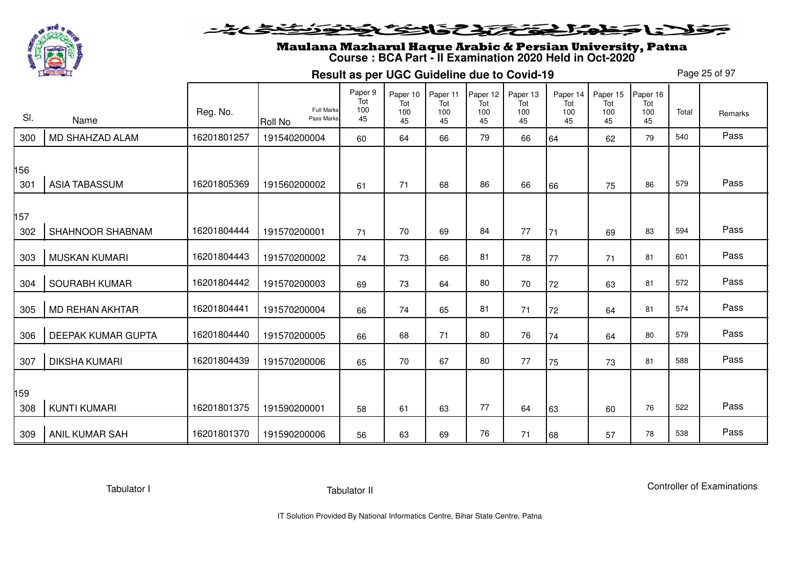

#### at Briss Bill Chile Bots (: ) 5

# Maulana Mazharul Haque Arabic & Persian University, Patna **Course : BCA Part - II Examination 2020 Held in Oct-2020**

**Result as per UGC Guideline due to Covid-19**

Page 25 of 97

| SI.        | Name                      | Reg. No.    | <b>Full Marks</b><br>Pass Marks<br>Roll No | Paper 9<br>Tot<br>100<br>45 | Paper 10<br>Tot<br>100<br>45 | Paper 11<br>Tot<br>100<br>45 | Paper 12<br>Tot<br>100<br>45 | Paper 13<br>Tot<br>100<br>45 | Paper 14<br>Tot<br>100<br>45 | Paper 15<br>Tot<br>100<br>45 | Paper 16<br>Tot<br>100<br>45 | Total | Remarks |
|------------|---------------------------|-------------|--------------------------------------------|-----------------------------|------------------------------|------------------------------|------------------------------|------------------------------|------------------------------|------------------------------|------------------------------|-------|---------|
| 300        | MD SHAHZAD ALAM           | 16201801257 | 191540200004                               | 60                          | 64                           | 66                           | 79                           | 66                           | 64                           | 62                           | 79                           | 540   | Pass    |
| 156<br>301 | <b>ASIA TABASSUM</b>      | 16201805369 | 191560200002                               | 61                          | 71                           | 68                           | 86                           | 66                           | 66                           | 75                           | 86                           | 579   | Pass    |
| 157<br>302 | SHAHNOOR SHABNAM          | 16201804444 | 191570200001                               | 71                          | 70                           | 69                           | 84                           | 77                           | 71                           | 69                           | 83                           | 594   | Pass    |
| 303        | <b>MUSKAN KUMARI</b>      | 16201804443 | 191570200002                               | 74                          | 73                           | 66                           | 81                           | 78                           | 77                           | 71                           | 81                           | 601   | Pass    |
| 304        | <b>SOURABH KUMAR</b>      | 16201804442 | 191570200003                               | 69                          | 73                           | 64                           | 80                           | 70                           | 72                           | 63                           | 81                           | 572   | Pass    |
| 305        | <b>MD REHAN AKHTAR</b>    | 16201804441 | 191570200004                               | 66                          | 74                           | 65                           | 81                           | 71                           | 72                           | 64                           | 81                           | 574   | Pass    |
| 306        | <b>DEEPAK KUMAR GUPTA</b> | 16201804440 | 191570200005                               | 66                          | 68                           | 71                           | 80                           | 76                           | 74                           | 64                           | 80                           | 579   | Pass    |
| 307        | <b>DIKSHA KUMARI</b>      | 16201804439 | 191570200006                               | 65                          | 70                           | 67                           | 80                           | 77                           | 75                           | 73                           | 81                           | 588   | Pass    |
| 159<br>308 | <b>KUNTI KUMARI</b>       | 16201801375 | 191590200001                               | 58                          | 61                           | 63                           | 77                           | 64                           | 63                           | 60                           | 76                           | 522   | Pass    |
| 309        | ANIL KUMAR SAH            | 16201801370 | 191590200006                               | 56                          | 63                           | 69                           | 76                           | 71                           | 68                           | 57                           | 78                           | 538   | Pass    |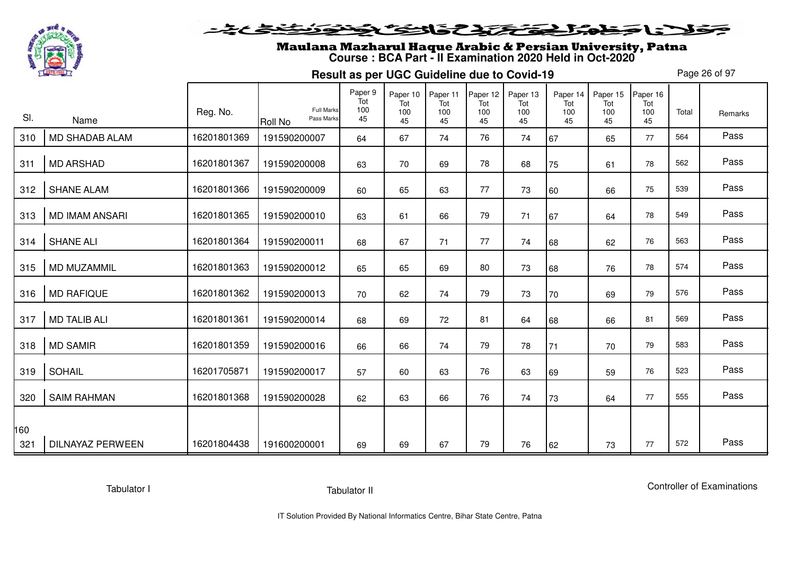

#### فلانا وطوالحقاق فالخفافون فنفض

# Maulana Mazharul Haque Arabic & Persian University, Patna **Course : BCA Part - II Examination 2020 Held in Oct-2020**

**Result as per UGC Guideline due to Covid-19**

Page 26 of 97

| SI. | Name                    | Reg. No.    | Full Marks<br>Pass Marks<br><b>Roll No</b> | Paper 9<br>Tot<br>100<br>45 | Paper 10<br>Tot<br>100<br>45 | Paper 11<br>Tot<br>100<br>45 | Paper 12<br>Tot<br>100<br>45 | Paper 13<br>Tot<br>100<br>45 | Paper 14<br>Tot<br>100<br>45 | Paper 15<br>Tot<br>100<br>45 | Paper 16<br>Tot<br>100<br>45 | Total | Remarks |
|-----|-------------------------|-------------|--------------------------------------------|-----------------------------|------------------------------|------------------------------|------------------------------|------------------------------|------------------------------|------------------------------|------------------------------|-------|---------|
| 310 | MD SHADAB ALAM          | 16201801369 | 191590200007                               | 64                          | 67                           | 74                           | 76                           | 74                           | 67                           | 65                           | 77                           | 564   | Pass    |
| 311 | <b>MD ARSHAD</b>        | 16201801367 | 191590200008                               | 63                          | 70                           | 69                           | 78                           | 68                           | 75                           | 61                           | 78                           | 562   | Pass    |
| 312 | <b>SHANE ALAM</b>       | 16201801366 | 191590200009                               | 60                          | 65                           | 63                           | 77                           | 73                           | 60                           | 66                           | 75                           | 539   | Pass    |
| 313 | <b>MD IMAM ANSARI</b>   | 16201801365 | 191590200010                               | 63                          | 61                           | 66                           | 79                           | 71                           | 67                           | 64                           | 78                           | 549   | Pass    |
| 314 | <b>SHANE ALI</b>        | 16201801364 | 191590200011                               | 68                          | 67                           | 71                           | 77                           | 74                           | 68                           | 62                           | 76                           | 563   | Pass    |
| 315 | <b>MD MUZAMMIL</b>      | 16201801363 | 191590200012                               | 65                          | 65                           | 69                           | 80                           | 73                           | 68                           | 76                           | 78                           | 574   | Pass    |
| 316 | <b>MD RAFIQUE</b>       | 16201801362 | 191590200013                               | 70                          | 62                           | 74                           | 79                           | 73                           | 70                           | 69                           | 79                           | 576   | Pass    |
| 317 | <b>MD TALIB ALI</b>     | 16201801361 | 191590200014                               | 68                          | 69                           | 72                           | 81                           | 64                           | 68                           | 66                           | 81                           | 569   | Pass    |
| 318 | <b>MD SAMIR</b>         | 16201801359 | 191590200016                               | 66                          | 66                           | 74                           | 79                           | 78                           | 71                           | 70                           | 79                           | 583   | Pass    |
| 319 | <b>SOHAIL</b>           | 16201705871 | 191590200017                               | 57                          | 60                           | 63                           | 76                           | 63                           | 69                           | 59                           | 76                           | 523   | Pass    |
| 320 | <b>SAIM RAHMAN</b>      | 16201801368 | 191590200028                               | 62                          | 63                           | 66                           | 76                           | 74                           | 73                           | 64                           | 77                           | 555   | Pass    |
| 160 |                         |             |                                            |                             |                              |                              |                              |                              |                              |                              |                              |       |         |
| 321 | <b>DILNAYAZ PERWEEN</b> | 16201804438 | 191600200001                               | 69                          | 69                           | 67                           | 79                           | 76                           | 62                           | 73                           | 77                           | 572   | Pass    |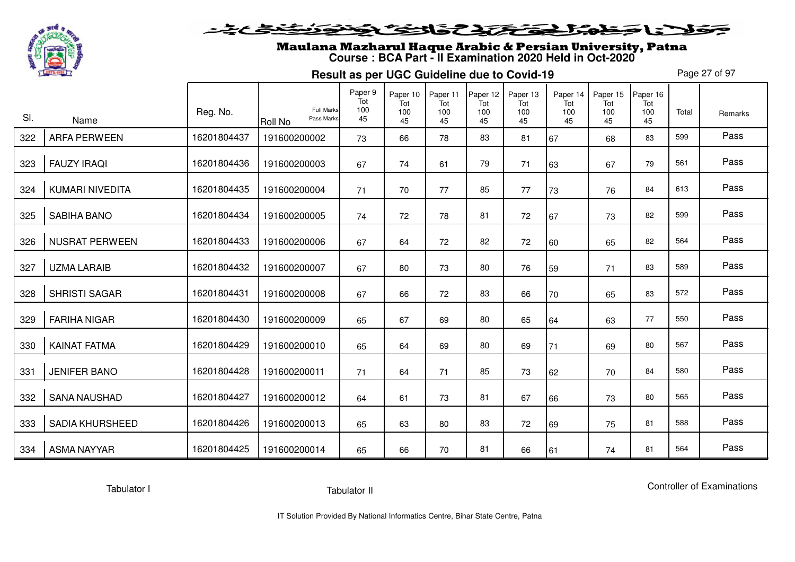

# Maulana Mazharul Haque Arabic & Persian University, Patna **Course : BCA Part - II Examination 2020 Held in Oct-2020**

**Result as per UGC Guideline due to Covid-19**

Page 27 of 97

| SI. | Name                   | Reg. No.    | <b>Full Marks</b><br>Pass Marks<br><b>Roll No</b> | Paper 9<br>Tot<br>100<br>45 | Paper 10<br>Tot<br>100<br>45 | Paper 11<br>Tot<br>100<br>45 | Paper 12<br>Tot<br>100<br>45 | Paper 13<br>Tot<br>100<br>45 | Paper 14<br>Tot<br>100<br>45 | Paper 15<br>Tot<br>100<br>45 | Paper 16<br>Tot<br>100<br>45 | Total | Remarks |
|-----|------------------------|-------------|---------------------------------------------------|-----------------------------|------------------------------|------------------------------|------------------------------|------------------------------|------------------------------|------------------------------|------------------------------|-------|---------|
| 322 | <b>ARFA PERWEEN</b>    | 16201804437 | 191600200002                                      | 73                          | 66                           | 78                           | 83                           | 81                           | 67                           | 68                           | 83                           | 599   | Pass    |
| 323 | <b>FAUZY IRAQI</b>     | 16201804436 | 191600200003                                      | 67                          | 74                           | 61                           | 79                           | 71                           | 63                           | 67                           | 79                           | 561   | Pass    |
| 324 | <b>KUMARI NIVEDITA</b> | 16201804435 | 191600200004                                      | 71                          | 70                           | 77                           | 85                           | 77                           | 73                           | 76                           | 84                           | 613   | Pass    |
| 325 | <b>SABIHA BANO</b>     | 16201804434 | 191600200005                                      | 74                          | 72                           | 78                           | 81                           | 72                           | 67                           | 73                           | 82                           | 599   | Pass    |
| 326 | <b>NUSRAT PERWEEN</b>  | 16201804433 | 191600200006                                      | 67                          | 64                           | 72                           | 82                           | 72                           | 60                           | 65                           | 82                           | 564   | Pass    |
| 327 | <b>UZMA LARAIB</b>     | 16201804432 | 191600200007                                      | 67                          | 80                           | 73                           | 80                           | 76                           | 59                           | 71                           | 83                           | 589   | Pass    |
| 328 | <b>SHRISTI SAGAR</b>   | 16201804431 | 191600200008                                      | 67                          | 66                           | 72                           | 83                           | 66                           | 70                           | 65                           | 83                           | 572   | Pass    |
| 329 | <b>FARIHA NIGAR</b>    | 16201804430 | 191600200009                                      | 65                          | 67                           | 69                           | 80                           | 65                           | 64                           | 63                           | 77                           | 550   | Pass    |
| 330 | <b>KAINAT FATMA</b>    | 16201804429 | 191600200010                                      | 65                          | 64                           | 69                           | 80                           | 69                           | 71                           | 69                           | 80                           | 567   | Pass    |
| 331 | <b>JENIFER BANO</b>    | 16201804428 | 191600200011                                      | 71                          | 64                           | 71                           | 85                           | 73                           | 62                           | 70                           | 84                           | 580   | Pass    |
| 332 | <b>SANA NAUSHAD</b>    | 16201804427 | 191600200012                                      | 64                          | 61                           | 73                           | 81                           | 67                           | 66                           | 73                           | 80                           | 565   | Pass    |
| 333 | <b>SADIA KHURSHEED</b> | 16201804426 | 191600200013                                      | 65                          | 63                           | 80                           | 83                           | 72                           | 69                           | 75                           | 81                           | 588   | Pass    |
| 334 | <b>ASMA NAYYAR</b>     | 16201804425 | 191600200014                                      | 65                          | 66                           | 70                           | 81                           | 66                           | 61                           | 74                           | 81                           | 564   | Pass    |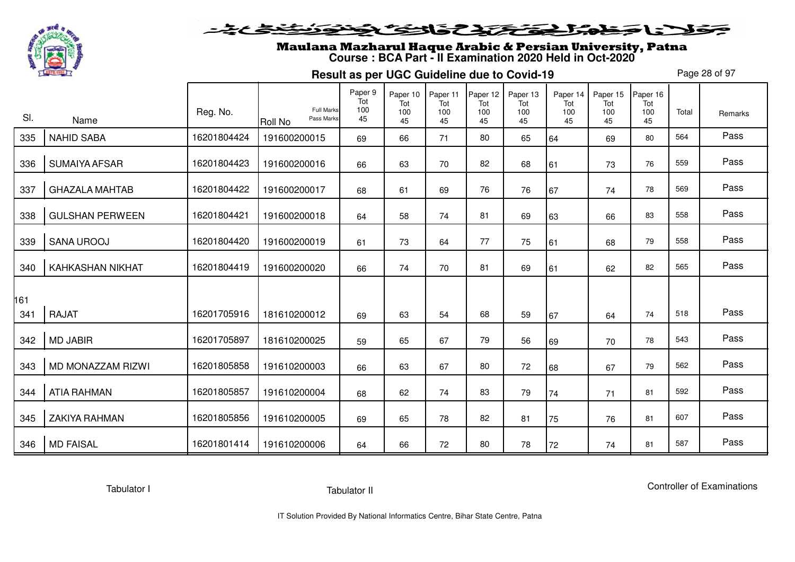

#### فلانا وطوالحقة كتحكون فينونون فنخدم

# Maulana Mazharul Haque Arabic & Persian University, Patna **Course : BCA Part - II Examination 2020 Held in Oct-2020**

**Result as per UGC Guideline due to Covid-19**

Page 28 of 97

| SI. |                         | Reg. No.    | <b>Full Marks</b><br>Pass Marks | Paper 9<br>Tot<br>100<br>45 | Paper 10<br>Tot<br>100 | Paper 11<br>Tot<br>100 | Paper 12<br>Tot<br>100 | Paper 13<br>Tot<br>100 | Paper 14<br>Tot<br>100 | Paper 15<br>Tot<br>100 | Paper 16<br>Tot<br>100 | Total | Remarks |
|-----|-------------------------|-------------|---------------------------------|-----------------------------|------------------------|------------------------|------------------------|------------------------|------------------------|------------------------|------------------------|-------|---------|
|     | Name                    |             | <b>Roll No</b>                  |                             | 45                     | 45                     | 45                     | 45                     | 45                     | 45                     | 45                     |       |         |
| 335 | <b>NAHID SABA</b>       | 16201804424 | 191600200015                    | 69                          | 66                     | 71                     | 80                     | 65                     | 64                     | 69                     | 80                     | 564   | Pass    |
| 336 | <b>SUMAIYA AFSAR</b>    | 16201804423 | 191600200016                    | 66                          | 63                     | 70                     | 82                     | 68                     | 61                     | 73                     | 76                     | 559   | Pass    |
| 337 | <b>GHAZALA MAHTAB</b>   | 16201804422 | 191600200017                    | 68                          | 61                     | 69                     | 76                     | 76                     | 67                     | 74                     | 78                     | 569   | Pass    |
| 338 | <b>GULSHAN PERWEEN</b>  | 16201804421 | 191600200018                    | 64                          | 58                     | 74                     | 81                     | 69                     | 63                     | 66                     | 83                     | 558   | Pass    |
| 339 | <b>SANA UROOJ</b>       | 16201804420 | 191600200019                    | 61                          | 73                     | 64                     | 77                     | 75                     | 61                     | 68                     | 79                     | 558   | Pass    |
| 340 | <b>KAHKASHAN NIKHAT</b> | 16201804419 | 191600200020                    | 66                          | 74                     | 70                     | 81                     | 69                     | 61                     | 62                     | 82                     | 565   | Pass    |
| 161 |                         |             |                                 |                             |                        |                        |                        |                        |                        |                        |                        |       |         |
| 341 | <b>RAJAT</b>            | 16201705916 | 181610200012                    | 69                          | 63                     | 54                     | 68                     | 59                     | 67                     | 64                     | 74                     | 518   | Pass    |
| 342 | <b>MD JABIR</b>         | 16201705897 | 181610200025                    | 59                          | 65                     | 67                     | 79                     | 56                     | 69                     | 70                     | 78                     | 543   | Pass    |
| 343 | MD MONAZZAM RIZWI       | 16201805858 | 191610200003                    | 66                          | 63                     | 67                     | 80                     | 72                     | 68                     | 67                     | 79                     | 562   | Pass    |
| 344 | <b>ATIA RAHMAN</b>      | 16201805857 | 191610200004                    | 68                          | 62                     | 74                     | 83                     | 79                     | 74                     | 71                     | 81                     | 592   | Pass    |
| 345 | <b>ZAKIYA RAHMAN</b>    | 16201805856 | 191610200005                    | 69                          | 65                     | 78                     | 82                     | 81                     | 75                     | 76                     | 81                     | 607   | Pass    |
| 346 | <b>MD FAISAL</b>        | 16201801414 | 191610200006                    | 64                          | 66                     | 72                     | 80                     | 78                     | 72                     | 74                     | 81                     | 587   | Pass    |

Tabulator I

Tabulator II

Controller of Examinations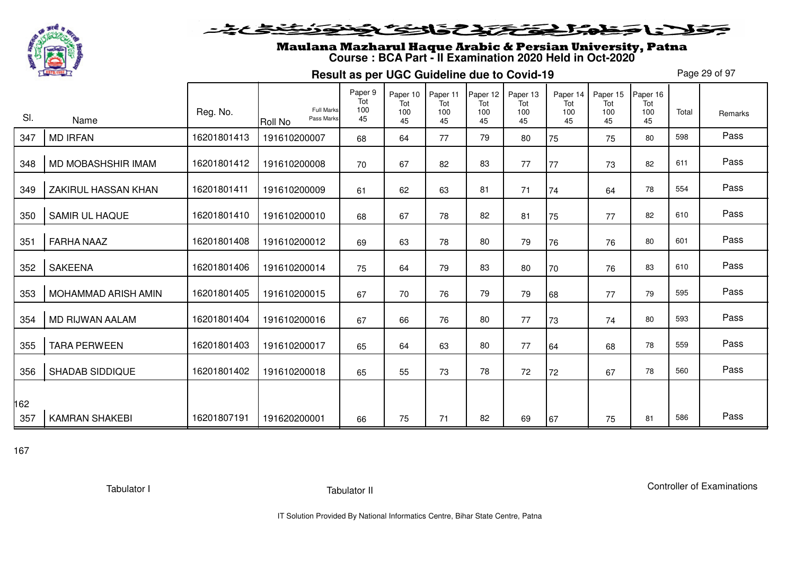

#### خلايا حفاهك فتختص والحف وتوضي

# Maulana Mazharul Haque Arabic & Persian University, Patna **Course : BCA Part - II Examination 2020 Held in Oct-2020**

**Result as per UGC Guideline due to Covid-19**

Page 29 of 97

| SI. | Name                   | Reg. No.    | <b>Full Marks</b><br>Pass Marks<br><b>Roll No</b> | Paper 9<br>Tot<br>100<br>45 | Paper 10<br>Tot<br>100<br>45 | Paper 11<br>Tot<br>100<br>45 | Paper 12<br>Tot<br>100<br>45 | Paper 13<br>Tot<br>100<br>45 | Paper 14<br>Tot<br>100<br>45 | Paper 15<br>Tot<br>100<br>45 | Paper 16<br>Tot<br>100<br>45 | Total | Remarks |
|-----|------------------------|-------------|---------------------------------------------------|-----------------------------|------------------------------|------------------------------|------------------------------|------------------------------|------------------------------|------------------------------|------------------------------|-------|---------|
| 347 | <b>MD IRFAN</b>        | 16201801413 | 191610200007                                      | 68                          | 64                           | 77                           | 79                           | 80                           | 75                           | 75                           | 80                           | 598   | Pass    |
| 348 | MD MOBASHSHIR IMAM     | 16201801412 | 191610200008                                      | 70                          | 67                           | 82                           | 83                           | 77                           | 77                           | 73                           | 82                           | 611   | Pass    |
| 349 | ZAKIRUL HASSAN KHAN    | 16201801411 | 191610200009                                      | 61                          | 62                           | 63                           | 81                           | 71                           | 74                           | 64                           | 78                           | 554   | Pass    |
| 350 | <b>SAMIR UL HAQUE</b>  | 16201801410 | 191610200010                                      | 68                          | 67                           | 78                           | 82                           | 81                           | 75                           | 77                           | 82                           | 610   | Pass    |
| 351 | <b>FARHA NAAZ</b>      | 16201801408 | 191610200012                                      | 69                          | 63                           | 78                           | 80                           | 79                           | 76                           | 76                           | 80                           | 601   | Pass    |
| 352 | <b>SAKEENA</b>         | 16201801406 | 191610200014                                      | 75                          | 64                           | 79                           | 83                           | 80                           | 70                           | 76                           | 83                           | 610   | Pass    |
| 353 | MOHAMMAD ARISH AMIN    | 16201801405 | 191610200015                                      | 67                          | 70                           | 76                           | 79                           | 79                           | 68                           | 77                           | 79                           | 595   | Pass    |
| 354 | MD RIJWAN AALAM        | 16201801404 | 191610200016                                      | 67                          | 66                           | 76                           | 80                           | 77                           | 73                           | 74                           | 80                           | 593   | Pass    |
| 355 | <b>TARA PERWEEN</b>    | 16201801403 | 191610200017                                      | 65                          | 64                           | 63                           | 80                           | 77                           | 64                           | 68                           | 78                           | 559   | Pass    |
| 356 | <b>SHADAB SIDDIQUE</b> | 16201801402 | 191610200018                                      | 65                          | 55                           | 73                           | 78                           | 72                           | 72                           | 67                           | 78                           | 560   | Pass    |
| 162 |                        |             |                                                   |                             |                              |                              |                              |                              |                              |                              |                              |       |         |
| 357 | <b>KAMRAN SHAKEBI</b>  | 16201807191 | 191620200001                                      | 66                          | 75                           | 71                           | 82                           | 69                           | 67                           | 75                           | 81                           | 586   | Pass    |

167

Tabulator I

Controller of Examinations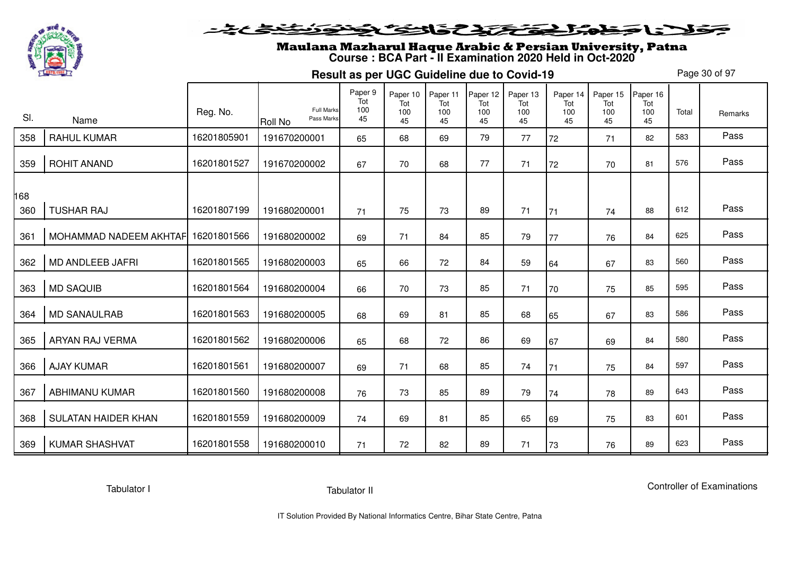

#### فلانا وطوالحقة كتحكون فينونون فنخدم

# Maulana Mazharul Haque Arabic & Persian University, Patna **Course : BCA Part - II Examination 2020 Held in Oct-2020**

**Result as per UGC Guideline due to Covid-19**

Page 30 of 97

| SI.        | Name                       | Reg. No.    | <b>Full Marks</b><br>Pass Marks<br><b>Roll No</b> | Paper 9<br>Tot<br>100<br>45 | Paper 10<br>Tot<br>100<br>45 | Paper 11<br>Tot<br>100<br>45 | Paper 12<br>Tot<br>100<br>45 | Paper 13<br>Tot<br>100<br>45 | Paper 14<br>Tot<br>100<br>45 | Paper 15<br>Tot<br>100<br>45 | Paper 16<br>Tot<br>100<br>45 | Total | Remarks |
|------------|----------------------------|-------------|---------------------------------------------------|-----------------------------|------------------------------|------------------------------|------------------------------|------------------------------|------------------------------|------------------------------|------------------------------|-------|---------|
| 358        | <b>RAHUL KUMAR</b>         | 16201805901 | 191670200001                                      | 65                          | 68                           | 69                           | 79                           | 77                           | 72                           | 71                           | 82                           | 583   | Pass    |
| 359        | <b>ROHIT ANAND</b>         | 16201801527 | 191670200002                                      | 67                          | 70                           | 68                           | 77                           | 71                           | 72                           | 70                           | 81                           | 576   | Pass    |
| 168<br>360 | <b>TUSHAR RAJ</b>          | 16201807199 | 191680200001                                      | 71                          | 75                           | 73                           | 89                           | 71                           | 71                           | 74                           | 88                           | 612   | Pass    |
| 361        | MOHAMMAD NADEEM AKHTAF     | 16201801566 | 191680200002                                      | 69                          | 71                           | 84                           | 85                           | 79                           | 77                           | 76                           | 84                           | 625   | Pass    |
| 362        | <b>MD ANDLEEB JAFRI</b>    | 16201801565 | 191680200003                                      | 65                          | 66                           | 72                           | 84                           | 59                           | 64                           | 67                           | 83                           | 560   | Pass    |
| 363        | <b>MD SAQUIB</b>           | 16201801564 | 191680200004                                      | 66                          | 70                           | 73                           | 85                           | 71                           | 70                           | 75                           | 85                           | 595   | Pass    |
| 364        | <b>MD SANAULRAB</b>        | 16201801563 | 191680200005                                      | 68                          | 69                           | 81                           | 85                           | 68                           | 65                           | 67                           | 83                           | 586   | Pass    |
| 365        | ARYAN RAJ VERMA            | 16201801562 | 191680200006                                      | 65                          | 68                           | 72                           | 86                           | 69                           | 67                           | 69                           | 84                           | 580   | Pass    |
| 366        | <b>AJAY KUMAR</b>          | 16201801561 | 191680200007                                      | 69                          | 71                           | 68                           | 85                           | 74                           | 71                           | 75                           | 84                           | 597   | Pass    |
| 367        | <b>ABHIMANU KUMAR</b>      | 16201801560 | 191680200008                                      | 76                          | 73                           | 85                           | 89                           | 79                           | 74                           | 78                           | 89                           | 643   | Pass    |
| 368        | <b>SULATAN HAIDER KHAN</b> | 16201801559 | 191680200009                                      | 74                          | 69                           | 81                           | 85                           | 65                           | 69                           | 75                           | 83                           | 601   | Pass    |
| 369        | <b>KUMAR SHASHVAT</b>      | 16201801558 | 191680200010                                      | 71                          | 72                           | 82                           | 89                           | 71                           | 73                           | 76                           | 89                           | 623   | Pass    |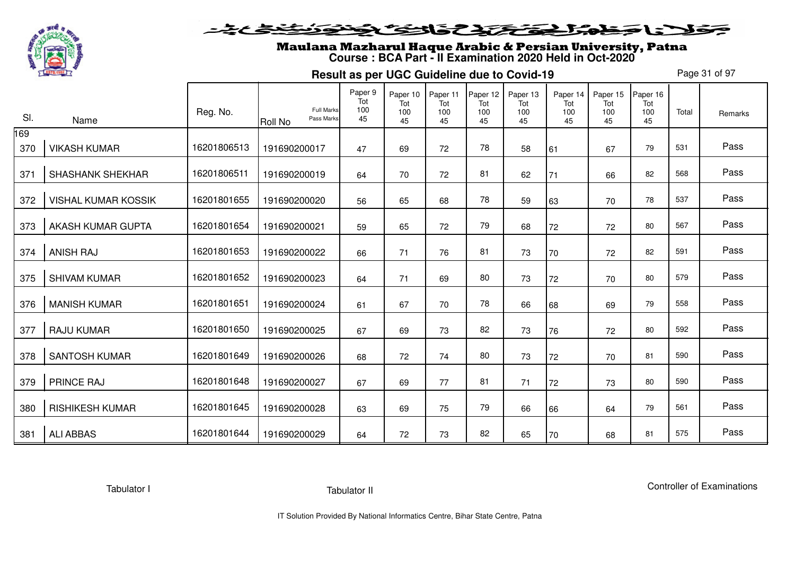

#### فلانا وطوالحقة كتحكون فينونون فنخدم

# Maulana Mazharul Haque Arabic & Persian University, Patna **Course : BCA Part - II Examination 2020 Held in Oct-2020**

**Result as per UGC Guideline due to Covid-19**

Page 31 of 97

| SI.        | Name                       | Reg. No.    | Full Marks<br>Pass Marks<br><b>Roll No</b> | Paper 9<br>Tot<br>100<br>45 | Paper 10<br>Tot<br>100<br>45 | Paper 11<br>Tot<br>100<br>45 | Paper 12<br>Tot<br>100<br>45 | Paper 13<br>Tot<br>100<br>45 | Paper 14<br>Tot<br>100<br>45 | Paper 15<br>Tot<br>100<br>45 | Paper 16<br>Tot<br>100<br>45 | Total | Remarks |
|------------|----------------------------|-------------|--------------------------------------------|-----------------------------|------------------------------|------------------------------|------------------------------|------------------------------|------------------------------|------------------------------|------------------------------|-------|---------|
| 169<br>370 | <b>VIKASH KUMAR</b>        | 16201806513 | 191690200017                               | 47                          | 69                           | 72                           | 78                           | 58                           | 61                           | 67                           | 79                           | 531   | Pass    |
| 371        | <b>SHASHANK SHEKHAR</b>    | 16201806511 | 191690200019                               | 64                          | 70                           | 72                           | 81                           | 62                           | 71                           | 66                           | 82                           | 568   | Pass    |
| 372        | <b>VISHAL KUMAR KOSSIK</b> | 16201801655 | 191690200020                               | 56                          | 65                           | 68                           | 78                           | 59                           | 63                           | 70                           | 78                           | 537   | Pass    |
| 373        | AKASH KUMAR GUPTA          | 16201801654 | 191690200021                               | 59                          | 65                           | 72                           | 79                           | 68                           | 72                           | 72                           | 80                           | 567   | Pass    |
| 374        | <b>ANISH RAJ</b>           | 16201801653 | 191690200022                               | 66                          | 71                           | 76                           | 81                           | 73                           | 70                           | 72                           | 82                           | 591   | Pass    |
| 375        | <b>SHIVAM KUMAR</b>        | 16201801652 | 191690200023                               | 64                          | 71                           | 69                           | 80                           | 73                           | 72                           | 70                           | 80                           | 579   | Pass    |
| 376        | <b>MANISH KUMAR</b>        | 16201801651 | 191690200024                               | 61                          | 67                           | 70                           | 78                           | 66                           | 68                           | 69                           | 79                           | 558   | Pass    |
| 377        | <b>RAJU KUMAR</b>          | 16201801650 | 191690200025                               | 67                          | 69                           | 73                           | 82                           | 73                           | 76                           | 72                           | 80                           | 592   | Pass    |
| 378        | <b>SANTOSH KUMAR</b>       | 16201801649 | 191690200026                               | 68                          | 72                           | 74                           | 80                           | 73                           | 72                           | 70                           | 81                           | 590   | Pass    |
| 379        | <b>PRINCE RAJ</b>          | 16201801648 | 191690200027                               | 67                          | 69                           | 77                           | 81                           | 71                           | 72                           | 73                           | 80                           | 590   | Pass    |
| 380        | <b>RISHIKESH KUMAR</b>     | 16201801645 | 191690200028                               | 63                          | 69                           | 75                           | 79                           | 66                           | 66                           | 64                           | 79                           | 561   | Pass    |
| 381        | <b>ALI ABBAS</b>           | 16201801644 | 191690200029                               | 64                          | 72                           | 73                           | 82                           | 65                           | 70                           | 68                           | 81                           | 575   | Pass    |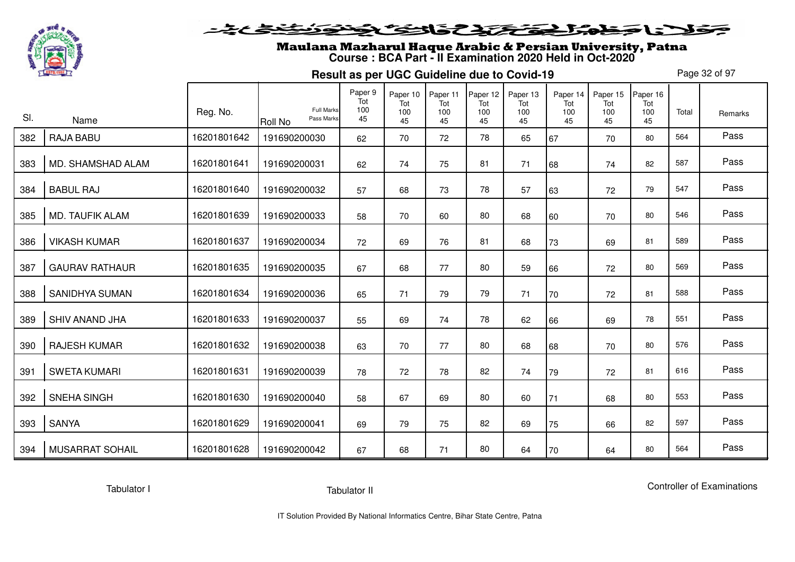

# Maulana Mazharul Haque Arabic & Persian University, Patna **Course : BCA Part - II Examination 2020 Held in Oct-2020**

**Result as per UGC Guideline due to Covid-19**

Page 32 of 97

|     |                        |             | <b>Full Marks</b>            | Paper 9<br>Tot<br>100 | Paper 10<br>Tot | Paper 11<br>Tot | Paper 12<br>Tot | Paper 13<br>Tot<br>100 | Paper 14<br>Tot<br>100 | Paper 15<br>Tot | Paper 16<br>Tot |       |         |
|-----|------------------------|-------------|------------------------------|-----------------------|-----------------|-----------------|-----------------|------------------------|------------------------|-----------------|-----------------|-------|---------|
| SI. | Name                   | Reg. No.    | Pass Marks<br><b>Roll No</b> | 45                    | 100<br>45       | 100<br>45       | 100<br>45       | 45                     | 45                     | 100<br>45       | 100<br>45       | Total | Remarks |
| 382 | <b>RAJA BABU</b>       | 16201801642 | 191690200030                 | 62                    | 70              | 72              | 78              | 65                     | 67                     | 70              | 80              | 564   | Pass    |
| 383 | MD. SHAMSHAD ALAM      | 16201801641 | 191690200031                 | 62                    | 74              | 75              | 81              | 71                     | 68                     | 74              | 82              | 587   | Pass    |
| 384 | <b>BABUL RAJ</b>       | 16201801640 | 191690200032                 | 57                    | 68              | 73              | 78              | 57                     | 63                     | 72              | 79              | 547   | Pass    |
| 385 | <b>MD. TAUFIK ALAM</b> | 16201801639 | 191690200033                 | 58                    | 70              | 60              | 80              | 68                     | 60                     | 70              | 80              | 546   | Pass    |
| 386 | <b>VIKASH KUMAR</b>    | 16201801637 | 191690200034                 | 72                    | 69              | 76              | 81              | 68                     | 73                     | 69              | 81              | 589   | Pass    |
| 387 | <b>GAURAV RATHAUR</b>  | 16201801635 | 191690200035                 | 67                    | 68              | 77              | 80              | 59                     | 66                     | 72              | 80              | 569   | Pass    |
| 388 | <b>SANIDHYA SUMAN</b>  | 16201801634 | 191690200036                 | 65                    | 71              | 79              | 79              | 71                     | 70                     | 72              | 81              | 588   | Pass    |
| 389 | <b>SHIV ANAND JHA</b>  | 16201801633 | 191690200037                 | 55                    | 69              | 74              | 78              | 62                     | 66                     | 69              | 78              | 551   | Pass    |
| 390 | <b>RAJESH KUMAR</b>    | 16201801632 | 191690200038                 | 63                    | 70              | 77              | 80              | 68                     | 68                     | 70              | 80              | 576   | Pass    |
| 391 | <b>SWETA KUMARI</b>    | 16201801631 | 191690200039                 | 78                    | 72              | 78              | 82              | 74                     | 79                     | 72              | 81              | 616   | Pass    |
| 392 | SNEHA SINGH            | 16201801630 | 191690200040                 | 58                    | 67              | 69              | 80              | 60                     | 71                     | 68              | 80              | 553   | Pass    |
| 393 | <b>SANYA</b>           | 16201801629 | 191690200041                 | 69                    | 79              | 75              | 82              | 69                     | 75                     | 66              | 82              | 597   | Pass    |
| 394 | <b>MUSARRAT SOHAIL</b> | 16201801628 | 191690200042                 | 67                    | 68              | 71              | 80              | 64                     | 70                     | 64              | 80              | 564   | Pass    |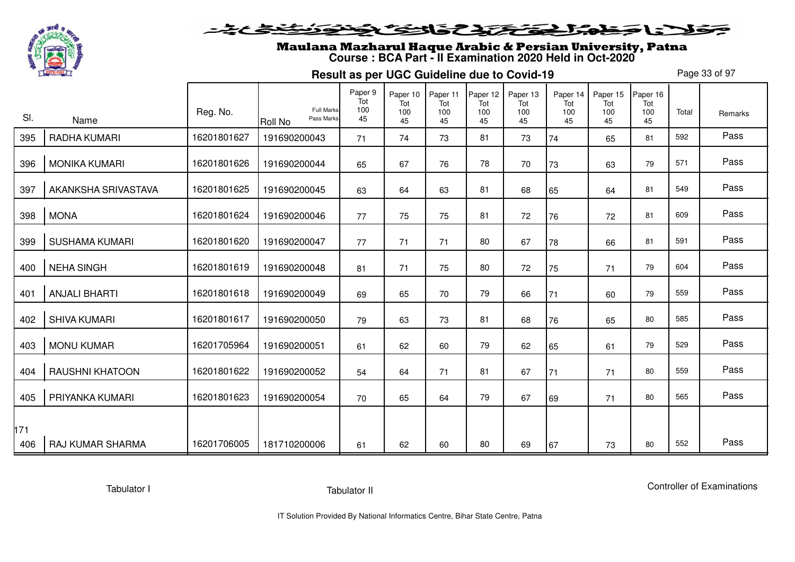

#### فلانا وطوالحقاق فالخفافون فنفض

# Maulana Mazharul Haque Arabic & Persian University, Patna **Course : BCA Part - II Examination 2020 Held in Oct-2020**

**Result as per UGC Guideline due to Covid-19**

Page 33 of 97

| SI. | Name                    | Reg. No.    | <b>Full Marks</b><br>Pass Marks<br><b>Roll No</b> | Paper 9<br>Tot<br>100<br>45 | Paper 10<br>Tot<br>100<br>45 | Paper 11<br>Tot<br>100<br>45 | Paper 12<br>Tot<br>100<br>45 | Paper 13<br>Tot<br>100<br>45 | Paper 14<br>Tot<br>100<br>45 | Paper 15<br>Tot<br>100<br>45 | Paper 16<br>Tot<br>100<br>45 | Total | Remarks |
|-----|-------------------------|-------------|---------------------------------------------------|-----------------------------|------------------------------|------------------------------|------------------------------|------------------------------|------------------------------|------------------------------|------------------------------|-------|---------|
| 395 | RADHA KUMARI            | 16201801627 | 191690200043                                      | 71                          | 74                           | 73                           | 81                           | 73                           | 74                           | 65                           | 81                           | 592   | Pass    |
| 396 | <b>MONIKA KUMARI</b>    | 16201801626 | 191690200044                                      | 65                          | 67                           | 76                           | 78                           | 70                           | 73                           | 63                           | 79                           | 571   | Pass    |
| 397 | AKANKSHA SRIVASTAVA     | 16201801625 | 191690200045                                      | 63                          | 64                           | 63                           | 81                           | 68                           | 65                           | 64                           | 81                           | 549   | Pass    |
| 398 | <b>MONA</b>             | 16201801624 | 191690200046                                      | 77                          | 75                           | 75                           | 81                           | 72                           | 76                           | 72                           | 81                           | 609   | Pass    |
| 399 | <b>SUSHAMA KUMARI</b>   | 16201801620 | 191690200047                                      | 77                          | 71                           | 71                           | 80                           | 67                           | 78                           | 66                           | 81                           | 591   | Pass    |
| 400 | <b>NEHA SINGH</b>       | 16201801619 | 191690200048                                      | 81                          | 71                           | 75                           | 80                           | 72                           | 75                           | 71                           | 79                           | 604   | Pass    |
| 401 | <b>ANJALI BHARTI</b>    | 16201801618 | 191690200049                                      | 69                          | 65                           | 70                           | 79                           | 66                           | 71                           | 60                           | 79                           | 559   | Pass    |
| 402 | <b>SHIVA KUMARI</b>     | 16201801617 | 191690200050                                      | 79                          | 63                           | 73                           | 81                           | 68                           | 76                           | 65                           | 80                           | 585   | Pass    |
| 403 | <b>MONU KUMAR</b>       | 16201705964 | 191690200051                                      | 61                          | 62                           | 60                           | 79                           | 62                           | 65                           | 61                           | 79                           | 529   | Pass    |
| 404 | <b>RAUSHNI KHATOON</b>  | 16201801622 | 191690200052                                      | 54                          | 64                           | 71                           | 81                           | 67                           | 71                           | 71                           | 80                           | 559   | Pass    |
| 405 | PRIYANKA KUMARI         | 16201801623 | 191690200054                                      | 70                          | 65                           | 64                           | 79                           | 67                           | 69                           | 71                           | 80                           | 565   | Pass    |
| 171 |                         |             |                                                   |                             |                              |                              |                              |                              |                              |                              |                              |       |         |
| 406 | <b>RAJ KUMAR SHARMA</b> | 16201706005 | 181710200006                                      | 61                          | 62                           | 60                           | 80                           | 69                           | 67                           | 73                           | 80                           | 552   | Pass    |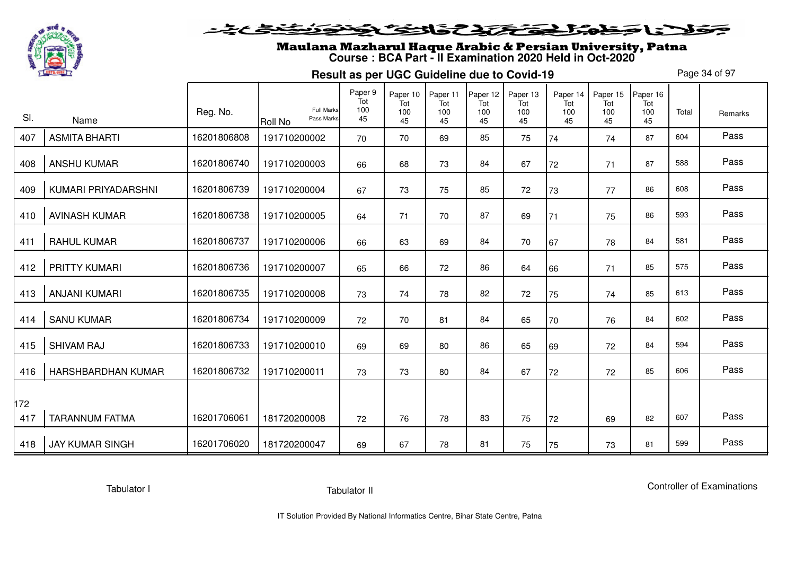

#### فلانا حفاشكنكنك فالتكنيك فتونفتك ومناف

# Maulana Mazharul Haque Arabic & Persian University, Patna **Course : BCA Part - II Examination 2020 Held in Oct-2020**

**Result as per UGC Guideline due to Covid-19**

Page 34 of 97

|            |                        | Reg. No.    | Full Marks                   | Paper 9<br>Tot<br>100 | Paper 10<br>Tot<br>100 | Paper 11<br>Tot<br>100 | Paper 12<br>Tot<br>100 | Paper 13<br>Tot<br>100 | Paper 14<br>Tot<br>100 | Paper 15<br>Tot<br>100 | Paper 16<br>Tot<br>100 | Total |         |
|------------|------------------------|-------------|------------------------------|-----------------------|------------------------|------------------------|------------------------|------------------------|------------------------|------------------------|------------------------|-------|---------|
| SI.        | Name                   |             | Pass Marks<br><b>Roll No</b> | 45                    | 45                     | 45                     | 45                     | 45                     | 45                     | 45                     | 45                     |       | Remarks |
| 407        | <b>ASMITA BHARTI</b>   | 16201806808 | 191710200002                 | 70                    | 70                     | 69                     | 85                     | 75                     | 74                     | 74                     | 87                     | 604   | Pass    |
| 408        | <b>ANSHU KUMAR</b>     | 16201806740 | 191710200003                 | 66                    | 68                     | 73                     | 84                     | 67                     | 72                     | 71                     | 87                     | 588   | Pass    |
| 409        | KUMARI PRIYADARSHNI    | 16201806739 | 191710200004                 | 67                    | 73                     | 75                     | 85                     | 72                     | 73                     | 77                     | 86                     | 608   | Pass    |
| 410        | <b>AVINASH KUMAR</b>   | 16201806738 | 191710200005                 | 64                    | 71                     | 70                     | 87                     | 69                     | 71                     | 75                     | 86                     | 593   | Pass    |
| 411        | <b>RAHUL KUMAR</b>     | 16201806737 | 191710200006                 | 66                    | 63                     | 69                     | 84                     | 70                     | 67                     | 78                     | 84                     | 581   | Pass    |
| 412        | <b>PRITTY KUMARI</b>   | 16201806736 | 191710200007                 | 65                    | 66                     | 72                     | 86                     | 64                     | 66                     | 71                     | 85                     | 575   | Pass    |
| 413        | <b>ANJANI KUMARI</b>   | 16201806735 | 191710200008                 | 73                    | 74                     | 78                     | 82                     | 72                     | 75                     | 74                     | 85                     | 613   | Pass    |
| 414        | <b>SANU KUMAR</b>      | 16201806734 | 191710200009                 | 72                    | 70                     | 81                     | 84                     | 65                     | 70                     | 76                     | 84                     | 602   | Pass    |
| 415        | <b>SHIVAM RAJ</b>      | 16201806733 | 191710200010                 | 69                    | 69                     | 80                     | 86                     | 65                     | 69                     | 72                     | 84                     | 594   | Pass    |
| 416        | HARSHBARDHAN KUMAR     | 16201806732 | 191710200011                 | 73                    | 73                     | 80                     | 84                     | 67                     | 72                     | 72                     | 85                     | 606   | Pass    |
|            |                        |             |                              |                       |                        |                        |                        |                        |                        |                        |                        |       |         |
| 172<br>417 | <b>TARANNUM FATMA</b>  | 16201706061 | 181720200008                 | 72                    | 76                     | 78                     | 83                     | 75                     | 72                     | 69                     | 82                     | 607   | Pass    |
| 418        | <b>JAY KUMAR SINGH</b> | 16201706020 | 181720200047                 | 69                    | 67                     | 78                     | 81                     | 75                     | 75                     | 73                     | 81                     | 599   | Pass    |

Tabulator I

Tabulator II

Controller of Examinations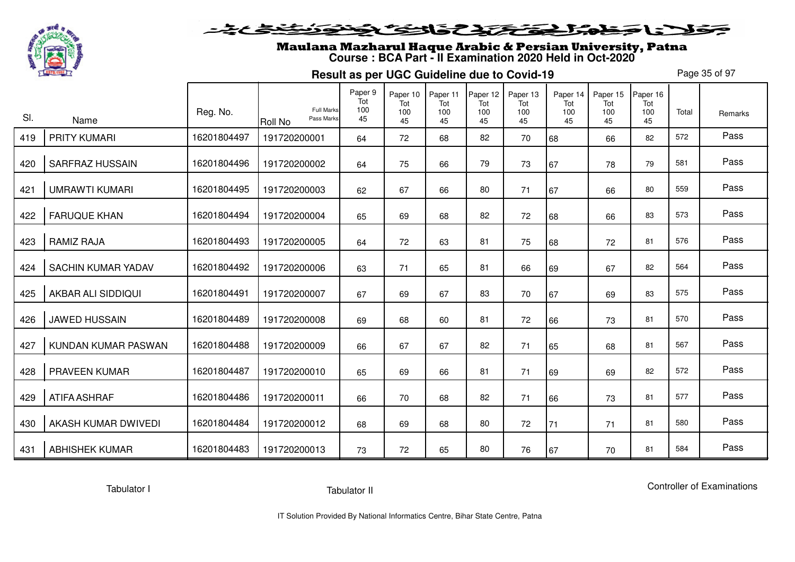

# Maulana Mazharul Haque Arabic & Persian University, Patna **Course : BCA Part - II Examination 2020 Held in Oct-2020**

**Result as per UGC Guideline due to Covid-19**

Page 35 of 97

|     |                        |             |                                                   | Paper 9<br>Tot | Paper 10<br>Tot | Paper 11<br>Tot | Paper 12<br>Tot | Paper 13<br>Tot | Paper 14<br>Tot | Paper 15<br>Tot | Paper 16<br>Tot |       |         |
|-----|------------------------|-------------|---------------------------------------------------|----------------|-----------------|-----------------|-----------------|-----------------|-----------------|-----------------|-----------------|-------|---------|
| SI. | Name                   | Reg. No.    | <b>Full Marks</b><br>Pass Marks<br><b>Roll No</b> | 100<br>45      | 100<br>45       | 100<br>45       | 100<br>45       | 100<br>45       | 100<br>45       | 100<br>45       | 100<br>45       | Total | Remarks |
| 419 | <b>PRITY KUMARI</b>    | 16201804497 | 191720200001                                      | 64             | 72              | 68              | 82              | 70              | 68              | 66              | 82              | 572   | Pass    |
| 420 | <b>SARFRAZ HUSSAIN</b> | 16201804496 | 191720200002                                      | 64             | 75              | 66              | 79              | 73              | 67              | 78              | 79              | 581   | Pass    |
| 421 | <b>UMRAWTI KUMARI</b>  | 16201804495 | 191720200003                                      | 62             | 67              | 66              | 80              | 71              | 67              | 66              | 80              | 559   | Pass    |
| 422 | <b>FARUQUE KHAN</b>    | 16201804494 | 191720200004                                      | 65             | 69              | 68              | 82              | 72              | 68              | 66              | 83              | 573   | Pass    |
| 423 | <b>RAMIZ RAJA</b>      | 16201804493 | 191720200005                                      | 64             | 72              | 63              | 81              | 75              | 68              | 72              | 81              | 576   | Pass    |
| 424 | SACHIN KUMAR YADAV     | 16201804492 | 191720200006                                      | 63             | 71              | 65              | 81              | 66              | 69              | 67              | 82              | 564   | Pass    |
| 425 | AKBAR ALI SIDDIQUI     | 16201804491 | 191720200007                                      | 67             | 69              | 67              | 83              | 70              | 67              | 69              | 83              | 575   | Pass    |
| 426 | <b>JAWED HUSSAIN</b>   | 16201804489 | 191720200008                                      | 69             | 68              | 60              | 81              | 72              | 66              | 73              | 81              | 570   | Pass    |
| 427 | KUNDAN KUMAR PASWAN    | 16201804488 | 191720200009                                      | 66             | 67              | 67              | 82              | 71              | 65              | 68              | 81              | 567   | Pass    |
| 428 | <b>PRAVEEN KUMAR</b>   | 16201804487 | 191720200010                                      | 65             | 69              | 66              | 81              | 71              | 69              | 69              | 82              | 572   | Pass    |
| 429 | <b>ATIFA ASHRAF</b>    | 16201804486 | 191720200011                                      | 66             | 70              | 68              | 82              | 71              | 66              | 73              | 81              | 577   | Pass    |
| 430 | AKASH KUMAR DWIVEDI    | 16201804484 | 191720200012                                      | 68             | 69              | 68              | 80              | 72              | 71              | 71              | 81              | 580   | Pass    |
| 431 | <b>ABHISHEK KUMAR</b>  | 16201804483 | 191720200013                                      | 73             | 72              | 65              | 80              | 76              | 67              | 70              | 81              | 584   | Pass    |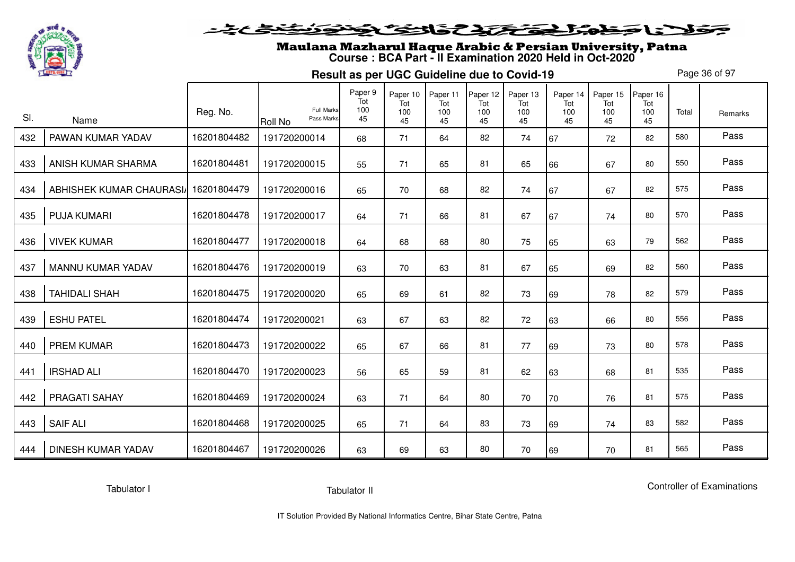

# Maulana Mazharul Haque Arabic & Persian University, Patna **Course : BCA Part - II Examination 2020 Held in Oct-2020**

**Result as per UGC Guideline due to Covid-19**

Page 36 of 97

|     |                           |             |                                                   | Paper 9<br>Tot | Paper 10<br>Tot | Paper 11<br>Tot | Paper 12<br>Tot | Paper 13<br>Tot | Paper 14<br>Tot | Paper 15<br>Tot | Paper 16<br>Tot |       |         |
|-----|---------------------------|-------------|---------------------------------------------------|----------------|-----------------|-----------------|-----------------|-----------------|-----------------|-----------------|-----------------|-------|---------|
| SI. | Name                      | Reg. No.    | <b>Full Marks</b><br>Pass Marks<br><b>Roll No</b> | 100<br>45      | 100<br>45       | 100<br>45       | 100<br>45       | 100<br>45       | 100<br>45       | 100<br>45       | 100<br>45       | Total | Remarks |
| 432 | PAWAN KUMAR YADAV         | 16201804482 | 191720200014                                      | 68             | 71              | 64              | 82              | 74              | 67              | 72              | 82              | 580   | Pass    |
| 433 | ANISH KUMAR SHARMA        | 16201804481 | 191720200015                                      | 55             | 71              | 65              | 81              | 65              | 66              | 67              | 80              | 550   | Pass    |
| 434 | ABHISHEK KUMAR CHAURASI   | 16201804479 | 191720200016                                      | 65             | 70              | 68              | 82              | 74              | 67              | 67              | 82              | 575   | Pass    |
| 435 | <b>PUJA KUMARI</b>        | 16201804478 | 191720200017                                      | 64             | 71              | 66              | 81              | 67              | 67              | 74              | 80              | 570   | Pass    |
| 436 | <b>VIVEK KUMAR</b>        | 16201804477 | 191720200018                                      | 64             | 68              | 68              | 80              | 75              | 65              | 63              | 79              | 562   | Pass    |
| 437 | MANNU KUMAR YADAV         | 16201804476 | 191720200019                                      | 63             | 70              | 63              | 81              | 67              | 65              | 69              | 82              | 560   | Pass    |
| 438 | <b>TAHIDALI SHAH</b>      | 16201804475 | 191720200020                                      | 65             | 69              | 61              | 82              | 73              | 69              | 78              | 82              | 579   | Pass    |
| 439 | <b>ESHU PATEL</b>         | 16201804474 | 191720200021                                      | 63             | 67              | 63              | 82              | 72              | 63              | 66              | 80              | 556   | Pass    |
| 440 | <b>PREM KUMAR</b>         | 16201804473 | 191720200022                                      | 65             | 67              | 66              | 81              | 77              | 69              | 73              | 80              | 578   | Pass    |
| 441 | <b>IRSHAD ALI</b>         | 16201804470 | 191720200023                                      | 56             | 65              | 59              | 81              | 62              | 63              | 68              | 81              | 535   | Pass    |
| 442 | PRAGATI SAHAY             | 16201804469 | 191720200024                                      | 63             | 71              | 64              | 80              | $70\,$          | 70              | 76              | 81              | 575   | Pass    |
| 443 | <b>SAIF ALI</b>           | 16201804468 | 191720200025                                      | 65             | 71              | 64              | 83              | 73              | 69              | 74              | 83              | 582   | Pass    |
| 444 | <b>DINESH KUMAR YADAV</b> | 16201804467 | 191720200026                                      | 63             | 69              | 63              | 80              | 70              | 69              | 70              | 81              | 565   | Pass    |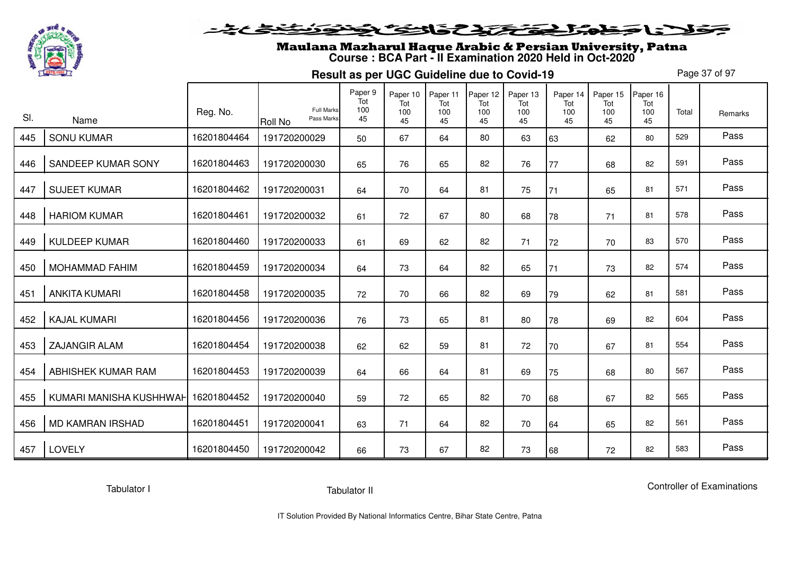

# Maulana Mazharul Haque Arabic & Persian University, Patna **Course : BCA Part - II Examination 2020 Held in Oct-2020**

**Result as per UGC Guideline due to Covid-19**

Page 37 of 97

|     |                         |             |                                            | Paper 9<br>Tot | Paper 10<br>Tot | Paper 11<br>Tot | Paper 12<br>Tot | Paper 13<br>Tot | Paper 14<br>Tot | Paper 15<br>Tot | Paper 16<br>Tot |       |         |
|-----|-------------------------|-------------|--------------------------------------------|----------------|-----------------|-----------------|-----------------|-----------------|-----------------|-----------------|-----------------|-------|---------|
| SI. | Name                    | Reg. No.    | <b>Full Marks</b><br>Pass Marks<br>Roll No | 100<br>45      | 100<br>45       | 100<br>45       | 100<br>45       | 100<br>45       | 100<br>45       | 100<br>45       | 100<br>45       | Total | Remarks |
| 445 | <b>SONU KUMAR</b>       | 16201804464 | 191720200029                               | 50             | 67              | 64              | 80              | 63              | 63              | 62              | 80              | 529   | Pass    |
| 446 | SANDEEP KUMAR SONY      | 16201804463 | 191720200030                               | 65             | 76              | 65              | 82              | 76              | 77              | 68              | 82              | 591   | Pass    |
| 447 | <b>SUJEET KUMAR</b>     | 16201804462 | 191720200031                               | 64             | 70              | 64              | 81              | 75              | 71              | 65              | 81              | 571   | Pass    |
| 448 | <b>HARIOM KUMAR</b>     | 16201804461 | 191720200032                               | 61             | 72              | 67              | 80              | 68              | 78              | 71              | 81              | 578   | Pass    |
| 449 | <b>KULDEEP KUMAR</b>    | 16201804460 | 191720200033                               | 61             | 69              | 62              | 82              | 71              | 72              | 70              | 83              | 570   | Pass    |
| 450 | <b>MOHAMMAD FAHIM</b>   | 16201804459 | 191720200034                               | 64             | 73              | 64              | 82              | 65              | 71              | 73              | 82              | 574   | Pass    |
| 451 | <b>ANKITA KUMARI</b>    | 16201804458 | 191720200035                               | 72             | 70              | 66              | 82              | 69              | 79              | 62              | 81              | 581   | Pass    |
| 452 | <b>KAJAL KUMARI</b>     | 16201804456 | 191720200036                               | 76             | 73              | 65              | 81              | 80              | 78              | 69              | 82              | 604   | Pass    |
| 453 | <b>ZAJANGIR ALAM</b>    | 16201804454 | 191720200038                               | 62             | 62              | 59              | 81              | 72              | 70              | 67              | 81              | 554   | Pass    |
| 454 | ABHISHEK KUMAR RAM      | 16201804453 | 191720200039                               | 64             | 66              | 64              | 81              | 69              | 75              | 68              | 80              | 567   | Pass    |
| 455 | KUMARI MANISHA KUSHHWAH | 16201804452 | 191720200040                               | 59             | 72              | 65              | 82              | 70              | 68              | 67              | 82              | 565   | Pass    |
| 456 | MD KAMRAN IRSHAD        | 16201804451 | 191720200041                               | 63             | 71              | 64              | 82              | 70              | 64              | 65              | 82              | 561   | Pass    |
| 457 | <b>LOVELY</b>           | 16201804450 | 191720200042                               | 66             | 73              | 67              | 82              | 73              | 68              | 72              | 82              | 583   | Pass    |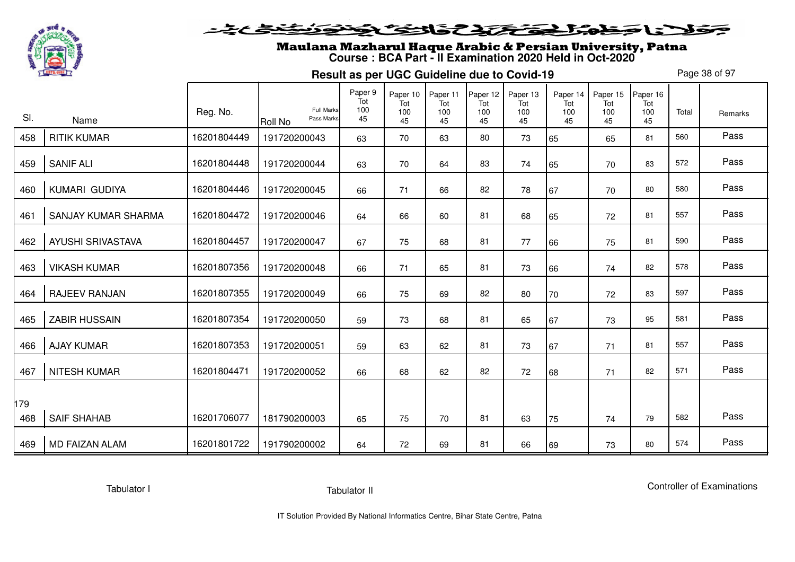

#### فلانا وطولخ تكتلا كفائك كضوئ فنفض

# Maulana Mazharul Haque Arabic & Persian University, Patna **Course : BCA Part - II Examination 2020 Held in Oct-2020**

**Result as per UGC Guideline due to Covid-19**

Page 38 of 97

| SI. | Name                       | Reg. No.    | <b>Full Marks</b><br>Pass Marks<br>Roll No | Paper 9<br>Tot<br>100<br>45 | Paper 10<br>Tot<br>100<br>45 | Paper 11<br>Tot<br>100<br>45 | Paper 12<br>Tot<br>100<br>45 | Paper 13<br>Tot<br>100<br>45 | Paper 14<br>Tot<br>100<br>45 | Paper 15<br>Tot<br>100<br>45 | Paper 16<br>Tot<br>100<br>45 | Total | Remarks |
|-----|----------------------------|-------------|--------------------------------------------|-----------------------------|------------------------------|------------------------------|------------------------------|------------------------------|------------------------------|------------------------------|------------------------------|-------|---------|
| 458 | <b>RITIK KUMAR</b>         | 16201804449 | 191720200043                               | 63                          | 70                           | 63                           | 80                           | 73                           | 65                           | 65                           | 81                           | 560   | Pass    |
| 459 | <b>SANIF ALI</b>           | 16201804448 | 191720200044                               | 63                          | 70                           | 64                           | 83                           | 74                           | 65                           | 70                           | 83                           | 572   | Pass    |
| 460 | KUMARI GUDIYA              | 16201804446 | 191720200045                               | 66                          | 71                           | 66                           | 82                           | 78                           | 67                           | 70                           | 80                           | 580   | Pass    |
| 461 | <b>SANJAY KUMAR SHARMA</b> | 16201804472 | 191720200046                               | 64                          | 66                           | 60                           | 81                           | 68                           | 65                           | 72                           | 81                           | 557   | Pass    |
| 462 | <b>AYUSHI SRIVASTAVA</b>   | 16201804457 | 191720200047                               | 67                          | 75                           | 68                           | 81                           | 77                           | 66                           | 75                           | 81                           | 590   | Pass    |
| 463 | <b>VIKASH KUMAR</b>        | 16201807356 | 191720200048                               | 66                          | 71                           | 65                           | 81                           | 73                           | 66                           | 74                           | 82                           | 578   | Pass    |
| 464 | <b>RAJEEV RANJAN</b>       | 16201807355 | 191720200049                               | 66                          | 75                           | 69                           | 82                           | 80                           | 70                           | 72                           | 83                           | 597   | Pass    |
| 465 | <b>ZABIR HUSSAIN</b>       | 16201807354 | 191720200050                               | 59                          | 73                           | 68                           | 81                           | 65                           | 67                           | 73                           | 95                           | 581   | Pass    |
| 466 | <b>AJAY KUMAR</b>          | 16201807353 | 191720200051                               | 59                          | 63                           | 62                           | 81                           | 73                           | 67                           | 71                           | 81                           | 557   | Pass    |
| 467 | <b>NITESH KUMAR</b>        | 16201804471 | 191720200052                               | 66                          | 68                           | 62                           | 82                           | 72                           | 68                           | 71                           | 82                           | 571   | Pass    |
| 179 |                            |             |                                            |                             |                              |                              |                              |                              |                              |                              |                              |       |         |
| 468 | <b>SAIF SHAHAB</b>         | 16201706077 | 181790200003                               | 65                          | 75                           | 70                           | 81                           | 63                           | 75                           | 74                           | 79                           | 582   | Pass    |
| 469 | MD FAIZAN ALAM             | 16201801722 | 191790200002                               | 64                          | 72                           | 69                           | 81                           | 66                           | 69                           | 73                           | 80                           | 574   | Pass    |

Tabulator I

Tabulator II

Controller of Examinations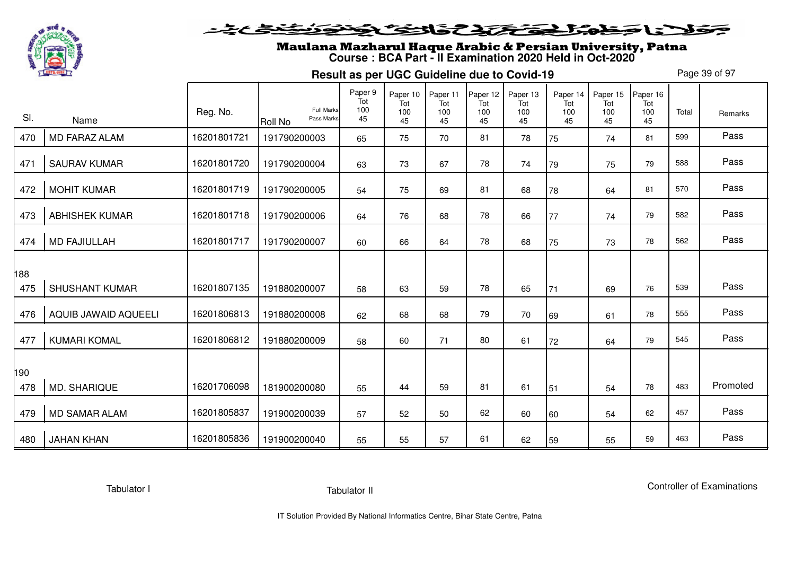

# Maulana Mazharul Haque Arabic & Persian University, Patna **Course : BCA Part - II Examination 2020 Held in Oct-2020**

**Result as per UGC Guideline due to Covid-19**

Page 39 of 97

|            |                             | Reg. No.    | Full Marks                   | Paper 9<br>Tot<br>100 | Paper 10<br>Tot<br>100 | Paper 11<br>Tot<br>100 | Paper 12<br>Tot<br>100 | Paper 13<br>Tot<br>100 | Paper 14<br>Tot<br>100 | Paper 15<br>Tot<br>100 | Paper 16<br>Tot<br>100 | Total | Remarks  |
|------------|-----------------------------|-------------|------------------------------|-----------------------|------------------------|------------------------|------------------------|------------------------|------------------------|------------------------|------------------------|-------|----------|
| SI.        | Name                        |             | Pass Marks<br><b>Roll No</b> | 45                    | 45                     | 45                     | 45                     | 45                     | 45                     | 45                     | 45                     |       |          |
| 470        | <b>MD FARAZ ALAM</b>        | 16201801721 | 191790200003                 | 65                    | 75                     | 70                     | 81                     | 78                     | 75                     | 74                     | 81                     | 599   | Pass     |
| 471        | <b>SAURAV KUMAR</b>         | 16201801720 | 191790200004                 | 63                    | 73                     | 67                     | 78                     | 74                     | 79                     | 75                     | 79                     | 588   | Pass     |
| 472        | <b>MOHIT KUMAR</b>          | 16201801719 | 191790200005                 | 54                    | 75                     | 69                     | 81                     | 68                     | 78                     | 64                     | 81                     | 570   | Pass     |
| 473        | <b>ABHISHEK KUMAR</b>       | 16201801718 | 191790200006                 | 64                    | 76                     | 68                     | 78                     | 66                     | 77                     | 74                     | 79                     | 582   | Pass     |
| 474        | <b>MD FAJIULLAH</b>         | 16201801717 | 191790200007                 | 60                    | 66                     | 64                     | 78                     | 68                     | 75                     | 73                     | 78                     | 562   | Pass     |
| 188<br>475 | <b>SHUSHANT KUMAR</b>       | 16201807135 | 191880200007                 | 58                    | 63                     | 59                     | 78                     | 65                     | 71                     | 69                     | 76                     | 539   | Pass     |
| 476        | <b>AQUIB JAWAID AQUEELI</b> | 16201806813 | 191880200008                 | 62                    | 68                     | 68                     | 79                     | 70                     | 69                     | 61                     | 78                     | 555   | Pass     |
| 477        | <b>KUMARI KOMAL</b>         | 16201806812 | 191880200009                 | 58                    | 60                     | 71                     | 80                     | 61                     | 72                     | 64                     | 79                     | 545   | Pass     |
| 190<br>478 | MD. SHARIQUE                | 16201706098 | 181900200080                 | 55                    | 44                     | 59                     | 81                     | 61                     | 51                     | 54                     | 78                     | 483   | Promoted |
| 479        | <b>MD SAMAR ALAM</b>        | 16201805837 | 191900200039                 | 57                    | 52                     | 50                     | 62                     | 60                     | 60                     | 54                     | 62                     | 457   | Pass     |
| 480        | <b>JAHAN KHAN</b>           | 16201805836 | 191900200040                 | 55                    | 55                     | 57                     | 61                     | 62                     | 59                     | 55                     | 59                     | 463   | Pass     |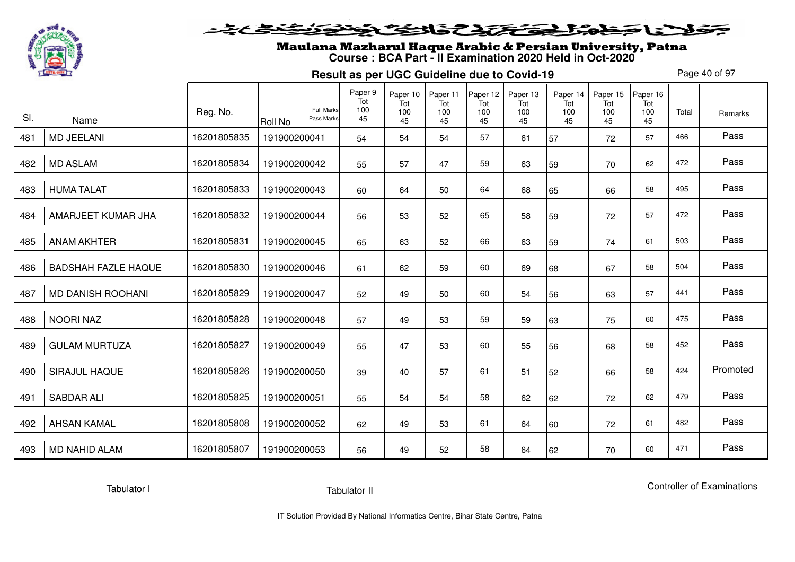

# Maulana Mazharul Haque Arabic & Persian University, Patna **Course : BCA Part - II Examination 2020 Held in Oct-2020**

**Result as per UGC Guideline due to Covid-19**

Page 40 of 97

|     |                            | Reg. No.    | <b>Full Marks</b>            | Paper 9<br>Tot<br>100 | Paper 10<br>Tot<br>100 | Paper 11<br>Tot<br>100 | Paper 12<br>Tot<br>100 | Paper 13<br>Tot<br>100 | Paper 14<br>Tot<br>100 | Paper 15<br>Tot<br>100 | Paper 16<br>Tot<br>100 | Total | Remarks  |
|-----|----------------------------|-------------|------------------------------|-----------------------|------------------------|------------------------|------------------------|------------------------|------------------------|------------------------|------------------------|-------|----------|
| SI. | Name                       |             | Pass Marks<br><b>Roll No</b> | 45                    | 45                     | 45                     | 45                     | 45                     | 45                     | 45                     | 45                     |       |          |
| 481 | <b>MD JEELANI</b>          | 16201805835 | 191900200041                 | 54                    | 54                     | 54                     | 57                     | 61                     | 57                     | 72                     | 57                     | 466   | Pass     |
| 482 | <b>MD ASLAM</b>            | 16201805834 | 191900200042                 | 55                    | 57                     | 47                     | 59                     | 63                     | 59                     | 70                     | 62                     | 472   | Pass     |
| 483 | <b>HUMA TALAT</b>          | 16201805833 | 191900200043                 | 60                    | 64                     | 50                     | 64                     | 68                     | 65                     | 66                     | 58                     | 495   | Pass     |
| 484 | AMARJEET KUMAR JHA         | 16201805832 | 191900200044                 | 56                    | 53                     | 52                     | 65                     | 58                     | 59                     | 72                     | 57                     | 472   | Pass     |
| 485 | <b>ANAM AKHTER</b>         | 16201805831 | 191900200045                 | 65                    | 63                     | 52                     | 66                     | 63                     | 59                     | 74                     | 61                     | 503   | Pass     |
| 486 | <b>BADSHAH FAZLE HAQUE</b> | 16201805830 | 191900200046                 | 61                    | 62                     | 59                     | 60                     | 69                     | 68                     | 67                     | 58                     | 504   | Pass     |
| 487 | <b>MD DANISH ROOHANI</b>   | 16201805829 | 191900200047                 | 52                    | 49                     | 50                     | 60                     | 54                     | 56                     | 63                     | 57                     | 441   | Pass     |
| 488 | <b>NOORI NAZ</b>           | 16201805828 | 191900200048                 | 57                    | 49                     | 53                     | 59                     | 59                     | 63                     | 75                     | 60                     | 475   | Pass     |
| 489 | <b>GULAM MURTUZA</b>       | 16201805827 | 191900200049                 | 55                    | 47                     | 53                     | 60                     | 55                     | 56                     | 68                     | 58                     | 452   | Pass     |
| 490 | SIRAJUL HAQUE              | 16201805826 | 191900200050                 | 39                    | 40                     | 57                     | 61                     | 51                     | 52                     | 66                     | 58                     | 424   | Promoted |
| 491 | <b>SABDAR ALI</b>          | 16201805825 | 191900200051                 | 55                    | 54                     | 54                     | 58                     | 62                     | 62                     | 72                     | 62                     | 479   | Pass     |
| 492 | <b>AHSAN KAMAL</b>         | 16201805808 | 191900200052                 | 62                    | 49                     | 53                     | 61                     | 64                     | 60                     | 72                     | 61                     | 482   | Pass     |
| 493 | <b>MD NAHID ALAM</b>       | 16201805807 | 191900200053                 | 56                    | 49                     | 52                     | 58                     | 64                     | 62                     | 70                     | 60                     | 471   | Pass     |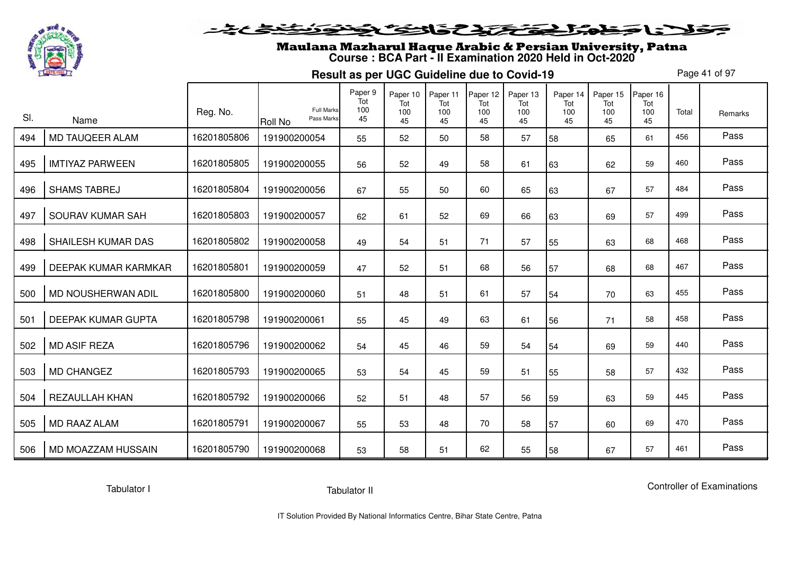

# Maulana Mazharul Haque Arabic & Persian University, Patna **Course : BCA Part - II Examination 2020 Held in Oct-2020**

**Result as per UGC Guideline due to Covid-19**

Page 41 of 97

| SI. |                             | Reg. No.    | <b>Full Marks</b><br>Pass Marks | Paper 9<br>Tot<br>100 | Paper 10<br>Tot<br>100 | Paper 11<br>Tot<br>100 | Paper 12<br>Tot<br>100 | Paper 13<br>Tot<br>100 | Paper 14<br>Tot<br>100 | Paper 15<br>Tot<br>100 | Paper 16<br>Tot<br>100 | Total | Remarks |
|-----|-----------------------------|-------------|---------------------------------|-----------------------|------------------------|------------------------|------------------------|------------------------|------------------------|------------------------|------------------------|-------|---------|
|     | Name                        |             | <b>Roll No</b>                  | 45                    | 45                     | 45                     | 45                     | 45                     | 45                     | 45                     | 45                     |       |         |
| 494 | <b>MD TAUQEER ALAM</b>      | 16201805806 | 191900200054                    | 55                    | 52                     | 50                     | 58                     | 57                     | 58                     | 65                     | 61                     | 456   | Pass    |
| 495 | <b>IMTIYAZ PARWEEN</b>      | 16201805805 | 191900200055                    | 56                    | 52                     | 49                     | 58                     | 61                     | 63                     | 62                     | 59                     | 460   | Pass    |
| 496 | <b>SHAMS TABREJ</b>         | 16201805804 | 191900200056                    | 67                    | 55                     | 50                     | 60                     | 65                     | 63                     | 67                     | 57                     | 484   | Pass    |
| 497 | SOURAV KUMAR SAH            | 16201805803 | 191900200057                    | 62                    | 61                     | 52                     | 69                     | 66                     | 63                     | 69                     | 57                     | 499   | Pass    |
| 498 | SHAILESH KUMAR DAS          | 16201805802 | 191900200058                    | 49                    | 54                     | 51                     | 71                     | 57                     | 55                     | 63                     | 68                     | 468   | Pass    |
| 499 | <b>DEEPAK KUMAR KARMKAR</b> | 16201805801 | 191900200059                    | 47                    | 52                     | 51                     | 68                     | 56                     | 57                     | 68                     | 68                     | 467   | Pass    |
| 500 | MD NOUSHERWAN ADIL          | 16201805800 | 191900200060                    | 51                    | 48                     | 51                     | 61                     | 57                     | 54                     | 70                     | 63                     | 455   | Pass    |
| 501 | <b>DEEPAK KUMAR GUPTA</b>   | 16201805798 | 191900200061                    | 55                    | 45                     | 49                     | 63                     | 61                     | 56                     | 71                     | 58                     | 458   | Pass    |
| 502 | <b>MD ASIF REZA</b>         | 16201805796 | 191900200062                    | 54                    | 45                     | 46                     | 59                     | 54                     | 54                     | 69                     | 59                     | 440   | Pass    |
| 503 | <b>MD CHANGEZ</b>           | 16201805793 | 191900200065                    | 53                    | 54                     | 45                     | 59                     | 51                     | 55                     | 58                     | 57                     | 432   | Pass    |
| 504 | REZAULLAH KHAN              | 16201805792 | 191900200066                    | 52                    | 51                     | 48                     | 57                     | 56                     | 59                     | 63                     | 59                     | 445   | Pass    |
| 505 | <b>MD RAAZ ALAM</b>         | 16201805791 | 191900200067                    | 55                    | 53                     | 48                     | 70                     | 58                     | 57                     | 60                     | 69                     | 470   | Pass    |
| 506 | MD MOAZZAM HUSSAIN          | 16201805790 | 191900200068                    | 53                    | 58                     | 51                     | 62                     | 55                     | 58                     | 67                     | 57                     | 461   | Pass    |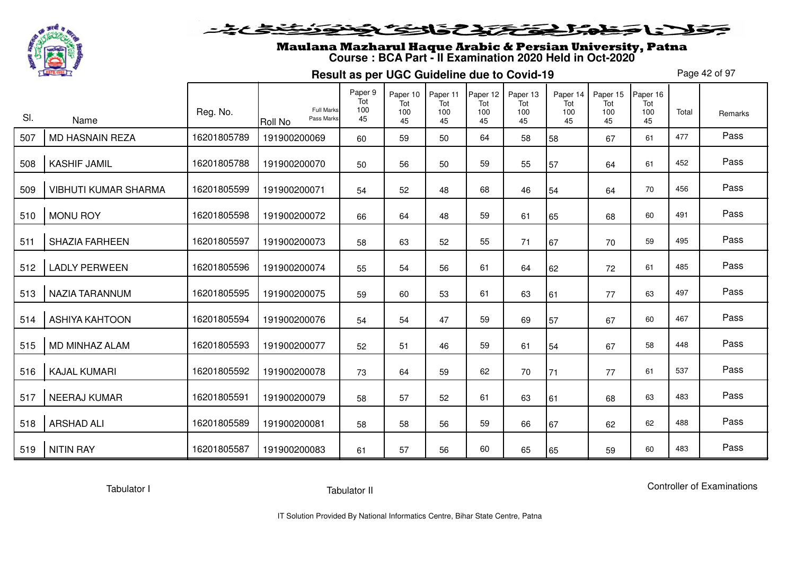

# Maulana Mazharul Haque Arabic & Persian University, Patna **Course : BCA Part - II Examination 2020 Held in Oct-2020**

**Result as per UGC Guideline due to Covid-19**

Page 42 of 97

| SI. |                             | Reg. No.    | <b>Full Marks</b><br>Pass Marks | Paper 9<br>Tot<br>100 | Paper 10<br>Tot<br>100 | Paper 11<br>Tot<br>100 | Paper 12<br>Tot<br>100 | Paper 13<br>Tot<br>100 | Paper 14<br>Tot<br>100 | Paper 15<br>Tot<br>100 | Paper 16<br>Tot<br>100 | Total | Remarks |
|-----|-----------------------------|-------------|---------------------------------|-----------------------|------------------------|------------------------|------------------------|------------------------|------------------------|------------------------|------------------------|-------|---------|
|     | Name                        |             | <b>Roll No</b>                  | 45                    | 45                     | 45                     | 45                     | 45                     | 45                     | 45                     | 45                     |       |         |
| 507 | <b>MD HASNAIN REZA</b>      | 16201805789 | 191900200069                    | 60                    | 59                     | 50                     | 64                     | 58                     | 58                     | 67                     | 61                     | 477   | Pass    |
| 508 | <b>KASHIF JAMIL</b>         | 16201805788 | 191900200070                    | 50                    | 56                     | 50                     | 59                     | 55                     | 57                     | 64                     | 61                     | 452   | Pass    |
| 509 | <b>VIBHUTI KUMAR SHARMA</b> | 16201805599 | 191900200071                    | 54                    | 52                     | 48                     | 68                     | 46                     | 54                     | 64                     | 70                     | 456   | Pass    |
| 510 | <b>MONU ROY</b>             | 16201805598 | 191900200072                    | 66                    | 64                     | 48                     | 59                     | 61                     | 65                     | 68                     | 60                     | 491   | Pass    |
| 511 | <b>SHAZIA FARHEEN</b>       | 16201805597 | 191900200073                    | 58                    | 63                     | 52                     | 55                     | 71                     | 67                     | 70                     | 59                     | 495   | Pass    |
| 512 | <b>LADLY PERWEEN</b>        | 16201805596 | 191900200074                    | 55                    | 54                     | 56                     | 61                     | 64                     | 62                     | 72                     | 61                     | 485   | Pass    |
| 513 | <b>NAZIA TARANNUM</b>       | 16201805595 | 191900200075                    | 59                    | 60                     | 53                     | 61                     | 63                     | 61                     | 77                     | 63                     | 497   | Pass    |
| 514 | <b>ASHIYA KAHTOON</b>       | 16201805594 | 191900200076                    | 54                    | 54                     | 47                     | 59                     | 69                     | 57                     | 67                     | 60                     | 467   | Pass    |
| 515 | MD MINHAZ ALAM              | 16201805593 | 191900200077                    | 52                    | 51                     | 46                     | 59                     | 61                     | 54                     | 67                     | 58                     | 448   | Pass    |
| 516 | <b>KAJAL KUMARI</b>         | 16201805592 | 191900200078                    | 73                    | 64                     | 59                     | 62                     | 70                     | 71                     | 77                     | 61                     | 537   | Pass    |
| 517 | <b>NEERAJ KUMAR</b>         | 16201805591 | 191900200079                    | 58                    | 57                     | 52                     | 61                     | 63                     | 61                     | 68                     | 63                     | 483   | Pass    |
| 518 | <b>ARSHAD ALI</b>           | 16201805589 | 191900200081                    | 58                    | 58                     | 56                     | 59                     | 66                     | 67                     | 62                     | 62                     | 488   | Pass    |
| 519 | <b>NITIN RAY</b>            | 16201805587 | 191900200083                    | 61                    | 57                     | 56                     | 60                     | 65                     | 65                     | 59                     | 60                     | 483   | Pass    |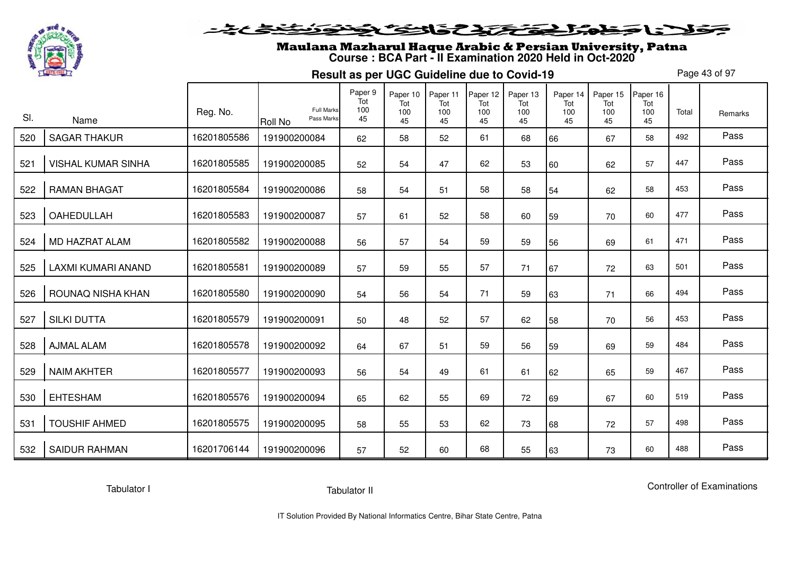

# Maulana Mazharul Haque Arabic & Persian University, Patna **Course : BCA Part - II Examination 2020 Held in Oct-2020**

**Result as per UGC Guideline due to Covid-19**

Page 43 of 97

|     |                           | Reg. No.    | <b>Full Marks</b>            | Paper 9<br>Tot<br>100 | Paper 10<br>Tot<br>100 | Paper 11<br>Tot<br>100 | Paper 12<br>Tot<br>100 | Paper 13<br>Tot<br>100 | Paper 14<br>Tot<br>100 | Paper 15<br>Tot<br>100 | Paper 16<br>Tot<br>100 | Total |         |
|-----|---------------------------|-------------|------------------------------|-----------------------|------------------------|------------------------|------------------------|------------------------|------------------------|------------------------|------------------------|-------|---------|
| SI. | Name                      |             | Pass Marks<br><b>Roll No</b> | 45                    | 45                     | 45                     | 45                     | 45                     | 45                     | 45                     | 45                     |       | Remarks |
| 520 | <b>SAGAR THAKUR</b>       | 16201805586 | 191900200084                 | 62                    | 58                     | 52                     | 61                     | 68                     | 66                     | 67                     | 58                     | 492   | Pass    |
| 521 | <b>VISHAL KUMAR SINHA</b> | 16201805585 | 191900200085                 | 52                    | 54                     | 47                     | 62                     | 53                     | 60                     | 62                     | 57                     | 447   | Pass    |
| 522 | <b>RAMAN BHAGAT</b>       | 16201805584 | 191900200086                 | 58                    | 54                     | 51                     | 58                     | 58                     | 54                     | 62                     | 58                     | 453   | Pass    |
| 523 | OAHEDULLAH                | 16201805583 | 191900200087                 | 57                    | 61                     | 52                     | 58                     | 60                     | 59                     | 70                     | 60                     | 477   | Pass    |
| 524 | <b>MD HAZRAT ALAM</b>     | 16201805582 | 191900200088                 | 56                    | 57                     | 54                     | 59                     | 59                     | 56                     | 69                     | 61                     | 471   | Pass    |
| 525 | LAXMI KUMARI ANAND        | 16201805581 | 191900200089                 | 57                    | 59                     | 55                     | 57                     | 71                     | 67                     | 72                     | 63                     | 501   | Pass    |
| 526 | ROUNAQ NISHA KHAN         | 16201805580 | 191900200090                 | 54                    | 56                     | 54                     | 71                     | 59                     | 63                     | 71                     | 66                     | 494   | Pass    |
| 527 | <b>SILKI DUTTA</b>        | 16201805579 | 191900200091                 | 50                    | 48                     | 52                     | 57                     | 62                     | 58                     | 70                     | 56                     | 453   | Pass    |
| 528 | <b>AJMAL ALAM</b>         | 16201805578 | 191900200092                 | 64                    | 67                     | 51                     | 59                     | 56                     | 59                     | 69                     | 59                     | 484   | Pass    |
| 529 | <b>NAIM AKHTER</b>        | 16201805577 | 191900200093                 | 56                    | 54                     | 49                     | 61                     | 61                     | 62                     | 65                     | 59                     | 467   | Pass    |
| 530 | <b>EHTESHAM</b>           | 16201805576 | 191900200094                 | 65                    | 62                     | 55                     | 69                     | 72                     | 69                     | 67                     | 60                     | 519   | Pass    |
| 531 | <b>TOUSHIF AHMED</b>      | 16201805575 | 191900200095                 | 58                    | 55                     | 53                     | 62                     | 73                     | 68                     | 72                     | 57                     | 498   | Pass    |
| 532 | <b>SAIDUR RAHMAN</b>      | 16201706144 | 191900200096                 | 57                    | 52                     | 60                     | 68                     | 55                     | 63                     | 73                     | 60                     | 488   | Pass    |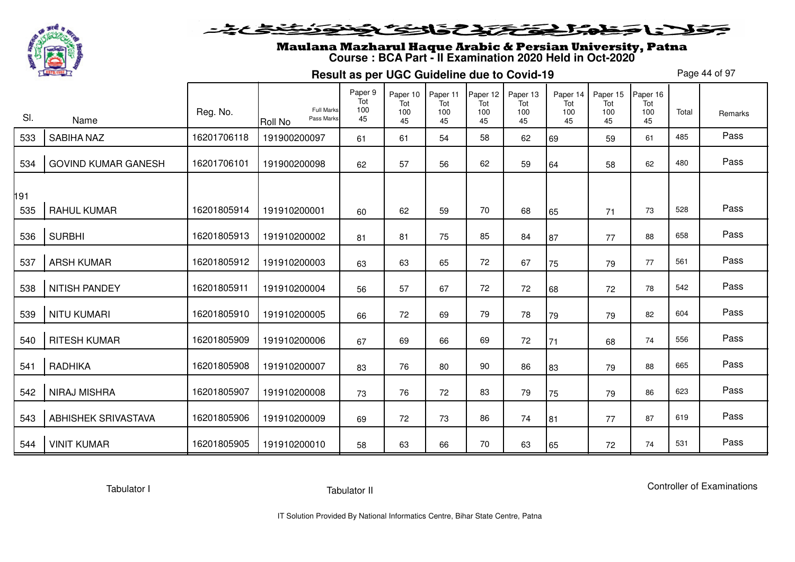

# Maulana Mazharul Haque Arabic & Persian University, Patna **Course : BCA Part - II Examination 2020 Held in Oct-2020**

**Result as per UGC Guideline due to Covid-19**

Page 44 of 97

| SI.        | Name                       | Reg. No.    | <b>Full Marks</b><br>Pass Marks<br><b>Roll No</b> | Paper 9<br>Tot<br>100<br>45 | Paper 10<br>Tot<br>100<br>45 | Paper 11<br>Tot<br>100<br>45 | Paper 12<br>Tot<br>100<br>45 | Paper 13<br>Tot<br>100<br>45 | Paper 14<br>Tot<br>100<br>45 | Paper 15<br>Tot<br>100<br>45 | Paper 16<br>Tot<br>100<br>45 | Total | Remarks |
|------------|----------------------------|-------------|---------------------------------------------------|-----------------------------|------------------------------|------------------------------|------------------------------|------------------------------|------------------------------|------------------------------|------------------------------|-------|---------|
| 533        | SABIHA NAZ                 | 16201706118 | 191900200097                                      | 61                          | 61                           | 54                           | 58                           | 62                           | 69                           | 59                           | 61                           | 485   | Pass    |
| 534        | <b>GOVIND KUMAR GANESH</b> | 16201706101 | 191900200098                                      | 62                          | 57                           | 56                           | 62                           | 59                           | 64                           | 58                           | 62                           | 480   | Pass    |
| 191<br>535 | <b>RAHUL KUMAR</b>         | 16201805914 | 191910200001                                      | 60                          | 62                           | 59                           | 70                           | 68                           | 65                           | 71                           | 73                           | 528   | Pass    |
| 536        | <b>SURBHI</b>              | 16201805913 | 191910200002                                      | 81                          | 81                           | 75                           | 85                           | 84                           | 87                           | 77                           | 88                           | 658   | Pass    |
| 537        | <b>ARSH KUMAR</b>          | 16201805912 | 191910200003                                      | 63                          | 63                           | 65                           | 72                           | 67                           | 75                           | 79                           | 77                           | 561   | Pass    |
| 538        | <b>NITISH PANDEY</b>       | 16201805911 | 191910200004                                      | 56                          | 57                           | 67                           | 72                           | 72                           | 68                           | 72                           | 78                           | 542   | Pass    |
| 539        | <b>NITU KUMARI</b>         | 16201805910 | 191910200005                                      | 66                          | 72                           | 69                           | 79                           | 78                           | 79                           | 79                           | 82                           | 604   | Pass    |
| 540        | <b>RITESH KUMAR</b>        | 16201805909 | 191910200006                                      | 67                          | 69                           | 66                           | 69                           | 72                           | 71                           | 68                           | 74                           | 556   | Pass    |
| 541        | RADHIKA                    | 16201805908 | 191910200007                                      | 83                          | 76                           | 80                           | 90                           | 86                           | 83                           | 79                           | 88                           | 665   | Pass    |
| 542        | <b>NIRAJ MISHRA</b>        | 16201805907 | 191910200008                                      | 73                          | 76                           | 72                           | 83                           | 79                           | 75                           | 79                           | 86                           | 623   | Pass    |
| 543        | <b>ABHISHEK SRIVASTAVA</b> | 16201805906 | 191910200009                                      | 69                          | 72                           | 73                           | 86                           | 74                           | 81                           | 77                           | 87                           | 619   | Pass    |
| 544        | <b>VINIT KUMAR</b>         | 16201805905 | 191910200010                                      | 58                          | 63                           | 66                           | 70                           | 63                           | 65                           | 72                           | 74                           | 531   | Pass    |

Tabulator I

Tabulator II

Controller of Examinations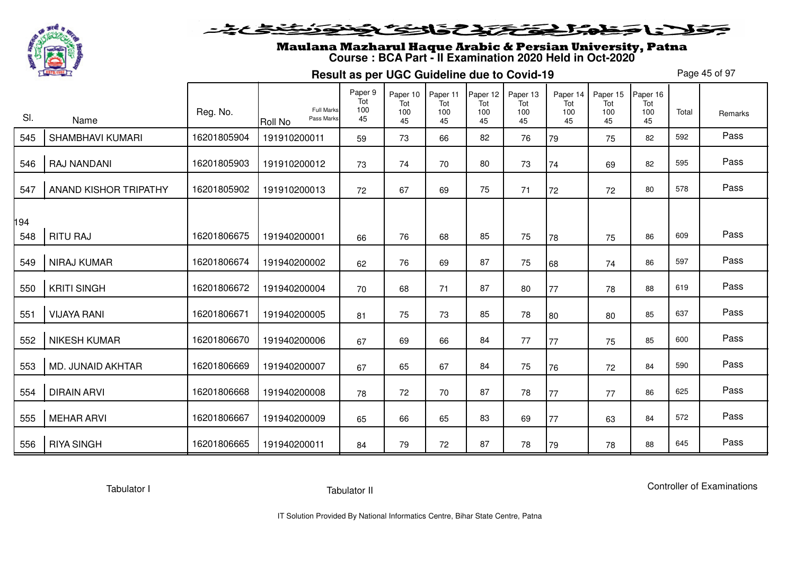

# Maulana Mazharul Haque Arabic & Persian University, Patna **Course : BCA Part - II Examination 2020 Held in Oct-2020**

**Result as per UGC Guideline due to Covid-19**

Page 45 of 97

| SI.        | Name                  | Reg. No.    | <b>Full Marks</b><br>Pass Marks<br><b>Roll No</b> | Paper 9<br>Tot<br>100<br>45 | Paper 10<br>Tot<br>100<br>45 | Paper 11<br>Tot<br>100<br>45 | Paper 12<br>Tot<br>100<br>45 | Paper 13<br>Tot<br>100<br>45 | Paper 14<br>Tot<br>100<br>45 | Paper 15<br>Tot<br>100<br>45 | Paper 16<br>Tot<br>100<br>45 | Total | Remarks |
|------------|-----------------------|-------------|---------------------------------------------------|-----------------------------|------------------------------|------------------------------|------------------------------|------------------------------|------------------------------|------------------------------|------------------------------|-------|---------|
| 545        | SHAMBHAVI KUMARI      | 16201805904 | 191910200011                                      | 59                          | 73                           | 66                           | 82                           | 76                           | 79                           | 75                           | 82                           | 592   | Pass    |
| 546        | RAJ NANDANI           | 16201805903 | 191910200012                                      | 73                          | 74                           | 70                           | 80                           | 73                           | 74                           | 69                           | 82                           | 595   | Pass    |
| 547        | ANAND KISHOR TRIPATHY | 16201805902 | 191910200013                                      | 72                          | 67                           | 69                           | 75                           | 71                           | 72                           | 72                           | 80                           | 578   | Pass    |
| 194<br>548 | <b>RITU RAJ</b>       | 16201806675 | 191940200001                                      | 66                          | 76                           | 68                           | 85                           | 75                           | 78                           | 75                           | 86                           | 609   | Pass    |
| 549        | <b>NIRAJ KUMAR</b>    | 16201806674 | 191940200002                                      | 62                          | 76                           | 69                           | 87                           | 75                           | 68                           | 74                           | 86                           | 597   | Pass    |
| 550        | <b>KRITI SINGH</b>    | 16201806672 | 191940200004                                      | 70                          | 68                           | 71                           | 87                           | 80                           | 77                           | 78                           | 88                           | 619   | Pass    |
| 551        | <b>VIJAYA RANI</b>    | 16201806671 | 191940200005                                      | 81                          | 75                           | 73                           | 85                           | 78                           | 80                           | 80                           | 85                           | 637   | Pass    |
| 552        | <b>NIKESH KUMAR</b>   | 16201806670 | 191940200006                                      | 67                          | 69                           | 66                           | 84                           | 77                           | 77                           | 75                           | 85                           | 600   | Pass    |
| 553        | MD. JUNAID AKHTAR     | 16201806669 | 191940200007                                      | 67                          | 65                           | 67                           | 84                           | 75                           | 76                           | 72                           | 84                           | 590   | Pass    |
| 554        | <b>DIRAIN ARVI</b>    | 16201806668 | 191940200008                                      | 78                          | 72                           | 70                           | 87                           | 78                           | 77                           | 77                           | 86                           | 625   | Pass    |
| 555        | <b>MEHAR ARVI</b>     | 16201806667 | 191940200009                                      | 65                          | 66                           | 65                           | 83                           | 69                           | 77                           | 63                           | 84                           | 572   | Pass    |
| 556        | <b>RIYA SINGH</b>     | 16201806665 | 191940200011                                      | 84                          | 79                           | 72                           | 87                           | 78                           | 79                           | 78                           | 88                           | 645   | Pass    |

Tabulator I

Tabulator II

Controller of Examinations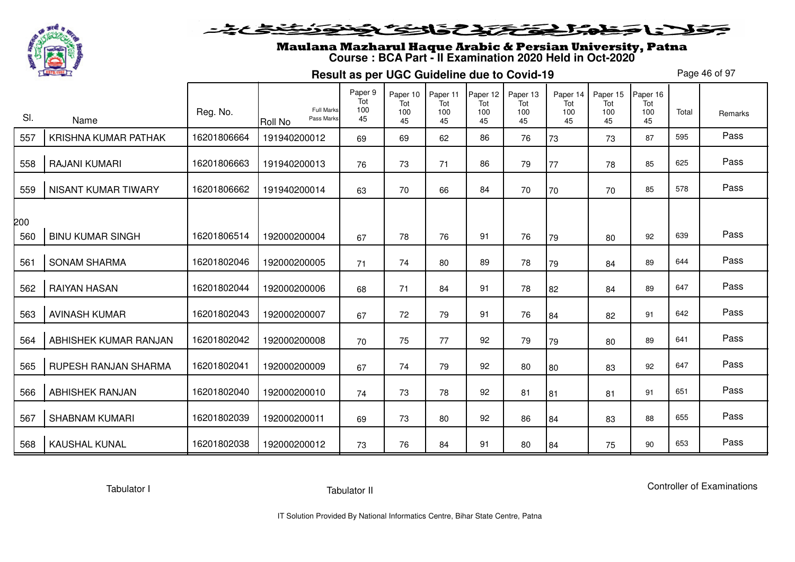

# Maulana Mazharul Haque Arabic & Persian University, Patna **Course : BCA Part - II Examination 2020 Held in Oct-2020**

**Result as per UGC Guideline due to Covid-19**

Page 46 of 97

| SI.        | Name                       | Reg. No.    | <b>Full Marks</b><br>Pass Marks<br>Roll No | Paper 9<br>Tot<br>100<br>45 | Paper 10<br>Tot<br>100<br>45 | Paper 11<br>Tot<br>100<br>45 | Paper 12<br>Tot<br>100<br>45 | Paper 13<br>Tot<br>100<br>45 | Paper 14<br>Tot<br>100<br>45 | Paper 15<br>Tot<br>100<br>45 | Paper 16<br>Tot<br>100<br>45 | Total | Remarks |
|------------|----------------------------|-------------|--------------------------------------------|-----------------------------|------------------------------|------------------------------|------------------------------|------------------------------|------------------------------|------------------------------|------------------------------|-------|---------|
| 557        | KRISHNA KUMAR PATHAK       | 16201806664 | 191940200012                               | 69                          | 69                           | 62                           | 86                           | 76                           | 73                           | 73                           | 87                           | 595   | Pass    |
| 558        | <b>RAJANI KUMARI</b>       | 16201806663 | 191940200013                               | 76                          | 73                           | 71                           | 86                           | 79                           | 77                           | 78                           | 85                           | 625   | Pass    |
| 559        | <b>NISANT KUMAR TIWARY</b> | 16201806662 | 191940200014                               | 63                          | 70                           | 66                           | 84                           | 70                           | 70                           | 70                           | 85                           | 578   | Pass    |
| 200<br>560 | <b>BINU KUMAR SINGH</b>    | 16201806514 | 192000200004                               | 67                          | 78                           | 76                           | 91                           | 76                           | 79                           | 80                           | 92                           | 639   | Pass    |
| 561        | <b>SONAM SHARMA</b>        | 16201802046 | 192000200005                               | 71                          | 74                           | 80                           | 89                           | 78                           | 79                           | 84                           | 89                           | 644   | Pass    |
| 562        | <b>RAIYAN HASAN</b>        | 16201802044 | 192000200006                               | 68                          | 71                           | 84                           | 91                           | 78                           | 82                           | 84                           | 89                           | 647   | Pass    |
| 563        | <b>AVINASH KUMAR</b>       | 16201802043 | 192000200007                               | 67                          | 72                           | 79                           | 91                           | 76                           | 84                           | 82                           | 91                           | 642   | Pass    |
| 564        | ABHISHEK KUMAR RANJAN      | 16201802042 | 192000200008                               | 70                          | 75                           | 77                           | 92                           | 79                           | 79                           | 80                           | 89                           | 641   | Pass    |
| 565        | RUPESH RANJAN SHARMA       | 16201802041 | 192000200009                               | 67                          | 74                           | 79                           | 92                           | 80                           | 80                           | 83                           | 92                           | 647   | Pass    |
| 566        | <b>ABHISHEK RANJAN</b>     | 16201802040 | 192000200010                               | 74                          | 73                           | 78                           | 92                           | 81                           | 81                           | 81                           | 91                           | 651   | Pass    |
| 567        | <b>SHABNAM KUMARI</b>      | 16201802039 | 192000200011                               | 69                          | 73                           | 80                           | 92                           | 86                           | 84                           | 83                           | 88                           | 655   | Pass    |
| 568        | <b>KAUSHAL KUNAL</b>       | 16201802038 | 192000200012                               | 73                          | 76                           | 84                           | 91                           | 80                           | 84                           | 75                           | 90                           | 653   | Pass    |

Tabulator I

Tabulator II

Controller of Examinations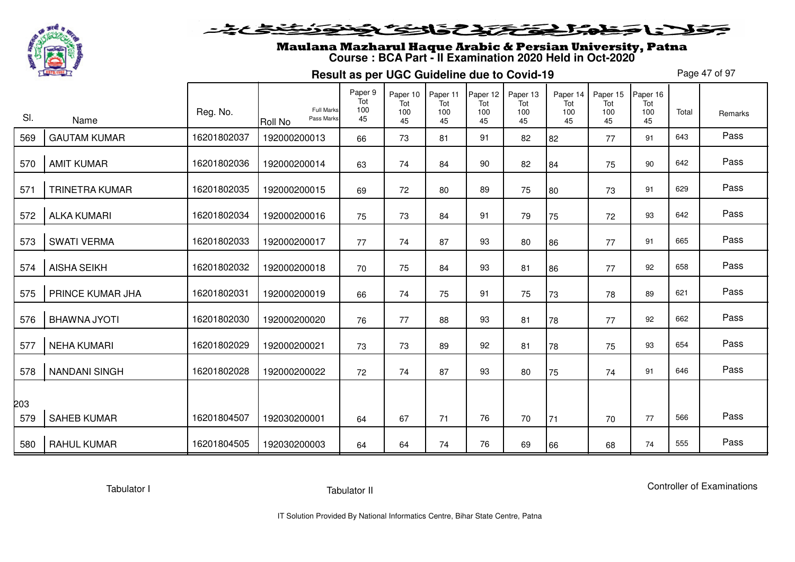

#### فلانا حفاشكنكنك فالتكنيك فتونفتك ومناف

# Maulana Mazharul Haque Arabic & Persian University, Patna **Course : BCA Part - II Examination 2020 Held in Oct-2020**

**Result as per UGC Guideline due to Covid-19**

Page 47 of 97

| SI.        | Name                  | Reg. No.    | <b>Full Marks</b><br>Pass Marks<br>Roll No | Paper 9<br>Tot<br>100<br>45 | Paper 10<br>Tot<br>100<br>45 | Paper 11<br>Tot<br>100<br>45 | Paper 12<br>Tot<br>100<br>45 | Paper 13<br>Tot<br>100<br>45 | Paper 14<br>Tot<br>100<br>45 | Paper 15<br>Tot<br>100<br>45 | Paper 16<br>Tot<br>100<br>45 | Total | Remarks |
|------------|-----------------------|-------------|--------------------------------------------|-----------------------------|------------------------------|------------------------------|------------------------------|------------------------------|------------------------------|------------------------------|------------------------------|-------|---------|
| 569        | <b>GAUTAM KUMAR</b>   | 16201802037 | 192000200013                               | 66                          | 73                           | 81                           | 91                           | 82                           | 82                           | 77                           | 91                           | 643   | Pass    |
| 570        | <b>AMIT KUMAR</b>     | 16201802036 | 192000200014                               | 63                          | 74                           | 84                           | 90                           | 82                           | 84                           | 75                           | 90                           | 642   | Pass    |
| 571        | <b>TRINETRA KUMAR</b> | 16201802035 | 192000200015                               | 69                          | 72                           | 80                           | 89                           | 75                           | 80                           | 73                           | 91                           | 629   | Pass    |
| 572        | <b>ALKA KUMARI</b>    | 16201802034 | 192000200016                               | 75                          | 73                           | 84                           | 91                           | 79                           | 75                           | 72                           | 93                           | 642   | Pass    |
| 573        | <b>SWATI VERMA</b>    | 16201802033 | 192000200017                               | 77                          | 74                           | 87                           | 93                           | 80                           | 86                           | 77                           | 91                           | 665   | Pass    |
| 574        | <b>AISHA SEIKH</b>    | 16201802032 | 192000200018                               | 70                          | 75                           | 84                           | 93                           | 81                           | 86                           | 77                           | 92                           | 658   | Pass    |
| 575        | PRINCE KUMAR JHA      | 16201802031 | 192000200019                               | 66                          | 74                           | 75                           | 91                           | 75                           | 73                           | 78                           | 89                           | 621   | Pass    |
| 576        | <b>BHAWNA JYOTI</b>   | 16201802030 | 192000200020                               | 76                          | 77                           | 88                           | 93                           | 81                           | 78                           | 77                           | 92                           | 662   | Pass    |
| 577        | <b>NEHA KUMARI</b>    | 16201802029 | 192000200021                               | 73                          | 73                           | 89                           | 92                           | 81                           | 78                           | 75                           | 93                           | 654   | Pass    |
| 578        | <b>NANDANI SINGH</b>  | 16201802028 | 192000200022                               | 72                          | 74                           | 87                           | 93                           | 80                           | 75                           | 74                           | 91                           | 646   | Pass    |
|            |                       |             |                                            |                             |                              |                              |                              |                              |                              |                              |                              |       |         |
| 203<br>579 | <b>SAHEB KUMAR</b>    | 16201804507 | 192030200001                               | 64                          | 67                           | 71                           | 76                           | 70                           | 71                           | 70                           | 77                           | 566   | Pass    |
| 580        | <b>RAHUL KUMAR</b>    | 16201804505 | 192030200003                               | 64                          | 64                           | 74                           | 76                           | 69                           | 66                           | 68                           | 74                           | 555   | Pass    |

Tabulator I

Tabulator II

Controller of Examinations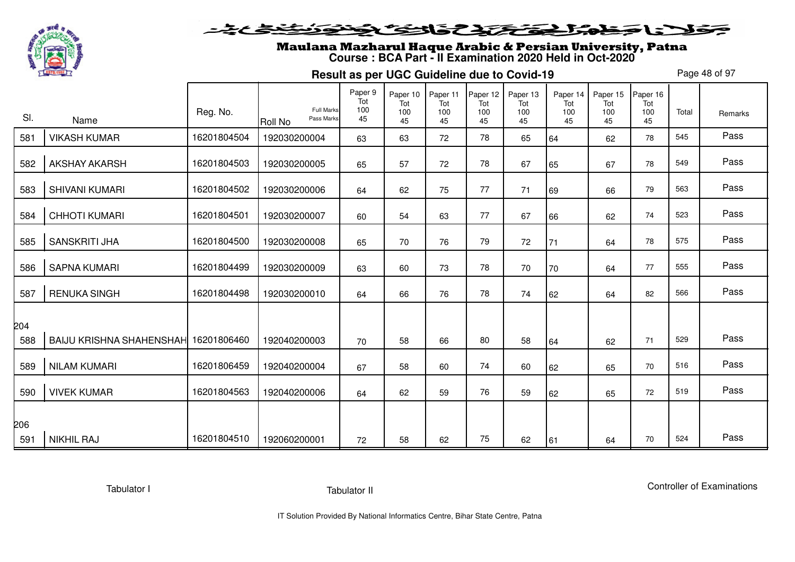

# Maulana Mazharul Haque Arabic & Persian University, Patna **Course : BCA Part - II Examination 2020 Held in Oct-2020**

**Result as per UGC Guideline due to Covid-19**

Page 48 of 97

| SI.        | Name                            | Reg. No.    | <b>Full Marks</b><br>Pass Marks<br>Roll No | Paper 9<br>Tot<br>100<br>45 | Paper 10<br>Tot<br>100<br>45 | Paper 11<br>Tot<br>100<br>45 | Paper 12<br>Tot<br>100<br>45 | Paper 13<br>Tot<br>100<br>45 | Paper 14<br>Tot<br>100<br>45 | Paper 15<br>Tot<br>100<br>45 | Paper 16<br>Tot<br>100<br>45 | Total | Remarks |
|------------|---------------------------------|-------------|--------------------------------------------|-----------------------------|------------------------------|------------------------------|------------------------------|------------------------------|------------------------------|------------------------------|------------------------------|-------|---------|
| 581        | <b>VIKASH KUMAR</b>             | 16201804504 | 192030200004                               | 63                          | 63                           | 72                           | 78                           | 65                           | 64                           | 62                           | 78                           | 545   | Pass    |
| 582        | <b>AKSHAY AKARSH</b>            | 16201804503 | 192030200005                               | 65                          | 57                           | 72                           | 78                           | 67                           | 65                           | 67                           | 78                           | 549   | Pass    |
| 583        | <b>SHIVANI KUMARI</b>           | 16201804502 | 192030200006                               | 64                          | 62                           | 75                           | 77                           | 71                           | 69                           | 66                           | 79                           | 563   | Pass    |
| 584        | <b>CHHOTI KUMARI</b>            | 16201804501 | 192030200007                               | 60                          | 54                           | 63                           | 77                           | 67                           | 66                           | 62                           | 74                           | 523   | Pass    |
| 585        | <b>SANSKRITI JHA</b>            | 16201804500 | 192030200008                               | 65                          | 70                           | 76                           | 79                           | 72                           | 71                           | 64                           | 78                           | 575   | Pass    |
| 586        | <b>SAPNA KUMARI</b>             | 16201804499 | 192030200009                               | 63                          | 60                           | 73                           | 78                           | 70                           | 70                           | 64                           | 77                           | 555   | Pass    |
| 587        | <b>RENUKA SINGH</b>             | 16201804498 | 192030200010                               | 64                          | 66                           | 76                           | 78                           | 74                           | 62                           | 64                           | 82                           | 566   | Pass    |
| 204        |                                 |             |                                            |                             |                              |                              |                              |                              |                              |                              |                              |       |         |
| 588        | <b>BAIJU KRISHNA SHAHENSHAH</b> | 16201806460 | 192040200003                               | 70                          | 58                           | 66                           | 80                           | 58                           | 64                           | 62                           | 71                           | 529   | Pass    |
| 589        | <b>NILAM KUMARI</b>             | 16201806459 | 192040200004                               | 67                          | 58                           | 60                           | 74                           | 60                           | 62                           | 65                           | 70                           | 516   | Pass    |
| 590        | <b>VIVEK KUMAR</b>              | 16201804563 | 192040200006                               | 64                          | 62                           | 59                           | 76                           | 59                           | 62                           | 65                           | 72                           | 519   | Pass    |
| 206<br>591 | <b>NIKHIL RAJ</b>               | 16201804510 | 192060200001                               | 72                          | 58                           | 62                           | 75                           | 62                           | 61                           | 64                           | 70                           | 524   | Pass    |
|            |                                 |             |                                            |                             |                              |                              |                              |                              |                              |                              |                              |       |         |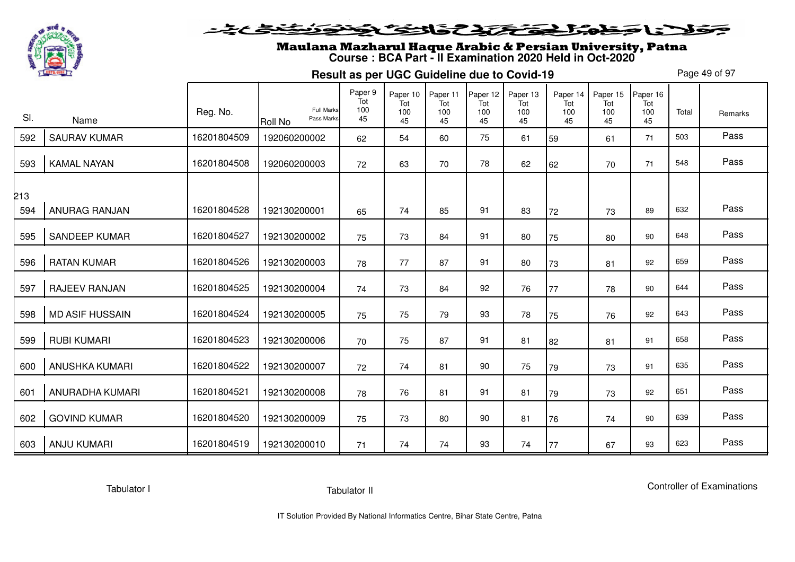

# Maulana Mazharul Haque Arabic & Persian University, Patna **Course : BCA Part - II Examination 2020 Held in Oct-2020**

**Result as per UGC Guideline due to Covid-19**

Page 49 of 97

| SI. | Name                   | Reg. No.    | <b>Full Marks</b><br>Pass Marks | Paper 9<br>Tot<br>100<br>45 | Paper 10<br>Tot<br>100 | Paper 11<br>Tot<br>100 | Paper 12<br>Tot<br>100 | Paper 13<br>Tot<br>100 | Paper 14<br>Tot<br>100 | Paper 15<br>Tot<br>100 | Paper 16<br>Tot<br>100<br>45 | Total | Remarks |
|-----|------------------------|-------------|---------------------------------|-----------------------------|------------------------|------------------------|------------------------|------------------------|------------------------|------------------------|------------------------------|-------|---------|
|     |                        |             | Roll No                         |                             | 45                     | 45                     | 45                     | 45                     | 45                     | 45                     |                              |       | Pass    |
| 592 | <b>SAURAV KUMAR</b>    | 16201804509 | 192060200002                    | 62                          | 54                     | 60                     | 75                     | 61                     | 59                     | 61                     | 71                           | 503   |         |
| 593 | <b>KAMAL NAYAN</b>     | 16201804508 | 192060200003                    | 72                          | 63                     | 70                     | 78                     | 62                     | 62                     | 70                     | 71                           | 548   | Pass    |
| 213 |                        |             |                                 |                             |                        |                        |                        |                        |                        |                        |                              |       |         |
| 594 | <b>ANURAG RANJAN</b>   | 16201804528 | 192130200001                    | 65                          | 74                     | 85                     | 91                     | 83                     | 72                     | 73                     | 89                           | 632   | Pass    |
| 595 | <b>SANDEEP KUMAR</b>   | 16201804527 | 192130200002                    | 75                          | 73                     | 84                     | 91                     | 80                     | 75                     | 80                     | 90                           | 648   | Pass    |
| 596 | <b>RATAN KUMAR</b>     | 16201804526 | 192130200003                    | 78                          | 77                     | 87                     | 91                     | 80                     | 73                     | 81                     | 92                           | 659   | Pass    |
| 597 | RAJEEV RANJAN          | 16201804525 | 192130200004                    | 74                          | 73                     | 84                     | 92                     | 76                     | 77                     | 78                     | 90                           | 644   | Pass    |
| 598 | <b>MD ASIF HUSSAIN</b> | 16201804524 | 192130200005                    | 75                          | 75                     | 79                     | 93                     | 78                     | 75                     | 76                     | 92                           | 643   | Pass    |
| 599 | <b>RUBI KUMARI</b>     | 16201804523 | 192130200006                    | 70                          | 75                     | 87                     | 91                     | 81                     | 82                     | 81                     | 91                           | 658   | Pass    |
| 600 | <b>ANUSHKA KUMARI</b>  | 16201804522 | 192130200007                    | 72                          | 74                     | 81                     | 90                     | 75                     | 79                     | 73                     | 91                           | 635   | Pass    |
| 601 | ANURADHA KUMARI        | 16201804521 | 192130200008                    | 78                          | 76                     | 81                     | 91                     | 81                     | 79                     | 73                     | 92                           | 651   | Pass    |
| 602 | <b>GOVIND KUMAR</b>    | 16201804520 | 192130200009                    | 75                          | 73                     | 80                     | 90                     | 81                     | 76                     | 74                     | 90                           | 639   | Pass    |
| 603 | <b>ANJU KUMARI</b>     | 16201804519 | 192130200010                    | 71                          | 74                     | 74                     | 93                     | 74                     | 77                     | 67                     | 93                           | 623   | Pass    |

Tabulator I

Tabulator II

Controller of Examinations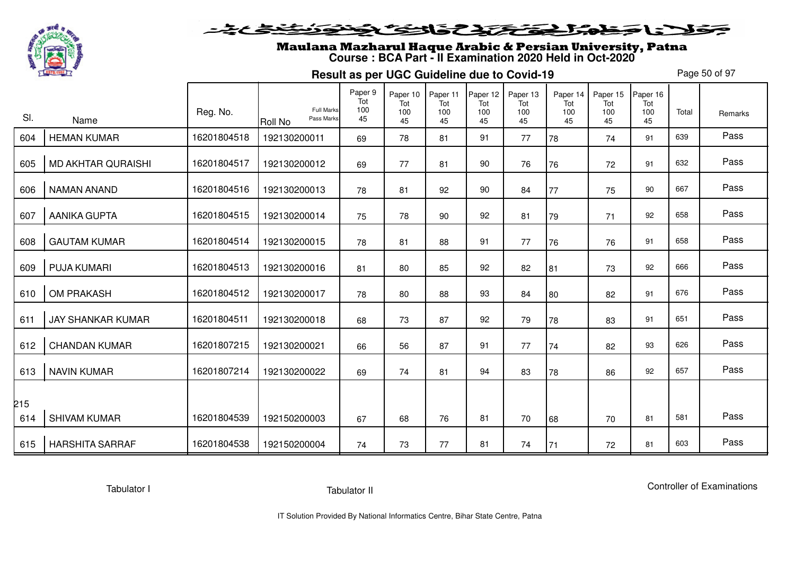

#### فلانا حفاشكنكنك فالتكنيك فتونفتك ومناف

# Maulana Mazharul Haque Arabic & Persian University, Patna **Course : BCA Part - II Examination 2020 Held in Oct-2020**

**Result as per UGC Guideline due to Covid-19**

Page 50 of 97

| SI. |                           | Reg. No.    | <b>Full Marks</b><br>Pass Marks | Paper 9<br>Tot<br>100<br>45 | Paper 10<br>Tot<br>100 | Paper 11<br>Tot<br>100 | Paper 12<br>Tot<br>100 | Paper 13<br>Tot<br>100 | Paper 14<br>Tot<br>100 | Paper 15<br>Tot<br>100 | Paper 16<br>Tot<br>100 | Total | Remarks |
|-----|---------------------------|-------------|---------------------------------|-----------------------------|------------------------|------------------------|------------------------|------------------------|------------------------|------------------------|------------------------|-------|---------|
|     | Name                      |             | Roll No                         |                             | 45                     | 45                     | 45                     | 45                     | 45                     | 45                     | 45                     |       |         |
| 604 | <b>HEMAN KUMAR</b>        | 16201804518 | 192130200011                    | 69                          | 78                     | 81                     | 91                     | 77                     | 78                     | 74                     | 91                     | 639   | Pass    |
| 605 | <b>MD AKHTAR QURAISHI</b> | 16201804517 | 192130200012                    | 69                          | 77                     | 81                     | 90                     | 76                     | 76                     | 72                     | 91                     | 632   | Pass    |
| 606 | <b>NAMAN ANAND</b>        | 16201804516 | 192130200013                    | 78                          | 81                     | 92                     | 90                     | 84                     | 77                     | 75                     | 90                     | 667   | Pass    |
| 607 | <b>AANIKA GUPTA</b>       | 16201804515 | 192130200014                    | 75                          | 78                     | 90                     | 92                     | 81                     | 79                     | 71                     | 92                     | 658   | Pass    |
| 608 | <b>GAUTAM KUMAR</b>       | 16201804514 | 192130200015                    | 78                          | 81                     | 88                     | 91                     | 77                     | 76                     | 76                     | 91                     | 658   | Pass    |
| 609 | <b>PUJA KUMARI</b>        | 16201804513 | 192130200016                    | 81                          | 80                     | 85                     | 92                     | 82                     | 81                     | 73                     | 92                     | 666   | Pass    |
| 610 | OM PRAKASH                | 16201804512 | 192130200017                    | 78                          | 80                     | 88                     | 93                     | 84                     | 80                     | 82                     | 91                     | 676   | Pass    |
| 611 | <b>JAY SHANKAR KUMAR</b>  | 16201804511 | 192130200018                    | 68                          | 73                     | 87                     | 92                     | 79                     | 78                     | 83                     | 91                     | 651   | Pass    |
| 612 | <b>CHANDAN KUMAR</b>      | 16201807215 | 192130200021                    | 66                          | 56                     | 87                     | 91                     | 77                     | 74                     | 82                     | 93                     | 626   | Pass    |
| 613 | <b>NAVIN KUMAR</b>        | 16201807214 | 192130200022                    | 69                          | 74                     | 81                     | 94                     | 83                     | 78                     | 86                     | 92                     | 657   | Pass    |
| 215 |                           |             |                                 |                             |                        |                        |                        |                        |                        |                        |                        |       |         |
| 614 | <b>SHIVAM KUMAR</b>       | 16201804539 | 192150200003                    | 67                          | 68                     | 76                     | 81                     | 70                     | 68                     | 70                     | 81                     | 581   | Pass    |
| 615 | <b>HARSHITA SARRAF</b>    | 16201804538 | 192150200004                    | 74                          | 73                     | 77                     | 81                     | 74                     | 71                     | 72                     | 81                     | 603   | Pass    |

Tabulator I

Tabulator II

Controller of Examinations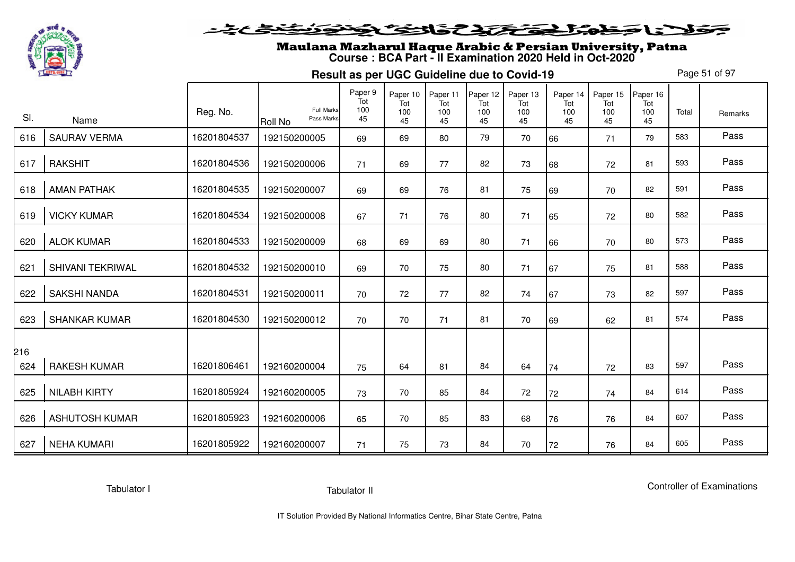

# Maulana Mazharul Haque Arabic & Persian University, Patna **Course : BCA Part - II Examination 2020 Held in Oct-2020**

**Result as per UGC Guideline due to Covid-19**

Page 51 of 97

| SI. | Name                    | Reg. No.    | <b>Full Marks</b><br>Pass Marks<br>Roll No | Paper 9<br>Tot<br>100<br>45 | Paper 10<br>Tot<br>100<br>45 | Paper 11<br>Tot<br>100<br>45 | Paper 12<br>Tot<br>100<br>45 | Paper 13<br>Tot<br>100<br>45 | Paper 14<br>Tot<br>100<br>45 | Paper 15<br>Tot<br>100<br>45 | Paper 16<br>Tot<br>100<br>45 | Total | Remarks |
|-----|-------------------------|-------------|--------------------------------------------|-----------------------------|------------------------------|------------------------------|------------------------------|------------------------------|------------------------------|------------------------------|------------------------------|-------|---------|
| 616 | <b>SAURAV VERMA</b>     | 16201804537 | 192150200005                               | 69                          | 69                           | 80                           | 79                           | 70                           | 66                           | 71                           | 79                           | 583   | Pass    |
| 617 | <b>RAKSHIT</b>          | 16201804536 | 192150200006                               | 71                          | 69                           | 77                           | 82                           | 73                           | 68                           | 72                           | 81                           | 593   | Pass    |
| 618 | <b>AMAN PATHAK</b>      | 16201804535 | 192150200007                               | 69                          | 69                           | 76                           | 81                           | 75                           | 69                           | 70                           | 82                           | 591   | Pass    |
| 619 | <b>VICKY KUMAR</b>      | 16201804534 | 192150200008                               | 67                          | 71                           | 76                           | 80                           | 71                           | 65                           | 72                           | 80                           | 582   | Pass    |
| 620 | <b>ALOK KUMAR</b>       | 16201804533 | 192150200009                               | 68                          | 69                           | 69                           | 80                           | 71                           | 66                           | 70                           | 80                           | 573   | Pass    |
| 621 | <b>SHIVANI TEKRIWAL</b> | 16201804532 | 192150200010                               | 69                          | 70                           | 75                           | 80                           | 71                           | 67                           | 75                           | 81                           | 588   | Pass    |
| 622 | <b>SAKSHI NANDA</b>     | 16201804531 | 192150200011                               | 70                          | 72                           | 77                           | 82                           | 74                           | 67                           | 73                           | 82                           | 597   | Pass    |
| 623 | <b>SHANKAR KUMAR</b>    | 16201804530 | 192150200012                               | 70                          | 70                           | 71                           | 81                           | 70                           | 69                           | 62                           | 81                           | 574   | Pass    |
| 216 |                         |             |                                            |                             |                              |                              |                              |                              |                              |                              |                              |       |         |
| 624 | <b>RAKESH KUMAR</b>     | 16201806461 | 192160200004                               | 75                          | 64                           | 81                           | 84                           | 64                           | 74                           | 72                           | 83                           | 597   | Pass    |
| 625 | <b>NILABH KIRTY</b>     | 16201805924 | 192160200005                               | 73                          | 70                           | 85                           | 84                           | 72                           | 72                           | 74                           | 84                           | 614   | Pass    |
| 626 | <b>ASHUTOSH KUMAR</b>   | 16201805923 | 192160200006                               | 65                          | 70                           | 85                           | 83                           | 68                           | 76                           | 76                           | 84                           | 607   | Pass    |
| 627 | <b>NEHA KUMARI</b>      | 16201805922 | 192160200007                               | 71                          | 75                           | 73                           | 84                           | 70                           | 72                           | 76                           | 84                           | 605   | Pass    |

Tabulator I

Tabulator II

Controller of Examinations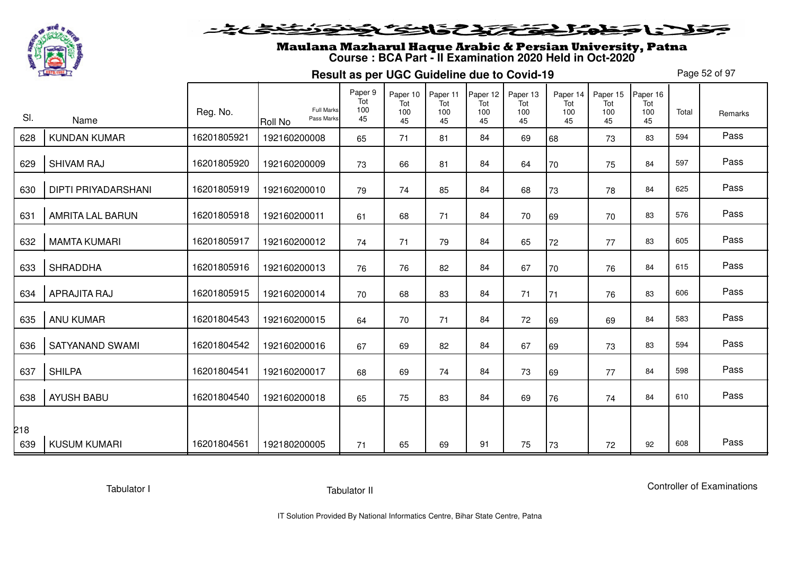

#### فلانا وطوالحقاق فالخفافون فنفض

# Maulana Mazharul Haque Arabic & Persian University, Patna **Course : BCA Part - II Examination 2020 Held in Oct-2020**

**Result as per UGC Guideline due to Covid-19**

Page 52 of 97

| SI. | Name                       | Reg. No.    | <b>Full Marks</b><br>Pass Marks<br>Roll No | Paper 9<br>Tot<br>100<br>45 | Paper 10<br>Tot<br>100<br>45 | Paper 11<br>Tot<br>100<br>45 | Paper 12<br>Tot<br>100<br>45 | Paper 13<br>Tot<br>100<br>45 | Paper 14<br>Tot<br>100<br>45 | Paper 15<br>Tot<br>100<br>45 | Paper 16<br>Tot<br>100<br>45 | Total | Remarks |
|-----|----------------------------|-------------|--------------------------------------------|-----------------------------|------------------------------|------------------------------|------------------------------|------------------------------|------------------------------|------------------------------|------------------------------|-------|---------|
| 628 | <b>KUNDAN KUMAR</b>        | 16201805921 | 192160200008                               | 65                          | 71                           | 81                           | 84                           | 69                           | 68                           | 73                           | 83                           | 594   | Pass    |
| 629 | <b>SHIVAM RAJ</b>          | 16201805920 | 192160200009                               | 73                          | 66                           | 81                           | 84                           | 64                           | 70                           | 75                           | 84                           | 597   | Pass    |
| 630 | <b>DIPTI PRIYADARSHANI</b> | 16201805919 | 192160200010                               | 79                          | 74                           | 85                           | 84                           | 68                           | 73                           | 78                           | 84                           | 625   | Pass    |
| 631 | <b>AMRITA LAL BARUN</b>    | 16201805918 | 192160200011                               | 61                          | 68                           | 71                           | 84                           | 70                           | 69                           | 70                           | 83                           | 576   | Pass    |
| 632 | <b>MAMTA KUMARI</b>        | 16201805917 | 192160200012                               | 74                          | 71                           | 79                           | 84                           | 65                           | 72                           | 77                           | 83                           | 605   | Pass    |
| 633 | <b>SHRADDHA</b>            | 16201805916 | 192160200013                               | 76                          | 76                           | 82                           | 84                           | 67                           | 70                           | 76                           | 84                           | 615   | Pass    |
| 634 | APRAJITA RAJ               | 16201805915 | 192160200014                               | 70                          | 68                           | 83                           | 84                           | 71                           | 71                           | 76                           | 83                           | 606   | Pass    |
| 635 | <b>ANU KUMAR</b>           | 16201804543 | 192160200015                               | 64                          | 70                           | 71                           | 84                           | 72                           | 69                           | 69                           | 84                           | 583   | Pass    |
| 636 | <b>SATYANAND SWAMI</b>     | 16201804542 | 192160200016                               | 67                          | 69                           | 82                           | 84                           | 67                           | 69                           | 73                           | 83                           | 594   | Pass    |
| 637 | <b>SHILPA</b>              | 16201804541 | 192160200017                               | 68                          | 69                           | 74                           | 84                           | 73                           | 69                           | 77                           | 84                           | 598   | Pass    |
| 638 | <b>AYUSH BABU</b>          | 16201804540 | 192160200018                               | 65                          | 75                           | 83                           | 84                           | 69                           | 76                           | 74                           | 84                           | 610   | Pass    |
| 218 |                            |             |                                            |                             |                              |                              |                              |                              |                              |                              |                              |       |         |
| 639 | <b>KUSUM KUMARI</b>        | 16201804561 | 192180200005                               | 71                          | 65                           | 69                           | 91                           | 75                           | 73                           | 72                           | 92                           | 608   | Pass    |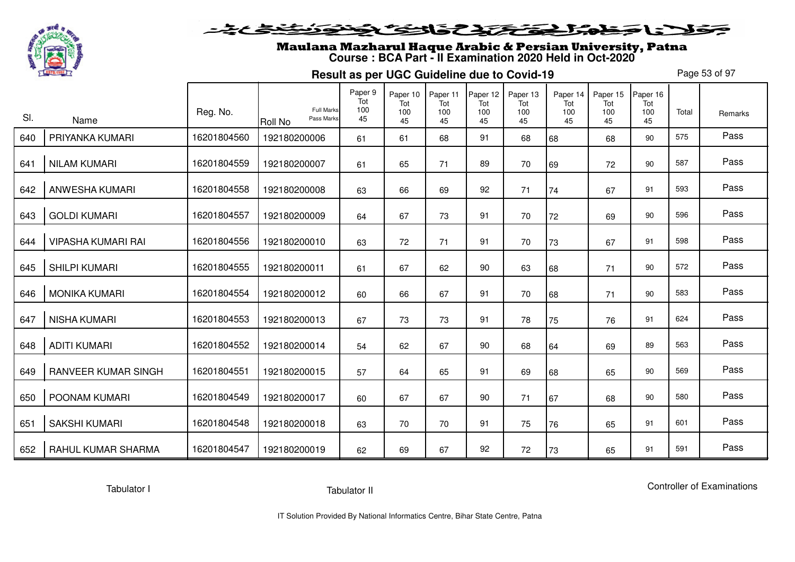

# Maulana Mazharul Haque Arabic & Persian University, Patna **Course : BCA Part - II Examination 2020 Held in Oct-2020**

**Result as per UGC Guideline due to Covid-19**

Page 53 of 97

| SI. | Name                       | Reg. No.    | <b>Full Marks</b><br>Pass Marks | Paper 9<br>Tot<br>100<br>45 | Paper 10<br>Tot<br>100 | Paper 11<br>Tot<br>100 | Paper 12<br>Tot<br>100 | Paper 13<br>Tot<br>100<br>45 | Paper 14<br>Tot<br>100<br>45 | Paper 15<br>Tot<br>100<br>45 | Paper 16<br>Tot<br>100 | Total | Remarks |
|-----|----------------------------|-------------|---------------------------------|-----------------------------|------------------------|------------------------|------------------------|------------------------------|------------------------------|------------------------------|------------------------|-------|---------|
| 640 | PRIYANKA KUMARI            | 16201804560 | <b>Roll No</b><br>192180200006  | 61                          | 45<br>61               | 45<br>68               | 45<br>91               | 68                           | 68                           | 68                           | 45<br>90               | 575   | Pass    |
|     |                            |             |                                 |                             |                        |                        |                        |                              |                              |                              |                        |       |         |
| 641 | <b>NILAM KUMARI</b>        | 16201804559 | 192180200007                    | 61                          | 65                     | 71                     | 89                     | 70                           | 69                           | 72                           | 90                     | 587   | Pass    |
| 642 | ANWESHA KUMARI             | 16201804558 | 192180200008                    | 63                          | 66                     | 69                     | 92                     | 71                           | 74                           | 67                           | 91                     | 593   | Pass    |
| 643 | <b>GOLDI KUMARI</b>        | 16201804557 | 192180200009                    | 64                          | 67                     | 73                     | 91                     | 70                           | 72                           | 69                           | 90                     | 596   | Pass    |
| 644 | <b>VIPASHA KUMARI RAI</b>  | 16201804556 | 192180200010                    | 63                          | 72                     | 71                     | 91                     | 70                           | 73                           | 67                           | 91                     | 598   | Pass    |
| 645 | <b>SHILPI KUMARI</b>       | 16201804555 | 192180200011                    | 61                          | 67                     | 62                     | 90                     | 63                           | 68                           | 71                           | 90                     | 572   | Pass    |
| 646 | <b>MONIKA KUMARI</b>       | 16201804554 | 192180200012                    | 60                          | 66                     | 67                     | 91                     | 70                           | 68                           | 71                           | 90                     | 583   | Pass    |
| 647 | <b>NISHA KUMARI</b>        | 16201804553 | 192180200013                    | 67                          | 73                     | 73                     | 91                     | 78                           | 75                           | 76                           | 91                     | 624   | Pass    |
| 648 | <b>ADITI KUMARI</b>        | 16201804552 | 192180200014                    | 54                          | 62                     | 67                     | 90                     | 68                           | 64                           | 69                           | 89                     | 563   | Pass    |
| 649 | <b>RANVEER KUMAR SINGH</b> | 16201804551 | 192180200015                    | 57                          | 64                     | 65                     | 91                     | 69                           | 68                           | 65                           | 90                     | 569   | Pass    |
| 650 | POONAM KUMARI              | 16201804549 | 192180200017                    | 60                          | 67                     | 67                     | 90                     | 71                           | 67                           | 68                           | 90                     | 580   | Pass    |
| 651 | <b>SAKSHI KUMARI</b>       | 16201804548 | 192180200018                    | 63                          | 70                     | 70                     | 91                     | 75                           | 76                           | 65                           | 91                     | 601   | Pass    |
| 652 | RAHUL KUMAR SHARMA         | 16201804547 | 192180200019                    | 62                          | 69                     | 67                     | 92                     | 72                           | 73                           | 65                           | 91                     | 591   | Pass    |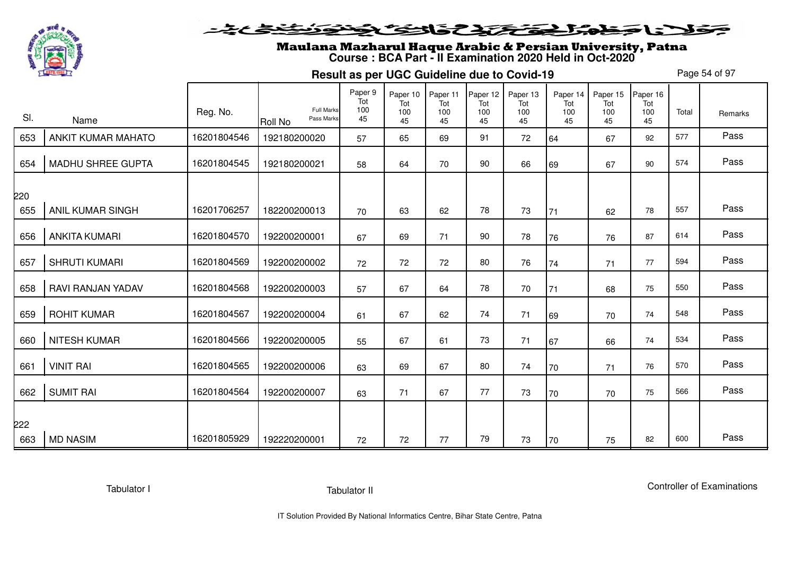

# Maulana Mazharul Haque Arabic & Persian University, Patna **Course : BCA Part - II Examination 2020 Held in Oct-2020**

**Result as per UGC Guideline due to Covid-19**

Page 54 of 97

| SI.        | Name                      | Reg. No.    | <b>Full Marks</b><br>Pass Marks<br>Roll No | Paper 9<br>Tot<br>100<br>45 | Paper 10<br>Tot<br>100<br>45 | Paper 11<br>Tot<br>100<br>45 | Paper 12<br>Tot<br>100<br>45 | Paper 13<br>Tot<br>100<br>45 | Paper 14<br>Tot<br>100<br>45 | Paper 15<br>Tot<br>100<br>45 | Paper 16<br>Tot<br>100<br>45 | Total | Remarks |
|------------|---------------------------|-------------|--------------------------------------------|-----------------------------|------------------------------|------------------------------|------------------------------|------------------------------|------------------------------|------------------------------|------------------------------|-------|---------|
| 653        | <b>ANKIT KUMAR MAHATO</b> | 16201804546 | 192180200020                               | 57                          | 65                           | 69                           | 91                           | 72                           | 64                           | 67                           | 92                           | 577   | Pass    |
| 654        | <b>MADHU SHREE GUPTA</b>  | 16201804545 | 192180200021                               | 58                          | 64                           | 70                           | 90                           | 66                           | 69                           | 67                           | 90                           | 574   | Pass    |
| 220<br>655 | <b>ANIL KUMAR SINGH</b>   | 16201706257 | 182200200013                               | 70                          | 63                           | 62                           | 78                           | 73                           | 71                           | 62                           | 78                           | 557   | Pass    |
| 656        | <b>ANKITA KUMARI</b>      | 16201804570 | 192200200001                               | 67                          | 69                           | 71                           | 90                           | 78                           | 76                           | 76                           | 87                           | 614   | Pass    |
| 657        | <b>SHRUTI KUMARI</b>      | 16201804569 | 192200200002                               | 72                          | 72                           | 72                           | 80                           | 76                           | 74                           | 71                           | 77                           | 594   | Pass    |
| 658        | RAVI RANJAN YADAV         | 16201804568 | 192200200003                               | 57                          | 67                           | 64                           | 78                           | 70                           | 71                           | 68                           | 75                           | 550   | Pass    |
| 659        | <b>ROHIT KUMAR</b>        | 16201804567 | 192200200004                               | 61                          | 67                           | 62                           | 74                           | 71                           | 69                           | 70                           | 74                           | 548   | Pass    |
| 660        | <b>NITESH KUMAR</b>       | 16201804566 | 192200200005                               | 55                          | 67                           | 61                           | 73                           | 71                           | 67                           | 66                           | 74                           | 534   | Pass    |
| 661        | <b>VINIT RAI</b>          | 16201804565 | 192200200006                               | 63                          | 69                           | 67                           | 80                           | 74                           | 70                           | 71                           | 76                           | 570   | Pass    |
| 662        | <b>SUMIT RAI</b>          | 16201804564 | 192200200007                               | 63                          | 71                           | 67                           | 77                           | 73                           | 70                           | 70                           | 75                           | 566   | Pass    |
| 222        |                           |             |                                            |                             |                              |                              |                              |                              |                              |                              |                              |       |         |
| 663        | <b>MD NASIM</b>           | 16201805929 | 192220200001                               | 72                          | 72                           | 77                           | 79                           | 73                           | 70                           | 75                           | 82                           | 600   | Pass    |

Tabulator I

Tabulator II

Controller of Examinations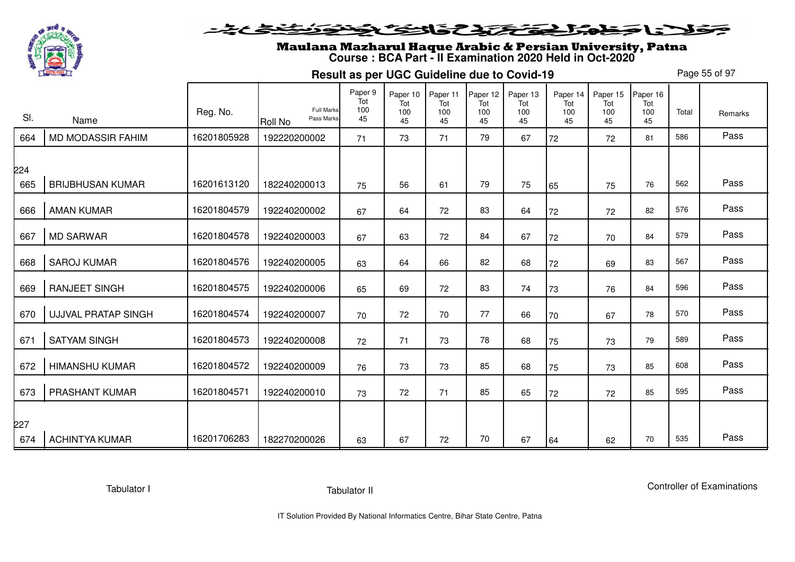

# Maulana Mazharul Haque Arabic & Persian University, Patna **Course : BCA Part - II Examination 2020 Held in Oct-2020**

**Result as per UGC Guideline due to Covid-19**

Page 55 of 97

| SI.        | Name                       | Reg. No.    | <b>Full Marks</b><br>Pass Marks<br>Roll No | Paper 9<br>Tot<br>100<br>45 | Paper 10<br>Tot<br>100<br>45 | Paper 11<br>Tot<br>100<br>45 | Paper 12<br>Tot<br>100<br>45 | Paper 13<br>Tot<br>100<br>45 | Paper 14<br>Tot<br>100<br>45 | Paper 15<br>Tot<br>100<br>45 | Paper 16<br>Tot<br>100<br>45 | Total | Remarks |
|------------|----------------------------|-------------|--------------------------------------------|-----------------------------|------------------------------|------------------------------|------------------------------|------------------------------|------------------------------|------------------------------|------------------------------|-------|---------|
| 664        | <b>MD MODASSIR FAHIM</b>   | 16201805928 | 192220200002                               | 71                          | 73                           | 71                           | 79                           | 67                           | 72                           | 72                           | 81                           | 586   | Pass    |
| 224<br>665 | <b>BRIJBHUSAN KUMAR</b>    | 16201613120 | 182240200013                               | 75                          | 56                           | 61                           | 79                           | 75                           | 65                           | 75                           | 76                           | 562   | Pass    |
| 666        | <b>AMAN KUMAR</b>          | 16201804579 | 192240200002                               | 67                          | 64                           | 72                           | 83                           | 64                           | 72                           | 72                           | 82                           | 576   | Pass    |
| 667        | <b>MD SARWAR</b>           | 16201804578 | 192240200003                               | 67                          | 63                           | 72                           | 84                           | 67                           | 72                           | 70                           | 84                           | 579   | Pass    |
| 668        | <b>SAROJ KUMAR</b>         | 16201804576 | 192240200005                               | 63                          | 64                           | 66                           | 82                           | 68                           | 72                           | 69                           | 83                           | 567   | Pass    |
| 669        | <b>RANJEET SINGH</b>       | 16201804575 | 192240200006                               | 65                          | 69                           | 72                           | 83                           | 74                           | 73                           | 76                           | 84                           | 596   | Pass    |
| 670        | <b>UJJVAL PRATAP SINGH</b> | 16201804574 | 192240200007                               | 70                          | 72                           | 70                           | 77                           | 66                           | 70                           | 67                           | 78                           | 570   | Pass    |
| 671        | <b>SATYAM SINGH</b>        | 16201804573 | 192240200008                               | 72                          | 71                           | 73                           | 78                           | 68                           | 75                           | 73                           | 79                           | 589   | Pass    |
| 672        | <b>HIMANSHU KUMAR</b>      | 16201804572 | 192240200009                               | 76                          | 73                           | 73                           | 85                           | 68                           | 75                           | 73                           | 85                           | 608   | Pass    |
| 673        | PRASHANT KUMAR             | 16201804571 | 192240200010                               | 73                          | 72                           | 71                           | 85                           | 65                           | 72                           | 72                           | 85                           | 595   | Pass    |
| 227        |                            |             |                                            |                             |                              |                              |                              |                              |                              |                              |                              |       |         |
| 674        | <b>ACHINTYA KUMAR</b>      | 16201706283 | 182270200026                               | 63                          | 67                           | 72                           | 70                           | 67                           | 64                           | 62                           | 70                           | 535   | Pass    |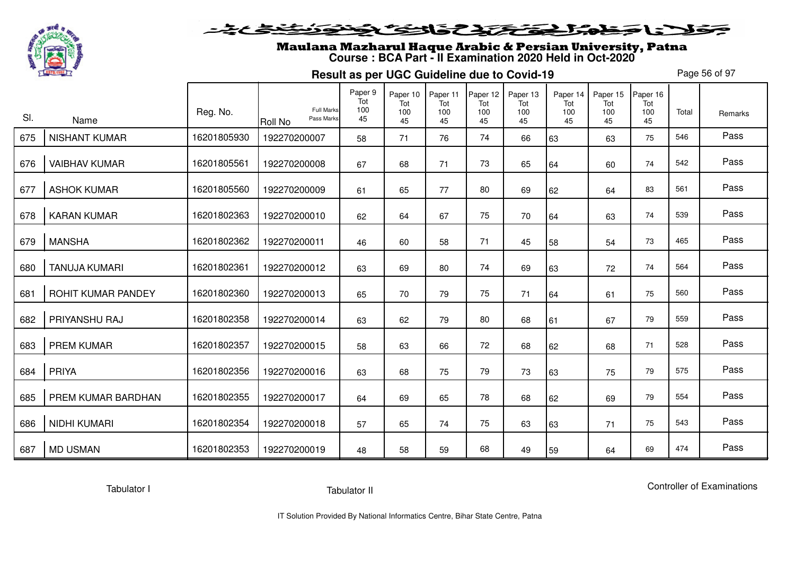

# Maulana Mazharul Haque Arabic & Persian University, Patna **Course : BCA Part - II Examination 2020 Held in Oct-2020**

**Result as per UGC Guideline due to Covid-19**

Page 56 of 97

|     |                      |             |                                                   | Paper 9<br>Tot | Paper 10<br>Tot | Paper 11<br>Tot | Paper 12<br>Tot | Paper 13<br>Tot | Paper 14<br>Tot | Paper 15<br>Tot | Paper 16<br>Tot |       |         |
|-----|----------------------|-------------|---------------------------------------------------|----------------|-----------------|-----------------|-----------------|-----------------|-----------------|-----------------|-----------------|-------|---------|
| SI. | Name                 | Reg. No.    | <b>Full Marks</b><br>Pass Marks<br><b>Roll No</b> | 100<br>45      | 100<br>45       | 100<br>45       | 100<br>45       | 100<br>45       | 100<br>45       | 100<br>45       | 100<br>45       | Total | Remarks |
| 675 | <b>NISHANT KUMAR</b> | 16201805930 | 192270200007                                      | 58             | 71              | 76              | 74              | 66              | 63              | 63              | 75              | 546   | Pass    |
| 676 | <b>VAIBHAV KUMAR</b> | 16201805561 | 192270200008                                      | 67             | 68              | 71              | 73              | 65              | 64              | 60              | 74              | 542   | Pass    |
| 677 | <b>ASHOK KUMAR</b>   | 16201805560 | 192270200009                                      | 61             | 65              | 77              | 80              | 69              | 62              | 64              | 83              | 561   | Pass    |
| 678 | <b>KARAN KUMAR</b>   | 16201802363 | 192270200010                                      | 62             | 64              | 67              | 75              | 70              | 64              | 63              | 74              | 539   | Pass    |
| 679 | <b>MANSHA</b>        | 16201802362 | 192270200011                                      | 46             | 60              | 58              | 71              | 45              | 58              | 54              | 73              | 465   | Pass    |
| 680 | <b>TANUJA KUMARI</b> | 16201802361 | 192270200012                                      | 63             | 69              | 80              | 74              | 69              | 63              | 72              | 74              | 564   | Pass    |
| 681 | ROHIT KUMAR PANDEY   | 16201802360 | 192270200013                                      | 65             | 70              | 79              | 75              | 71              | 64              | 61              | 75              | 560   | Pass    |
| 682 | PRIYANSHU RAJ        | 16201802358 | 192270200014                                      | 63             | 62              | 79              | 80              | 68              | 61              | 67              | 79              | 559   | Pass    |
| 683 | <b>PREM KUMAR</b>    | 16201802357 | 192270200015                                      | 58             | 63              | 66              | 72              | 68              | 62              | 68              | 71              | 528   | Pass    |
| 684 | <b>PRIYA</b>         | 16201802356 | 192270200016                                      | 63             | 68              | 75              | 79              | 73              | 63              | 75              | 79              | 575   | Pass    |
| 685 | PREM KUMAR BARDHAN   | 16201802355 | 192270200017                                      | 64             | 69              | 65              | 78              | 68              | 62              | 69              | 79              | 554   | Pass    |
| 686 | NIDHI KUMARI         | 16201802354 | 192270200018                                      | 57             | 65              | 74              | 75              | 63              | 63              | 71              | 75              | 543   | Pass    |
| 687 | <b>MD USMAN</b>      | 16201802353 | 192270200019                                      | 48             | 58              | 59              | 68              | 49              | 59              | 64              | 69              | 474   | Pass    |

Tabulator I

Tabulator II

Controller of Examinations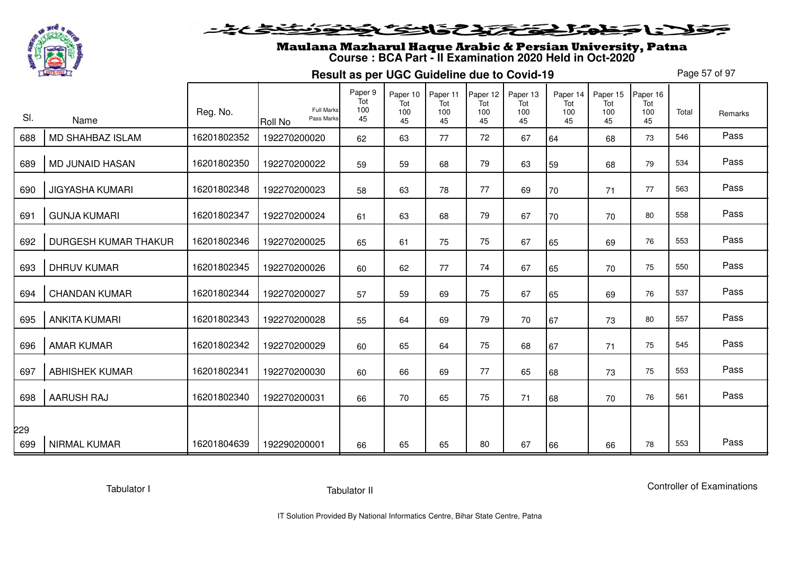

#### فلانا وطوالحقاق فالخفافون فنفض

# Maulana Mazharul Haque Arabic & Persian University, Patna **Course : BCA Part - II Examination 2020 Held in Oct-2020**

**Result as per UGC Guideline due to Covid-19**

Page 57 of 97

| SI. | Name                    | Reg. No.    | Full Marks<br>Pass Marks<br>Roll No | Paper 9<br>Tot<br>100<br>45 | Paper 10<br>Tot<br>100<br>45 | Paper 11<br>Tot<br>100<br>45 | Paper 12<br>Tot<br>100<br>45 | Paper 13<br>Tot<br>100<br>45 | Paper 14<br>Tot<br>100<br>45 | Paper 15<br>Tot<br>100<br>45 | Paper 16<br>Tot<br>100<br>45 | Total | Remarks |
|-----|-------------------------|-------------|-------------------------------------|-----------------------------|------------------------------|------------------------------|------------------------------|------------------------------|------------------------------|------------------------------|------------------------------|-------|---------|
| 688 | <b>MD SHAHBAZ ISLAM</b> | 16201802352 | 192270200020                        | 62                          | 63                           | 77                           | 72                           | 67                           | 64                           | 68                           | 73                           | 546   | Pass    |
| 689 | <b>MD JUNAID HASAN</b>  | 16201802350 | 192270200022                        | 59                          | 59                           | 68                           | 79                           | 63                           | 59                           | 68                           | 79                           | 534   | Pass    |
| 690 | <b>JIGYASHA KUMARI</b>  | 16201802348 | 192270200023                        | 58                          | 63                           | 78                           | 77                           | 69                           | 70                           | 71                           | 77                           | 563   | Pass    |
| 691 | <b>GUNJA KUMARI</b>     | 16201802347 | 192270200024                        | 61                          | 63                           | 68                           | 79                           | 67                           | 70                           | 70                           | 80                           | 558   | Pass    |
| 692 | DURGESH KUMAR THAKUR    | 16201802346 | 192270200025                        | 65                          | 61                           | 75                           | 75                           | 67                           | 65                           | 69                           | 76                           | 553   | Pass    |
| 693 | <b>DHRUV KUMAR</b>      | 16201802345 | 192270200026                        | 60                          | 62                           | 77                           | 74                           | 67                           | 65                           | 70                           | 75                           | 550   | Pass    |
| 694 | <b>CHANDAN KUMAR</b>    | 16201802344 | 192270200027                        | 57                          | 59                           | 69                           | 75                           | 67                           | 65                           | 69                           | 76                           | 537   | Pass    |
| 695 | <b>ANKITA KUMARI</b>    | 16201802343 | 192270200028                        | 55                          | 64                           | 69                           | 79                           | 70                           | 67                           | 73                           | 80                           | 557   | Pass    |
| 696 | <b>AMAR KUMAR</b>       | 16201802342 | 192270200029                        | 60                          | 65                           | 64                           | 75                           | 68                           | 67                           | 71                           | 75                           | 545   | Pass    |
| 697 | <b>ABHISHEK KUMAR</b>   | 16201802341 | 192270200030                        | 60                          | 66                           | 69                           | 77                           | 65                           | 68                           | 73                           | 75                           | 553   | Pass    |
| 698 | <b>AARUSH RAJ</b>       | 16201802340 | 192270200031                        | 66                          | 70                           | 65                           | 75                           | 71                           | 68                           | 70                           | 76                           | 561   | Pass    |
| 229 |                         |             |                                     |                             |                              |                              |                              |                              |                              |                              |                              |       |         |
| 699 | <b>NIRMAL KUMAR</b>     | 16201804639 | 192290200001                        | 66                          | 65                           | 65                           | 80                           | 67                           | 66                           | 66                           | 78                           | 553   | Pass    |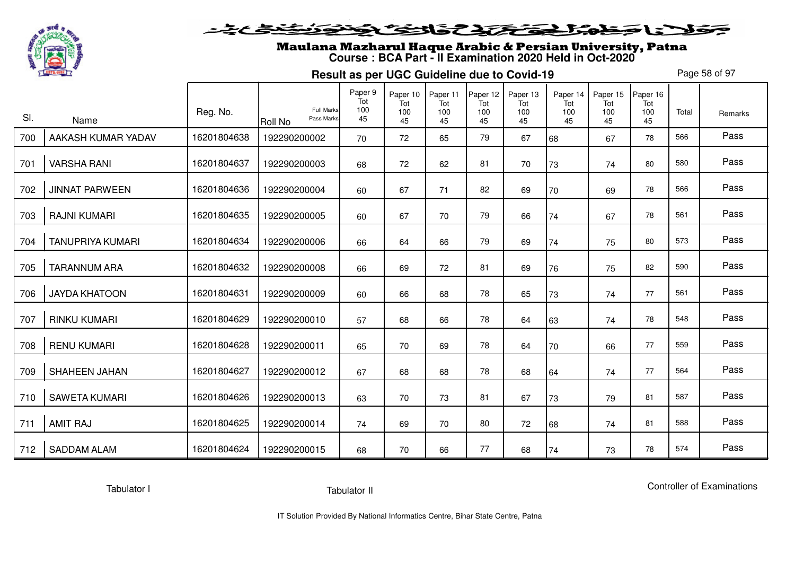

# Maulana Mazharul Haque Arabic & Persian University, Patna **Course : BCA Part - II Examination 2020 Held in Oct-2020**

**Result as per UGC Guideline due to Covid-19**

Page 58 of 97

| SI. | Name                    | Reg. No.    | <b>Full Marks</b><br>Pass Marks<br><b>Roll No</b> | Paper 9<br>Tot<br>100<br>45 | Paper 10<br>Tot<br>100<br>45 | Paper 11<br>Tot<br>100<br>45 | Paper 12<br>Tot<br>100<br>45 | Paper 13<br>Tot<br>100<br>45 | Paper 14<br>Tot<br>100<br>45 | Paper 15<br>Tot<br>100<br>45 | Paper 16<br>Tot<br>100<br>45 | Total | Remarks |
|-----|-------------------------|-------------|---------------------------------------------------|-----------------------------|------------------------------|------------------------------|------------------------------|------------------------------|------------------------------|------------------------------|------------------------------|-------|---------|
| 700 | AAKASH KUMAR YADAV      | 16201804638 | 192290200002                                      | 70                          | 72                           | 65                           | 79                           | 67                           | 68                           | 67                           | 78                           | 566   | Pass    |
| 701 | <b>VARSHA RANI</b>      | 16201804637 | 192290200003                                      | 68                          | 72                           | 62                           | 81                           | 70                           | 73                           | 74                           | 80                           | 580   | Pass    |
| 702 | <b>JINNAT PARWEEN</b>   | 16201804636 | 192290200004                                      | 60                          | 67                           | 71                           | 82                           | 69                           | 70                           | 69                           | 78                           | 566   | Pass    |
| 703 | <b>RAJNI KUMARI</b>     | 16201804635 | 192290200005                                      | 60                          | 67                           | 70                           | 79                           | 66                           | 74                           | 67                           | 78                           | 561   | Pass    |
| 704 | <b>TANUPRIYA KUMARI</b> | 16201804634 | 192290200006                                      | 66                          | 64                           | 66                           | 79                           | 69                           | 74                           | 75                           | 80                           | 573   | Pass    |
| 705 | <b>TARANNUM ARA</b>     | 16201804632 | 192290200008                                      | 66                          | 69                           | 72                           | 81                           | 69                           | 76                           | 75                           | 82                           | 590   | Pass    |
| 706 | <b>JAYDA KHATOON</b>    | 16201804631 | 192290200009                                      | 60                          | 66                           | 68                           | 78                           | 65                           | 73                           | 74                           | 77                           | 561   | Pass    |
| 707 | <b>RINKU KUMARI</b>     | 16201804629 | 192290200010                                      | 57                          | 68                           | 66                           | 78                           | 64                           | 63                           | 74                           | 78                           | 548   | Pass    |
| 708 | <b>RENU KUMARI</b>      | 16201804628 | 192290200011                                      | 65                          | 70                           | 69                           | 78                           | 64                           | 70                           | 66                           | 77                           | 559   | Pass    |
| 709 | SHAHEEN JAHAN           | 16201804627 | 192290200012                                      | 67                          | 68                           | 68                           | 78                           | 68                           | 64                           | 74                           | 77                           | 564   | Pass    |
| 710 | <b>SAWETA KUMARI</b>    | 16201804626 | 192290200013                                      | 63                          | 70                           | 73                           | 81                           | 67                           | 73                           | 79                           | 81                           | 587   | Pass    |
| 711 | <b>AMIT RAJ</b>         | 16201804625 | 192290200014                                      | 74                          | 69                           | 70                           | 80                           | 72                           | 68                           | 74                           | 81                           | 588   | Pass    |
| 712 | <b>SADDAM ALAM</b>      | 16201804624 | 192290200015                                      | 68                          | 70                           | 66                           | 77                           | 68                           | 74                           | 73                           | 78                           | 574   | Pass    |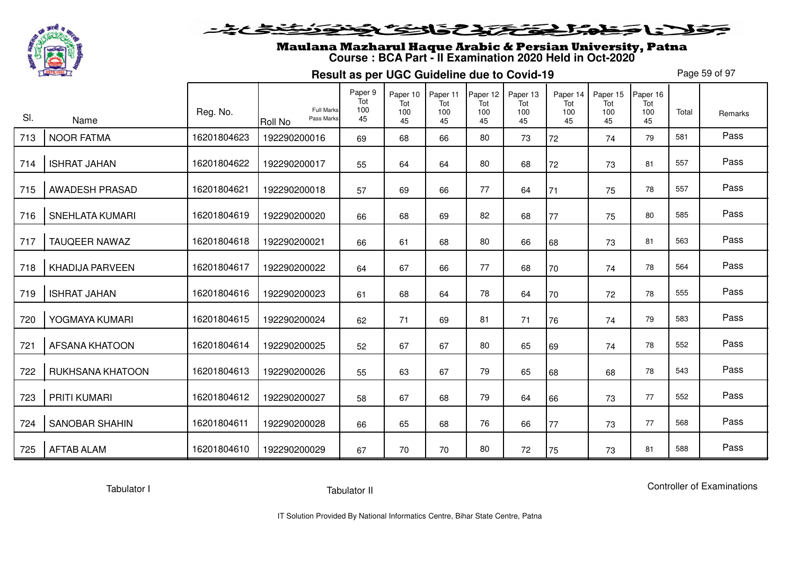

# Maulana Mazharul Haque Arabic & Persian University, Patna **Course : BCA Part - II Examination 2020 Held in Oct-2020**

**Result as per UGC Guideline due to Covid-19**

Page 59 of 97

| SI. | Name                   | Reg. No.    | <b>Full Marks</b><br>Pass Marks<br><b>Roll No</b> | Paper 9<br>Tot<br>100<br>45 | Paper 10<br>Tot<br>100<br>45 | Paper 11<br>Tot<br>100<br>45 | Paper 12<br>Tot<br>100<br>45 | Paper 13<br>Tot<br>100<br>45 | Paper 14<br>Tot<br>100<br>45 | Paper 15<br>Tot<br>100<br>45 | Paper 16<br>Tot<br>100<br>45 | Total | Remarks |
|-----|------------------------|-------------|---------------------------------------------------|-----------------------------|------------------------------|------------------------------|------------------------------|------------------------------|------------------------------|------------------------------|------------------------------|-------|---------|
| 713 | <b>NOOR FATMA</b>      | 16201804623 | 192290200016                                      | 69                          | 68                           | 66                           | 80                           | 73                           | 72                           | 74                           | 79                           | 581   | Pass    |
| 714 | <b>ISHRAT JAHAN</b>    | 16201804622 | 192290200017                                      | 55                          | 64                           | 64                           | 80                           | 68                           | 72                           | 73                           | 81                           | 557   | Pass    |
| 715 | <b>AWADESH PRASAD</b>  | 16201804621 | 192290200018                                      | 57                          | 69                           | 66                           | 77                           | 64                           | 71                           | 75                           | 78                           | 557   | Pass    |
| 716 | <b>SNEHLATA KUMARI</b> | 16201804619 | 192290200020                                      | 66                          | 68                           | 69                           | 82                           | 68                           | 77                           | 75                           | 80                           | 585   | Pass    |
| 717 | <b>TAUQEER NAWAZ</b>   | 16201804618 | 192290200021                                      | 66                          | 61                           | 68                           | 80                           | 66                           | 68                           | 73                           | 81                           | 563   | Pass    |
| 718 | KHADIJA PARVEEN        | 16201804617 | 192290200022                                      | 64                          | 67                           | 66                           | 77                           | 68                           | 70                           | 74                           | 78                           | 564   | Pass    |
| 719 | <b>ISHRAT JAHAN</b>    | 16201804616 | 192290200023                                      | 61                          | 68                           | 64                           | 78                           | 64                           | 70                           | 72                           | 78                           | 555   | Pass    |
| 720 | YOGMAYA KUMARI         | 16201804615 | 192290200024                                      | 62                          | 71                           | 69                           | 81                           | 71                           | 76                           | 74                           | 79                           | 583   | Pass    |
| 721 | <b>AFSANA KHATOON</b>  | 16201804614 | 192290200025                                      | 52                          | 67                           | 67                           | 80                           | 65                           | 69                           | 74                           | 78                           | 552   | Pass    |
| 722 | RUKHSANA KHATOON       | 16201804613 | 192290200026                                      | 55                          | 63                           | 67                           | 79                           | 65                           | 68                           | 68                           | 78                           | 543   | Pass    |
| 723 | PRITI KUMARI           | 16201804612 | 192290200027                                      | 58                          | 67                           | 68                           | 79                           | 64                           | 66                           | 73                           | 77                           | 552   | Pass    |
| 724 | <b>SANOBAR SHAHIN</b>  | 16201804611 | 192290200028                                      | 66                          | 65                           | 68                           | 76                           | 66                           | 77                           | 73                           | 77                           | 568   | Pass    |
| 725 | <b>AFTAB ALAM</b>      | 16201804610 | 192290200029                                      | 67                          | 70                           | 70                           | 80                           | 72                           | 75                           | 73                           | 81                           | 588   | Pass    |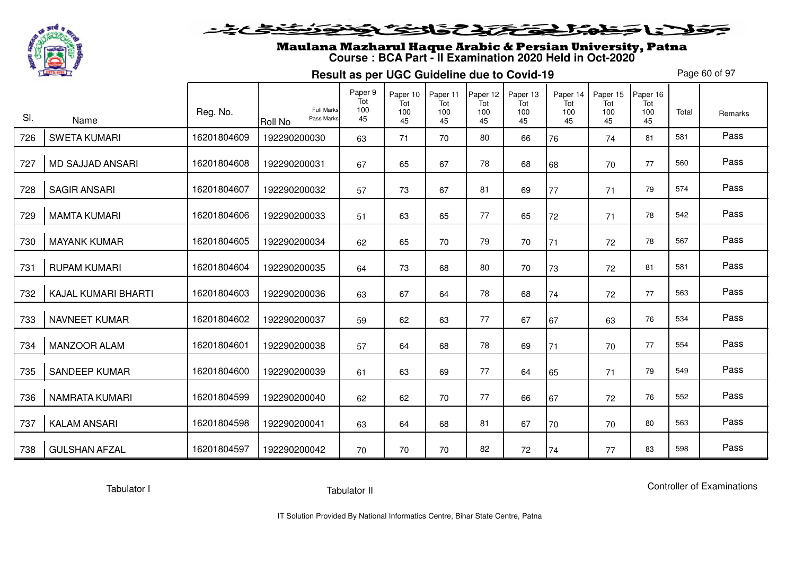

# Maulana Mazharul Haque Arabic & Persian University, Patna **Course : BCA Part - II Examination 2020 Held in Oct-2020**

**Result as per UGC Guideline due to Covid-19**

Page 60 of 97

| SI. |                         | Reg. No.    | <b>Full Marks</b><br>Pass Marks | Paper 9<br>Tot<br>100 | Paper 10<br>Tot<br>100 | Paper 11<br>Tot<br>100 | Paper 12<br>Tot<br>100 | Paper 13<br>Tot<br>100 | Paper 14<br>Tot<br>100 | Paper 15<br>Tot<br>100 | Paper 16<br>Tot<br>100 | Total | Remarks |
|-----|-------------------------|-------------|---------------------------------|-----------------------|------------------------|------------------------|------------------------|------------------------|------------------------|------------------------|------------------------|-------|---------|
|     | Name                    |             | <b>Roll No</b>                  | 45                    | 45                     | 45                     | 45                     | 45                     | 45                     | 45                     | 45                     |       |         |
| 726 | <b>SWETA KUMARI</b>     | 16201804609 | 192290200030                    | 63                    | 71                     | 70                     | 80                     | 66                     | 76                     | 74                     | 81                     | 581   | Pass    |
| 727 | <b>MD SAJJAD ANSARI</b> | 16201804608 | 192290200031                    | 67                    | 65                     | 67                     | 78                     | 68                     | 68                     | 70                     | 77                     | 560   | Pass    |
| 728 | <b>SAGIR ANSARI</b>     | 16201804607 | 192290200032                    | 57                    | 73                     | 67                     | 81                     | 69                     | 77                     | 71                     | 79                     | 574   | Pass    |
| 729 | <b>MAMTA KUMARI</b>     | 16201804606 | 192290200033                    | 51                    | 63                     | 65                     | 77                     | 65                     | 72                     | 71                     | 78                     | 542   | Pass    |
| 730 | <b>MAYANK KUMAR</b>     | 16201804605 | 192290200034                    | 62                    | 65                     | 70                     | 79                     | 70                     | 71                     | 72                     | 78                     | 567   | Pass    |
| 731 | <b>RUPAM KUMARI</b>     | 16201804604 | 192290200035                    | 64                    | 73                     | 68                     | 80                     | 70                     | 73                     | 72                     | 81                     | 581   | Pass    |
| 732 | KAJAL KUMARI BHARTI     | 16201804603 | 192290200036                    | 63                    | 67                     | 64                     | 78                     | 68                     | 74                     | 72                     | 77                     | 563   | Pass    |
| 733 | <b>NAVNEET KUMAR</b>    | 16201804602 | 192290200037                    | 59                    | 62                     | 63                     | 77                     | 67                     | 67                     | 63                     | 76                     | 534   | Pass    |
| 734 | <b>MANZOOR ALAM</b>     | 16201804601 | 192290200038                    | 57                    | 64                     | 68                     | 78                     | 69                     | 71                     | 70                     | 77                     | 554   | Pass    |
| 735 | <b>SANDEEP KUMAR</b>    | 16201804600 | 192290200039                    | 61                    | 63                     | 69                     | 77                     | 64                     | 65                     | 71                     | 79                     | 549   | Pass    |
| 736 | <b>NAMRATA KUMARI</b>   | 16201804599 | 192290200040                    | 62                    | 62                     | 70                     | 77                     | 66                     | 67                     | 72                     | 76                     | 552   | Pass    |
| 737 | <b>KALAM ANSARI</b>     | 16201804598 | 192290200041                    | 63                    | 64                     | 68                     | 81                     | 67                     | 70                     | 70                     | 80                     | 563   | Pass    |
| 738 | <b>GULSHAN AFZAL</b>    | 16201804597 | 192290200042                    | 70                    | 70                     | 70                     | 82                     | 72                     | 74                     | 77                     | 83                     | 598   | Pass    |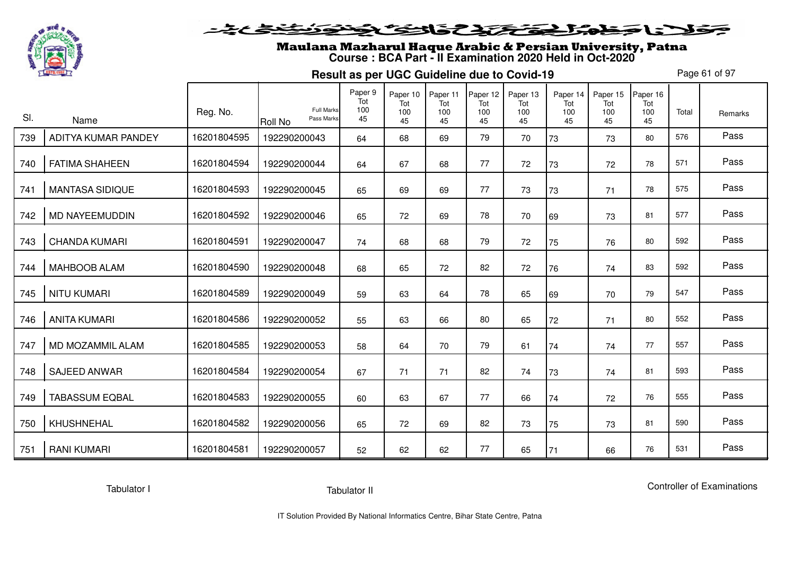

# Maulana Mazharul Haque Arabic & Persian University, Patna **Course : BCA Part - II Examination 2020 Held in Oct-2020**

**Result as per UGC Guideline due to Covid-19**

Page 61 of 97

|     |                        |             |                                                   | Paper 9<br>Tot | Paper 10<br>Tot | Paper 11<br>Tot | Paper 12<br>Tot | Paper 13<br>Tot | Paper 14<br>Tot | Paper 15<br>Tot | Paper 16<br>Tot |       |         |
|-----|------------------------|-------------|---------------------------------------------------|----------------|-----------------|-----------------|-----------------|-----------------|-----------------|-----------------|-----------------|-------|---------|
| SI. | Name                   | Reg. No.    | <b>Full Marks</b><br>Pass Marks<br><b>Roll No</b> | 100<br>45      | 100<br>45       | 100<br>45       | 100<br>45       | 100<br>45       | 100<br>45       | 100<br>45       | 100<br>45       | Total | Remarks |
| 739 | ADITYA KUMAR PANDEY    | 16201804595 | 192290200043                                      | 64             | 68              | 69              | 79              | 70              | 73              | 73              | 80              | 576   | Pass    |
| 740 | <b>FATIMA SHAHEEN</b>  | 16201804594 | 192290200044                                      | 64             | 67              | 68              | 77              | 72              | 73              | 72              | 78              | 571   | Pass    |
| 741 | <b>MANTASA SIDIQUE</b> | 16201804593 | 192290200045                                      | 65             | 69              | 69              | 77              | 73              | 73              | 71              | 78              | 575   | Pass    |
| 742 | <b>MD NAYEEMUDDIN</b>  | 16201804592 | 192290200046                                      | 65             | 72              | 69              | 78              | 70              | 69              | 73              | 81              | 577   | Pass    |
| 743 | <b>CHANDA KUMARI</b>   | 16201804591 | 192290200047                                      | 74             | 68              | 68              | 79              | 72              | 75              | 76              | 80              | 592   | Pass    |
| 744 | MAHBOOB ALAM           | 16201804590 | 192290200048                                      | 68             | 65              | 72              | 82              | 72              | 76              | 74              | 83              | 592   | Pass    |
| 745 | <b>NITU KUMARI</b>     | 16201804589 | 192290200049                                      | 59             | 63              | 64              | 78              | 65              | 69              | 70              | 79              | 547   | Pass    |
| 746 | <b>ANITA KUMARI</b>    | 16201804586 | 192290200052                                      | 55             | 63              | 66              | 80              | 65              | 72              | 71              | 80              | 552   | Pass    |
| 747 | MD MOZAMMIL ALAM       | 16201804585 | 192290200053                                      | 58             | 64              | 70              | 79              | 61              | 74              | 74              | 77              | 557   | Pass    |
| 748 | <b>SAJEED ANWAR</b>    | 16201804584 | 192290200054                                      | 67             | 71              | 71              | 82              | 74              | 73              | 74              | 81              | 593   | Pass    |
| 749 | <b>TABASSUM EQBAL</b>  | 16201804583 | 192290200055                                      | 60             | 63              | 67              | 77              | 66              | 74              | 72              | 76              | 555   | Pass    |
| 750 | KHUSHNEHAL             | 16201804582 | 192290200056                                      | 65             | 72              | 69              | 82              | 73              | 75              | 73              | 81              | 590   | Pass    |
| 751 | <b>RANI KUMARI</b>     | 16201804581 | 192290200057                                      | 52             | 62              | 62              | 77              | 65              | 71              | 66              | 76              | 531   | Pass    |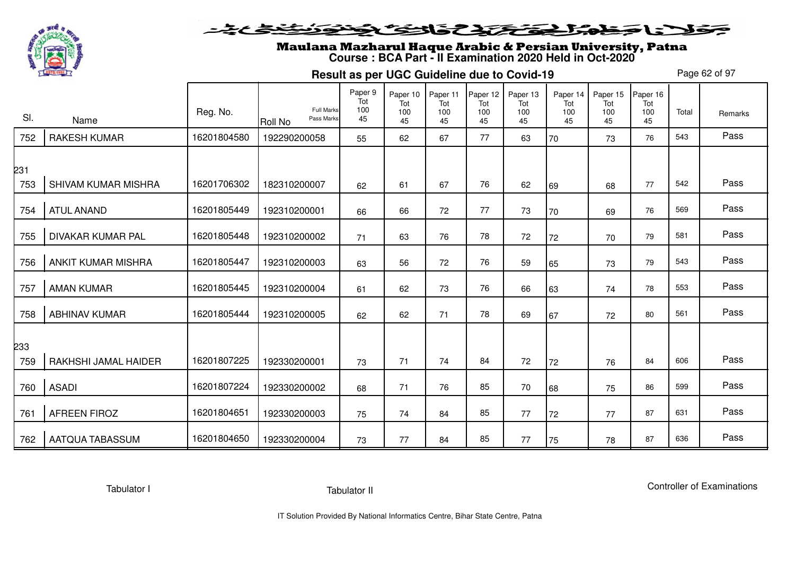

# Maulana Mazharul Haque Arabic & Persian University, Patna **Course : BCA Part - II Examination 2020 Held in Oct-2020**

**Result as per UGC Guideline due to Covid-19**

Page 62 of 97

| SI.        | Name                      | Reg. No.    | <b>Full Marks</b><br>Pass Marks<br>Roll No | Paper 9<br>Tot<br>100<br>45 | Paper 10<br>Tot<br>100<br>45 | Paper 11<br>Tot<br>100<br>45 | Paper 12<br>Tot<br>100<br>45 | Paper 13<br>Tot<br>100<br>45 | Paper 14<br>Tot<br>100<br>45 | Paper 15<br>Tot<br>100<br>45 | Paper 16<br>Tot<br>100<br>45 | Total | Remarks |
|------------|---------------------------|-------------|--------------------------------------------|-----------------------------|------------------------------|------------------------------|------------------------------|------------------------------|------------------------------|------------------------------|------------------------------|-------|---------|
| 752        | <b>RAKESH KUMAR</b>       | 16201804580 | 192290200058                               | 55                          | 62                           | 67                           | 77                           | 63                           | 70                           | 73                           | 76                           | 543   | Pass    |
| 231        |                           |             |                                            |                             |                              |                              |                              |                              |                              |                              |                              |       |         |
| 753        | SHIVAM KUMAR MISHRA       | 16201706302 | 182310200007                               | 62                          | 61                           | 67                           | 76                           | 62                           | 69                           | 68                           | 77                           | 542   | Pass    |
| 754        | <b>ATUL ANAND</b>         | 16201805449 | 192310200001                               | 66                          | 66                           | 72                           | 77                           | 73                           | 70                           | 69                           | 76                           | 569   | Pass    |
| 755        | <b>DIVAKAR KUMAR PAL</b>  | 16201805448 | 192310200002                               | 71                          | 63                           | 76                           | 78                           | 72                           | 72                           | 70                           | 79                           | 581   | Pass    |
| 756        | <b>ANKIT KUMAR MISHRA</b> | 16201805447 | 192310200003                               | 63                          | 56                           | 72                           | 76                           | 59                           | 65                           | 73                           | 79                           | 543   | Pass    |
| 757        | <b>AMAN KUMAR</b>         | 16201805445 | 192310200004                               | 61                          | 62                           | 73                           | 76                           | 66                           | 63                           | 74                           | 78                           | 553   | Pass    |
| 758        | <b>ABHINAV KUMAR</b>      | 16201805444 | 192310200005                               | 62                          | 62                           | 71                           | 78                           | 69                           | 67                           | 72                           | 80                           | 561   | Pass    |
|            |                           |             |                                            |                             |                              |                              |                              |                              |                              |                              |                              |       |         |
| 233<br>759 | RAKHSHI JAMAL HAIDER      | 16201807225 | 192330200001                               | 73                          | 71                           | 74                           | 84                           | 72                           | 72                           | 76                           | 84                           | 606   | Pass    |
| 760        | <b>ASADI</b>              | 16201807224 | 192330200002                               | 68                          | 71                           | 76                           | 85                           | 70                           | 68                           | 75                           | 86                           | 599   | Pass    |
| 761        | <b>AFREEN FIROZ</b>       | 16201804651 | 192330200003                               | 75                          | 74                           | 84                           | 85                           | 77                           | 72                           | 77                           | 87                           | 631   | Pass    |
| 762        | <b>AATQUA TABASSUM</b>    | 16201804650 | 192330200004                               | 73                          | 77                           | 84                           | 85                           | 77                           | 75                           | 78                           | 87                           | 636   | Pass    |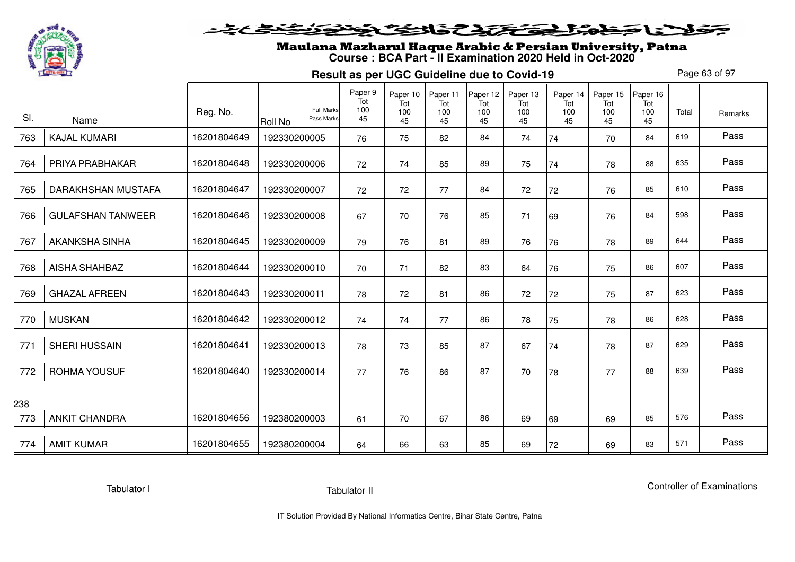

#### فلانا وطوالحقاق فالخفافون فنفض

# Maulana Mazharul Haque Arabic & Persian University, Patna **Course : BCA Part - II Examination 2020 Held in Oct-2020**

**Result as per UGC Guideline due to Covid-19**

Page 63 of 97

|            |                          | Reg. No.    | Full Marks            | Paper 9<br>Tot<br>100 | Paper 10<br>Tot<br>100 | Paper 11<br>Tot<br>100 | Paper 12<br>Tot<br>100 | Paper 13<br>Tot<br>100 | Paper 14<br>Tot<br>100 | Paper 15<br>Tot<br>100 | Paper 16<br>Tot<br>100 | Total |         |
|------------|--------------------------|-------------|-----------------------|-----------------------|------------------------|------------------------|------------------------|------------------------|------------------------|------------------------|------------------------|-------|---------|
| SI.        | Name                     |             | Pass Marks<br>Roll No | 45                    | 45                     | 45                     | 45                     | 45                     | 45                     | 45                     | 45                     |       | Remarks |
| 763        | <b>KAJAL KUMARI</b>      | 16201804649 | 192330200005          | 76                    | 75                     | 82                     | 84                     | 74                     | 74                     | 70                     | 84                     | 619   | Pass    |
| 764        | PRIYA PRABHAKAR          | 16201804648 | 192330200006          | 72                    | 74                     | 85                     | 89                     | 75                     | 74                     | 78                     | 88                     | 635   | Pass    |
| 765        | DARAKHSHAN MUSTAFA       | 16201804647 | 192330200007          | 72                    | 72                     | 77                     | 84                     | 72                     | 72                     | 76                     | 85                     | 610   | Pass    |
| 766        | <b>GULAFSHAN TANWEER</b> | 16201804646 | 192330200008          | 67                    | 70                     | 76                     | 85                     | 71                     | 69                     | 76                     | 84                     | 598   | Pass    |
| 767        | AKANKSHA SINHA           | 16201804645 | 192330200009          | 79                    | 76                     | 81                     | 89                     | 76                     | 76                     | 78                     | 89                     | 644   | Pass    |
| 768        | <b>AISHA SHAHBAZ</b>     | 16201804644 | 192330200010          | 70                    | 71                     | 82                     | 83                     | 64                     | 76                     | 75                     | 86                     | 607   | Pass    |
| 769        | <b>GHAZAL AFREEN</b>     | 16201804643 | 192330200011          | 78                    | 72                     | 81                     | 86                     | 72                     | 72                     | 75                     | 87                     | 623   | Pass    |
| 770        | <b>MUSKAN</b>            | 16201804642 | 192330200012          | 74                    | 74                     | 77                     | 86                     | 78                     | 75                     | 78                     | 86                     | 628   | Pass    |
| 771        | <b>SHERI HUSSAIN</b>     | 16201804641 | 192330200013          | 78                    | 73                     | 85                     | 87                     | 67                     | 74                     | 78                     | 87                     | 629   | Pass    |
| 772        | <b>ROHMA YOUSUF</b>      | 16201804640 | 192330200014          | 77                    | 76                     | 86                     | 87                     | 70                     | 78                     | 77                     | 88                     | 639   | Pass    |
|            |                          |             |                       |                       |                        |                        |                        |                        |                        |                        |                        |       |         |
| 238<br>773 | <b>ANKIT CHANDRA</b>     | 16201804656 | 192380200003          | 61                    | 70                     | 67                     | 86                     | 69                     | 69                     | 69                     | 85                     | 576   | Pass    |
| 774        | <b>AMIT KUMAR</b>        | 16201804655 | 192380200004          | 64                    | 66                     | 63                     | 85                     | 69                     | 72                     | 69                     | 83                     | 571   | Pass    |

Tabulator I

Controller of Examinations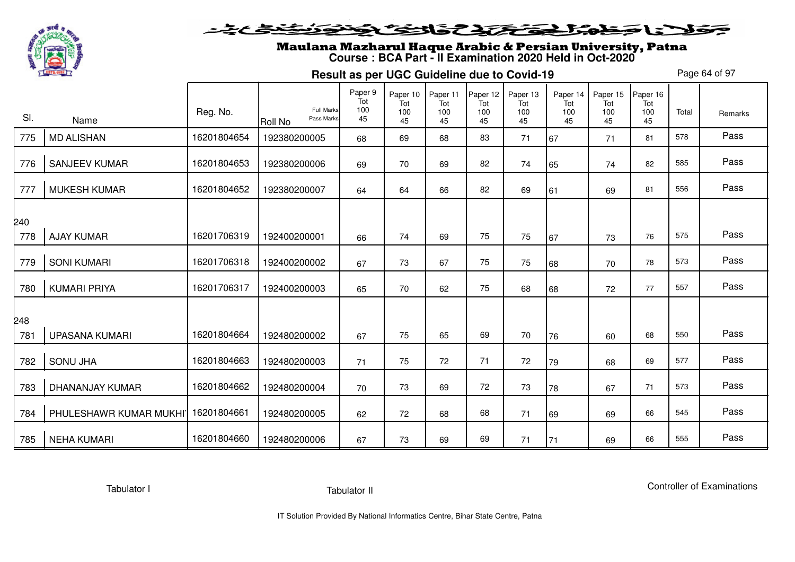

#### فلانا فطولخ تختلفك فالخفك لجنون فيندعينه

# Maulana Mazharul Haque Arabic & Persian University, Patna **Course : BCA Part - II Examination 2020 Held in Oct-2020**

**Result as per UGC Guideline due to Covid-19**

Page 64 of 97

| SI.        | Name                   | Reg. No.    | <b>Full Marks</b><br>Pass Marks<br>Roll No | Paper 9<br>Tot<br>100<br>45 | Paper 10<br>Tot<br>100<br>45 | Paper 11<br>Tot<br>100<br>45 | Paper 12<br>Tot<br>100<br>45 | Paper 13<br>Tot<br>100<br>45 | Paper 14<br>Tot<br>100<br>45 | Paper 15<br>Tot<br>100<br>45 | Paper 16<br>Tot<br>100<br>45 | Total | Remarks |
|------------|------------------------|-------------|--------------------------------------------|-----------------------------|------------------------------|------------------------------|------------------------------|------------------------------|------------------------------|------------------------------|------------------------------|-------|---------|
| 775        | <b>MD ALISHAN</b>      | 16201804654 | 192380200005                               | 68                          | 69                           | 68                           | 83                           | 71                           | 67                           | 71                           | 81                           | 578   | Pass    |
| 776        | <b>SANJEEV KUMAR</b>   | 16201804653 | 192380200006                               | 69                          | 70                           | 69                           | 82                           | 74                           | 65                           | 74                           | 82                           | 585   | Pass    |
| 777        | <b>MUKESH KUMAR</b>    | 16201804652 | 192380200007                               | 64                          | 64                           | 66                           | 82                           | 69                           | 61                           | 69                           | 81                           | 556   | Pass    |
| 240<br>778 | <b>AJAY KUMAR</b>      | 16201706319 | 192400200001                               | 66                          | 74                           | 69                           | 75                           | 75                           | 67                           | 73                           | 76                           | 575   | Pass    |
| 779        | <b>SONI KUMARI</b>     | 16201706318 | 192400200002                               | 67                          | 73                           | 67                           | 75                           | 75                           | 68                           | 70                           | 78                           | 573   | Pass    |
| 780        | <b>KUMARI PRIYA</b>    | 16201706317 | 192400200003                               | 65                          | 70                           | 62                           | 75                           | 68                           | 68                           | 72                           | 77                           | 557   | Pass    |
| 248<br>781 | <b>UPASANA KUMARI</b>  | 16201804664 | 192480200002                               | 67                          | 75                           | 65                           | 69                           | 70                           | 76                           | 60                           | 68                           | 550   | Pass    |
| 782        | <b>SONU JHA</b>        | 16201804663 | 192480200003                               | 71                          | 75                           | 72                           | 71                           | 72                           | 79                           | 68                           | 69                           | 577   | Pass    |
| 783        | DHANANJAY KUMAR        | 16201804662 | 192480200004                               | 70                          | 73                           | 69                           | 72                           | 73                           | 78                           | 67                           | 71                           | 573   | Pass    |
| 784        | PHULESHAWR KUMAR MUKHI | 16201804661 | 192480200005                               | 62                          | 72                           | 68                           | 68                           | 71                           | 69                           | 69                           | 66                           | 545   | Pass    |
| 785        | <b>NEHA KUMARI</b>     | 16201804660 | 192480200006                               | 67                          | 73                           | 69                           | 69                           | 71                           | 71                           | 69                           | 66                           | 555   | Pass    |

Tabulator I

Controller of Examinations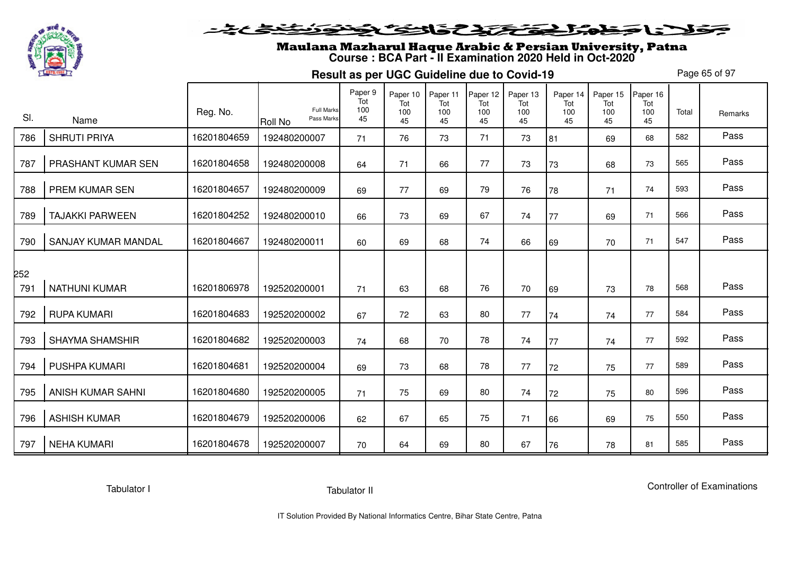

# Maulana Mazharul Haque Arabic & Persian University, Patna **Course : BCA Part - II Examination 2020 Held in Oct-2020**

**Result as per UGC Guideline due to Covid-19**

Page 65 of 97

| SI. | Name                       | Reg. No.    | <b>Full Marks</b><br>Pass Marks<br>Roll No | Paper 9<br>Tot<br>100<br>45 | Paper 10<br>Tot<br>100<br>45 | Paper 11<br>Tot<br>100<br>45 | Paper 12<br>Tot<br>100<br>45 | Paper 13<br>Tot<br>100<br>45 | Paper 14<br>Tot<br>100<br>45 | Paper 15<br>Tot<br>100<br>45 | Paper 16<br>Tot<br>100<br>45 | Total | Remarks |
|-----|----------------------------|-------------|--------------------------------------------|-----------------------------|------------------------------|------------------------------|------------------------------|------------------------------|------------------------------|------------------------------|------------------------------|-------|---------|
| 786 | <b>SHRUTI PRIYA</b>        | 16201804659 | 192480200007                               | 71                          | 76                           | 73                           | 71                           | 73                           | 81                           | 69                           | 68                           | 582   | Pass    |
| 787 | PRASHANT KUMAR SEN         | 16201804658 | 192480200008                               | 64                          | 71                           | 66                           | 77                           | 73                           | 73                           | 68                           | 73                           | 565   | Pass    |
| 788 | PREM KUMAR SEN             | 16201804657 | 192480200009                               | 69                          | 77                           | 69                           | 79                           | 76                           | 78                           | 71                           | 74                           | 593   | Pass    |
| 789 | <b>TAJAKKI PARWEEN</b>     | 16201804252 | 192480200010                               | 66                          | 73                           | 69                           | 67                           | 74                           | 77                           | 69                           | 71                           | 566   | Pass    |
| 790 | <b>SANJAY KUMAR MANDAL</b> | 16201804667 | 192480200011                               | 60                          | 69                           | 68                           | 74                           | 66                           | 69                           | 70                           | 71                           | 547   | Pass    |
| 252 |                            |             |                                            |                             |                              |                              |                              |                              |                              |                              |                              |       |         |
| 791 | <b>NATHUNI KUMAR</b>       | 16201806978 | 192520200001                               | 71                          | 63                           | 68                           | 76                           | 70                           | 69                           | 73                           | 78                           | 568   | Pass    |
| 792 | <b>RUPA KUMARI</b>         | 16201804683 | 192520200002                               | 67                          | 72                           | 63                           | 80                           | 77                           | 74                           | 74                           | 77                           | 584   | Pass    |
| 793 | <b>SHAYMA SHAMSHIR</b>     | 16201804682 | 192520200003                               | 74                          | 68                           | 70                           | 78                           | 74                           | 77                           | 74                           | 77                           | 592   | Pass    |
| 794 | <b>PUSHPA KUMARI</b>       | 16201804681 | 192520200004                               | 69                          | 73                           | 68                           | 78                           | 77                           | 72                           | 75                           | 77                           | 589   | Pass    |
| 795 | <b>ANISH KUMAR SAHNI</b>   | 16201804680 | 192520200005                               | 71                          | 75                           | 69                           | 80                           | 74                           | 72                           | 75                           | 80                           | 596   | Pass    |
| 796 | <b>ASHISH KUMAR</b>        | 16201804679 | 192520200006                               | 62                          | 67                           | 65                           | 75                           | 71                           | 66                           | 69                           | 75                           | 550   | Pass    |
| 797 | <b>NEHA KUMARI</b>         | 16201804678 | 192520200007                               | 70                          | 64                           | 69                           | 80                           | 67                           | 76                           | 78                           | 81                           | 585   | Pass    |

Tabulator I

Tabulator II

Controller of Examinations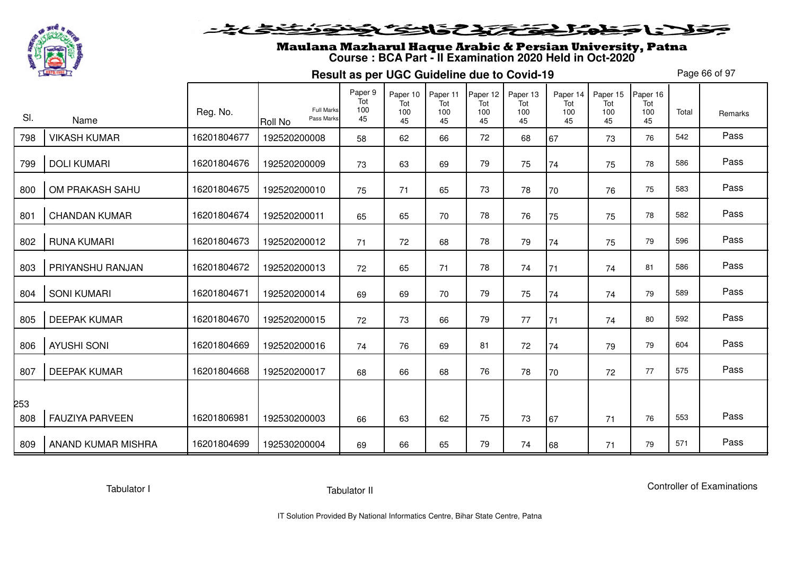

#### فلانا وطولخ تكتلا كفائك كضوئ فنفض

# Maulana Mazharul Haque Arabic & Persian University, Patna **Course : BCA Part - II Examination 2020 Held in Oct-2020**

**Result as per UGC Guideline due to Covid-19**

Page 66 of 97

| SI. | Name                   | Reg. No.    | <b>Full Marks</b><br>Pass Marks<br>Roll No | Paper 9<br>Tot<br>100<br>45 | Paper 10<br>Tot<br>100<br>45 | Paper 11<br>Tot<br>100<br>45 | Paper 12<br>Tot<br>100<br>45 | Paper 13<br>Tot<br>100<br>45 | Paper 14<br>Tot<br>100<br>45 | Paper 15<br>Tot<br>100<br>45 | Paper 16<br>Tot<br>100<br>45 | Total | Remarks |
|-----|------------------------|-------------|--------------------------------------------|-----------------------------|------------------------------|------------------------------|------------------------------|------------------------------|------------------------------|------------------------------|------------------------------|-------|---------|
| 798 | <b>VIKASH KUMAR</b>    | 16201804677 | 192520200008                               | 58                          | 62                           | 66                           | 72                           | 68                           | 67                           | 73                           | 76                           | 542   | Pass    |
| 799 | <b>DOLI KUMARI</b>     | 16201804676 | 192520200009                               | 73                          | 63                           | 69                           | 79                           | 75                           | 74                           | 75                           | 78                           | 586   | Pass    |
| 800 | OM PRAKASH SAHU        | 16201804675 | 192520200010                               | 75                          | 71                           | 65                           | 73                           | 78                           | 70                           | 76                           | 75                           | 583   | Pass    |
| 801 | <b>CHANDAN KUMAR</b>   | 16201804674 | 192520200011                               | 65                          | 65                           | 70                           | 78                           | 76                           | 75                           | 75                           | 78                           | 582   | Pass    |
| 802 | <b>RUNA KUMARI</b>     | 16201804673 | 192520200012                               | 71                          | 72                           | 68                           | 78                           | 79                           | 74                           | 75                           | 79                           | 596   | Pass    |
| 803 | PRIYANSHU RANJAN       | 16201804672 | 192520200013                               | 72                          | 65                           | 71                           | 78                           | 74                           | 71                           | 74                           | 81                           | 586   | Pass    |
| 804 | <b>SONI KUMARI</b>     | 16201804671 | 192520200014                               | 69                          | 69                           | 70                           | 79                           | 75                           | 74                           | 74                           | 79                           | 589   | Pass    |
| 805 | <b>DEEPAK KUMAR</b>    | 16201804670 | 192520200015                               | 72                          | 73                           | 66                           | 79                           | 77                           | 71                           | 74                           | 80                           | 592   | Pass    |
| 806 | <b>AYUSHI SONI</b>     | 16201804669 | 192520200016                               | 74                          | 76                           | 69                           | 81                           | 72                           | 74                           | 79                           | 79                           | 604   | Pass    |
| 807 | <b>DEEPAK KUMAR</b>    | 16201804668 | 192520200017                               | 68                          | 66                           | 68                           | 76                           | 78                           | 70                           | 72                           | 77                           | 575   | Pass    |
| 253 |                        |             |                                            |                             |                              |                              |                              |                              |                              |                              |                              |       |         |
| 808 | <b>FAUZIYA PARVEEN</b> | 16201806981 | 192530200003                               | 66                          | 63                           | 62                           | 75                           | 73                           | 67                           | 71                           | 76                           | 553   | Pass    |
| 809 | ANAND KUMAR MISHRA     | 16201804699 | 192530200004                               | 69                          | 66                           | 65                           | 79                           | 74                           | 68                           | 71                           | 79                           | 571   | Pass    |

Tabulator I

Tabulator II

Controller of Examinations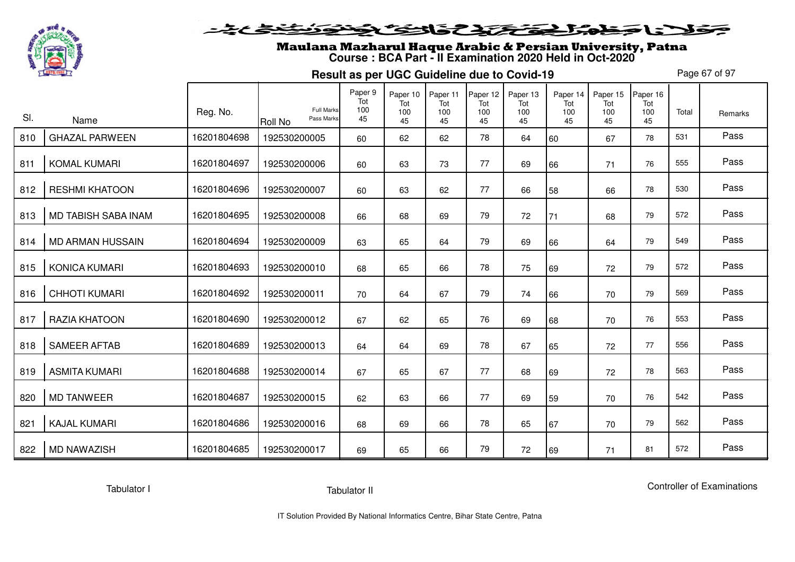

# Maulana Mazharul Haque Arabic & Persian University, Patna **Course : BCA Part - II Examination 2020 Held in Oct-2020**

**Result as per UGC Guideline due to Covid-19**

Page 67 of 97

| SI. | Name                    | Reg. No.    | <b>Full Marks</b><br>Pass Marks<br><b>Roll No</b> | Paper 9<br>Tot<br>100<br>45 | Paper 10<br>Tot<br>100<br>45 | Paper 11<br>Tot<br>100<br>45 | Paper 12<br>Tot<br>100<br>45 | Paper 13<br>Tot<br>100<br>45 | Paper 14<br>Tot<br>100<br>45 | Paper 15<br>Tot<br>100<br>45 | Paper 16<br>Tot<br>100<br>45 | Total | Remarks |
|-----|-------------------------|-------------|---------------------------------------------------|-----------------------------|------------------------------|------------------------------|------------------------------|------------------------------|------------------------------|------------------------------|------------------------------|-------|---------|
| 810 | <b>GHAZAL PARWEEN</b>   | 16201804698 | 192530200005                                      | 60                          | 62                           | 62                           | 78                           | 64                           | 60                           | 67                           | 78                           | 531   | Pass    |
| 811 | <b>KOMAL KUMARI</b>     | 16201804697 | 192530200006                                      | 60                          | 63                           | 73                           | 77                           | 69                           | 66                           | 71                           | 76                           | 555   | Pass    |
| 812 | <b>RESHMI KHATOON</b>   | 16201804696 | 192530200007                                      | 60                          | 63                           | 62                           | 77                           | 66                           | 58                           | 66                           | 78                           | 530   | Pass    |
| 813 | MD TABISH SABA INAM     | 16201804695 | 192530200008                                      | 66                          | 68                           | 69                           | 79                           | 72                           | 71                           | 68                           | 79                           | 572   | Pass    |
| 814 | <b>MD ARMAN HUSSAIN</b> | 16201804694 | 192530200009                                      | 63                          | 65                           | 64                           | 79                           | 69                           | 66                           | 64                           | 79                           | 549   | Pass    |
| 815 | <b>KONICA KUMARI</b>    | 16201804693 | 192530200010                                      | 68                          | 65                           | 66                           | 78                           | 75                           | 69                           | 72                           | 79                           | 572   | Pass    |
| 816 | <b>CHHOTI KUMARI</b>    | 16201804692 | 192530200011                                      | 70                          | 64                           | 67                           | 79                           | 74                           | 66                           | 70                           | 79                           | 569   | Pass    |
| 817 | RAZIA KHATOON           | 16201804690 | 192530200012                                      | 67                          | 62                           | 65                           | 76                           | 69                           | 68                           | 70                           | 76                           | 553   | Pass    |
| 818 | <b>SAMEER AFTAB</b>     | 16201804689 | 192530200013                                      | 64                          | 64                           | 69                           | 78                           | 67                           | 65                           | 72                           | 77                           | 556   | Pass    |
| 819 | <b>ASMITA KUMARI</b>    | 16201804688 | 192530200014                                      | 67                          | 65                           | 67                           | 77                           | 68                           | 69                           | 72                           | 78                           | 563   | Pass    |
| 820 | <b>MD TANWEER</b>       | 16201804687 | 192530200015                                      | 62                          | 63                           | 66                           | 77                           | 69                           | 59                           | 70                           | 76                           | 542   | Pass    |
| 821 | <b>KAJAL KUMARI</b>     | 16201804686 | 192530200016                                      | 68                          | 69                           | 66                           | 78                           | 65                           | 67                           | 70                           | 79                           | 562   | Pass    |
| 822 | <b>MD NAWAZISH</b>      | 16201804685 | 192530200017                                      | 69                          | 65                           | 66                           | 79                           | 72                           | 69                           | 71                           | 81                           | 572   | Pass    |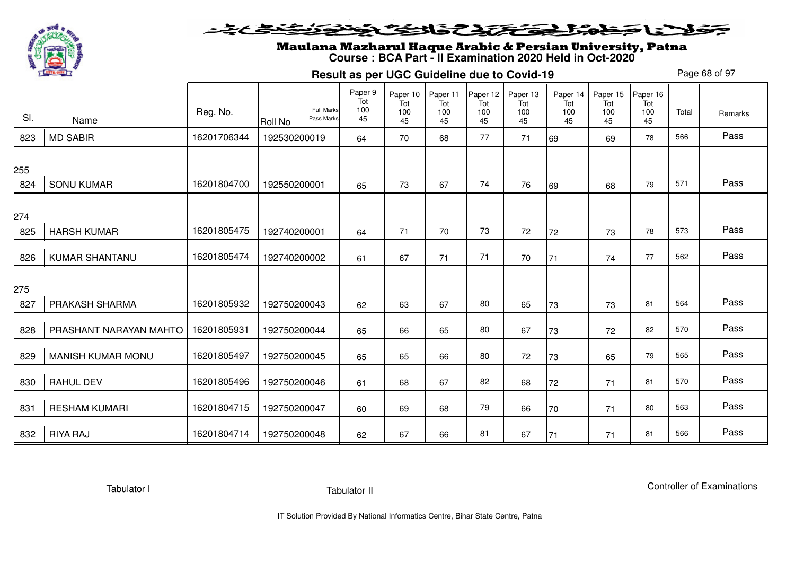

#### حكنشكة عند فلانا جمعلى المتختص والتكافي

# Maulana Mazharul Haque Arabic & Persian University, Patna **Course : BCA Part - II Examination 2020 Held in Oct-2020**

**Result as per UGC Guideline due to Covid-19**

Page 68 of 97

| SI.        | Name                     | Reg. No.    | Full Marks<br>Pass Marks<br>Roll No | Paper 9<br>Tot<br>100<br>45 | Paper 10<br>Tot<br>100<br>45 | Paper 11<br>Tot<br>100<br>45 | Paper 12<br>Tot<br>100<br>45 | Paper 13<br>Tot<br>100<br>45 | Paper 14<br>Tot<br>100<br>45 | Paper 15<br>Tot<br>100<br>45 | Paper 16<br>Tot<br>100<br>45 | Total | Remarks |
|------------|--------------------------|-------------|-------------------------------------|-----------------------------|------------------------------|------------------------------|------------------------------|------------------------------|------------------------------|------------------------------|------------------------------|-------|---------|
| 823        | <b>MD SABIR</b>          | 16201706344 | 192530200019                        | 64                          | 70                           | 68                           | 77                           | 71                           | 69                           | 69                           | 78                           | 566   | Pass    |
| 255<br>824 | <b>SONU KUMAR</b>        | 16201804700 | 192550200001                        | 65                          | 73                           | 67                           | 74                           | 76                           | 69                           | 68                           | 79                           | 571   | Pass    |
| 274<br>825 | <b>HARSH KUMAR</b>       | 16201805475 | 192740200001                        | 64                          | 71                           | 70                           | 73                           | 72                           | 72                           | 73                           | 78                           | 573   | Pass    |
| 826        | <b>KUMAR SHANTANU</b>    | 16201805474 | 192740200002                        | 61                          | 67                           | 71                           | 71                           | 70                           | 171                          | 74                           | 77                           | 562   | Pass    |
| 275<br>827 | PRAKASH SHARMA           | 16201805932 | 192750200043                        | 62                          | 63                           | 67                           | 80                           | 65                           | 73                           | 73                           | 81                           | 564   | Pass    |
| 828        | PRASHANT NARAYAN MAHTO   | 16201805931 | 192750200044                        | 65                          | 66                           | 65                           | 80                           | 67                           | 73                           | 72                           | 82                           | 570   | Pass    |
| 829        | <b>MANISH KUMAR MONU</b> | 16201805497 | 192750200045                        | 65                          | 65                           | 66                           | 80                           | 72                           | 73                           | 65                           | 79                           | 565   | Pass    |
| 830        | <b>RAHUL DEV</b>         | 16201805496 | 192750200046                        | 61                          | 68                           | 67                           | 82                           | 68                           | 72                           | 71                           | 81                           | 570   | Pass    |
| 831        | <b>RESHAM KUMARI</b>     | 16201804715 | 192750200047                        | 60                          | 69                           | 68                           | 79                           | 66                           | 70                           | 71                           | 80                           | 563   | Pass    |
| 832        | <b>RIYA RAJ</b>          | 16201804714 | 192750200048                        | 62                          | 67                           | 66                           | 81                           | 67                           | 171                          | 71                           | 81                           | 566   | Pass    |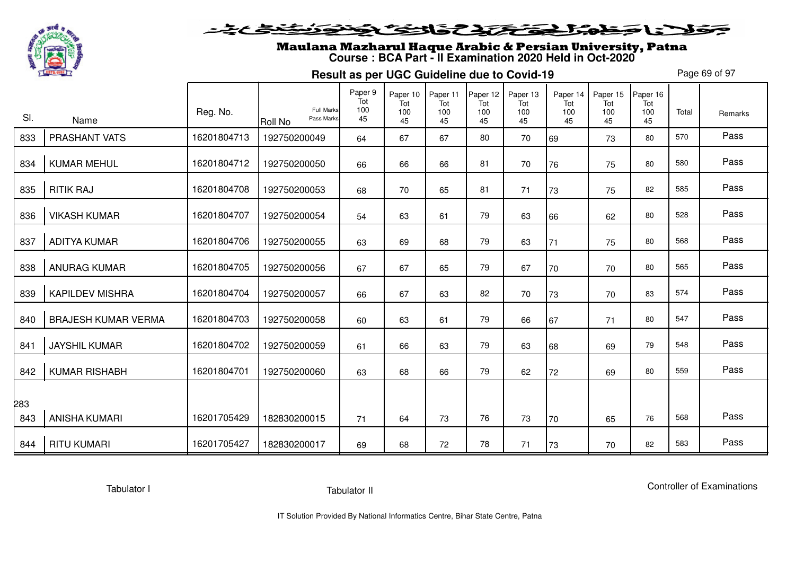

#### فلانا حفاشكنكنك فالتكنيك فتونفتك ومناف

# Maulana Mazharul Haque Arabic & Persian University, Patna **Course : BCA Part - II Examination 2020 Held in Oct-2020**

**Result as per UGC Guideline due to Covid-19**

Page 69 of 97

| SI. | Name                       | Reg. No.    | <b>Full Marks</b><br>Pass Marks<br>Roll No | Paper 9<br>Tot<br>100<br>45 | Paper 10<br>Tot<br>100<br>45 | Paper 11<br>Tot<br>100<br>45 | Paper 12<br>Tot<br>100<br>45 | Paper 13<br>Tot<br>100<br>45 | Paper 14<br>Tot<br>100<br>45 | Paper 15<br>Tot<br>100<br>45 | Paper 16<br>Tot<br>100<br>45 | Total | Remarks |
|-----|----------------------------|-------------|--------------------------------------------|-----------------------------|------------------------------|------------------------------|------------------------------|------------------------------|------------------------------|------------------------------|------------------------------|-------|---------|
| 833 | PRASHANT VATS              | 16201804713 | 192750200049                               | 64                          | 67                           | 67                           | 80                           | 70                           | 69                           | 73                           | 80                           | 570   | Pass    |
| 834 | <b>KUMAR MEHUL</b>         | 16201804712 | 192750200050                               | 66                          | 66                           | 66                           | 81                           | 70                           | 76                           | 75                           | 80                           | 580   | Pass    |
| 835 | <b>RITIK RAJ</b>           | 16201804708 | 192750200053                               | 68                          | 70                           | 65                           | 81                           | 71                           | 73                           | 75                           | 82                           | 585   | Pass    |
| 836 | <b>VIKASH KUMAR</b>        | 16201804707 | 192750200054                               | 54                          | 63                           | 61                           | 79                           | 63                           | 66                           | 62                           | 80                           | 528   | Pass    |
| 837 | <b>ADITYA KUMAR</b>        | 16201804706 | 192750200055                               | 63                          | 69                           | 68                           | 79                           | 63                           | 71                           | 75                           | 80                           | 568   | Pass    |
| 838 | <b>ANURAG KUMAR</b>        | 16201804705 | 192750200056                               | 67                          | 67                           | 65                           | 79                           | 67                           | 70                           | 70                           | 80                           | 565   | Pass    |
| 839 | <b>KAPILDEV MISHRA</b>     | 16201804704 | 192750200057                               | 66                          | 67                           | 63                           | 82                           | 70                           | 73                           | 70                           | 83                           | 574   | Pass    |
| 840 | <b>BRAJESH KUMAR VERMA</b> | 16201804703 | 192750200058                               | 60                          | 63                           | 61                           | 79                           | 66                           | 67                           | 71                           | 80                           | 547   | Pass    |
| 841 | <b>JAYSHIL KUMAR</b>       | 16201804702 | 192750200059                               | 61                          | 66                           | 63                           | 79                           | 63                           | 68                           | 69                           | 79                           | 548   | Pass    |
| 842 | <b>KUMAR RISHABH</b>       | 16201804701 | 192750200060                               | 63                          | 68                           | 66                           | 79                           | 62                           | 72                           | 69                           | 80                           | 559   | Pass    |
| 283 |                            |             |                                            |                             |                              |                              |                              |                              |                              |                              |                              |       |         |
| 843 | <b>ANISHA KUMARI</b>       | 16201705429 | 182830200015                               | 71                          | 64                           | 73                           | 76                           | 73                           | 70                           | 65                           | 76                           | 568   | Pass    |
| 844 | <b>RITU KUMARI</b>         | 16201705427 | 182830200017                               | 69                          | 68                           | 72                           | 78                           | 71                           | 73                           | 70                           | 82                           | 583   | Pass    |

Tabulator I

Tabulator II

Controller of Examinations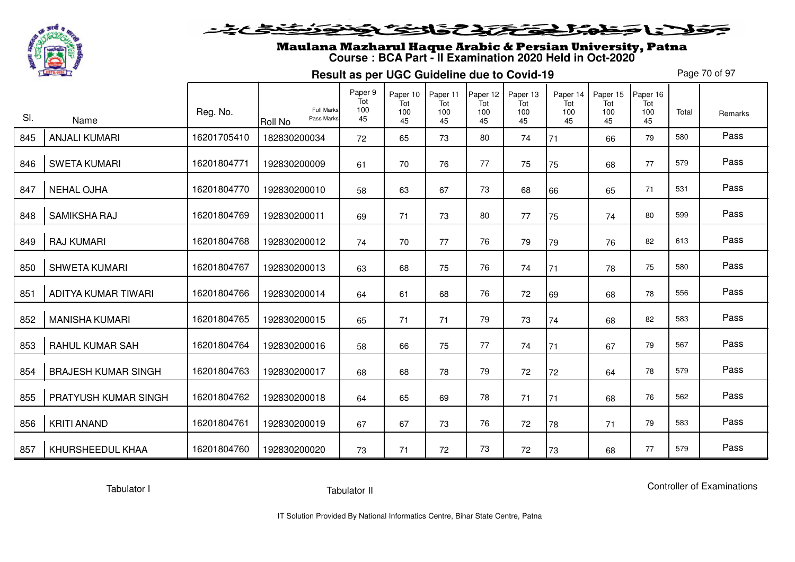

# Maulana Mazharul Haque Arabic & Persian University, Patna **Course : BCA Part - II Examination 2020 Held in Oct-2020**

**Result as per UGC Guideline due to Covid-19**

Page 70 of 97

|     |                            | Reg. No.    | <b>Full Marks</b>            | Paper 9<br>Tot<br>100 | Paper 10<br>Tot<br>100 | Paper 11<br>Tot<br>100 | Paper 12<br>Tot<br>100 | Paper 13<br>Tot<br>100 | Paper 14<br>Tot<br>100 | Paper 15<br>Tot<br>100 | Paper 16<br>Tot<br>100 | Total | Remarks |
|-----|----------------------------|-------------|------------------------------|-----------------------|------------------------|------------------------|------------------------|------------------------|------------------------|------------------------|------------------------|-------|---------|
| SI. | Name                       |             | Pass Marks<br><b>Roll No</b> | 45                    | 45                     | 45                     | 45                     | 45                     | 45                     | 45                     | 45                     |       |         |
| 845 | <b>ANJALI KUMARI</b>       | 16201705410 | 182830200034                 | 72                    | 65                     | 73                     | 80                     | 74                     | 71                     | 66                     | 79                     | 580   | Pass    |
| 846 | <b>SWETA KUMARI</b>        | 16201804771 | 192830200009                 | 61                    | 70                     | 76                     | 77                     | 75                     | 75                     | 68                     | 77                     | 579   | Pass    |
| 847 | <b>NEHAL OJHA</b>          | 16201804770 | 192830200010                 | 58                    | 63                     | 67                     | 73                     | 68                     | 66                     | 65                     | 71                     | 531   | Pass    |
| 848 | <b>SAMIKSHA RAJ</b>        | 16201804769 | 192830200011                 | 69                    | 71                     | 73                     | 80                     | 77                     | 75                     | 74                     | 80                     | 599   | Pass    |
| 849 | <b>RAJ KUMARI</b>          | 16201804768 | 192830200012                 | 74                    | 70                     | 77                     | 76                     | 79                     | 79                     | 76                     | 82                     | 613   | Pass    |
| 850 | <b>SHWETA KUMARI</b>       | 16201804767 | 192830200013                 | 63                    | 68                     | 75                     | 76                     | 74                     | 71                     | 78                     | 75                     | 580   | Pass    |
| 851 | ADITYA KUMAR TIWARI        | 16201804766 | 192830200014                 | 64                    | 61                     | 68                     | 76                     | 72                     | 69                     | 68                     | 78                     | 556   | Pass    |
| 852 | <b>MANISHA KUMARI</b>      | 16201804765 | 192830200015                 | 65                    | 71                     | 71                     | 79                     | 73                     | 74                     | 68                     | 82                     | 583   | Pass    |
| 853 | <b>RAHUL KUMAR SAH</b>     | 16201804764 | 192830200016                 | 58                    | 66                     | 75                     | 77                     | 74                     | 71                     | 67                     | 79                     | 567   | Pass    |
| 854 | <b>BRAJESH KUMAR SINGH</b> | 16201804763 | 192830200017                 | 68                    | 68                     | 78                     | 79                     | 72                     | 72                     | 64                     | 78                     | 579   | Pass    |
| 855 | PRATYUSH KUMAR SINGH       | 16201804762 | 192830200018                 | 64                    | 65                     | 69                     | 78                     | 71                     | 71                     | 68                     | 76                     | 562   | Pass    |
| 856 | <b>KRITI ANAND</b>         | 16201804761 | 192830200019                 | 67                    | 67                     | 73                     | 76                     | 72                     | 78                     | 71                     | 79                     | 583   | Pass    |
| 857 | KHURSHEEDUL KHAA           | 16201804760 | 192830200020                 | 73                    | 71                     | 72                     | 73                     | 72                     | 73                     | 68                     | 77                     | 579   | Pass    |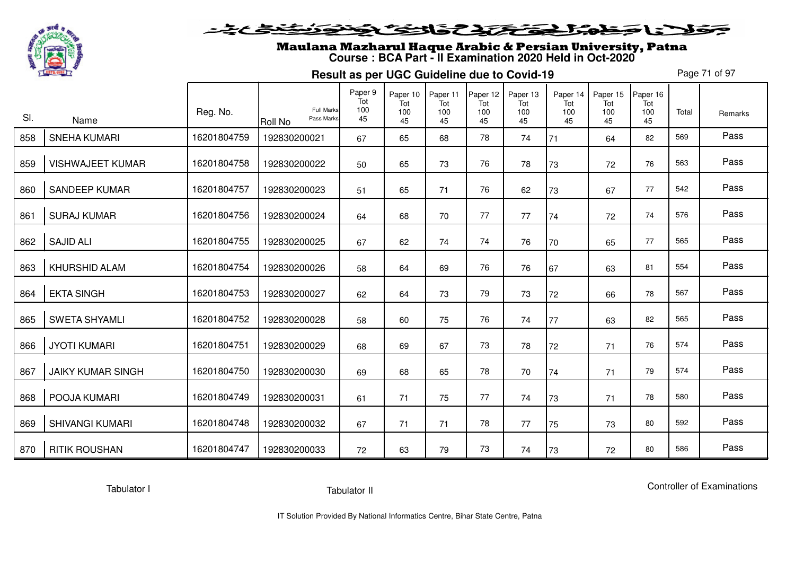

# Maulana Mazharul Haque Arabic & Persian University, Patna **Course : BCA Part - II Examination 2020 Held in Oct-2020**

**Result as per UGC Guideline due to Covid-19**

Page 71 of 97

|     |                          | Reg. No.    | <b>Full Marks</b>            | Paper 9<br>Tot<br>100 | Paper 10<br>Tot<br>100 | Paper 11<br>Tot<br>100 | Paper 12<br>Tot<br>100 | Paper 13<br>Tot<br>100 | Paper 14<br>Tot<br>100 | Paper 15<br>Tot<br>100 | Paper 16<br>Tot<br>100 | Total |         |
|-----|--------------------------|-------------|------------------------------|-----------------------|------------------------|------------------------|------------------------|------------------------|------------------------|------------------------|------------------------|-------|---------|
| SI. | Name                     |             | Pass Marks<br><b>Roll No</b> | 45                    | 45                     | 45                     | 45                     | 45                     | 45                     | 45                     | 45                     |       | Remarks |
| 858 | <b>SNEHA KUMARI</b>      | 16201804759 | 192830200021                 | 67                    | 65                     | 68                     | 78                     | 74                     | 71                     | 64                     | 82                     | 569   | Pass    |
| 859 | <b>VISHWAJEET KUMAR</b>  | 16201804758 | 192830200022                 | 50                    | 65                     | 73                     | 76                     | 78                     | 73                     | 72                     | 76                     | 563   | Pass    |
| 860 | <b>SANDEEP KUMAR</b>     | 16201804757 | 192830200023                 | 51                    | 65                     | 71                     | 76                     | 62                     | 73                     | 67                     | 77                     | 542   | Pass    |
| 861 | <b>SURAJ KUMAR</b>       | 16201804756 | 192830200024                 | 64                    | 68                     | 70                     | 77                     | 77                     | 74                     | 72                     | 74                     | 576   | Pass    |
| 862 | <b>SAJID ALI</b>         | 16201804755 | 192830200025                 | 67                    | 62                     | 74                     | 74                     | 76                     | 70                     | 65                     | 77                     | 565   | Pass    |
| 863 | KHURSHID ALAM            | 16201804754 | 192830200026                 | 58                    | 64                     | 69                     | 76                     | 76                     | 67                     | 63                     | 81                     | 554   | Pass    |
| 864 | <b>EKTA SINGH</b>        | 16201804753 | 192830200027                 | 62                    | 64                     | 73                     | 79                     | 73                     | 72                     | 66                     | 78                     | 567   | Pass    |
| 865 | <b>SWETA SHYAMLI</b>     | 16201804752 | 192830200028                 | 58                    | 60                     | 75                     | 76                     | 74                     | 77                     | 63                     | 82                     | 565   | Pass    |
| 866 | <b>JYOTI KUMARI</b>      | 16201804751 | 192830200029                 | 68                    | 69                     | 67                     | 73                     | 78                     | 72                     | 71                     | 76                     | 574   | Pass    |
| 867 | <b>JAIKY KUMAR SINGH</b> | 16201804750 | 192830200030                 | 69                    | 68                     | 65                     | 78                     | 70                     | $74$                   | 71                     | 79                     | 574   | Pass    |
| 868 | POOJA KUMARI             | 16201804749 | 192830200031                 | 61                    | 71                     | 75                     | 77                     | 74                     | 73                     | 71                     | 78                     | 580   | Pass    |
| 869 | <b>SHIVANGI KUMARI</b>   | 16201804748 | 192830200032                 | 67                    | 71                     | 71                     | 78                     | $77$                   | 75                     | 73                     | 80                     | 592   | Pass    |
| 870 | <b>RITIK ROUSHAN</b>     | 16201804747 | 192830200033                 | 72                    | 63                     | 79                     | 73                     | 74                     | 73                     | 72                     | 80                     | 586   | Pass    |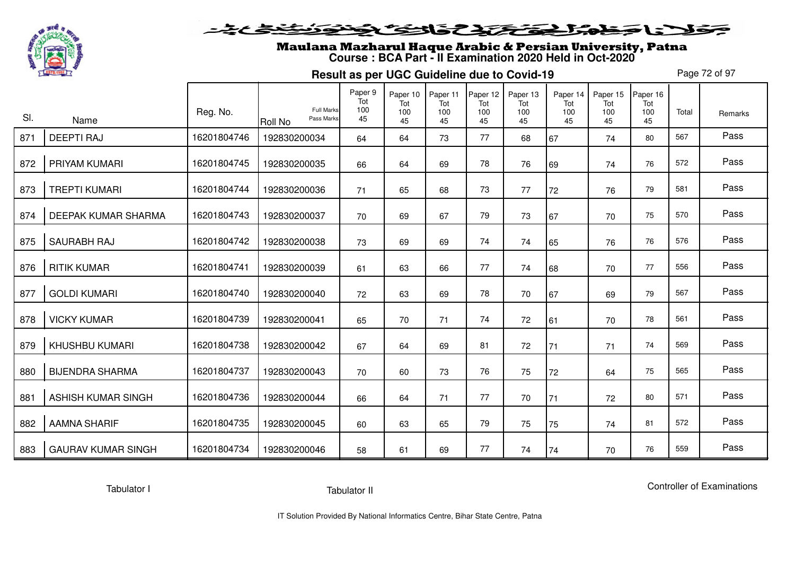

# Maulana Mazharul Haque Arabic & Persian University, Patna **Course : BCA Part - II Examination 2020 Held in Oct-2020**

**Result as per UGC Guideline due to Covid-19**

Page 72 of 97

| SI. | Name                      | Reg. No.    | <b>Full Marks</b><br>Pass Marks | Paper 9<br>Tot<br>100<br>45 | Paper 10<br>Tot<br>100<br>45 | Paper 11<br>Tot<br>100<br>45 | Paper 12<br>Tot<br>100<br>45 | Paper 13<br>Tot<br>100<br>45 | Paper 14<br>Tot<br>100<br>45 | Paper 15<br>Tot<br>100<br>45 | Paper 16<br>Tot<br>100<br>45 | Total | Remarks |
|-----|---------------------------|-------------|---------------------------------|-----------------------------|------------------------------|------------------------------|------------------------------|------------------------------|------------------------------|------------------------------|------------------------------|-------|---------|
| 871 | <b>DEEPTI RAJ</b>         | 16201804746 | <b>Roll No</b><br>192830200034  | 64                          | 64                           | 73                           | 77                           | 68                           | 67                           | 74                           | 80                           | 567   | Pass    |
| 872 | PRIYAM KUMARI             | 16201804745 | 192830200035                    | 66                          | 64                           | 69                           | 78                           | 76                           | 69                           | 74                           | 76                           | 572   | Pass    |
| 873 | <b>TREPTI KUMARI</b>      | 16201804744 | 192830200036                    | 71                          | 65                           | 68                           | 73                           | 77                           | 72                           | 76                           | 79                           | 581   | Pass    |
| 874 | DEEPAK KUMAR SHARMA       | 16201804743 | 192830200037                    | 70                          | 69                           | 67                           | 79                           | 73                           | 67                           | 70                           | 75                           | 570   | Pass    |
| 875 | <b>SAURABH RAJ</b>        | 16201804742 | 192830200038                    | 73                          | 69                           | 69                           | 74                           | 74                           | 65                           | 76                           | 76                           | 576   | Pass    |
| 876 | <b>RITIK KUMAR</b>        | 16201804741 | 192830200039                    | 61                          | 63                           | 66                           | 77                           | 74                           | 68                           | 70                           | 77                           | 556   | Pass    |
| 877 | <b>GOLDI KUMARI</b>       | 16201804740 | 192830200040                    | 72                          | 63                           | 69                           | 78                           | 70                           | 67                           | 69                           | 79                           | 567   | Pass    |
| 878 | <b>VICKY KUMAR</b>        | 16201804739 | 192830200041                    | 65                          | 70                           | 71                           | 74                           | 72                           | 61                           | 70                           | 78                           | 561   | Pass    |
| 879 | <b>KHUSHBU KUMARI</b>     | 16201804738 | 192830200042                    | 67                          | 64                           | 69                           | 81                           | 72                           | 71                           | 71                           | 74                           | 569   | Pass    |
| 880 | <b>BIJENDRA SHARMA</b>    | 16201804737 | 192830200043                    | 70                          | 60                           | 73                           | 76                           | 75                           | 72                           | 64                           | 75                           | 565   | Pass    |
| 881 | ASHISH KUMAR SINGH        | 16201804736 | 192830200044                    | 66                          | 64                           | 71                           | 77                           | 70                           | 71                           | 72                           | 80                           | 571   | Pass    |
| 882 | <b>AAMNA SHARIF</b>       | 16201804735 | 192830200045                    | 60                          | 63                           | 65                           | 79                           | 75                           | 75                           | 74                           | 81                           | 572   | Pass    |
| 883 | <b>GAURAV KUMAR SINGH</b> | 16201804734 | 192830200046                    | 58                          | 61                           | 69                           | 77                           | 74                           | 74                           | 70                           | 76                           | 559   | Pass    |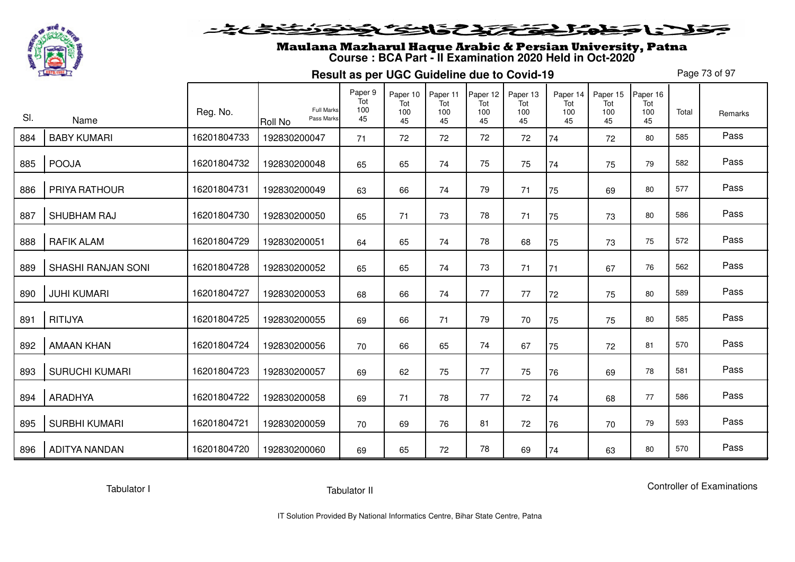

## Maulana Mazharul Haque Arabic & Persian University, Patna **Course : BCA Part - II Examination 2020 Held in Oct-2020**

**Result as per UGC Guideline due to Covid-19**

Page 73 of 97

| SI. | Name                      | Reg. No.    | <b>Full Marks</b><br>Pass Marks | Paper 9<br>Tot<br>100<br>45 | Paper 10<br>Tot<br>100 | Paper 11<br>Tot<br>100 | Paper 12<br>Tot<br>100 | Paper 13<br>Tot<br>100 | Paper 14<br>Tot<br>100<br>45 | Paper 15<br>Tot<br>100 | Paper 16<br>Tot<br>100 | Total | Remarks |
|-----|---------------------------|-------------|---------------------------------|-----------------------------|------------------------|------------------------|------------------------|------------------------|------------------------------|------------------------|------------------------|-------|---------|
| 884 | <b>BABY KUMARI</b>        | 16201804733 | <b>Roll No</b><br>192830200047  | 71                          | 45<br>72               | 45<br>72               | 45<br>72               | 45<br>72               | 74                           | 45<br>72               | 45<br>80               | 585   | Pass    |
|     |                           |             |                                 |                             |                        |                        |                        |                        |                              |                        |                        |       |         |
| 885 | <b>POOJA</b>              | 16201804732 | 192830200048                    | 65                          | 65                     | 74                     | 75                     | 75                     | 74                           | 75                     | 79                     | 582   | Pass    |
| 886 | PRIYA RATHOUR             | 16201804731 | 192830200049                    | 63                          | 66                     | 74                     | 79                     | 71                     | 75                           | 69                     | 80                     | 577   | Pass    |
| 887 | SHUBHAM RAJ               | 16201804730 | 192830200050                    | 65                          | 71                     | 73                     | 78                     | 71                     | 75                           | 73                     | 80                     | 586   | Pass    |
| 888 | <b>RAFIK ALAM</b>         | 16201804729 | 192830200051                    | 64                          | 65                     | 74                     | 78                     | 68                     | 75                           | 73                     | 75                     | 572   | Pass    |
| 889 | <b>SHASHI RANJAN SONI</b> | 16201804728 | 192830200052                    | 65                          | 65                     | 74                     | 73                     | 71                     | 71                           | 67                     | 76                     | 562   | Pass    |
| 890 | <b>JUHI KUMARI</b>        | 16201804727 | 192830200053                    | 68                          | 66                     | 74                     | 77                     | 77                     | 72                           | 75                     | 80                     | 589   | Pass    |
| 891 | RITIJYA                   | 16201804725 | 192830200055                    | 69                          | 66                     | 71                     | 79                     | 70                     | 75                           | 75                     | 80                     | 585   | Pass    |
| 892 | <b>AMAAN KHAN</b>         | 16201804724 | 192830200056                    | 70                          | 66                     | 65                     | 74                     | 67                     | 75                           | 72                     | 81                     | 570   | Pass    |
| 893 | <b>SURUCHI KUMARI</b>     | 16201804723 | 192830200057                    | 69                          | 62                     | 75                     | 77                     | 75                     | 76                           | 69                     | 78                     | 581   | Pass    |
| 894 | <b>ARADHYA</b>            | 16201804722 | 192830200058                    | 69                          | 71                     | 78                     | 77                     | 72                     | 74                           | 68                     | 77                     | 586   | Pass    |
| 895 | <b>SURBHI KUMARI</b>      | 16201804721 | 192830200059                    | 70                          | 69                     | 76                     | 81                     | 72                     | 76                           | 70                     | 79                     | 593   | Pass    |
| 896 | <b>ADITYA NANDAN</b>      | 16201804720 | 192830200060                    | 69                          | 65                     | 72                     | 78                     | 69                     | 74                           | 63                     | 80                     | 570   | Pass    |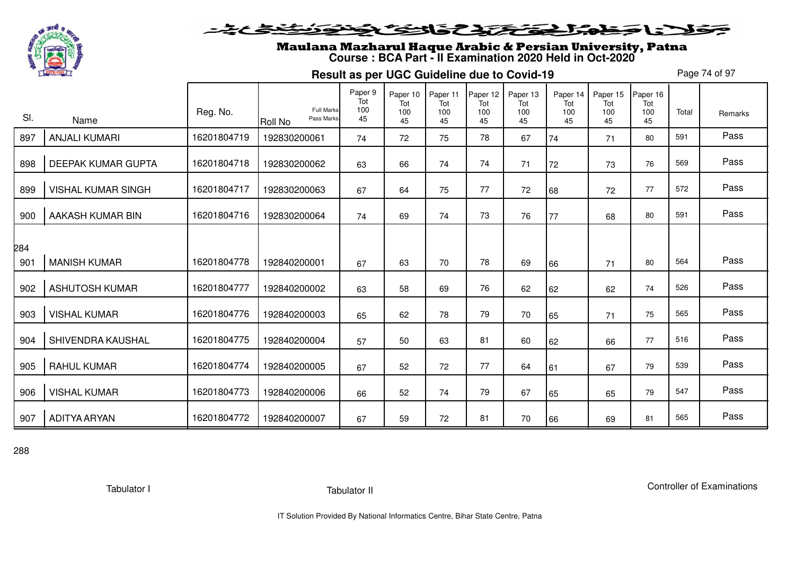

#### فلانا وطوالحقة كتحكو فالتف فيتنو وينفض

# Maulana Mazharul Haque Arabic & Persian University, Patna **Course : BCA Part - II Examination 2020 Held in Oct-2020**

**Result as per UGC Guideline due to Covid-19**

Page 74 of 97

| SI.        | Name                      | Reg. No.    | <b>Full Marks</b><br>Pass Marks<br>Roll No | Paper 9<br>Tot<br>100<br>45 | Paper 10<br>Tot<br>100<br>45 | Paper 11<br>Tot<br>100<br>45 | Paper 12<br>Tot<br>100<br>45 | Paper 13<br>Tot<br>100<br>45 | Paper 14<br>Tot<br>100<br>45 | Paper 15<br>Tot<br>100<br>45 | Paper 16<br>Tot<br>100<br>45 | Total | Remarks |
|------------|---------------------------|-------------|--------------------------------------------|-----------------------------|------------------------------|------------------------------|------------------------------|------------------------------|------------------------------|------------------------------|------------------------------|-------|---------|
| 897        | <b>ANJALI KUMARI</b>      | 16201804719 | 192830200061                               | 74                          | 72                           | 75                           | 78                           | 67                           | 74                           | 71                           | 80                           | 591   | Pass    |
| 898        | <b>DEEPAK KUMAR GUPTA</b> | 16201804718 | 192830200062                               | 63                          | 66                           | 74                           | 74                           | 71                           | 72                           | 73                           | 76                           | 569   | Pass    |
| 899        | <b>VISHAL KUMAR SINGH</b> | 16201804717 | 192830200063                               | 67                          | 64                           | 75                           | 77                           | 72                           | 68                           | 72                           | 77                           | 572   | Pass    |
| 900        | AAKASH KUMAR BIN          | 16201804716 | 192830200064                               | 74                          | 69                           | 74                           | 73                           | 76                           | 77                           | 68                           | 80                           | 591   | Pass    |
|            |                           |             |                                            |                             |                              |                              |                              |                              |                              |                              |                              |       |         |
| 284<br>901 | <b>MANISH KUMAR</b>       | 16201804778 | 192840200001                               | 67                          | 63                           | 70                           | 78                           | 69                           | 66                           | 71                           | 80                           | 564   | Pass    |
| 902        | <b>ASHUTOSH KUMAR</b>     | 16201804777 | 192840200002                               | 63                          | 58                           | 69                           | 76                           | 62                           | 62                           | 62                           | 74                           | 526   | Pass    |
| 903        | <b>VISHAL KUMAR</b>       | 16201804776 | 192840200003                               | 65                          | 62                           | 78                           | 79                           | 70                           | 65                           | 71                           | 75                           | 565   | Pass    |
| 904        | SHIVENDRA KAUSHAL         | 16201804775 | 192840200004                               | 57                          | 50                           | 63                           | 81                           | 60                           | 62                           | 66                           | 77                           | 516   | Pass    |
| 905        | <b>RAHUL KUMAR</b>        | 16201804774 | 192840200005                               | 67                          | 52                           | 72                           | 77                           | 64                           | 61                           | 67                           | 79                           | 539   | Pass    |
| 906        | <b>VISHAL KUMAR</b>       | 16201804773 | 192840200006                               | 66                          | 52                           | 74                           | 79                           | 67                           | 65                           | 65                           | 79                           | 547   | Pass    |
| 907        | <b>ADITYA ARYAN</b>       | 16201804772 | 192840200007                               | 67                          | 59                           | 72                           | 81                           | 70                           | 66                           | 69                           | 81                           | 565   | Pass    |

288

Tabulator I

Controller of Examinations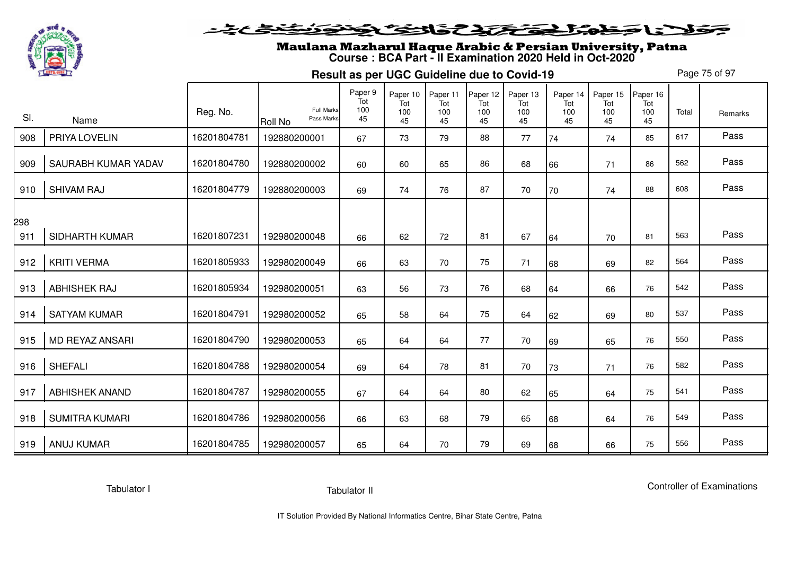

#### فلانا وطوالحقة كتحكون فينونون فنخدم

# Maulana Mazharul Haque Arabic & Persian University, Patna **Course : BCA Part - II Examination 2020 Held in Oct-2020**

**Result as per UGC Guideline due to Covid-19**

Page 75 of 97

| SI.        | Name                  | Reg. No.    | <b>Full Marks</b><br>Pass Marks<br>Roll No | Paper 9<br>Tot<br>100<br>45 | Paper 10<br>Tot<br>100<br>45 | Paper 11<br>Tot<br>100<br>45 | Paper 12<br>Tot<br>100<br>45 | Paper 13<br>Tot<br>100<br>45 | Paper 14<br>Tot<br>100<br>45 | Paper 15<br>Tot<br>100<br>45 | Paper 16<br>Tot<br>100<br>45 | Total | Remarks |
|------------|-----------------------|-------------|--------------------------------------------|-----------------------------|------------------------------|------------------------------|------------------------------|------------------------------|------------------------------|------------------------------|------------------------------|-------|---------|
| 908        | PRIYA LOVELIN         | 16201804781 | 192880200001                               | 67                          | 73                           | 79                           | 88                           | 77                           | 74                           | 74                           | 85                           | 617   | Pass    |
| 909        | SAURABH KUMAR YADAV   | 16201804780 | 192880200002                               | 60                          | 60                           | 65                           | 86                           | 68                           | 66                           | 71                           | 86                           | 562   | Pass    |
| 910        | <b>SHIVAM RAJ</b>     | 16201804779 | 192880200003                               | 69                          | 74                           | 76                           | 87                           | 70                           | 70                           | 74                           | 88                           | 608   | Pass    |
| 298<br>911 | <b>SIDHARTH KUMAR</b> | 16201807231 | 192980200048                               | 66                          | 62                           | 72                           | 81                           | 67                           | 64                           | 70                           | 81                           | 563   | Pass    |
| 912        | <b>KRITI VERMA</b>    | 16201805933 | 192980200049                               | 66                          | 63                           | 70                           | 75                           | 71                           | 68                           | 69                           | 82                           | 564   | Pass    |
| 913        | <b>ABHISHEK RAJ</b>   | 16201805934 | 192980200051                               | 63                          | 56                           | 73                           | 76                           | 68                           | 64                           | 66                           | 76                           | 542   | Pass    |
| 914        | <b>SATYAM KUMAR</b>   | 16201804791 | 192980200052                               | 65                          | 58                           | 64                           | 75                           | 64                           | 62                           | 69                           | 80                           | 537   | Pass    |
| 915        | MD REYAZ ANSARI       | 16201804790 | 192980200053                               | 65                          | 64                           | 64                           | 77                           | 70                           | 69                           | 65                           | 76                           | 550   | Pass    |
| 916        | <b>SHEFALI</b>        | 16201804788 | 192980200054                               | 69                          | 64                           | 78                           | 81                           | 70                           | 73                           | 71                           | 76                           | 582   | Pass    |
| 917        | <b>ABHISHEK ANAND</b> | 16201804787 | 192980200055                               | 67                          | 64                           | 64                           | 80                           | 62                           | 65                           | 64                           | 75                           | 541   | Pass    |
| 918        | <b>SUMITRA KUMARI</b> | 16201804786 | 192980200056                               | 66                          | 63                           | 68                           | 79                           | 65                           | 68                           | 64                           | 76                           | 549   | Pass    |
| 919        | <b>ANUJ KUMAR</b>     | 16201804785 | 192980200057                               | 65                          | 64                           | 70                           | 79                           | 69                           | 68                           | 66                           | 75                           | 556   | Pass    |

Tabulator I

Tabulator II

Controller of Examinations

IT Solution Provided By National Informatics Centre, Bihar State Centre, Patna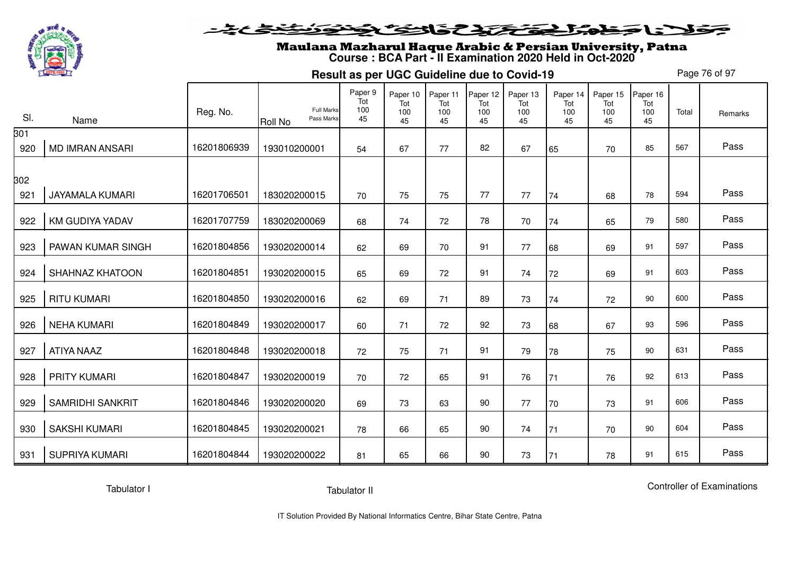

#### خلايا وخلوا فيقتض والتوع وتنون فنغلى

# Maulana Mazharul Haque Arabic & Persian University, Patna **Course : BCA Part - II Examination 2020 Held in Oct-2020**

**Result as per UGC Guideline due to Covid-19**

Page 76 of 97

|            |                         |             | <b>Full Marks</b>     | Paper 9<br>Tot<br>100 | Paper 10<br>Tot | Paper 11<br>Tot | Paper 12<br>Tot | Paper 13<br>Tot | Paper 14<br>Tot | Paper 15<br>Tot | Paper 16<br>Tot |       |         |
|------------|-------------------------|-------------|-----------------------|-----------------------|-----------------|-----------------|-----------------|-----------------|-----------------|-----------------|-----------------|-------|---------|
| SI.        | Name                    | Reg. No.    | Pass Marks<br>Roll No | 45                    | 100<br>45       | 100<br>45       | 100<br>45       | 100<br>45       | 100<br>45       | 100<br>45       | 100<br>45       | Total | Remarks |
| 301<br>920 | <b>MD IMRAN ANSARI</b>  | 16201806939 | 193010200001          | 54                    | 67              | 77              | 82              | 67              | 65              | 70              | 85              | 567   | Pass    |
| 302        |                         |             |                       |                       |                 |                 |                 |                 |                 |                 |                 |       |         |
| 921        | <b>JAYAMALA KUMARI</b>  | 16201706501 | 183020200015          | 70                    | 75              | 75              | 77              | 77              | 74              | 68              | 78              | 594   | Pass    |
| 922        | KM GUDIYA YADAV         | 16201707759 | 183020200069          | 68                    | 74              | 72              | 78              | 70              | 74              | 65              | 79              | 580   | Pass    |
| 923        | PAWAN KUMAR SINGH       | 16201804856 | 193020200014          | 62                    | 69              | 70              | 91              | 77              | 68              | 69              | 91              | 597   | Pass    |
| 924        | SHAHNAZ KHATOON         | 16201804851 | 193020200015          | 65                    | 69              | 72              | 91              | 74              | 72              | 69              | 91              | 603   | Pass    |
| 925        | <b>RITU KUMARI</b>      | 16201804850 | 193020200016          | 62                    | 69              | 71              | 89              | 73              | 74              | 72              | 90              | 600   | Pass    |
| 926        | <b>NEHA KUMARI</b>      | 16201804849 | 193020200017          | 60                    | 71              | 72              | 92              | 73              | 68              | 67              | 93              | 596   | Pass    |
| 927        | ATIYA NAAZ              | 16201804848 | 193020200018          | 72                    | 75              | 71              | 91              | 79              | 78              | 75              | 90              | 631   | Pass    |
| 928        | PRITY KUMARI            | 16201804847 | 193020200019          | 70                    | 72              | 65              | 91              | 76              | 71              | 76              | 92              | 613   | Pass    |
| 929        | <b>SAMRIDHI SANKRIT</b> | 16201804846 | 193020200020          | 69                    | 73              | 63              | 90              | 77              | 70              | 73              | 91              | 606   | Pass    |
| 930        | <b>SAKSHI KUMARI</b>    | 16201804845 | 193020200021          | 78                    | 66              | 65              | 90              | 74              | 71              | 70              | 90              | 604   | Pass    |
| 931        | SUPRIYA KUMARI          | 16201804844 | 193020200022          | 81                    | 65              | 66              | 90              | 73              | 71              | 78              | 91              | 615   | Pass    |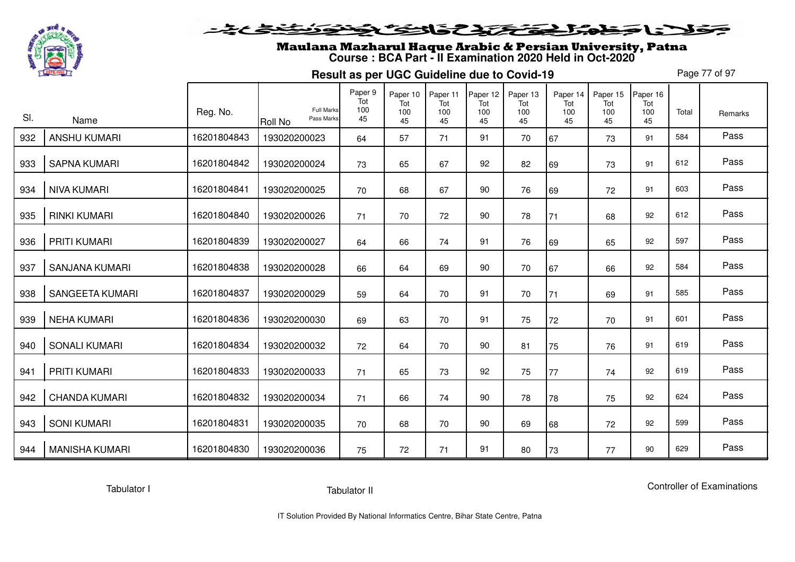

## Maulana Mazharul Haque Arabic & Persian University, Patna **Course : BCA Part - II Examination 2020 Held in Oct-2020**

**Result as per UGC Guideline due to Covid-19**

Page 77 of 97

| SI. | Name                   | Reg. No.    | <b>Full Marks</b><br>Pass Marks<br><b>Roll No</b> | Paper 9<br>Tot<br>100<br>45 | Paper 10<br>Tot<br>100<br>45 | Paper 11<br>Tot<br>100<br>45 | Paper 12<br>Tot<br>100<br>45 | Paper 13<br>Tot<br>100<br>45 | Paper 14<br>Tot<br>100<br>45 | Paper 15<br>Tot<br>100<br>45 | Paper 16<br>Tot<br>100<br>45 | Total | Remarks |
|-----|------------------------|-------------|---------------------------------------------------|-----------------------------|------------------------------|------------------------------|------------------------------|------------------------------|------------------------------|------------------------------|------------------------------|-------|---------|
| 932 | <b>ANSHU KUMARI</b>    | 16201804843 | 193020200023                                      | 64                          | 57                           | 71                           | 91                           | 70                           | 67                           | 73                           | 91                           | 584   | Pass    |
| 933 | <b>SAPNA KUMARI</b>    | 16201804842 | 193020200024                                      | 73                          | 65                           | 67                           | 92                           | 82                           | 69                           | 73                           | 91                           | 612   | Pass    |
| 934 | <b>NIVA KUMARI</b>     | 16201804841 | 193020200025                                      | 70                          | 68                           | 67                           | 90                           | 76                           | 69                           | 72                           | 91                           | 603   | Pass    |
| 935 | <b>RINKI KUMARI</b>    | 16201804840 | 193020200026                                      | 71                          | 70                           | 72                           | 90                           | 78                           | 71                           | 68                           | 92                           | 612   | Pass    |
| 936 | PRITI KUMARI           | 16201804839 | 193020200027                                      | 64                          | 66                           | 74                           | 91                           | 76                           | 69                           | 65                           | 92                           | 597   | Pass    |
| 937 | <b>SANJANA KUMARI</b>  | 16201804838 | 193020200028                                      | 66                          | 64                           | 69                           | 90                           | 70                           | 67                           | 66                           | 92                           | 584   | Pass    |
| 938 | <b>SANGEETA KUMARI</b> | 16201804837 | 193020200029                                      | 59                          | 64                           | 70                           | 91                           | 70                           | 71                           | 69                           | 91                           | 585   | Pass    |
| 939 | <b>NEHA KUMARI</b>     | 16201804836 | 193020200030                                      | 69                          | 63                           | 70                           | 91                           | 75                           | 72                           | 70                           | 91                           | 601   | Pass    |
| 940 | <b>SONALI KUMARI</b>   | 16201804834 | 193020200032                                      | 72                          | 64                           | 70                           | 90                           | 81                           | 75                           | 76                           | 91                           | 619   | Pass    |
| 941 | <b>PRITI KUMARI</b>    | 16201804833 | 193020200033                                      | 71                          | 65                           | 73                           | 92                           | 75                           | 77                           | 74                           | 92                           | 619   | Pass    |
| 942 | <b>CHANDA KUMARI</b>   | 16201804832 | 193020200034                                      | 71                          | 66                           | 74                           | 90                           | 78                           | 78                           | 75                           | 92                           | 624   | Pass    |
| 943 | <b>SONI KUMARI</b>     | 16201804831 | 193020200035                                      | 70                          | 68                           | 70                           | 90                           | 69                           | 68                           | 72                           | 92                           | 599   | Pass    |
| 944 | <b>MANISHA KUMARI</b>  | 16201804830 | 193020200036                                      | 75                          | 72                           | 71                           | 91                           | 80                           | 73                           | 77                           | 90                           | 629   | Pass    |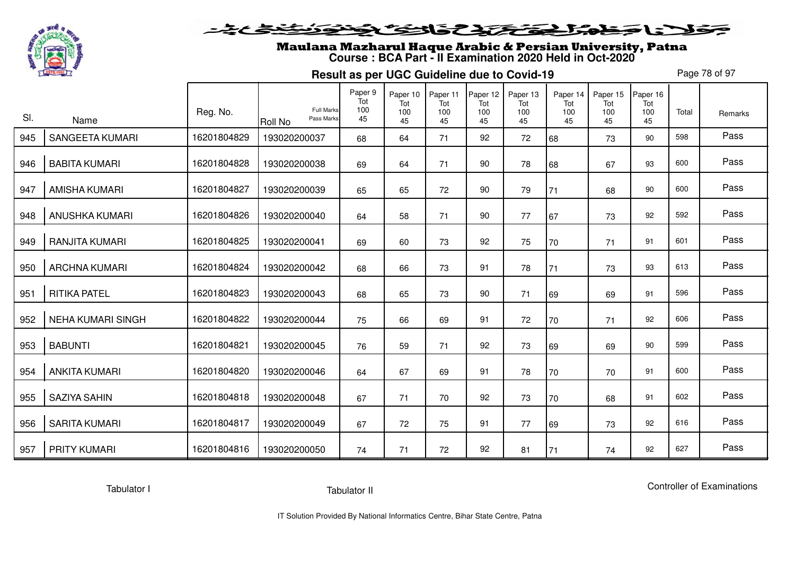

# Maulana Mazharul Haque Arabic & Persian University, Patna **Course : BCA Part - II Examination 2020 Held in Oct-2020**

**Result as per UGC Guideline due to Covid-19**

Page 78 of 97

|     |                          | Reg. No.    | <b>Full Marks</b>            | Paper 9<br>Tot<br>100 | Paper 10<br>Tot<br>100 | Paper 11<br>Tot<br>100 | Paper 12<br>Tot<br>100 | Paper 13<br>Tot<br>100 | Paper 14<br>Tot<br>100 | Paper 15<br>Tot<br>100 | Paper 16<br>Tot<br>100 | Total | Remarks |
|-----|--------------------------|-------------|------------------------------|-----------------------|------------------------|------------------------|------------------------|------------------------|------------------------|------------------------|------------------------|-------|---------|
| SI. | Name                     |             | Pass Marks<br><b>Roll No</b> | 45                    | 45                     | 45                     | 45                     | 45                     | 45                     | 45                     | 45                     |       |         |
| 945 | <b>SANGEETA KUMARI</b>   | 16201804829 | 193020200037                 | 68                    | 64                     | 71                     | 92                     | 72                     | 68                     | 73                     | 90                     | 598   | Pass    |
| 946 | <b>BABITA KUMARI</b>     | 16201804828 | 193020200038                 | 69                    | 64                     | 71                     | 90                     | 78                     | 68                     | 67                     | 93                     | 600   | Pass    |
| 947 | <b>AMISHA KUMARI</b>     | 16201804827 | 193020200039                 | 65                    | 65                     | 72                     | 90                     | 79                     | 71                     | 68                     | 90                     | 600   | Pass    |
| 948 | <b>ANUSHKA KUMARI</b>    | 16201804826 | 193020200040                 | 64                    | 58                     | 71                     | 90                     | 77                     | 67                     | 73                     | 92                     | 592   | Pass    |
| 949 | RANJITA KUMARI           | 16201804825 | 193020200041                 | 69                    | 60                     | 73                     | 92                     | 75                     | 70                     | 71                     | 91                     | 601   | Pass    |
| 950 | <b>ARCHNA KUMARI</b>     | 16201804824 | 193020200042                 | 68                    | 66                     | 73                     | 91                     | 78                     | 71                     | 73                     | 93                     | 613   | Pass    |
| 951 | <b>RITIKA PATEL</b>      | 16201804823 | 193020200043                 | 68                    | 65                     | 73                     | 90                     | 71                     | 69                     | 69                     | 91                     | 596   | Pass    |
| 952 | <b>NEHA KUMARI SINGH</b> | 16201804822 | 193020200044                 | 75                    | 66                     | 69                     | 91                     | 72                     | 70                     | 71                     | 92                     | 606   | Pass    |
| 953 | <b>BABUNTI</b>           | 16201804821 | 193020200045                 | 76                    | 59                     | 71                     | 92                     | 73                     | 69                     | 69                     | 90                     | 599   | Pass    |
| 954 | <b>ANKITA KUMARI</b>     | 16201804820 | 193020200046                 | 64                    | 67                     | 69                     | 91                     | 78                     | 70                     | 70                     | 91                     | 600   | Pass    |
| 955 | <b>SAZIYA SAHIN</b>      | 16201804818 | 193020200048                 | 67                    | 71                     | 70                     | 92                     | 73                     | 70                     | 68                     | 91                     | 602   | Pass    |
| 956 | <b>SARITA KUMARI</b>     | 16201804817 | 193020200049                 | 67                    | 72                     | 75                     | 91                     | 77                     | 69                     | 73                     | 92                     | 616   | Pass    |
| 957 | <b>PRITY KUMARI</b>      | 16201804816 | 193020200050                 | 74                    | 71                     | 72                     | 92                     | 81                     | 71                     | 74                     | 92                     | 627   | Pass    |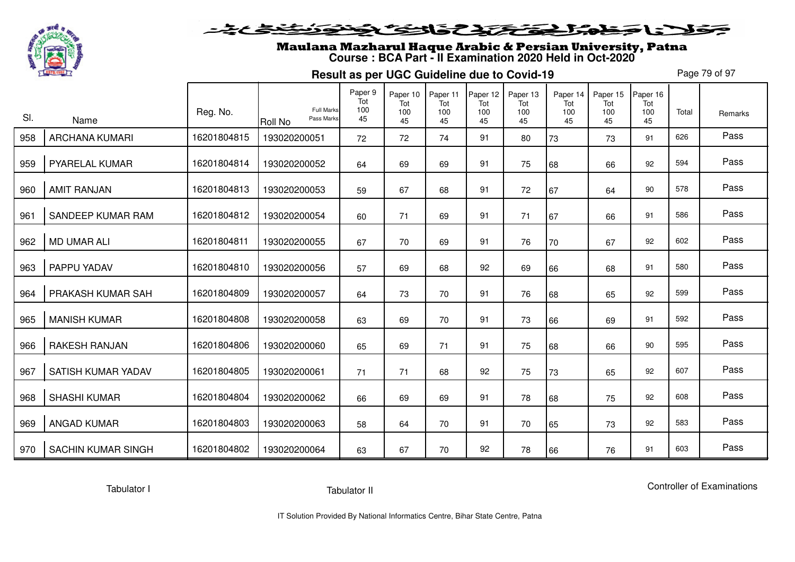

## Maulana Mazharul Haque Arabic & Persian University, Patna **Course : BCA Part - II Examination 2020 Held in Oct-2020**

**Result as per UGC Guideline due to Covid-19**

Page 79 of 97

| SI. | Name                      | Reg. No.    | <b>Full Marks</b><br>Pass Marks<br><b>Roll No</b> | Paper 9<br>Tot<br>100<br>45 | Paper 10<br>Tot<br>100<br>45 | Paper 11<br>Tot<br>100<br>45 | Paper 12<br>Tot<br>100<br>45 | Paper 13<br>Tot<br>100<br>45 | Paper 14<br>Tot<br>100<br>45 | Paper 15<br>Tot<br>100<br>45 | Paper 16<br>Tot<br>100<br>45 | Total | Remarks |
|-----|---------------------------|-------------|---------------------------------------------------|-----------------------------|------------------------------|------------------------------|------------------------------|------------------------------|------------------------------|------------------------------|------------------------------|-------|---------|
| 958 | <b>ARCHANA KUMARI</b>     | 16201804815 | 193020200051                                      | 72                          | 72                           | 74                           | 91                           | 80                           | 73                           | 73                           | 91                           | 626   | Pass    |
| 959 | PYARELAL KUMAR            | 16201804814 | 193020200052                                      | 64                          | 69                           | 69                           | 91                           | 75                           | 68                           | 66                           | 92                           | 594   | Pass    |
| 960 | <b>AMIT RANJAN</b>        | 16201804813 | 193020200053                                      | 59                          | 67                           | 68                           | 91                           | 72                           | 67                           | 64                           | 90                           | 578   | Pass    |
| 961 | SANDEEP KUMAR RAM         | 16201804812 | 193020200054                                      | 60                          | 71                           | 69                           | 91                           | 71                           | 67                           | 66                           | 91                           | 586   | Pass    |
| 962 | <b>MD UMAR ALI</b>        | 16201804811 | 193020200055                                      | 67                          | 70                           | 69                           | 91                           | 76                           | 70                           | 67                           | 92                           | 602   | Pass    |
| 963 | PAPPU YADAV               | 16201804810 | 193020200056                                      | 57                          | 69                           | 68                           | 92                           | 69                           | 66                           | 68                           | 91                           | 580   | Pass    |
| 964 | PRAKASH KUMAR SAH         | 16201804809 | 193020200057                                      | 64                          | 73                           | 70                           | 91                           | 76                           | 68                           | 65                           | 92                           | 599   | Pass    |
| 965 | <b>MANISH KUMAR</b>       | 16201804808 | 193020200058                                      | 63                          | 69                           | 70                           | 91                           | 73                           | 66                           | 69                           | 91                           | 592   | Pass    |
| 966 | <b>RAKESH RANJAN</b>      | 16201804806 | 193020200060                                      | 65                          | 69                           | 71                           | 91                           | 75                           | 68                           | 66                           | 90                           | 595   | Pass    |
| 967 | SATISH KUMAR YADAV        | 16201804805 | 193020200061                                      | 71                          | 71                           | 68                           | 92                           | 75                           | 73                           | 65                           | 92                           | 607   | Pass    |
| 968 | <b>SHASHI KUMAR</b>       | 16201804804 | 193020200062                                      | 66                          | 69                           | 69                           | 91                           | 78                           | 68                           | 75                           | 92                           | 608   | Pass    |
| 969 | <b>ANGAD KUMAR</b>        | 16201804803 | 193020200063                                      | 58                          | 64                           | 70                           | 91                           | 70                           | 65                           | 73                           | 92                           | 583   | Pass    |
| 970 | <b>SACHIN KUMAR SINGH</b> | 16201804802 | 193020200064                                      | 63                          | 67                           | 70                           | 92                           | 78                           | 66                           | 76                           | 91                           | 603   | Pass    |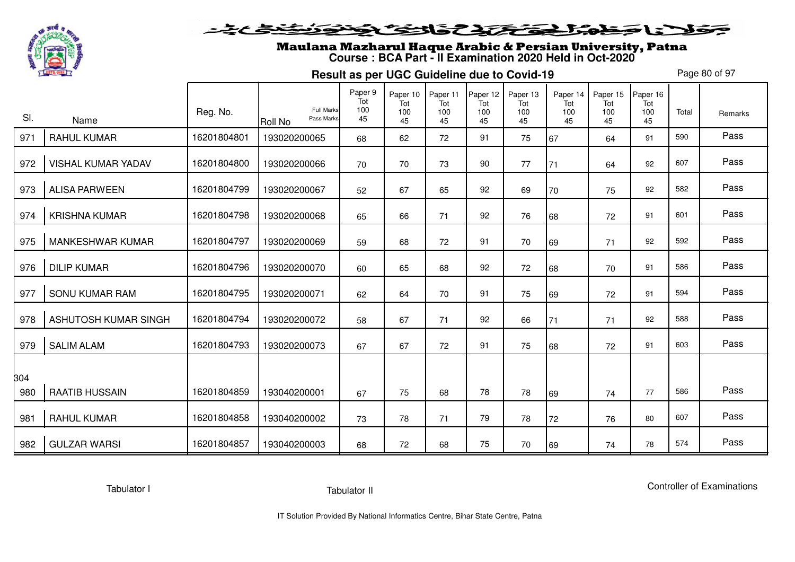

#### فلانا وطوالحقة كتحكون فينونون فنخدم

## Maulana Mazharul Haque Arabic & Persian University, Patna **Course : BCA Part - II Examination 2020 Held in Oct-2020**

**Result as per UGC Guideline due to Covid-19**

Page 80 of 97

| SI. | Name                      | Reg. No.    | <b>Full Marks</b><br>Pass Marks<br>Roll No | Paper 9<br>Tot<br>100<br>45 | Paper 10<br>Tot<br>100<br>45 | Paper 11<br>Tot<br>100<br>45 | Paper 12<br>Tot<br>100<br>45 | Paper 13<br>Tot<br>100<br>45 | Paper 14<br>Tot<br>100<br>45 | Paper 15<br>Tot<br>100<br>45 | Paper 16<br>Tot<br>100<br>45 | Total | Remarks |
|-----|---------------------------|-------------|--------------------------------------------|-----------------------------|------------------------------|------------------------------|------------------------------|------------------------------|------------------------------|------------------------------|------------------------------|-------|---------|
| 971 | <b>RAHUL KUMAR</b>        | 16201804801 | 193020200065                               | 68                          | 62                           | 72                           | 91                           | 75                           | 67                           | 64                           | 91                           | 590   | Pass    |
| 972 | <b>VISHAL KUMAR YADAV</b> | 16201804800 | 193020200066                               | 70                          | 70                           | 73                           | 90                           | 77                           | 71                           | 64                           | 92                           | 607   | Pass    |
| 973 | <b>ALISA PARWEEN</b>      | 16201804799 | 193020200067                               | 52                          | 67                           | 65                           | 92                           | 69                           | 70                           | 75                           | 92                           | 582   | Pass    |
| 974 | <b>KRISHNA KUMAR</b>      | 16201804798 | 193020200068                               | 65                          | 66                           | 71                           | 92                           | 76                           | 68                           | 72                           | 91                           | 601   | Pass    |
| 975 | MANKESHWAR KUMAR          | 16201804797 | 193020200069                               | 59                          | 68                           | 72                           | 91                           | 70                           | 69                           | 71                           | 92                           | 592   | Pass    |
| 976 | <b>DILIP KUMAR</b>        | 16201804796 | 193020200070                               | 60                          | 65                           | 68                           | 92                           | 72                           | 68                           | 70                           | 91                           | 586   | Pass    |
| 977 | SONU KUMAR RAM            | 16201804795 | 193020200071                               | 62                          | 64                           | 70                           | 91                           | 75                           | 69                           | 72                           | 91                           | 594   | Pass    |
| 978 | ASHUTOSH KUMAR SINGH      | 16201804794 | 193020200072                               | 58                          | 67                           | 71                           | 92                           | 66                           | 71                           | 71                           | 92                           | 588   | Pass    |
| 979 | <b>SALIM ALAM</b>         | 16201804793 | 193020200073                               | 67                          | 67                           | 72                           | 91                           | 75                           | 68                           | 72                           | 91                           | 603   | Pass    |
| 304 |                           |             |                                            |                             |                              |                              |                              |                              |                              |                              |                              |       |         |
| 980 | <b>RAATIB HUSSAIN</b>     | 16201804859 | 193040200001                               | 67                          | 75                           | 68                           | 78                           | 78                           | 69                           | 74                           | 77                           | 586   | Pass    |
| 981 | <b>RAHUL KUMAR</b>        | 16201804858 | 193040200002                               | 73                          | 78                           | 71                           | 79                           | 78                           | 72                           | 76                           | 80                           | 607   | Pass    |
| 982 | <b>GULZAR WARSI</b>       | 16201804857 | 193040200003                               | 68                          | 72                           | 68                           | 75                           | 70                           | 69                           | 74                           | 78                           | 574   | Pass    |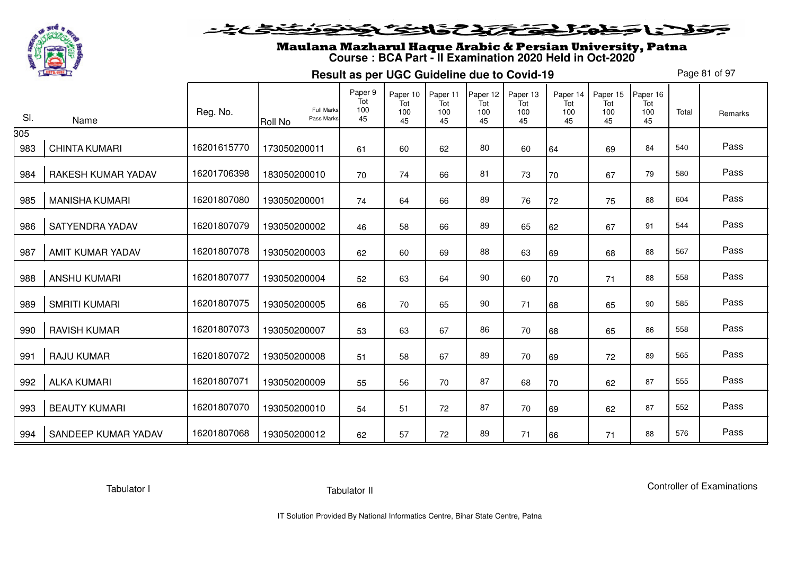

#### فلانا حفاشكنكنك فالتكنيك فتنوز فننفض

# Maulana Mazharul Haque Arabic & Persian University, Patna **Course : BCA Part - II Examination 2020 Held in Oct-2020**

**Result as per UGC Guideline due to Covid-19**

Page 81 of 97

| SI.        | Name                   | Reg. No.    | <b>Full Marks</b><br>Pass Marks<br><b>Roll No</b> | Paper 9<br>Tot<br>100<br>45 | Paper 10<br>Tot<br>100<br>45 | Paper 11<br>Tot<br>100<br>45 | Paper 12<br>Tot<br>100<br>45 | Paper 13<br>Tot<br>100<br>45 | Paper 14<br>Tot<br>100<br>45 | Paper 15<br>Tot<br>100<br>45 | Paper 16<br>Tot<br>100<br>45 | Total | Remarks |
|------------|------------------------|-------------|---------------------------------------------------|-----------------------------|------------------------------|------------------------------|------------------------------|------------------------------|------------------------------|------------------------------|------------------------------|-------|---------|
| 305<br>983 | <b>CHINTA KUMARI</b>   | 16201615770 | 173050200011                                      | 61                          | 60                           | 62                           | 80                           | 60                           | 64                           | 69                           | 84                           | 540   | Pass    |
| 984        | RAKESH KUMAR YADAV     | 16201706398 | 183050200010                                      | 70                          | 74                           | 66                           | 81                           | 73                           | 70                           | 67                           | 79                           | 580   | Pass    |
| 985        | <b>MANISHA KUMARI</b>  | 16201807080 | 193050200001                                      | 74                          | 64                           | 66                           | 89                           | 76                           | 72                           | 75                           | 88                           | 604   | Pass    |
| 986        | <b>SATYENDRA YADAV</b> | 16201807079 | 193050200002                                      | 46                          | 58                           | 66                           | 89                           | 65                           | 62                           | 67                           | 91                           | 544   | Pass    |
| 987        | AMIT KUMAR YADAV       | 16201807078 | 193050200003                                      | 62                          | 60                           | 69                           | 88                           | 63                           | 69                           | 68                           | 88                           | 567   | Pass    |
| 988        | <b>ANSHU KUMARI</b>    | 16201807077 | 193050200004                                      | 52                          | 63                           | 64                           | 90                           | 60                           | 70                           | 71                           | 88                           | 558   | Pass    |
| 989        | <b>SMRITI KUMARI</b>   | 16201807075 | 193050200005                                      | 66                          | 70                           | 65                           | 90                           | 71                           | 68                           | 65                           | 90                           | 585   | Pass    |
| 990        | <b>RAVISH KUMAR</b>    | 16201807073 | 193050200007                                      | 53                          | 63                           | 67                           | 86                           | 70                           | 68                           | 65                           | 86                           | 558   | Pass    |
| 991        | <b>RAJU KUMAR</b>      | 16201807072 | 193050200008                                      | 51                          | 58                           | 67                           | 89                           | 70                           | 69                           | 72                           | 89                           | 565   | Pass    |
| 992        | <b>ALKA KUMARI</b>     | 16201807071 | 193050200009                                      | 55                          | 56                           | 70                           | 87                           | 68                           | 70                           | 62                           | 87                           | 555   | Pass    |
| 993        | <b>BEAUTY KUMARI</b>   | 16201807070 | 193050200010                                      | 54                          | 51                           | 72                           | 87                           | 70                           | 69                           | 62                           | 87                           | 552   | Pass    |
| 994        | SANDEEP KUMAR YADAV    | 16201807068 | 193050200012                                      | 62                          | 57                           | 72                           | 89                           | 71                           | 66                           | 71                           | 88                           | 576   | Pass    |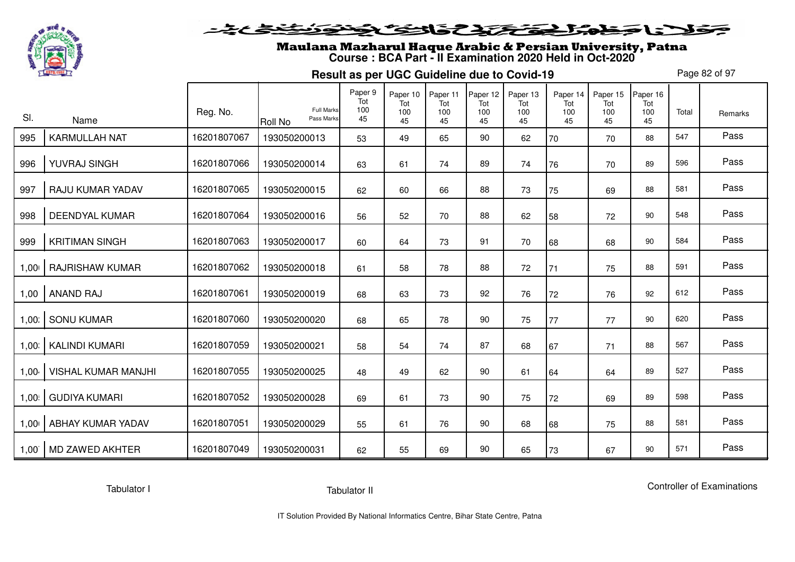

## Maulana Mazharul Haque Arabic & Persian University, Patna **Course : BCA Part - II Examination 2020 Held in Oct-2020**

**Result as per UGC Guideline due to Covid-19**

Page 82 of 97

|       |                            |             | <b>Full Marks</b>            | Paper 9<br>Tot<br>100 | Paper 10<br>Tot | Paper 11<br>Tot | Paper 12<br>Tot | Paper 13<br>Tot | Paper 14<br>Tot | Paper 15<br>Tot | Paper 16<br>Tot |       |         |
|-------|----------------------------|-------------|------------------------------|-----------------------|-----------------|-----------------|-----------------|-----------------|-----------------|-----------------|-----------------|-------|---------|
| SI.   | Name                       | Reg. No.    | Pass Marks<br><b>Roll No</b> | 45                    | 100<br>45       | 100<br>45       | 100<br>45       | 100<br>45       | 100<br>45       | 100<br>45       | 100<br>45       | Total | Remarks |
| 995   | <b>KARMULLAH NAT</b>       | 16201807067 | 193050200013                 | 53                    | 49              | 65              | 90              | 62              | 70              | 70              | 88              | 547   | Pass    |
| 996   | YUVRAJ SINGH               | 16201807066 | 193050200014                 | 63                    | 61              | 74              | 89              | 74              | 76              | 70              | 89              | 596   | Pass    |
| 997   | RAJU KUMAR YADAV           | 16201807065 | 193050200015                 | 62                    | 60              | 66              | 88              | 73              | 75              | 69              | 88              | 581   | Pass    |
| 998   | <b>DEENDYAL KUMAR</b>      | 16201807064 | 193050200016                 | 56                    | 52              | 70              | 88              | 62              | 58              | 72              | 90              | 548   | Pass    |
| 999   | <b>KRITIMAN SINGH</b>      | 16201807063 | 193050200017                 | 60                    | 64              | 73              | 91              | 70              | 68              | 68              | 90              | 584   | Pass    |
| 1,00  | RAJRISHAW KUMAR            | 16201807062 | 193050200018                 | 61                    | 58              | 78              | 88              | 72              | 71              | 75              | 88              | 591   | Pass    |
| 1,00  | <b>ANAND RAJ</b>           | 16201807061 | 193050200019                 | 68                    | 63              | 73              | 92              | 76              | 72              | 76              | 92              | 612   | Pass    |
| 1,00. | <b>SONU KUMAR</b>          | 16201807060 | 193050200020                 | 68                    | 65              | 78              | 90              | 75              | 77              | 77              | 90              | 620   | Pass    |
| 1,00. | <b>KALINDI KUMARI</b>      | 16201807059 | 193050200021                 | 58                    | 54              | 74              | 87              | 68              | 67              | 71              | 88              | 567   | Pass    |
| 1,00  | <b>VISHAL KUMAR MANJHI</b> | 16201807055 | 193050200025                 | 48                    | 49              | 62              | 90              | 61              | 64              | 64              | 89              | 527   | Pass    |
| 1,00  | <b>GUDIYA KUMARI</b>       | 16201807052 | 193050200028                 | 69                    | 61              | 73              | 90              | 75              | 72              | 69              | 89              | 598   | Pass    |
| 1,00  | ABHAY KUMAR YADAV          | 16201807051 | 193050200029                 | 55                    | 61              | 76              | 90              | 68              | 68              | 75              | 88              | 581   | Pass    |
| 1,00  | MD ZAWED AKHTER            | 16201807049 | 193050200031                 | 62                    | 55              | 69              | 90              | 65              | 73              | 67              | 90              | 571   | Pass    |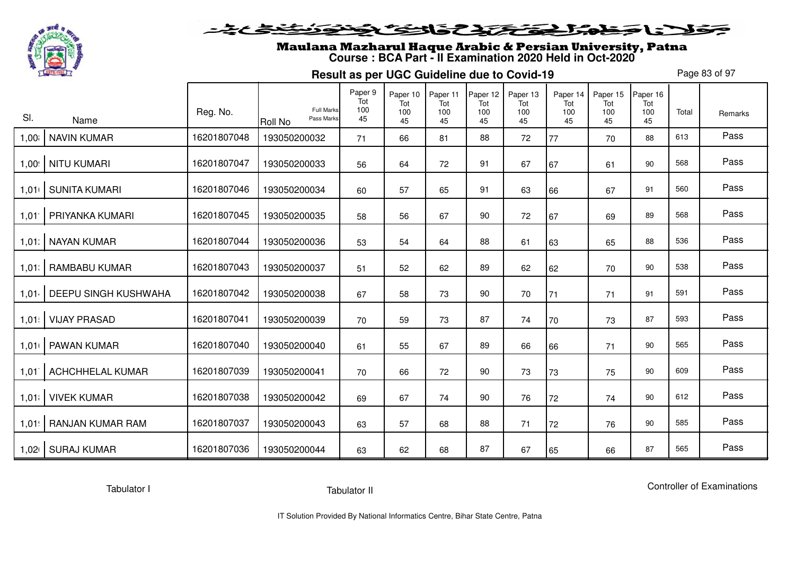

# Maulana Mazharul Haque Arabic & Persian University, Patna **Course : BCA Part - II Examination 2020 Held in Oct-2020**

**Result as per UGC Guideline due to Covid-19**

Page 83 of 97

| SI.      |                             | Reg. No.    | <b>Full Marks</b><br>Pass Marks | Paper 9<br>Tot<br>100 | Paper 10<br>Tot<br>100 | Paper 11<br>Tot<br>100 | Paper 12<br>Tot<br>100 | Paper 13<br>Tot<br>100 | Paper 14<br>Tot<br>100 | Paper 15<br>Tot<br>100 | Paper 16<br>Tot<br>100 | Total | Remarks |
|----------|-----------------------------|-------------|---------------------------------|-----------------------|------------------------|------------------------|------------------------|------------------------|------------------------|------------------------|------------------------|-------|---------|
|          | Name                        |             | <b>Roll No</b>                  | 45                    | 45                     | 45                     | 45                     | 45                     | 45                     | 45                     | 45                     |       | Pass    |
| 1,00     | <b>NAVIN KUMAR</b>          | 16201807048 | 193050200032                    | 71                    | 66                     | 81                     | 88                     | 72                     | 77                     | 70                     | 88                     | 613   |         |
| 1,00     | <b>NITU KUMARI</b>          | 16201807047 | 193050200033                    | 56                    | 64                     | 72                     | 91                     | 67                     | 67                     | 61                     | 90                     | 568   | Pass    |
| 1,01     | <b>SUNITA KUMARI</b>        | 16201807046 | 193050200034                    | 60                    | 57                     | 65                     | 91                     | 63                     | 66                     | 67                     | 91                     | 560   | Pass    |
| 1,01     | PRIYANKA KUMARI             | 16201807045 | 193050200035                    | 58                    | 56                     | 67                     | 90                     | 72                     | 67                     | 69                     | 89                     | 568   | Pass    |
| 1,01:    | <b>NAYAN KUMAR</b>          | 16201807044 | 193050200036                    | 53                    | 54                     | 64                     | 88                     | 61                     | 63                     | 65                     | 88                     | 536   | Pass    |
| $1,01$ : | RAMBABU KUMAR               | 16201807043 | 193050200037                    | 51                    | 52                     | 62                     | 89                     | 62                     | 62                     | 70                     | 90                     | 538   | Pass    |
| 1,01     | <b>DEEPU SINGH KUSHWAHA</b> | 16201807042 | 193050200038                    | 67                    | 58                     | 73                     | 90                     | 70                     | 71                     | 71                     | 91                     | 591   | Pass    |
| 1,01!    | <b>VIJAY PRASAD</b>         | 16201807041 | 193050200039                    | 70                    | 59                     | 73                     | 87                     | 74                     | 70                     | 73                     | 87                     | 593   | Pass    |
| 1,011    | PAWAN KUMAR                 | 16201807040 | 193050200040                    | 61                    | 55                     | 67                     | 89                     | 66                     | 66                     | 71                     | 90                     | 565   | Pass    |
| 1,01     | <b>ACHCHHELAL KUMAR</b>     | 16201807039 | 193050200041                    | 70                    | 66                     | 72                     | 90                     | 73                     | 73                     | 75                     | 90                     | 609   | Pass    |
| 1,011    | <b>VIVEK KUMAR</b>          | 16201807038 | 193050200042                    | 69                    | 67                     | 74                     | 90                     | 76                     | 72                     | 74                     | 90                     | 612   | Pass    |
| 1,01!    | RANJAN KUMAR RAM            | 16201807037 | 193050200043                    | 63                    | 57                     | 68                     | 88                     | 71                     | 72                     | 76                     | 90                     | 585   | Pass    |
| 1,021    | <b>SURAJ KUMAR</b>          | 16201807036 | 193050200044                    | 63                    | 62                     | 68                     | 87                     | 67                     | 65                     | 66                     | 87                     | 565   | Pass    |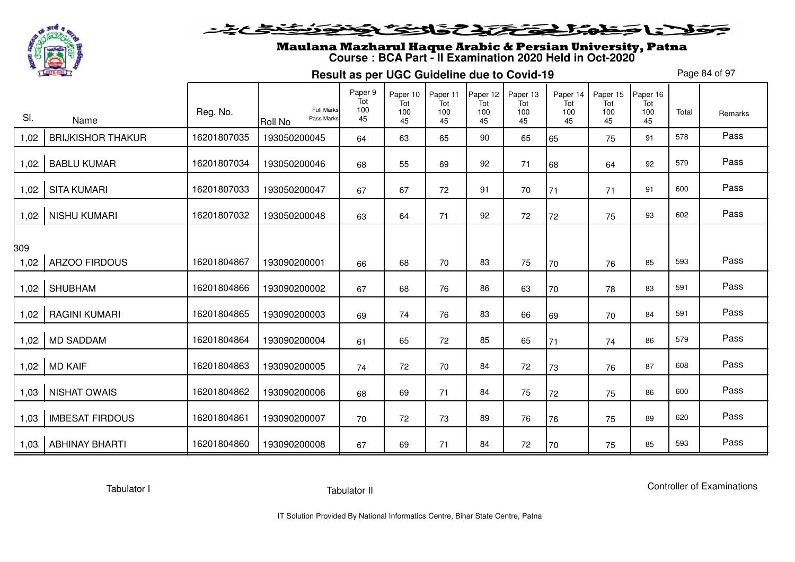

#### فلانا وطوالحقة كتحكون فينونون فنخدم

# Maulana Mazharul Haque Arabic & Persian University, Patna **Course : BCA Part - II Examination 2020 Held in Oct-2020**

**Result as per UGC Guideline due to Covid-19**

Page 84 of 97

| SI.   | Name                     | Reg. No.    | Full Marks<br>Pass Marks<br>Roll No | Paper 9<br>Tot<br>100<br>45 | Paper 10<br>Tot<br>100<br>45 | Paper 11<br>Tot<br>100<br>45 | Paper 12<br>Tot<br>100<br>45 | Paper 13<br>Tot<br>100<br>45 | Paper 14<br>Tot<br>100<br>45 | Paper 15<br>Tot<br>100<br>45 | Paper 16<br>Tot<br>100<br>45 | Total | Remarks |
|-------|--------------------------|-------------|-------------------------------------|-----------------------------|------------------------------|------------------------------|------------------------------|------------------------------|------------------------------|------------------------------|------------------------------|-------|---------|
| 1,02  | <b>BRIJKISHOR THAKUR</b> | 16201807035 | 193050200045                        | 64                          | 63                           | 65                           | 90                           | 65                           | 65                           | 75                           | 91                           | 578   | Pass    |
| 1,02: | <b>BABLU KUMAR</b>       | 16201807034 | 193050200046                        | 68                          | 55                           | 69                           | 92                           | 71                           | 68                           | 64                           | 92                           | 579   | Pass    |
| 1,02: | <b>SITA KUMARI</b>       | 16201807033 | 193050200047                        | 67                          | 67                           | 72                           | 91                           | 70                           | 71                           | 71                           | 91                           | 600   | Pass    |
| 1,02  | NISHU KUMARI             | 16201807032 | 193050200048                        | 63                          | 64                           | 71                           | 92                           | 72                           | 72                           | 75                           | 93                           | 602   | Pass    |
| 309   |                          |             |                                     |                             |                              |                              |                              |                              |                              |                              |                              |       |         |
| 1,02! | <b>ARZOO FIRDOUS</b>     | 16201804867 | 193090200001                        | 66                          | 68                           | 70                           | 83                           | 75                           | 70                           | 76                           | 85                           | 593   | Pass    |
| 1,021 | <b>SHUBHAM</b>           | 16201804866 | 193090200002                        | 67                          | 68                           | 76                           | 86                           | 63                           | 70                           | 78                           | 83                           | 591   | Pass    |
| 1,02  | <b>RAGINI KUMARI</b>     | 16201804865 | 193090200003                        | 69                          | 74                           | 76                           | 83                           | 66                           | 69                           | 70                           | 84                           | 591   | Pass    |
|       | 1,02 MD SADDAM           | 16201804864 | 193090200004                        | 61                          | 65                           | 72                           | 85                           | 65                           | 71                           | 74                           | 86                           | 579   | Pass    |
|       | 1,02   MD KAIF           | 16201804863 | 193090200005                        | 74                          | 72                           | 70                           | 84                           | 72                           | 73                           | 76                           | 87                           | 608   | Pass    |
| 1,03  | NISHAT OWAIS             | 16201804862 | 193090200006                        | 68                          | 69                           | 71                           | 84                           | 75                           | 72                           | 75                           | 86                           | 600   | Pass    |
| 1,03  | <b>IMBESAT FIRDOUS</b>   | 16201804861 | 193090200007                        | 70                          | 72                           | 73                           | 89                           | 76                           | 76                           | 75                           | 89                           | 620   | Pass    |
|       | 1,03: ABHINAY BHARTI     | 16201804860 | 193090200008                        | 67                          | 69                           | 71                           | 84                           | 72                           | 70                           | 75                           | 85                           | 593   | Pass    |

Tabulator I

Tabulator II

Controller of Examinations

IT Solution Provided By National Informatics Centre, Bihar State Centre, Patna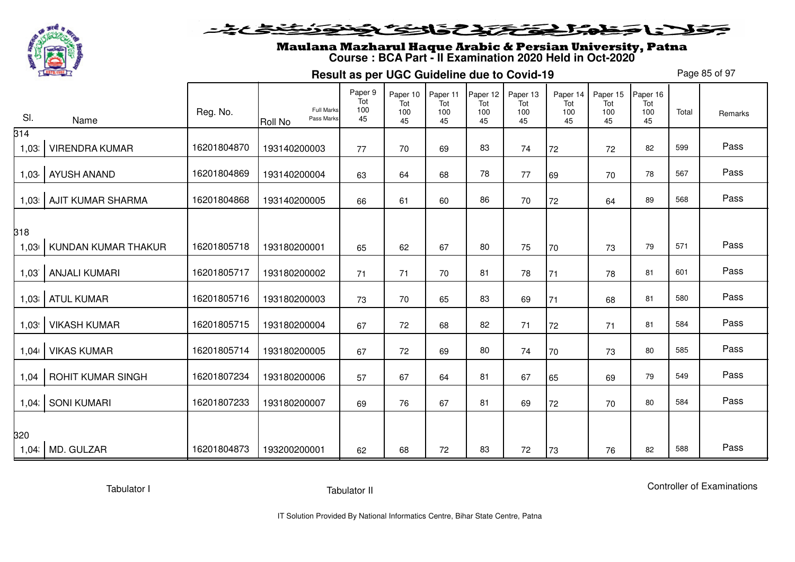

# Maulana Mazharul Haque Arabic & Persian University, Patna **Course : BCA Part - II Examination 2020 Held in Oct-2020**

**Result as per UGC Guideline due to Covid-19**

Page 85 of 97

| SI.          | Name                  | Reg. No.    | <b>Full Marks</b><br>Pass Marks<br>Roll No | Paper 9<br>Tot<br>100<br>45 | Paper 10<br>Tot<br>100<br>45 | Paper 11<br>Tot<br>100<br>45 | Paper 12<br>Tot<br>100<br>45 | Paper 13<br>Tot<br>100<br>45 | Paper 14<br>Tot<br>100<br>45 | Paper 15<br>Tot<br>100<br>45 | Paper 16<br>Tot<br>100<br>45 | Total | Remarks |
|--------------|-----------------------|-------------|--------------------------------------------|-----------------------------|------------------------------|------------------------------|------------------------------|------------------------------|------------------------------|------------------------------|------------------------------|-------|---------|
| 314<br>1,03: | <b>VIRENDRA KUMAR</b> | 16201804870 | 193140200003                               | 77                          | 70                           | 69                           | 83                           | 74                           | 72                           | 72                           | 82                           | 599   | Pass    |
| 1,03         | <b>AYUSH ANAND</b>    | 16201804869 | 193140200004                               | 63                          | 64                           | 68                           | 78                           | 77                           | 69                           | 70                           | 78                           | 567   | Pass    |
| 1,03!        | AJIT KUMAR SHARMA     | 16201804868 | 193140200005                               | 66                          | 61                           | 60                           | 86                           | 70                           | 72                           | 64                           | 89                           | 568   | Pass    |
| 318          |                       |             |                                            |                             |                              |                              |                              |                              |                              |                              |                              |       |         |
| 1,031        | KUNDAN KUMAR THAKUR   | 16201805718 | 193180200001                               | 65                          | 62                           | 67                           | 80                           | 75                           | 70                           | 73                           | 79                           | 571   | Pass    |
| 1,03         | <b>ANJALI KUMARI</b>  | 16201805717 | 193180200002                               | 71                          | 71                           | 70                           | 81                           | 78                           | 71                           | 78                           | 81                           | 601   | Pass    |
|              | 1,03   ATUL KUMAR     | 16201805716 | 193180200003                               | 73                          | 70                           | 65                           | 83                           | 69                           | 71                           | 68                           | 81                           | 580   | Pass    |
| 1,03!        | <b>VIKASH KUMAR</b>   | 16201805715 | 193180200004                               | 67                          | 72                           | 68                           | 82                           | 71                           | 72                           | 71                           | 81                           | 584   | Pass    |
| 1,04         | <b>VIKAS KUMAR</b>    | 16201805714 | 193180200005                               | 67                          | 72                           | 69                           | 80                           | 74                           | 70                           | 73                           | 80                           | 585   | Pass    |
| 1,04         | ROHIT KUMAR SINGH     | 16201807234 | 193180200006                               | 57                          | 67                           | 64                           | 81                           | 67                           | 65                           | 69                           | 79                           | 549   | Pass    |
| 1,04:        | <b>SONI KUMARI</b>    | 16201807233 | 193180200007                               | 69                          | 76                           | 67                           | 81                           | 69                           | 72                           | 70                           | 80                           | 584   | Pass    |
| 320          |                       |             |                                            |                             |                              |                              |                              |                              |                              |                              |                              |       |         |
|              | 1,04: MD. GULZAR      | 16201804873 | 193200200001                               | 62                          | 68                           | 72                           | 83                           | 72                           | 73                           | 76                           | 82                           | 588   | Pass    |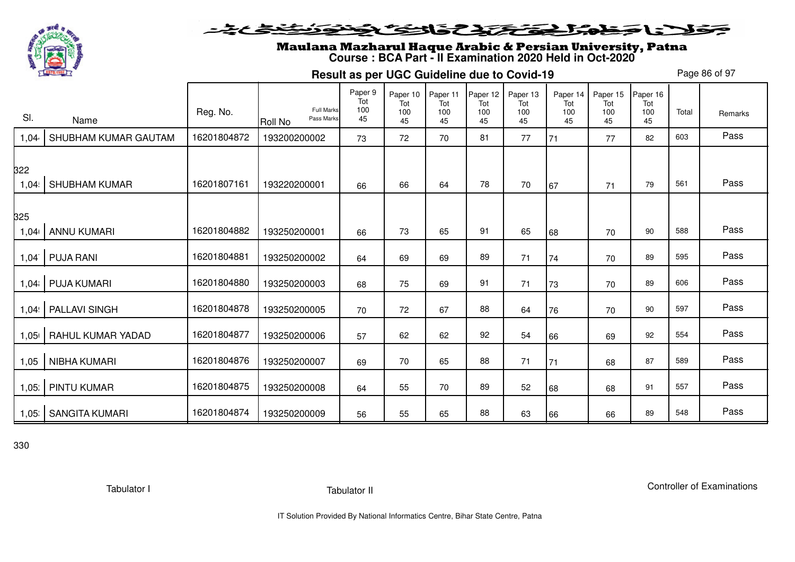

#### at Briss Bill Chile Bots (: ) 5

# Maulana Mazharul Haque Arabic & Persian University, Patna **Course : BCA Part - II Examination 2020 Held in Oct-2020**

**Result as per UGC Guideline due to Covid-19**

Page 86 of 97

|             |                      |             |                                            | Paper 9<br>Tot | Paper 10<br>Tot | Paper 11<br>Tot | Paper 12<br>Tot | Paper 13<br>Tot | Paper 14<br>Tot | Paper 15<br>Tot | Paper 16<br>Tot |       |         |
|-------------|----------------------|-------------|--------------------------------------------|----------------|-----------------|-----------------|-----------------|-----------------|-----------------|-----------------|-----------------|-------|---------|
| SI.         | Name                 | Reg. No.    | <b>Full Marks</b><br>Pass Marks<br>Roll No | 100<br>45      | 100<br>45       | 100<br>45       | 100<br>45       | 100<br>45       | 100<br>45       | 100<br>45       | 100<br>45       | Total | Remarks |
| 1,04        | SHUBHAM KUMAR GAUTAM | 16201804872 | 193200200002                               | 73             | 72              | 70              | 81              | 77              | 171             | 77              | 82              | 603   | Pass    |
|             |                      |             |                                            |                |                 |                 |                 |                 |                 |                 |                 |       |         |
| 322<br>1,04 | <b>SHUBHAM KUMAR</b> | 16201807161 | 193220200001                               | 66             | 66              | 64              | 78              | 70              | 67              | 71              | 79              | 561   | Pass    |
| 325         |                      |             |                                            |                |                 |                 |                 |                 |                 |                 |                 |       |         |
| 1,04        | <b>ANNU KUMARI</b>   | 16201804882 | 193250200001                               | 66             | 73              | 65              | 91              | 65              | 68              | 70              | 90              | 588   | Pass    |
| 1,04        | <b>PUJA RANI</b>     | 16201804881 | 193250200002                               | 64             | 69              | 69              | 89              | 71              | 74              | 70              | 89              | 595   | Pass    |
| 1,04        | <b>PUJA KUMARI</b>   | 16201804880 | 193250200003                               | 68             | 75              | 69              | 91              | 71              | 73              | 70              | 89              | 606   | Pass    |
| 1,04!       | PALLAVI SINGH        | 16201804878 | 193250200005                               | 70             | 72              | 67              | 88              | 64              | 76              | 70              | 90              | 597   | Pass    |
| 1,05        | RAHUL KUMAR YADAD    | 16201804877 | 193250200006                               | 57             | 62              | 62              | 92              | 54              | 66              | 69              | 92              | 554   | Pass    |
| 1,05        | NIBHA KUMARI         | 16201804876 | 193250200007                               | 69             | 70              | 65              | 88              | 71              | 71              | 68              | 87              | 589   | Pass    |
| 1,05.       | <b>PINTU KUMAR</b>   | 16201804875 | 193250200008                               | 64             | 55              | 70              | 89              | 52              | 68              | 68              | 91              | 557   | Pass    |
|             | 1,05: SANGITA KUMARI | 16201804874 | 193250200009                               | 56             | 55              | 65              | 88              | 63              | 66              | 66              | 89              | 548   | Pass    |

330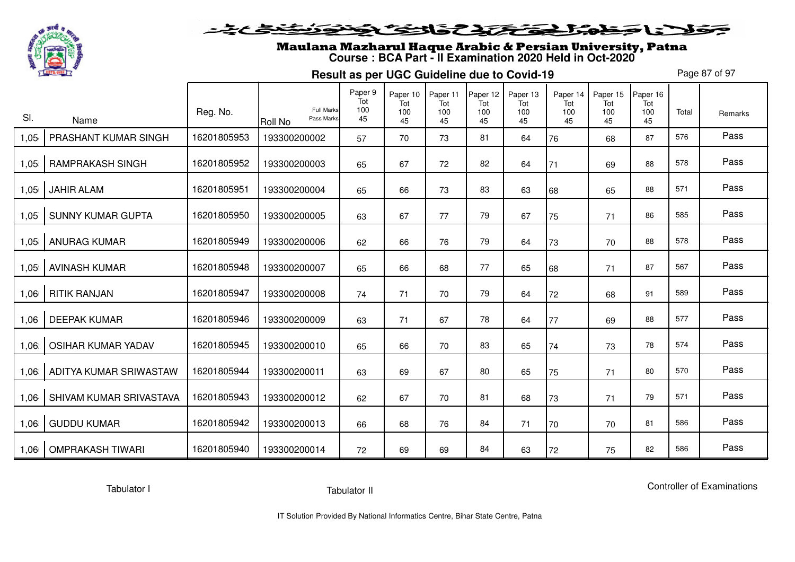

## Maulana Mazharul Haque Arabic & Persian University, Patna **Course : BCA Part - II Examination 2020 Held in Oct-2020**

**Result as per UGC Guideline due to Covid-19**

Page 87 of 97

|       |                           |             |                                                   | Paper 9<br>Tot | Paper 10<br>Tot | Paper 11<br>Tot | Paper 12<br>Tot | Paper 13<br>Tot | Paper 14<br>Tot | Paper 15<br>Tot | Paper 16<br>Tot |       |         |
|-------|---------------------------|-------------|---------------------------------------------------|----------------|-----------------|-----------------|-----------------|-----------------|-----------------|-----------------|-----------------|-------|---------|
| SI.   | Name                      | Reg. No.    | <b>Full Marks</b><br>Pass Marks<br><b>Roll No</b> | 100<br>45      | 100<br>45       | 100<br>45       | 100<br>45       | 100<br>45       | 100<br>45       | 100<br>45       | 100<br>45       | Total | Remarks |
| 1,05  | PRASHANT KUMAR SINGH      | 16201805953 | 193300200002                                      | 57             | 70              | 73              | 81              | 64              | 76              | 68              | 87              | 576   | Pass    |
| 1,05! | <b>RAMPRAKASH SINGH</b>   | 16201805952 | 193300200003                                      | 65             | 67              | 72              | 82              | 64              | 71              | 69              | 88              | 578   | Pass    |
| 1,050 | <b>JAHIR ALAM</b>         | 16201805951 | 193300200004                                      | 65             | 66              | 73              | 83              | 63              | 68              | 65              | 88              | 571   | Pass    |
| 1,05  | <b>SUNNY KUMAR GUPTA</b>  | 16201805950 | 193300200005                                      | 63             | 67              | 77              | 79              | 67              | 75              | 71              | 86              | 585   | Pass    |
| 1,05  | <b>ANURAG KUMAR</b>       | 16201805949 | 193300200006                                      | 62             | 66              | 76              | 79              | 64              | 73              | 70              | 88              | 578   | Pass    |
| 1,05! | <b>AVINASH KUMAR</b>      | 16201805948 | 193300200007                                      | 65             | 66              | 68              | 77              | 65              | 68              | 71              | 87              | 567   | Pass    |
| 1,06  | <b>RITIK RANJAN</b>       | 16201805947 | 193300200008                                      | 74             | 71              | 70              | 79              | 64              | 72              | 68              | 91              | 589   | Pass    |
| 1,06  | <b>DEEPAK KUMAR</b>       | 16201805946 | 193300200009                                      | 63             | 71              | 67              | 78              | 64              | 77              | 69              | 88              | 577   | Pass    |
| 1,06. | <b>OSIHAR KUMAR YADAV</b> | 16201805945 | 193300200010                                      | 65             | 66              | 70              | 83              | 65              | $74$            | 73              | 78              | 574   | Pass    |
| 1,06. | ADITYA KUMAR SRIWASTAW    | 16201805944 | 193300200011                                      | 63             | 69              | 67              | 80              | 65              | 75              | 71              | 80              | 570   | Pass    |
| 1,06  | SHIVAM KUMAR SRIVASTAVA   | 16201805943 | 193300200012                                      | 62             | 67              | 70              | 81              | 68              | 73              | 71              | 79              | 571   | Pass    |
| 1,06  | <b>GUDDU KUMAR</b>        | 16201805942 | 193300200013                                      | 66             | 68              | 76              | 84              | 71              | 70              | 70              | 81              | 586   | Pass    |
| 1,06  | <b>OMPRAKASH TIWARI</b>   | 16201805940 | 193300200014                                      | 72             | 69              | 69              | 84              | 63              | 72              | 75              | 82              | 586   | Pass    |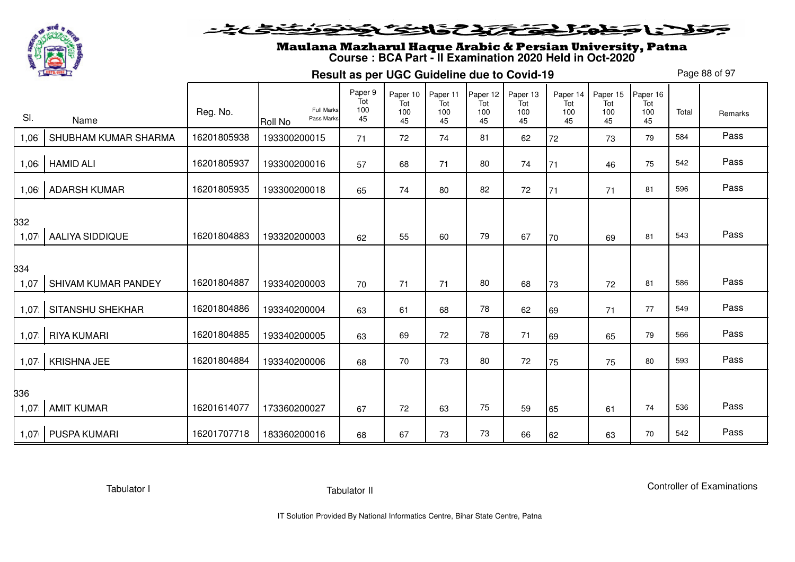

#### فلانا فطولخ تختلفك فالخفك لجنون فيندعينه

# Maulana Mazharul Haque Arabic & Persian University, Patna **Course : BCA Part - II Examination 2020 Held in Oct-2020**

**Result as per UGC Guideline due to Covid-19**

Page 88 of 97

| SI.          | Name                   | Reg. No.    | <b>Full Marks</b><br>Pass Marks<br>Roll No | Paper 9<br>Tot<br>100<br>45 | Paper 10<br>Tot<br>100<br>45 | Paper 11<br>Tot<br>100<br>45 | Paper 12<br>Tot<br>100<br>45 | Paper 13<br>Tot<br>100<br>45 | Paper 14<br>Tot<br>100<br>45 | Paper 15<br>Tot<br>100<br>45 | Paper 16<br>Tot<br>100<br>45 | Total | Remarks |
|--------------|------------------------|-------------|--------------------------------------------|-----------------------------|------------------------------|------------------------------|------------------------------|------------------------------|------------------------------|------------------------------|------------------------------|-------|---------|
| 1,06         | SHUBHAM KUMAR SHARMA   | 16201805938 | 193300200015                               | 71                          | 72                           | 74                           | 81                           | 62                           | 72                           | 73                           | 79                           | 584   | Pass    |
|              | 1,06   HAMID ALI       | 16201805937 | 193300200016                               | 57                          | 68                           | 71                           | 80                           | 74                           | 71                           | 46                           | 75                           | 542   | Pass    |
| 1,06!        | <b>ADARSH KUMAR</b>    | 16201805935 | 193300200018                               | 65                          | 74                           | 80                           | 82                           | 72                           | 71                           | 71                           | 81                           | 596   | Pass    |
| 332<br>1,07  | AALIYA SIDDIQUE        | 16201804883 | 193320200003                               | 62                          | 55                           | 60                           | 79                           | 67                           | 70                           | 69                           | 81                           | 543   | Pass    |
| 334<br>1,07  | SHIVAM KUMAR PANDEY    | 16201804887 | 193340200003                               | 70                          | 71                           | 71                           | 80                           | 68                           | 73                           | 72                           | 81                           | 586   | Pass    |
|              | 1,07: SITANSHU SHEKHAR | 16201804886 | 193340200004                               | 63                          | 61                           | 68                           | 78                           | 62                           | 69                           | 71                           | 77                           | 549   | Pass    |
| 1,07:        | <b>RIYA KUMARI</b>     | 16201804885 | 193340200005                               | 63                          | 69                           | 72                           | 78                           | 71                           | 69                           | 65                           | 79                           | 566   | Pass    |
| 1,07         | <b>KRISHNA JEE</b>     | 16201804884 | 193340200006                               | 68                          | 70                           | 73                           | 80                           | 72                           | 75                           | 75                           | 80                           | 593   | Pass    |
| 336<br>1,07! | <b>AMIT KUMAR</b>      | 16201614077 | 173360200027                               | 67                          | 72                           | 63                           | 75                           | 59                           | 65                           | 61                           | 74                           | 536   | Pass    |
|              | 1,07   PUSPA KUMARI    | 16201707718 | 183360200016                               | 68                          | 67                           | 73                           | 73                           | 66                           | 62                           | 63                           | 70                           | 542   | Pass    |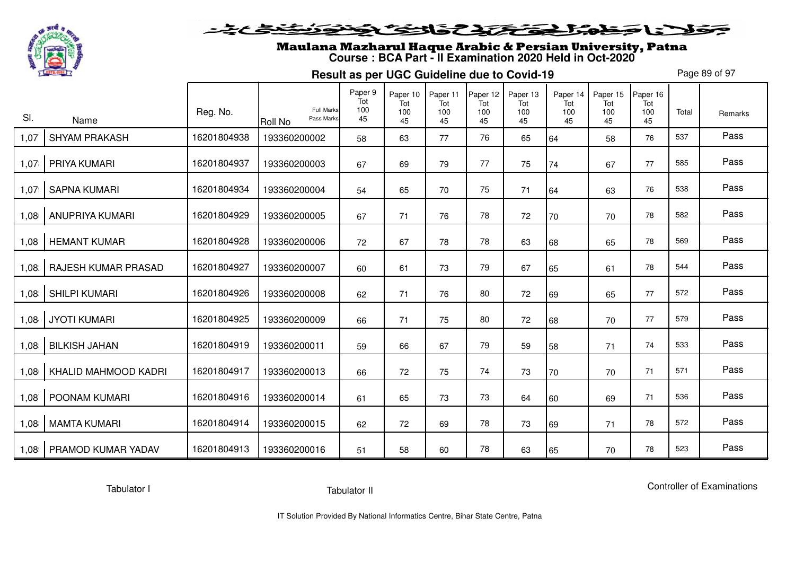

#### فلانا حفاشكنكنك فالتكنيك فتنوز فننفض

## Maulana Mazharul Haque Arabic & Persian University, Patna **Course : BCA Part - II Examination 2020 Held in Oct-2020**

**Result as per UGC Guideline due to Covid-19**

Page 89 of 97

| SI.   |                      | Reg. No.    | <b>Full Marks</b><br>Pass Marks | Paper 9<br>Tot<br>100<br>45 | Paper 10<br>Tot<br>100 | Paper 11<br>Tot<br>100 | Paper 12<br>Tot<br>100 | Paper 13<br>Tot<br>100 | Paper 14<br>Tot<br>100 | Paper 15<br>Tot<br>100 | Paper 16<br>Tot<br>100 | Total | Remarks |
|-------|----------------------|-------------|---------------------------------|-----------------------------|------------------------|------------------------|------------------------|------------------------|------------------------|------------------------|------------------------|-------|---------|
|       | Name                 |             | <b>Roll No</b>                  |                             | 45                     | 45                     | 45                     | 45                     | 45                     | 45                     | 45                     |       |         |
| 1,07  | <b>SHYAM PRAKASH</b> | 16201804938 | 193360200002                    | 58                          | 63                     | 77                     | 76                     | 65                     | 64                     | 58                     | 76                     | 537   | Pass    |
| 1,071 | PRIYA KUMARI         | 16201804937 | 193360200003                    | 67                          | 69                     | 79                     | 77                     | 75                     | 74                     | 67                     | 77                     | 585   | Pass    |
| 1,07  | <b>SAPNA KUMARI</b>  | 16201804934 | 193360200004                    | 54                          | 65                     | 70                     | 75                     | 71                     | 64                     | 63                     | 76                     | 538   | Pass    |
| 1,08  | ANUPRIYA KUMARI      | 16201804929 | 193360200005                    | 67                          | 71                     | 76                     | 78                     | 72                     | 70                     | 70                     | 78                     | 582   | Pass    |
| 1,08  | <b>HEMANT KUMAR</b>  | 16201804928 | 193360200006                    | 72                          | 67                     | 78                     | 78                     | 63                     | 68                     | 65                     | 78                     | 569   | Pass    |
| 1,08. | RAJESH KUMAR PRASAD  | 16201804927 | 193360200007                    | 60                          | 61                     | 73                     | 79                     | 67                     | 65                     | 61                     | 78                     | 544   | Pass    |
| 1,08  | <b>SHILPI KUMARI</b> | 16201804926 | 193360200008                    | 62                          | 71                     | 76                     | 80                     | 72                     | 69                     | 65                     | 77                     | 572   | Pass    |
| 1,08  | <b>JYOTI KUMARI</b>  | 16201804925 | 193360200009                    | 66                          | 71                     | 75                     | 80                     | 72                     | 68                     | 70                     | 77                     | 579   | Pass    |
| 1,08  | <b>BILKISH JAHAN</b> | 16201804919 | 193360200011                    | 59                          | 66                     | 67                     | 79                     | 59                     | 58                     | 71                     | 74                     | 533   | Pass    |
| 1,08  | KHALID MAHMOOD KADRI | 16201804917 | 193360200013                    | 66                          | 72                     | 75                     | 74                     | 73                     | 70                     | 70                     | 71                     | 571   | Pass    |
| 1,08  | POONAM KUMARI        | 16201804916 | 193360200014                    | 61                          | 65                     | 73                     | 73                     | 64                     | 60                     | 69                     | 71                     | 536   | Pass    |
| 1,08  | <b>MAMTA KUMARI</b>  | 16201804914 | 193360200015                    | 62                          | 72                     | 69                     | 78                     | 73                     | 69                     | 71                     | 78                     | 572   | Pass    |
| 1,08  | PRAMOD KUMAR YADAV   | 16201804913 | 193360200016                    | 51                          | 58                     | 60                     | 78                     | 63                     | 65                     | 70                     | 78                     | 523   | Pass    |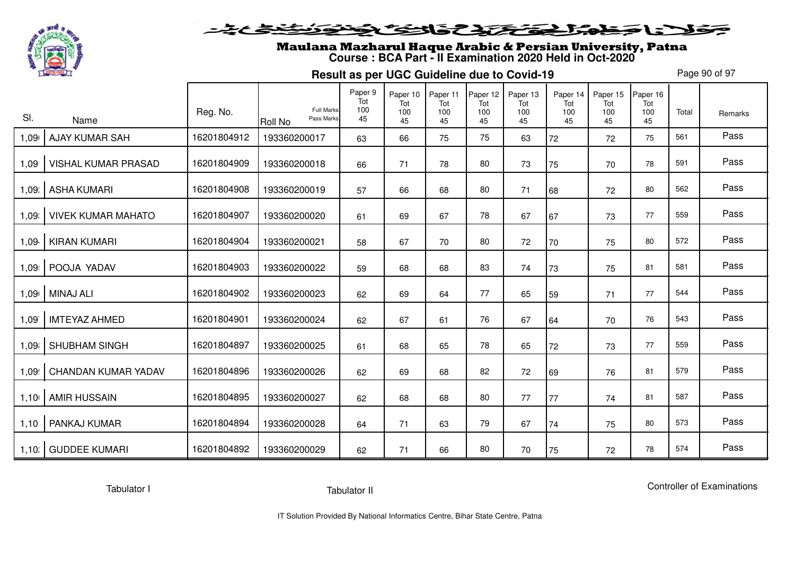

# Maulana Mazharul Haque Arabic & Persian University, Patna **Course : BCA Part - II Examination 2020 Held in Oct-2020**

**Result as per UGC Guideline due to Covid-19**

Page 90 of 97

|       |                            |             |                                                   | Paper 9<br>Tot | Paper 10<br>Tot | Paper 11<br>Tot | Paper 12<br>Tot | Paper 13<br>Tot | Paper 14<br>Tot | Paper 15<br>Tot | Paper 16<br>Tot |       |         |
|-------|----------------------------|-------------|---------------------------------------------------|----------------|-----------------|-----------------|-----------------|-----------------|-----------------|-----------------|-----------------|-------|---------|
| SI.   | Name                       | Reg. No.    | <b>Full Marks</b><br>Pass Marks<br><b>Roll No</b> | 100<br>45      | 100<br>45       | 100<br>45       | 100<br>45       | 100<br>45       | 100<br>45       | 100<br>45       | 100<br>45       | Total | Remarks |
| 1,09  | <b>AJAY KUMAR SAH</b>      | 16201804912 | 193360200017                                      | 63             | 66              | 75              | 75              | 63              | 72              | 72              | 75              | 561   | Pass    |
| 1,09  | <b>VISHAL KUMAR PRASAD</b> | 16201804909 | 193360200018                                      | 66             | 71              | 78              | 80              | 73              | 75              | 70              | 78              | 591   | Pass    |
| 1,09. | <b>ASHA KUMARI</b>         | 16201804908 | 193360200019                                      | 57             | 66              | 68              | 80              | 71              | 68              | 72              | 80              | 562   | Pass    |
| 1,09. | <b>VIVEK KUMAR MAHATO</b>  | 16201804907 | 193360200020                                      | 61             | 69              | 67              | 78              | 67              | 67              | 73              | 77              | 559   | Pass    |
| 1,09  | <b>KIRAN KUMARI</b>        | 16201804904 | 193360200021                                      | 58             | 67              | 70              | 80              | $72\,$          | 70              | 75              | 80              | 572   | Pass    |
| 1,09! | POOJA YADAV                | 16201804903 | 193360200022                                      | 59             | 68              | 68              | 83              | 74              | 73              | 75              | 81              | 581   | Pass    |
| 1,090 | <b>MINAJ ALI</b>           | 16201804902 | 193360200023                                      | 62             | 69              | 64              | 77              | 65              | 59              | 71              | 77              | 544   | Pass    |
| 1,09  | <b>IMTEYAZ AHMED</b>       | 16201804901 | 193360200024                                      | 62             | 67              | 61              | 76              | 67              | 64              | 70              | 76              | 543   | Pass    |
| 1,09  | <b>SHUBHAM SINGH</b>       | 16201804897 | 193360200025                                      | 61             | 68              | 65              | 78              | 65              | 72              | 73              | 77              | 559   | Pass    |
| 1,09  | CHANDAN KUMAR YADAV        | 16201804896 | 193360200026                                      | 62             | 69              | 68              | 82              | 72              | 69              | 76              | 81              | 579   | Pass    |
| 1,100 | <b>AMIR HUSSAIN</b>        | 16201804895 | 193360200027                                      | 62             | 68              | 68              | 80              | 77              | 77              | 74              | 81              | 587   | Pass    |
| 1,10  | PANKAJ KUMAR               | 16201804894 | 193360200028                                      | 64             | 71              | 63              | 79              | 67              | 74              | 75              | 80              | 573   | Pass    |
| 1,10: | <b>GUDDEE KUMARI</b>       | 16201804892 | 193360200029                                      | 62             | 71              | 66              | 80              | 70              | 75              | 72              | 78              | 574   | Pass    |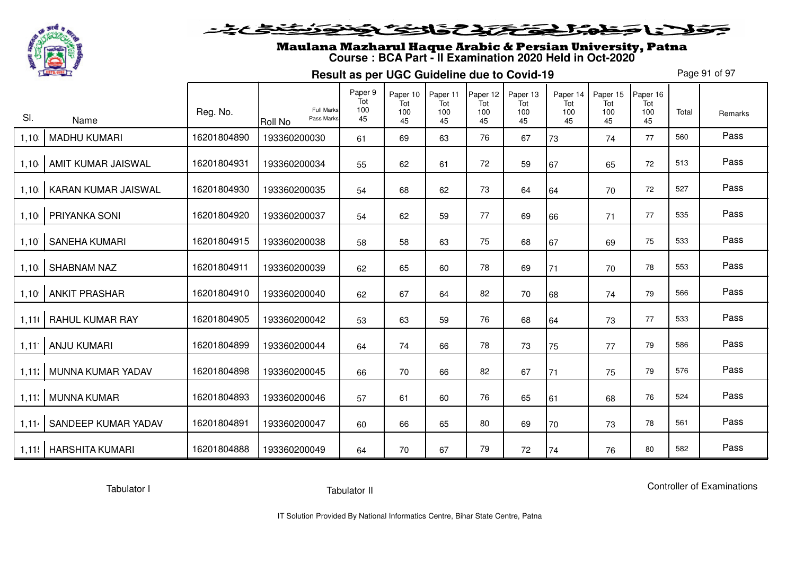

# Maulana Mazharul Haque Arabic & Persian University, Patna **Course : BCA Part - II Examination 2020 Held in Oct-2020**

**Result as per UGC Guideline due to Covid-19**

Page 91 of 97

|       |                            |             |                                                   | Paper 9<br>Tot | Paper 10<br>Tot | Paper 11<br>Tot | Paper 12<br>Tot | Paper 13<br>Tot | Paper 14<br>Tot | Paper 15<br>Tot | Paper 16<br>Tot |       |         |
|-------|----------------------------|-------------|---------------------------------------------------|----------------|-----------------|-----------------|-----------------|-----------------|-----------------|-----------------|-----------------|-------|---------|
| SI.   | Name                       | Reg. No.    | <b>Full Marks</b><br>Pass Marks<br><b>Roll No</b> | 100<br>45      | 100<br>45       | 100<br>45       | 100<br>45       | 100<br>45       | 100<br>45       | 100<br>45       | 100<br>45       | Total | Remarks |
| 1,10  | <b>MADHU KUMARI</b>        | 16201804890 | 193360200030                                      | 61             | 69              | 63              | 76              | 67              | 73              | 74              | 77              | 560   | Pass    |
| 1,10  | AMIT KUMAR JAISWAL         | 16201804931 | 193360200034                                      | 55             | 62              | 61              | 72              | 59              | 67              | 65              | 72              | 513   | Pass    |
| 1,10  | <b>KARAN KUMAR JAISWAL</b> | 16201804930 | 193360200035                                      | 54             | 68              | 62              | 73              | 64              | 64              | 70              | 72              | 527   | Pass    |
| 1,100 | PRIYANKA SONI              | 16201804920 | 193360200037                                      | 54             | 62              | 59              | 77              | 69              | 66              | 71              | 77              | 535   | Pass    |
| 1,10  | <b>SANEHA KUMARI</b>       | 16201804915 | 193360200038                                      | 58             | 58              | 63              | 75              | 68              | 67              | 69              | 75              | 533   | Pass    |
| 1,10  | <b>SHABNAM NAZ</b>         | 16201804911 | 193360200039                                      | 62             | 65              | 60              | 78              | 69              | 71              | 70              | 78              | 553   | Pass    |
| 1,10! | <b>ANKIT PRASHAR</b>       | 16201804910 | 193360200040                                      | 62             | 67              | 64              | 82              | 70              | 68              | 74              | 79              | 566   | Pass    |
| 1,11  | <b>RAHUL KUMAR RAY</b>     | 16201804905 | 193360200042                                      | 53             | 63              | 59              | 76              | 68              | 64              | 73              | 77              | 533   | Pass    |
| 1,111 | <b>ANJU KUMARI</b>         | 16201804899 | 193360200044                                      | 64             | 74              | 66              | 78              | 73              | 75              | 77              | 79              | 586   | Pass    |
| 1,112 | MUNNA KUMAR YADAV          | 16201804898 | 193360200045                                      | 66             | 70              | 66              | 82              | 67              | 71              | 75              | 79              | 576   | Pass    |
| 1,11  | <b>MUNNA KUMAR</b>         | 16201804893 | 193360200046                                      | 57             | 61              | 60              | 76              | 65              | 61              | 68              | 76              | 524   | Pass    |
| 1,114 | SANDEEP KUMAR YADAV        | 16201804891 | 193360200047                                      | 60             | 66              | 65              | 80              | 69              | 70              | 73              | 78              | 561   | Pass    |
|       | 1,11!   HARSHITA KUMARI    | 16201804888 | 193360200049                                      | 64             | 70              | 67              | 79              | 72              | 74              | 76              | 80              | 582   | Pass    |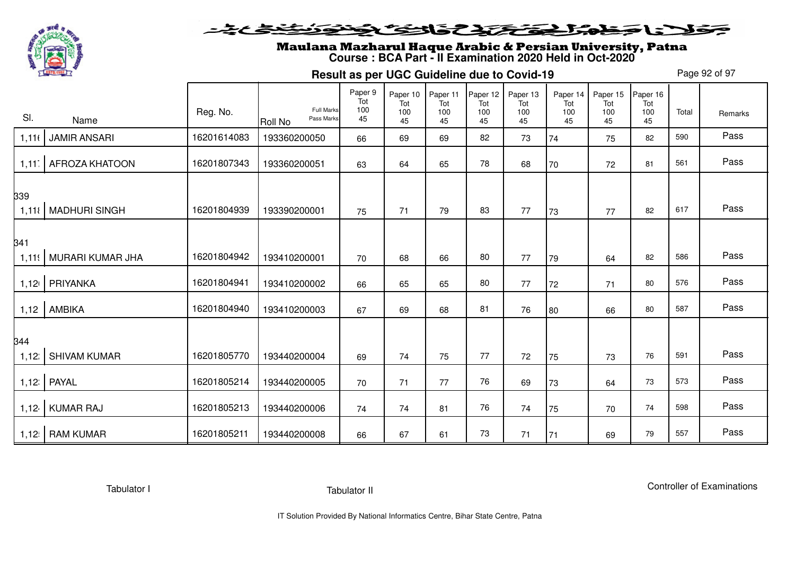

#### فلانا وطوالحقة كتحكون فينونون فنخدم

# Maulana Mazharul Haque Arabic & Persian University, Patna **Course : BCA Part - II Examination 2020 Held in Oct-2020**

**Result as per UGC Guideline due to Covid-19**

Page 92 of 97

| SI.          | Name                   | Reg. No.    | <b>Full Marks</b><br>Pass Marks<br><b>Roll No</b> | Paper 9<br>Tot<br>100<br>45 | Paper 10<br>Tot<br>100<br>45 | Paper 11<br>Tot<br>100<br>45 | Paper 12<br>Tot<br>100<br>45 | Paper 13<br>Tot<br>100<br>45 | Paper 14<br>Tot<br>100<br>45 | Paper 15<br>Tot<br>100<br>45 | Paper 16<br>Tot<br>100<br>45 | Total | Remarks |
|--------------|------------------------|-------------|---------------------------------------------------|-----------------------------|------------------------------|------------------------------|------------------------------|------------------------------|------------------------------|------------------------------|------------------------------|-------|---------|
| 1,11(        | <b>JAMIR ANSARI</b>    | 16201614083 | 193360200050                                      | 66                          | 69                           | 69                           | 82                           | 73                           | 74                           | 75                           | 82                           | 590   | Pass    |
| 1,11         | <b>AFROZA KHATOON</b>  | 16201807343 | 193360200051                                      | 63                          | 64                           | 65                           | 78                           | 68                           | 70                           | 72                           | 81                           | 561   | Pass    |
| 339          | 1,118   MADHURI SINGH  | 16201804939 | 193390200001                                      | 75                          | 71                           | 79                           | 83                           | 77                           | 73                           | 77                           | 82                           | 617   | Pass    |
| 341          | 1,119 MURARI KUMAR JHA | 16201804942 | 193410200001                                      | 70                          | 68                           | 66                           | 80                           | 77                           | 79                           | 64                           | 82                           | 586   | Pass    |
|              | 1,12 PRIYANKA          | 16201804941 | 193410200002                                      | 66                          | 65                           | 65                           | 80                           | 77                           | 72                           | 71                           | 80                           | 576   | Pass    |
| 1,12         | <b>AMBIKA</b>          | 16201804940 | 193410200003                                      | 67                          | 69                           | 68                           | 81                           | 76                           | 80                           | 66                           | 80                           | 587   | Pass    |
| 344<br>1,12: | <b>SHIVAM KUMAR</b>    | 16201805770 | 193440200004                                      | 69                          | 74                           | 75                           | 77                           | 72                           | 75                           | 73                           | 76                           | 591   | Pass    |
|              | 1,12: PAYAL            | 16201805214 | 193440200005                                      | 70                          | 71                           | 77                           | 76                           | 69                           | 73                           | 64                           | 73                           | 573   | Pass    |
|              | 1,12   KUMAR RAJ       | 16201805213 | 193440200006                                      | 74                          | 74                           | 81                           | 76                           | 74                           | 75                           | 70                           | 74                           | 598   | Pass    |
|              | 1,12   RAM KUMAR       | 16201805211 | 193440200008                                      | 66                          | 67                           | 61                           | 73                           | 71                           | 171                          | 69                           | 79                           | 557   | Pass    |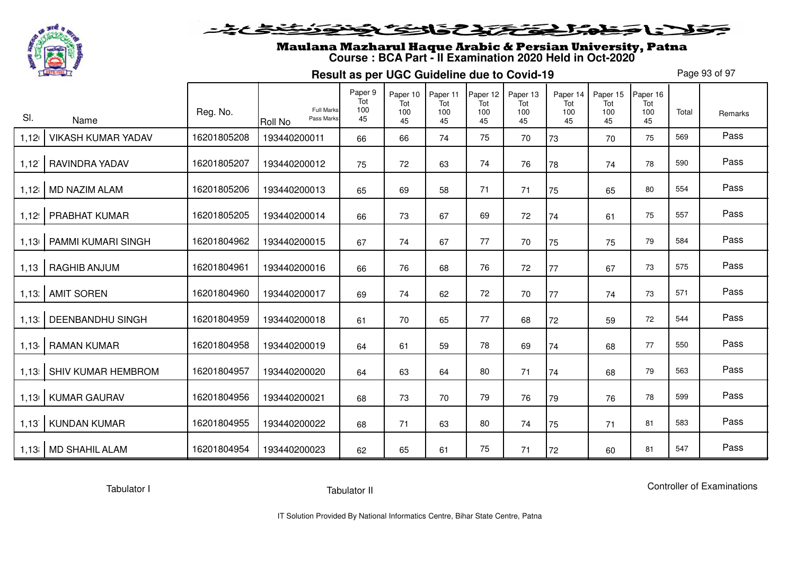

# Maulana Mazharul Haque Arabic & Persian University, Patna **Course : BCA Part - II Examination 2020 Held in Oct-2020**

**Result as per UGC Guideline due to Covid-19**

Page 93 of 97

| SI.   |                                   | Reg. No.    | <b>Full Marks</b><br>Pass Marks | Paper 9<br>Tot<br>100<br>45 | Paper 10<br>Tot<br>100 | Paper 11<br>Tot<br>100 | Paper 12<br>Tot<br>100 | Paper 13<br>Tot<br>100 | Paper 14<br>Tot<br>100 | Paper 15<br>Tot<br>100 | Paper 16<br>Tot<br>100 | Total | Remarks |
|-------|-----------------------------------|-------------|---------------------------------|-----------------------------|------------------------|------------------------|------------------------|------------------------|------------------------|------------------------|------------------------|-------|---------|
| 1,120 | Name<br><b>VIKASH KUMAR YADAV</b> | 16201805208 | <b>Roll No</b><br>193440200011  | 66                          | 45<br>66               | 45<br>74               | 45<br>75               | 45<br>70               | 45                     | 45<br>70               | 45<br>75               | 569   | Pass    |
|       |                                   |             |                                 |                             |                        |                        |                        |                        | 73                     |                        |                        |       |         |
| 1,12  | RAVINDRA YADAV                    | 16201805207 | 193440200012                    | 75                          | 72                     | 63                     | 74                     | 76                     | 78                     | 74                     | 78                     | 590   | Pass    |
| 1,12i | <b>MD NAZIM ALAM</b>              | 16201805206 | 193440200013                    | 65                          | 69                     | 58                     | 71                     | 71                     | 75                     | 65                     | 80                     | 554   | Pass    |
| 1,12! | PRABHAT KUMAR                     | 16201805205 | 193440200014                    | 66                          | 73                     | 67                     | 69                     | 72                     | 74                     | 61                     | 75                     | 557   | Pass    |
| 1,130 | PAMMI KUMARI SINGH                | 16201804962 | 193440200015                    | 67                          | 74                     | 67                     | 77                     | 70                     | 75                     | 75                     | 79                     | 584   | Pass    |
| 1,13  | <b>RAGHIB ANJUM</b>               | 16201804961 | 193440200016                    | 66                          | 76                     | 68                     | 76                     | 72                     | 77                     | 67                     | 73                     | 575   | Pass    |
| 1,13. | <b>AMIT SOREN</b>                 | 16201804960 | 193440200017                    | 69                          | 74                     | 62                     | 72                     | 70                     | 77                     | 74                     | 73                     | 571   | Pass    |
|       | 1,13: DEENBANDHU SINGH            | 16201804959 | 193440200018                    | 61                          | 70                     | 65                     | 77                     | 68                     | 72                     | 59                     | 72                     | 544   | Pass    |
| 1,13  | <b>RAMAN KUMAR</b>                | 16201804958 | 193440200019                    | 64                          | 61                     | 59                     | 78                     | 69                     | 74                     | 68                     | 77                     | 550   | Pass    |
| 1,13! | SHIV KUMAR HEMBROM                | 16201804957 | 193440200020                    | 64                          | 63                     | 64                     | 80                     | 71                     | 74                     | 68                     | 79                     | 563   | Pass    |
| 1,130 | <b>KUMAR GAURAV</b>               | 16201804956 | 193440200021                    | 68                          | 73                     | 70                     | 79                     | 76                     | 79                     | 76                     | 78                     | 599   | Pass    |
| 1,13  | <b>KUNDAN KUMAR</b>               | 16201804955 | 193440200022                    | 68                          | 71                     | 63                     | 80                     | 74                     | 75                     | 71                     | 81                     | 583   | Pass    |
|       | 1,13   MD SHAHIL ALAM             | 16201804954 | 193440200023                    | 62                          | 65                     | 61                     | 75                     | 71                     | 72                     | 60                     | 81                     | 547   | Pass    |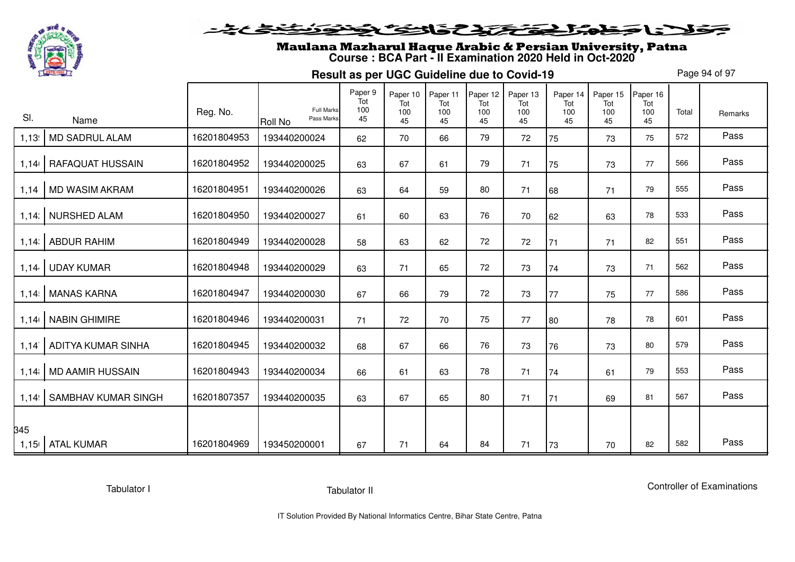

#### فلانا وطوالحقاق فالخفافون فنفض

# Maulana Mazharul Haque Arabic & Persian University, Patna **Course : BCA Part - II Examination 2020 Held in Oct-2020**

**Result as per UGC Guideline due to Covid-19**

Page 94 of 97

| SI.      | Name                       | Reg. No.    | <b>Full Marks</b><br>Pass Marks<br>Roll No | Paper 9<br>Tot<br>100<br>45 | Paper 10<br>Tot<br>100<br>45 | Paper 11<br>Tot<br>100<br>45 | Paper 12<br>Tot<br>100<br>45 | Paper 13<br>Tot<br>100<br>45 | Paper 14<br>Tot<br>100<br>45 | Paper 15<br>Tot<br>100<br>45 | Paper 16<br>Tot<br>100<br>45 | Total | Remarks |
|----------|----------------------------|-------------|--------------------------------------------|-----------------------------|------------------------------|------------------------------|------------------------------|------------------------------|------------------------------|------------------------------|------------------------------|-------|---------|
| 1,13!    | <b>MD SADRUL ALAM</b>      | 16201804953 | 193440200024                               | 62                          | 70                           | 66                           | 79                           | 72                           | 75                           | 73                           | 75                           | 572   | Pass    |
| 1,141    | <b>RAFAQUAT HUSSAIN</b>    | 16201804952 | 193440200025                               | 63                          | 67                           | 61                           | 79                           | 71                           | 75                           | 73                           | 77                           | 566   | Pass    |
| 1,14     | MD WASIM AKRAM             | 16201804951 | 193440200026                               | 63                          | 64                           | 59                           | 80                           | 71                           | 68                           | 71                           | 79                           | 555   | Pass    |
|          | 1,14: NURSHED ALAM         | 16201804950 | 193440200027                               | 61                          | 60                           | 63                           | 76                           | 70                           | 62                           | 63                           | 78                           | 533   | Pass    |
| $1,14$ ; | <b>ABDUR RAHIM</b>         | 16201804949 | 193440200028                               | 58                          | 63                           | 62                           | 72                           | 72                           | 71                           | 71                           | 82                           | 551   | Pass    |
| 1,14     | <b>UDAY KUMAR</b>          | 16201804948 | 193440200029                               | 63                          | 71                           | 65                           | 72                           | 73                           | 74                           | 73                           | 71                           | 562   | Pass    |
| 1,14     | <b>MANAS KARNA</b>         | 16201804947 | 193440200030                               | 67                          | 66                           | 79                           | 72                           | 73                           | 77                           | 75                           | 77                           | 586   | Pass    |
| 1,140    | <b>NABIN GHIMIRE</b>       | 16201804946 | 193440200031                               | 71                          | 72                           | 70                           | 75                           | 77                           | 80                           | 78                           | 78                           | 601   | Pass    |
| 1,14     | ADITYA KUMAR SINHA         | 16201804945 | 193440200032                               | 68                          | 67                           | 66                           | 76                           | 73                           | 76                           | 73                           | 80                           | 579   | Pass    |
|          | 1,14   MD AAMIR HUSSAIN    | 16201804943 | 193440200034                               | 66                          | 61                           | 63                           | 78                           | 71                           | 74                           | 61                           | 79                           | 553   | Pass    |
| 1,14!    | <b>SAMBHAV KUMAR SINGH</b> | 16201807357 | 193440200035                               | 63                          | 67                           | 65                           | 80                           | 71                           | 71                           | 69                           | 81                           | 567   | Pass    |
| 345      |                            |             |                                            |                             |                              |                              |                              |                              |                              |                              |                              |       |         |
|          | 1,15   ATAL KUMAR          | 16201804969 | 193450200001                               | 67                          | 71                           | 64                           | 84                           | 71                           | 73                           | 70                           | 82                           | 582   | Pass    |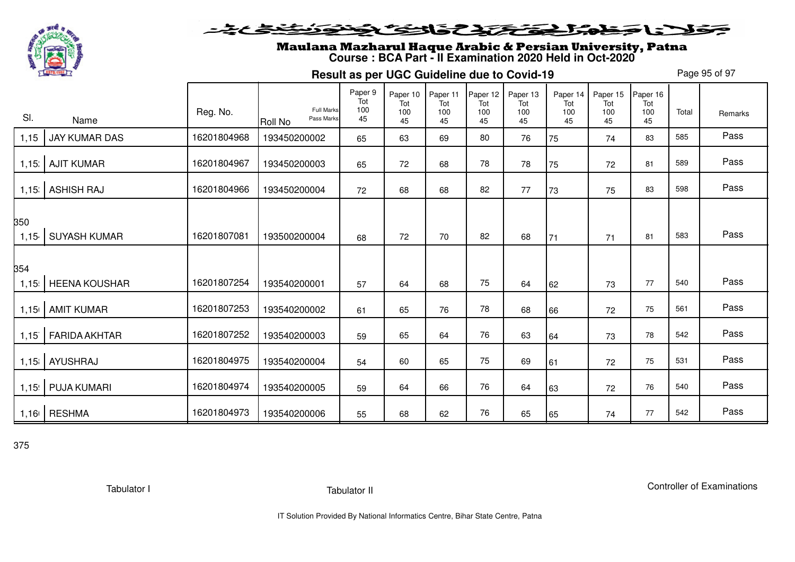

#### attein sind till till and the

# Maulana Mazharul Haque Arabic & Persian University, Patna **Course : BCA Part - II Examination 2020 Held in Oct-2020**

**Result as per UGC Guideline due to Covid-19**

Page 95 of 97

| SI.               | Name                 | Reg. No.    | <b>Full Marks</b><br>Pass Marks<br>Roll No | Paper 9<br>Tot<br>100<br>45 | Paper 10<br>Tot<br>100<br>45 | Paper 11<br>Tot<br>100<br>45 | Paper 12<br>Tot<br>100<br>45 | Paper 13<br>Tot<br>100<br>45 | Paper 14<br>Tot<br>100<br>45 | Paper 15<br>Tot<br>100<br>45 | Paper 16<br>Tot<br>100<br>45 | Total | Remarks |
|-------------------|----------------------|-------------|--------------------------------------------|-----------------------------|------------------------------|------------------------------|------------------------------|------------------------------|------------------------------|------------------------------|------------------------------|-------|---------|
| 1,15              | JAY KUMAR DAS        | 16201804968 | 193450200002                               | 65                          | 63                           | 69                           | 80                           | 76                           | 75                           | 74                           | 83                           | 585   | Pass    |
| $1,15$ :          | <b>AJIT KUMAR</b>    | 16201804967 | 193450200003                               | 65                          | 72                           | 68                           | 78                           | 78                           | 75                           | 72                           | 81                           | 589   | Pass    |
| 1,15.             | <b>ASHISH RAJ</b>    | 16201804966 | 193450200004                               | 72                          | 68                           | 68                           | 82                           | 77                           | 73                           | 75                           | 83                           | 598   | Pass    |
| 350<br>1,15       | <b>SUYASH KUMAR</b>  | 16201807081 | 193500200004                               | 68                          | 72                           | 70                           | 82                           | 68                           | 71                           | 71                           | 81                           | 583   | Pass    |
| 354               | <b>HEENA KOUSHAR</b> | 16201807254 |                                            |                             |                              |                              | 75                           |                              |                              |                              | 77                           | 540   | Pass    |
| $1,15$ .<br>1,150 | <b>AMIT KUMAR</b>    | 16201807253 | 193540200001<br>193540200002               | 57<br>61                    | 64<br>65                     | 68<br>76                     | 78                           | 64<br>68                     | 62<br>66                     | 73<br>72                     | 75                           | 561   | Pass    |
| 1,15              | <b>FARIDA AKHTAR</b> | 16201807252 | 193540200003                               | 59                          | 65                           | 64                           | 76                           | 63                           | 64                           | 73                           | 78                           | 542   | Pass    |
|                   | 1,15   AYUSHRAJ      | 16201804975 | 193540200004                               | 54                          | 60                           | 65                           | 75                           | 69                           | 61                           | 72                           | 75                           | 531   | Pass    |
|                   | 1,15! PUJA KUMARI    | 16201804974 | 193540200005                               | 59                          | 64                           | 66                           | 76                           | 64                           | 63                           | 72                           | 76                           | 540   | Pass    |
|                   | 1,16   RESHMA        | 16201804973 | 193540200006                               | 55                          | 68                           | 62                           | 76                           | 65                           | 65                           | 74                           | 77                           | 542   | Pass    |

375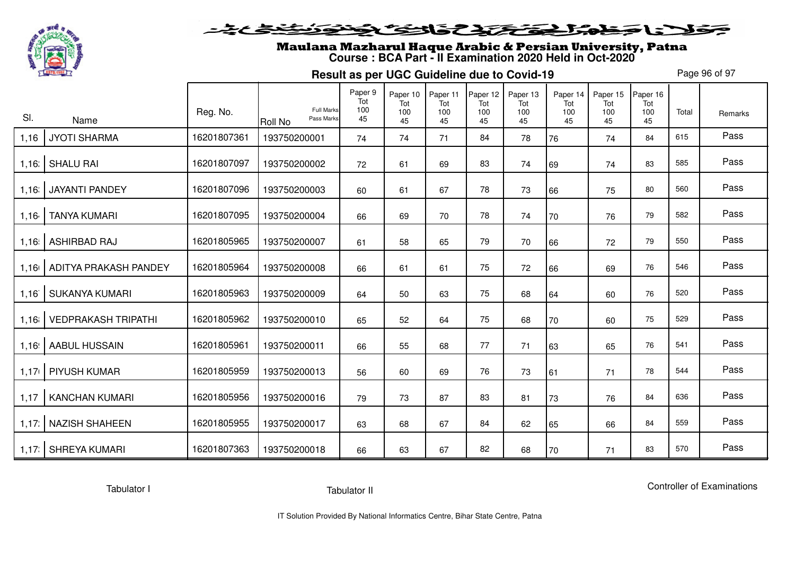

# Maulana Mazharul Haque Arabic & Persian University, Patna **Course : BCA Part - II Examination 2020 Held in Oct-2020**

**Result as per UGC Guideline due to Covid-19**

Page 96 of 97

| SI.   | Name                         | Reg. No.    | <b>Full Marks</b><br>Pass Marks | Paper 9<br>Tot<br>100<br>45 | Paper 10<br>Tot<br>100 | Paper 11<br>Tot<br>100 | Paper 12<br>Tot<br>100 | Paper 13<br>Tot<br>100 | Paper 14<br>Tot<br>100 | Paper 15<br>Tot<br>100 | Paper 16<br>Tot<br>100 | Total | Remarks |
|-------|------------------------------|-------------|---------------------------------|-----------------------------|------------------------|------------------------|------------------------|------------------------|------------------------|------------------------|------------------------|-------|---------|
| 1,16  | <b>JYOTI SHARMA</b>          | 16201807361 | <b>Roll No</b><br>193750200001  | 74                          | 45<br>74               | 45<br>71               | 45<br>84               | 45<br>78               | 45<br>76               | 45<br>74               | 45<br>84               | 615   | Pass    |
| 1,16. | <b>SHALU RAI</b>             | 16201807097 | 193750200002                    | 72                          | 61                     | 69                     | 83                     | 74                     | 69                     | 74                     | 83                     | 585   | Pass    |
| 1,16. | <b>JAYANTI PANDEY</b>        | 16201807096 | 193750200003                    | 60                          | 61                     | 67                     | 78                     | 73                     | 66                     | 75                     | 80                     | 560   | Pass    |
| 1,16  | <b>TANYA KUMARI</b>          | 16201807095 | 193750200004                    | 66                          | 69                     | 70                     | 78                     | 74                     | 70                     | 76                     | 79                     | 582   | Pass    |
| 1,16! | <b>ASHIRBAD RAJ</b>          | 16201805965 | 193750200007                    | 61                          | 58                     | 65                     | 79                     | 70                     | 66                     | 72                     | 79                     | 550   | Pass    |
|       | 1,16   ADITYA PRAKASH PANDEY | 16201805964 | 193750200008                    | 66                          | 61                     | 61                     | 75                     | 72                     | 66                     | 69                     | 76                     | 546   | Pass    |
| 1,16  | <b>SUKANYA KUMARI</b>        | 16201805963 | 193750200009                    | 64                          | 50                     | 63                     | 75                     | 68                     | 64                     | 60                     | 76                     | 520   | Pass    |
|       | 1,16   VEDPRAKASH TRIPATHI   | 16201805962 | 193750200010                    | 65                          | 52                     | 64                     | 75                     | 68                     | 70                     | 60                     | 75                     | 529   | Pass    |
| 1,16! | <b>AABUL HUSSAIN</b>         | 16201805961 | 193750200011                    | 66                          | 55                     | 68                     | 77                     | 71                     | 63                     | 65                     | 76                     | 541   | Pass    |
| 1,171 | PIYUSH KUMAR                 | 16201805959 | 193750200013                    | 56                          | 60                     | 69                     | 76                     | 73                     | 61                     | 71                     | 78                     | 544   | Pass    |
| 1,17  | <b>KANCHAN KUMARI</b>        | 16201805956 | 193750200016                    | 79                          | 73                     | 87                     | 83                     | 81                     | 73                     | 76                     | 84                     | 636   | Pass    |
| 1,17  | <b>NAZISH SHAHEEN</b>        | 16201805955 | 193750200017                    | 63                          | 68                     | 67                     | 84                     | 62                     | 65                     | 66                     | 84                     | 559   | Pass    |
| 1,17  | SHREYA KUMARI                | 16201807363 | 193750200018                    | 66                          | 63                     | 67                     | 82                     | 68                     | 70                     | 71                     | 83                     | 570   | Pass    |